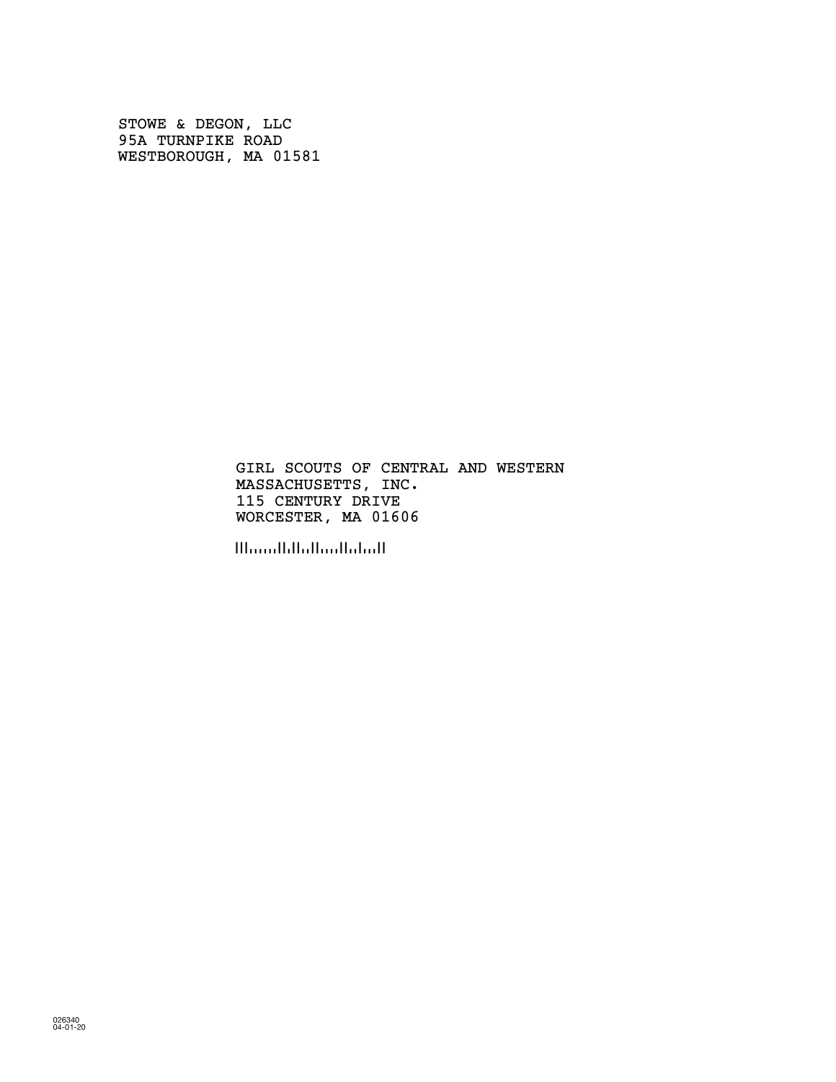STOWE & DEGON, LLC 95A TURNPIKE ROAD WESTBOROUGH, MA 01581

> MASSACHUSETTS, INC. 115 CENTURY DRIVE GIRL SCOUTS OF CENTRAL AND WESTERN WORCESTER, MA 01606

!!!.......!!.!!..!!.....!!..!....!!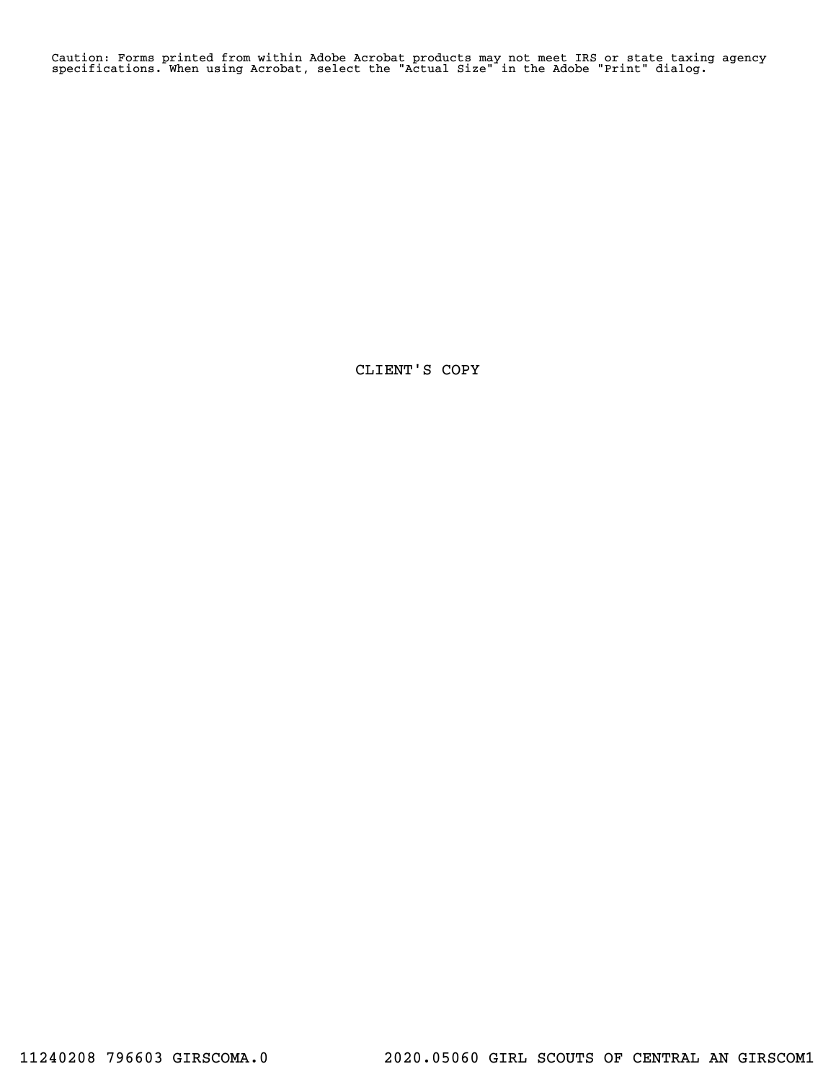Caution: Forms printed from within Adobe Acrobat products may not meet IRS or state taxing agency specifications. When using Acrobat, select the "Actual Size" in the Adobe "Print" dialog.

CLIENT'S COPY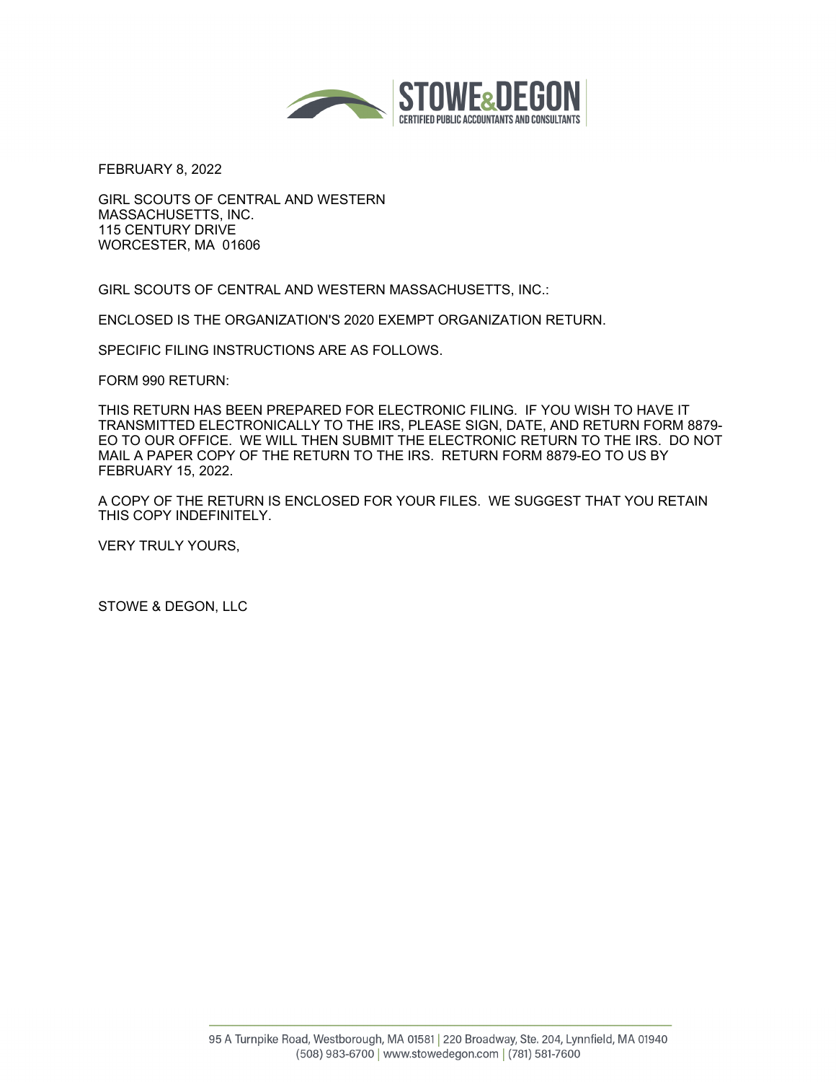

FEBRUARY 8, 2022

GIRL SCOUTS OF CENTRAL AND WESTERN MASSACHUSETTS, INC. 115 CENTURY DRIVE WORCESTER, MA 01606

GIRL SCOUTS OF CENTRAL AND WESTERN MASSACHUSETTS, INC.:

ENCLOSED IS THE ORGANIZATION'S 2020 EXEMPT ORGANIZATION RETURN.

SPECIFIC FILING INSTRUCTIONS ARE AS FOLLOWS.

FORM 990 RETURN:

THIS RETURN HAS BEEN PREPARED FOR ELECTRONIC FILING. IF YOU WISH TO HAVE IT TRANSMITTED ELECTRONICALLY TO THE IRS, PLEASE SIGN, DATE, AND RETURN FORM 8879- EO TO OUR OFFICE. WE WILL THEN SUBMIT THE ELECTRONIC RETURN TO THE IRS. DO NOT MAIL A PAPER COPY OF THE RETURN TO THE IRS. RETURN FORM 8879-EO TO US BY FEBRUARY 15, 2022.

A COPY OF THE RETURN IS ENCLOSED FOR YOUR FILES. WE SUGGEST THAT YOU RETAIN THIS COPY INDEFINITELY.

VERY TRULY YOURS,

STOWE & DEGON, LLC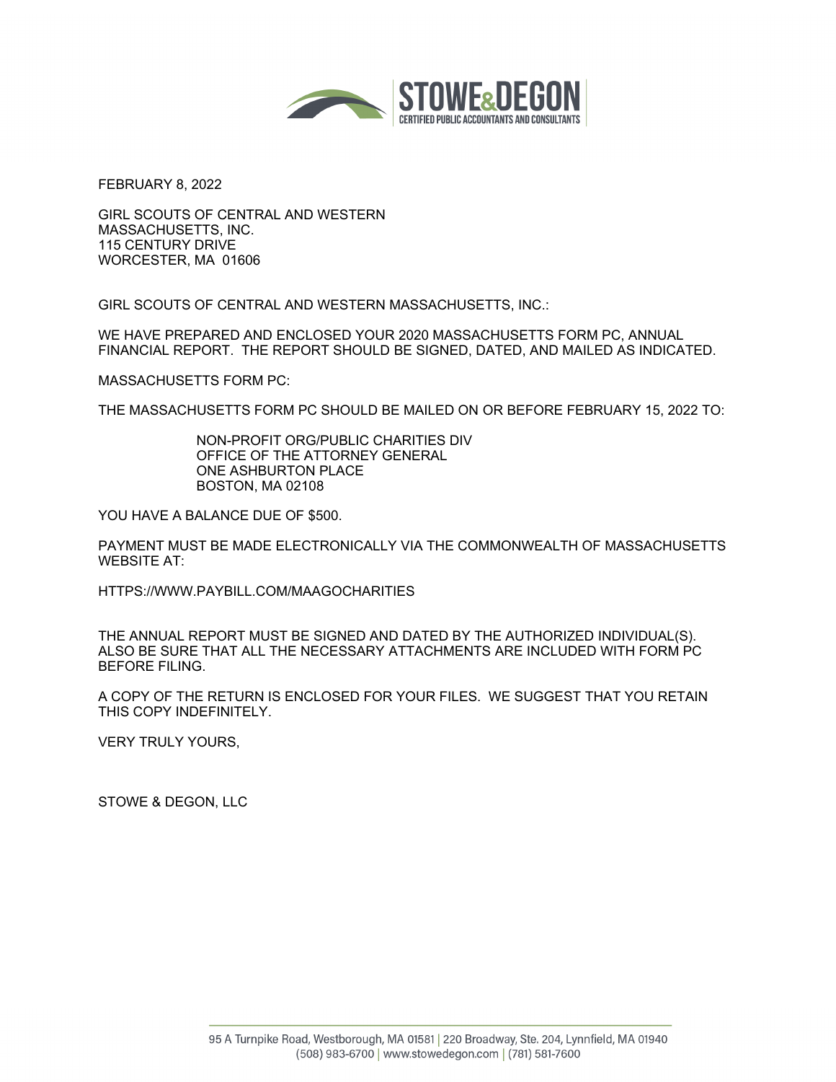

FEBRUARY 8, 2022

GIRL SCOUTS OF CENTRAL AND WESTERN MASSACHUSETTS, INC. 115 CENTURY DRIVE WORCESTER, MA 01606

GIRL SCOUTS OF CENTRAL AND WESTERN MASSACHUSETTS, INC.:

WE HAVE PREPARED AND ENCLOSED YOUR 2020 MASSACHUSETTS FORM PC, ANNUAL FINANCIAL REPORT. THE REPORT SHOULD BE SIGNED, DATED, AND MAILED AS INDICATED.

MASSACHUSETTS FORM PC:

THE MASSACHUSETTS FORM PC SHOULD BE MAILED ON OR BEFORE FEBRUARY 15, 2022 TO:

NON-PROFIT ORG/PUBLIC CHARITIES DIV OFFICE OF THE ATTORNEY GENERAL ONE ASHBURTON PLACE BOSTON, MA 02108

YOU HAVE A BALANCE DUE OF \$500.

PAYMENT MUST BE MADE ELECTRONICALLY VIA THE COMMONWEALTH OF MASSACHUSETTS WEBSITE AT:

HTTPS://WWW.PAYBILL.COM/MAAGOCHARITIES

THE ANNUAL REPORT MUST BE SIGNED AND DATED BY THE AUTHORIZED INDIVIDUAL(S). ALSO BE SURE THAT ALL THE NECESSARY ATTACHMENTS ARE INCLUDED WITH FORM PC BEFORE FILING.

A COPY OF THE RETURN IS ENCLOSED FOR YOUR FILES. WE SUGGEST THAT YOU RETAIN THIS COPY INDEFINITELY.

VERY TRULY YOURS,

STOWE & DEGON, LLC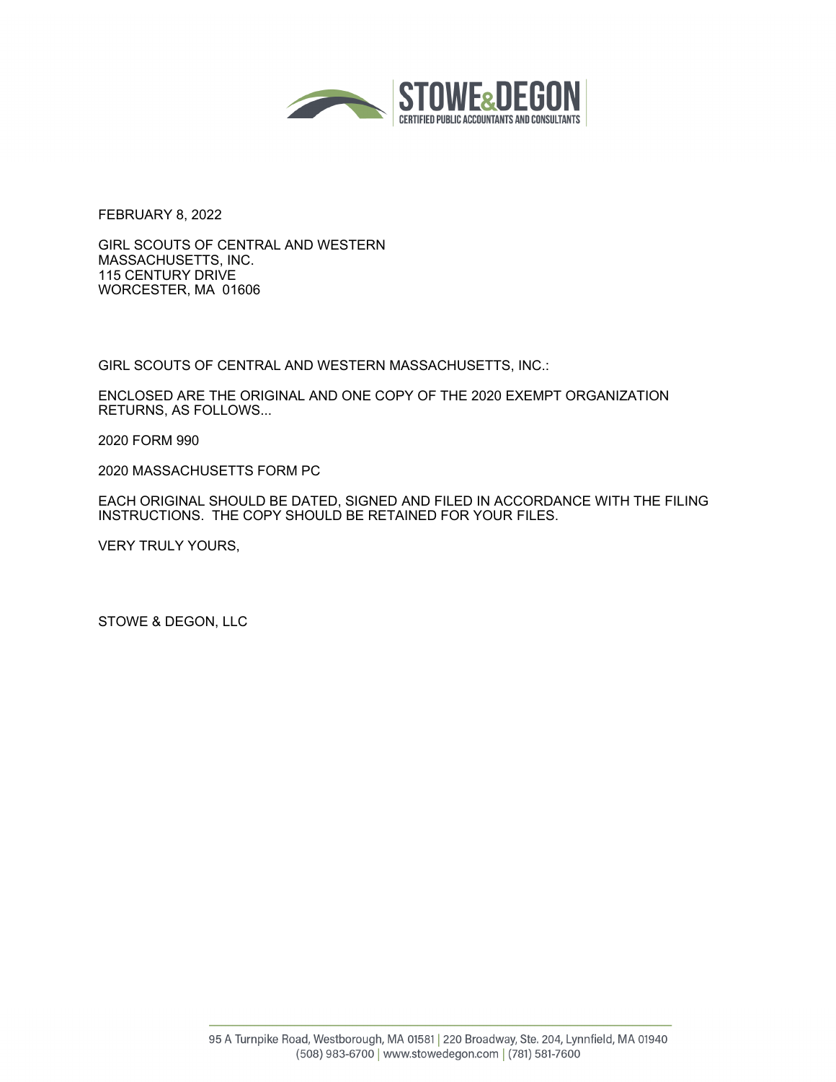

FEBRUARY 8, 2022

GIRL SCOUTS OF CENTRAL AND WESTERN MASSACHUSETTS, INC. 115 CENTURY DRIVE WORCESTER, MA 01606

GIRL SCOUTS OF CENTRAL AND WESTERN MASSACHUSETTS, INC.:

ENCLOSED ARE THE ORIGINAL AND ONE COPY OF THE 2020 EXEMPT ORGANIZATION RETURNS, AS FOLLOWS...

2020 FORM 990

2020 MASSACHUSETTS FORM PC

EACH ORIGINAL SHOULD BE DATED, SIGNED AND FILED IN ACCORDANCE WITH THE FILING INSTRUCTIONS. THE COPY SHOULD BE RETAINED FOR YOUR FILES.

VERY TRULY YOURS,

STOWE & DEGON, LLC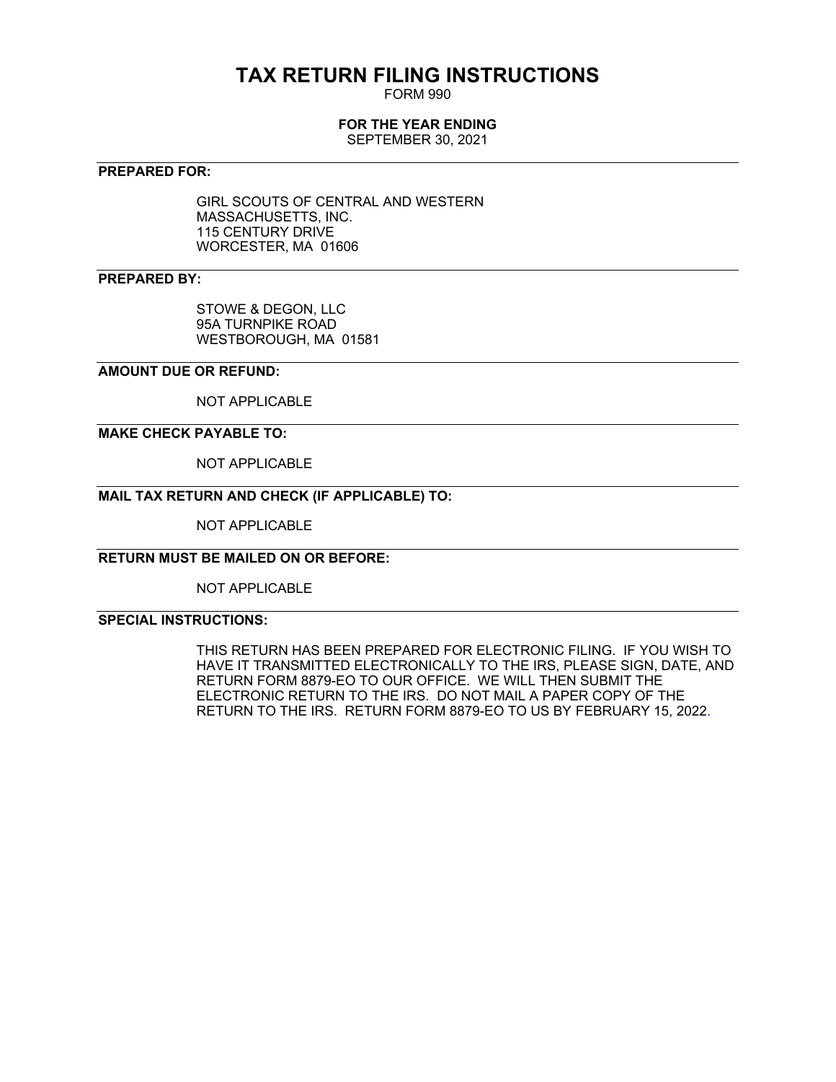# **TAX RETURN FILING INSTRUCTIONS**

FORM 990

### **FOR THE YEAR ENDING**

SEPTEMBER 30, 2021

#### **PREPARED FOR:**

GIRL SCOUTS OF CENTRAL AND WESTERN MASSACHUSETTS, INC. 115 CENTURY DRIVE WORCESTER, MA 01606

### **PREPARED BY:**

STOWE & DEGON, LLC 95A TURNPIKE ROAD WESTBOROUGH, MA 01581

#### **AMOUNT DUE OR REFUND:**

NOT APPLICABLE

### **MAKE CHECK PAYABLE TO:**

NOT APPLICABLE

### **MAIL TAX RETURN AND CHECK (IF APPLICABLE) TO:**

NOT APPLICABLE

#### **RETURN MUST BE MAILED ON OR BEFORE:**

NOT APPLICABLE

### **SPECIAL INSTRUCTIONS:**

THIS RETURN HAS BEEN PREPARED FOR ELECTRONIC FILING. IF YOU WISH TO HAVE IT TRANSMITTED ELECTRONICALLY TO THE IRS, PLEASE SIGN, DATE, AND RETURN FORM 8879-EO TO OUR OFFICE. WE WILL THEN SUBMIT THE ELECTRONIC RETURN TO THE IRS. DO NOT MAIL A PAPER COPY OF THE RETURN TO THE IRS. RETURN FORM 8879-EO TO US BY FEBRUARY 15, 2022.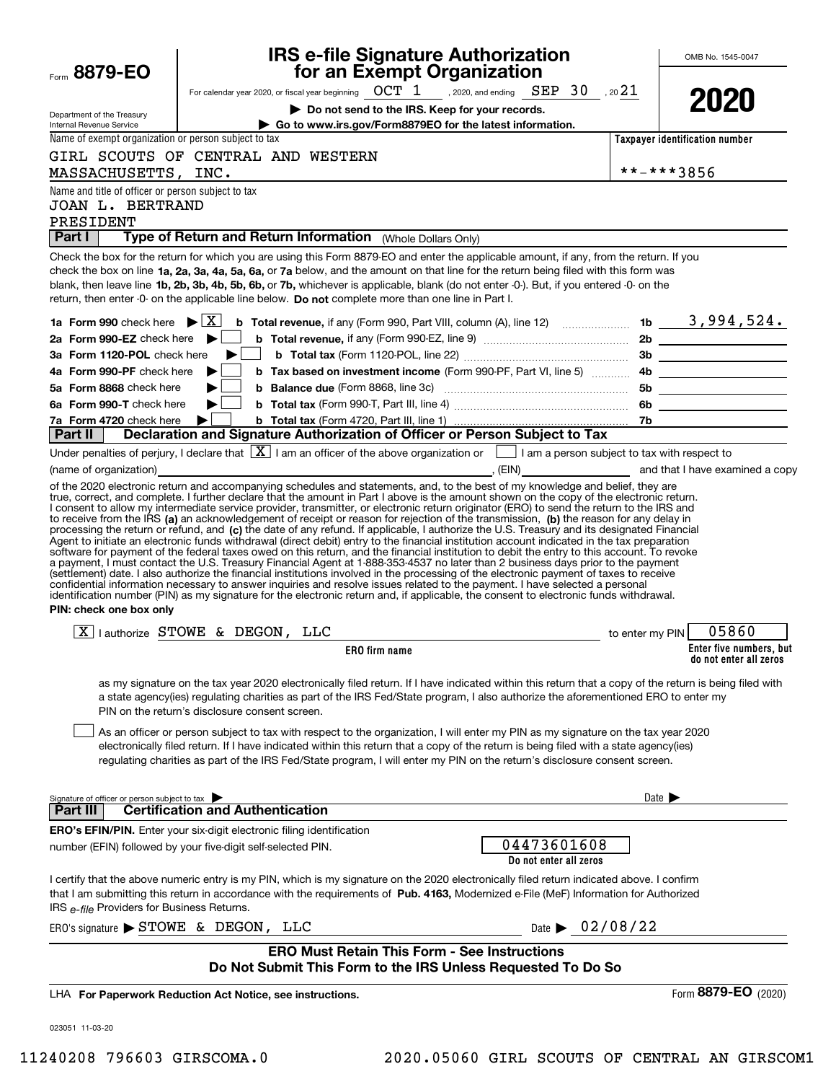| Form 8879-EO                                                     | <b>IRS e-file Signature Authorization</b><br>for an Exempt Organization                                                                                                                                                                                                                                                                                                                                                                                                                                                                                                                                                                                                                                                                                   |                                |                            | OMB No. 1545-0047                                 |
|------------------------------------------------------------------|-----------------------------------------------------------------------------------------------------------------------------------------------------------------------------------------------------------------------------------------------------------------------------------------------------------------------------------------------------------------------------------------------------------------------------------------------------------------------------------------------------------------------------------------------------------------------------------------------------------------------------------------------------------------------------------------------------------------------------------------------------------|--------------------------------|----------------------------|---------------------------------------------------|
|                                                                  | For calendar year 2020, or fiscal year beginning $OCT$ 1, 2020, and ending $SEP$ 30, 20 21                                                                                                                                                                                                                                                                                                                                                                                                                                                                                                                                                                                                                                                                |                                |                            |                                                   |
| Department of the Treasury<br>Internal Revenue Service           | Do not send to the IRS. Keep for your records.<br>Go to www.irs.gov/Form8879EO for the latest information.                                                                                                                                                                                                                                                                                                                                                                                                                                                                                                                                                                                                                                                |                                |                            | 2020                                              |
| Name of exempt organization or person subject to tax             |                                                                                                                                                                                                                                                                                                                                                                                                                                                                                                                                                                                                                                                                                                                                                           |                                |                            | Taxpayer identification number                    |
|                                                                  | GIRL SCOUTS OF CENTRAL AND WESTERN                                                                                                                                                                                                                                                                                                                                                                                                                                                                                                                                                                                                                                                                                                                        |                                |                            |                                                   |
| MASSACHUSETTS, INC.                                              |                                                                                                                                                                                                                                                                                                                                                                                                                                                                                                                                                                                                                                                                                                                                                           |                                | **-***3856                 |                                                   |
| Name and title of officer or person subject to tax               |                                                                                                                                                                                                                                                                                                                                                                                                                                                                                                                                                                                                                                                                                                                                                           |                                |                            |                                                   |
| <b>JOAN L. BERTRAND</b>                                          |                                                                                                                                                                                                                                                                                                                                                                                                                                                                                                                                                                                                                                                                                                                                                           |                                |                            |                                                   |
| PRESIDENT<br>  Part I                                            | Type of Return and Return Information (Whole Dollars Only)                                                                                                                                                                                                                                                                                                                                                                                                                                                                                                                                                                                                                                                                                                |                                |                            |                                                   |
|                                                                  | Check the box for the return for which you are using this Form 8879-EO and enter the applicable amount, if any, from the return. If you<br>check the box on line 1a, 2a, 3a, 4a, 5a, 6a, or 7a below, and the amount on that line for the return being filed with this form was<br>blank, then leave line 1b, 2b, 3b, 4b, 5b, 6b, or 7b, whichever is applicable, blank (do not enter -0-). But, if you entered -0- on the<br>return, then enter -0- on the applicable line below. Do not complete more than one line in Part I.                                                                                                                                                                                                                          |                                |                            |                                                   |
| 1a Form 990 check here $\blacktriangleright$ $\lfloor X \rfloor$ | <b>b</b> Total revenue, if any (Form 990, Part VIII, column (A), line 12) $\ldots$ $\ldots$ <b>1b</b> $\ldots$ <b>1b</b> $\ldots$ <b>3</b> , 994, 524.                                                                                                                                                                                                                                                                                                                                                                                                                                                                                                                                                                                                    |                                |                            |                                                   |
| 2a Form 990-EZ check here $\blacktriangleright$                  |                                                                                                                                                                                                                                                                                                                                                                                                                                                                                                                                                                                                                                                                                                                                                           |                                |                            |                                                   |
| 3a Form 1120-POL check here<br>4a Form 990-PF check here         | b Tax based on investment income (Form 990-PF, Part VI, line 5)  4b                                                                                                                                                                                                                                                                                                                                                                                                                                                                                                                                                                                                                                                                                       |                                |                            | 3b                                                |
| 5a Form 8868 check here                                          |                                                                                                                                                                                                                                                                                                                                                                                                                                                                                                                                                                                                                                                                                                                                                           |                                |                            |                                                   |
| 6a Form 990-T check here                                         |                                                                                                                                                                                                                                                                                                                                                                                                                                                                                                                                                                                                                                                                                                                                                           |                                |                            |                                                   |
| 7a Form 4720 check here                                          |                                                                                                                                                                                                                                                                                                                                                                                                                                                                                                                                                                                                                                                                                                                                                           |                                |                            |                                                   |
| Part II                                                          | <b>D</b> check here ▶ │ │ b Total tax (Form 4720, Part III, line 1) <b>manually consumed and Supplem Consumed Decision</b> Tb<br>Declaration and Signature Authorization of Officer or Person Subject to Tax                                                                                                                                                                                                                                                                                                                                                                                                                                                                                                                                              |                                |                            |                                                   |
|                                                                  | Under penalties of perjury, I declare that $\boxed{\mathbf{X}}$ I am an officer of the above organization or $\boxed{\phantom{\mathbf{X}}}$ I am a person subject to tax with respect to                                                                                                                                                                                                                                                                                                                                                                                                                                                                                                                                                                  |                                |                            |                                                   |
| (name of organization)                                           | $\leftarrow$ (EIN) and that I have examined a copy                                                                                                                                                                                                                                                                                                                                                                                                                                                                                                                                                                                                                                                                                                        |                                |                            |                                                   |
| PIN: check one box only                                          | software for payment of the federal taxes owed on this return, and the financial institution to debit the entry to this account. To revoke<br>a payment, I must contact the U.S. Treasury Financial Agent at 1-888-353-4537 no later than 2 business days prior to the payment<br>(settlement) date. I also authorize the financial institutions involved in the processing of the electronic payment of taxes to receive<br>confidential information necessary to answer inquiries and resolve issues related to the payment. I have selected a personal<br>identification number (PIN) as my signature for the electronic return and, if applicable, the consent to electronic funds withdrawal.                                                        |                                |                            |                                                   |
|                                                                  | $\boxed{X}$   authorize STOWE & DEGON, LLC                                                                                                                                                                                                                                                                                                                                                                                                                                                                                                                                                                                                                                                                                                                |                                | to enter my PIN            | 05860                                             |
|                                                                  | <b>ERO</b> firm name                                                                                                                                                                                                                                                                                                                                                                                                                                                                                                                                                                                                                                                                                                                                      |                                |                            | Enter five numbers, but<br>do not enter all zeros |
|                                                                  | as my signature on the tax year 2020 electronically filed return. If I have indicated within this return that a copy of the return is being filed with<br>a state agency(ies) regulating charities as part of the IRS Fed/State program, I also authorize the aforementioned ERO to enter my<br>PIN on the return's disclosure consent screen.<br>As an officer or person subject to tax with respect to the organization, I will enter my PIN as my signature on the tax year 2020<br>electronically filed return. If I have indicated within this return that a copy of the return is being filed with a state agency(ies)<br>regulating charities as part of the IRS Fed/State program, I will enter my PIN on the return's disclosure consent screen. |                                |                            |                                                   |
| Signature of officer or person subject to tax<br><b>Part III</b> | <b>Certification and Authentication</b>                                                                                                                                                                                                                                                                                                                                                                                                                                                                                                                                                                                                                                                                                                                   |                                | Date $\blacktriangleright$ |                                                   |
|                                                                  |                                                                                                                                                                                                                                                                                                                                                                                                                                                                                                                                                                                                                                                                                                                                                           |                                |                            |                                                   |
|                                                                  | <b>ERO's EFIN/PIN.</b> Enter your six-digit electronic filing identification<br>number (EFIN) followed by your five-digit self-selected PIN.                                                                                                                                                                                                                                                                                                                                                                                                                                                                                                                                                                                                              | 04473601608                    |                            |                                                   |
|                                                                  |                                                                                                                                                                                                                                                                                                                                                                                                                                                                                                                                                                                                                                                                                                                                                           | Do not enter all zeros         |                            |                                                   |
| IRS e-file Providers for Business Returns.                       | I certify that the above numeric entry is my PIN, which is my signature on the 2020 electronically filed return indicated above. I confirm<br>that I am submitting this return in accordance with the requirements of Pub. 4163, Modernized e-File (MeF) Information for Authorized                                                                                                                                                                                                                                                                                                                                                                                                                                                                       |                                |                            |                                                   |
| ERO's signature $\triangleright$ STOWE & DEGON, LLC              |                                                                                                                                                                                                                                                                                                                                                                                                                                                                                                                                                                                                                                                                                                                                                           | Date $\triangleright$ 02/08/22 |                            |                                                   |
|                                                                  | <b>ERO Must Retain This Form - See Instructions</b><br>Do Not Submit This Form to the IRS Unless Requested To Do So                                                                                                                                                                                                                                                                                                                                                                                                                                                                                                                                                                                                                                       |                                |                            |                                                   |
|                                                                  |                                                                                                                                                                                                                                                                                                                                                                                                                                                                                                                                                                                                                                                                                                                                                           |                                |                            |                                                   |
|                                                                  | LHA For Paperwork Reduction Act Notice, see instructions.                                                                                                                                                                                                                                                                                                                                                                                                                                                                                                                                                                                                                                                                                                 |                                |                            | Form 8879-EO (2020)                               |
| 023051 11-03-20                                                  |                                                                                                                                                                                                                                                                                                                                                                                                                                                                                                                                                                                                                                                                                                                                                           |                                |                            |                                                   |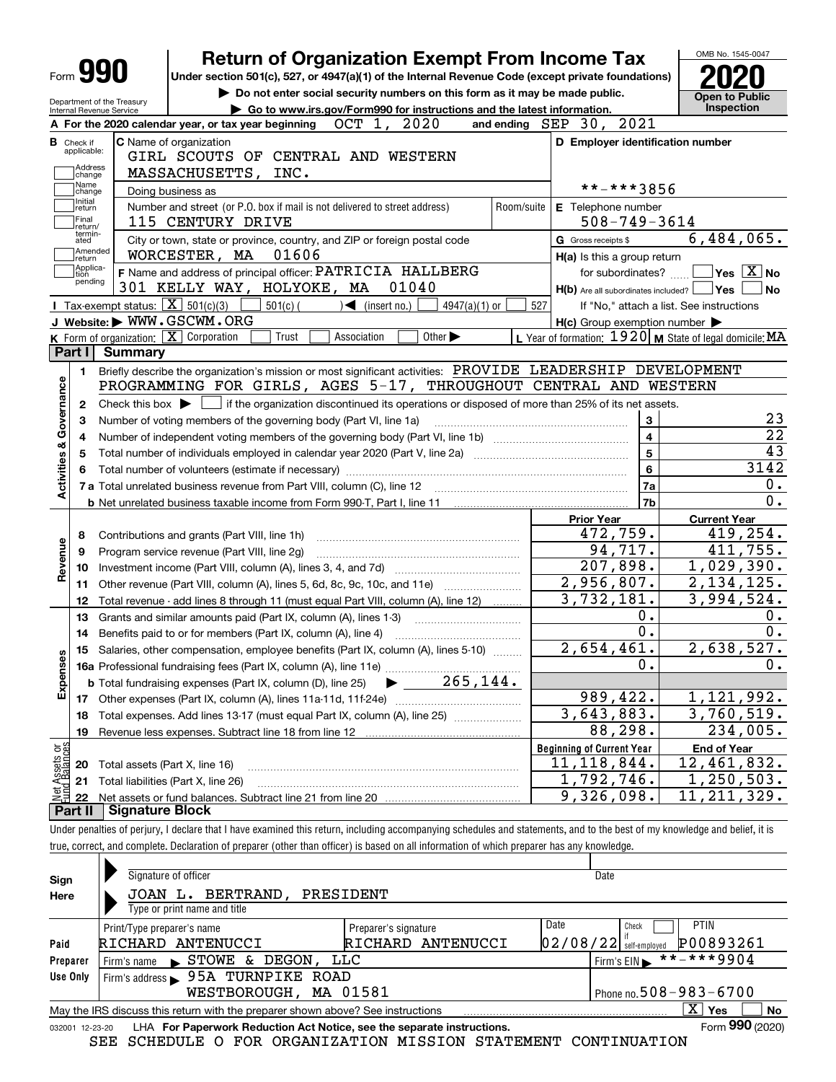|                           |                                                        |                        | <b>Return of Organization Exempt From Income Tax</b>                                                                                                                       |            |                                                     | OMB No. 1545-0047                                       |
|---------------------------|--------------------------------------------------------|------------------------|----------------------------------------------------------------------------------------------------------------------------------------------------------------------------|------------|-----------------------------------------------------|---------------------------------------------------------|
|                           | Form <b>990</b>                                        |                        | Under section 501(c), 527, or 4947(a)(1) of the Internal Revenue Code (except private foundations)                                                                         |            |                                                     |                                                         |
|                           |                                                        |                        | Do not enter social security numbers on this form as it may be made public.                                                                                                |            |                                                     | Open to Public                                          |
|                           | Department of the Treasury<br>Internal Revenue Service |                        | Go to www.irs.gov/Form990 for instructions and the latest information.                                                                                                     |            |                                                     | <b>Inspection</b>                                       |
|                           |                                                        |                        | 2020<br>OCT 1,<br>A For the 2020 calendar year, or tax year beginning                                                                                                      |            | and ending SEP 30, 2021                             |                                                         |
|                           | <b>B</b> Check if                                      |                        | <b>C</b> Name of organization                                                                                                                                              |            | D Employer identification number                    |                                                         |
|                           | applicable:                                            |                        | GIRL SCOUTS OF CENTRAL AND WESTERN                                                                                                                                         |            |                                                     |                                                         |
|                           | Address<br>change                                      |                        | <b>MASSACHUSETTS,</b><br>INC.                                                                                                                                              |            |                                                     |                                                         |
|                           | Name<br>change                                         |                        | Doing business as                                                                                                                                                          |            | **-***3856                                          |                                                         |
|                           | Initial<br>return                                      |                        | Number and street (or P.O. box if mail is not delivered to street address)                                                                                                 | Room/suite | E Telephone number                                  |                                                         |
|                           | Final<br>Ireturn/<br>termin-                           |                        | 115 CENTURY DRIVE                                                                                                                                                          |            | $508 - 749 - 3614$                                  |                                                         |
|                           | ated<br> Amended                                       |                        | City or town, state or province, country, and ZIP or foreign postal code                                                                                                   |            | G Gross receipts \$                                 | 6,484,065.                                              |
|                           | ∣return<br> Applica-                                   |                        | WORCESTER, MA<br>01606                                                                                                                                                     |            | H(a) Is this a group return                         |                                                         |
|                           | tion<br>pending                                        |                        | F Name and address of principal officer: PATRICIA HALLBERG                                                                                                                 |            | for subordinates?                                   | $\overline{\ }$ Yes $\overline{\phantom{a}X}$ No        |
|                           |                                                        |                        | 301 KELLY WAY, HOLYOKE, MA<br>01040                                                                                                                                        |            | $H(b)$ Are all subordinates included? $\Box$ Yes    | $\overline{\phantom{a}}$ No                             |
|                           |                                                        |                        | Tax-exempt status: $\boxed{\mathbf{X}}$ 501(c)(3)<br>$\sqrt{2}$ (insert no.)<br>$4947(a)(1)$ or<br>$501(c)$ (<br>J Website: WWW.GSCWM.ORG                                  | 527        |                                                     | If "No," attach a list. See instructions                |
|                           |                                                        |                        | K Form of organization: X Corporation<br>Trust<br>Association<br>Other $\blacktriangleright$                                                                               |            | $H(c)$ Group exemption number $\blacktriangleright$ | L Year of formation: 1920 M State of legal domicile: MA |
|                           | Part I                                                 | <b>Summary</b>         |                                                                                                                                                                            |            |                                                     |                                                         |
|                           |                                                        |                        | Briefly describe the organization's mission or most significant activities: PROVIDE LEADERSHIP DEVELOPMENT                                                                 |            |                                                     |                                                         |
|                           | 1.                                                     |                        | PROGRAMMING FOR GIRLS, AGES 5-17, THROUGHOUT CENTRAL AND WESTERN                                                                                                           |            |                                                     |                                                         |
|                           |                                                        |                        | Check this box $\blacktriangleright$ $\blacksquare$ if the organization discontinued its operations or disposed of more than 25% of its net assets.                        |            |                                                     |                                                         |
|                           | 2<br>3                                                 |                        | Number of voting members of the governing body (Part VI, line 1a)                                                                                                          |            | 3                                                   | 23                                                      |
|                           | 4                                                      |                        |                                                                                                                                                                            |            | $\overline{\mathbf{4}}$                             | $\overline{22}$                                         |
|                           | 5                                                      |                        |                                                                                                                                                                            |            | $\overline{5}$                                      | 43                                                      |
| Activities & Governance   |                                                        |                        |                                                                                                                                                                            |            | $\bf 6$                                             | 3142                                                    |
|                           |                                                        |                        |                                                                                                                                                                            |            | 7a                                                  | 0.                                                      |
|                           |                                                        |                        |                                                                                                                                                                            |            | 7b                                                  | $\overline{0}$ .                                        |
|                           |                                                        |                        |                                                                                                                                                                            |            | <b>Prior Year</b>                                   | <b>Current Year</b>                                     |
|                           | 8                                                      |                        | Contributions and grants (Part VIII, line 1h)                                                                                                                              |            | 472,759.                                            | 419,254.                                                |
|                           | 9                                                      |                        | Program service revenue (Part VIII, line 2g)                                                                                                                               |            | 94,717.                                             | 411,755.                                                |
| Revenue                   | 10                                                     |                        |                                                                                                                                                                            |            | $\overline{207,898.}$                               | $\overline{1,029}$ , 390.                               |
|                           | 11                                                     |                        | Other revenue (Part VIII, column (A), lines 5, 6d, 8c, 9c, 10c, and 11e)                                                                                                   |            | 2,956,807.                                          | 2,134,125.                                              |
|                           | 12                                                     |                        | Total revenue - add lines 8 through 11 (must equal Part VIII, column (A), line 12)                                                                                         |            | 3,732,181.                                          | 3,994,524.                                              |
|                           | 13                                                     |                        | Grants and similar amounts paid (Part IX, column (A), lines 1-3)                                                                                                           |            | $0$ .                                               | 0.                                                      |
|                           | 14                                                     |                        | Benefits paid to or for members (Part IX, column (A), line 4)                                                                                                              |            | $0$ .                                               | $\overline{0}$ .                                        |
| w                         |                                                        |                        | 15 Salaries, other compensation, employee benefits (Part IX, column (A), lines 5-10)                                                                                       |            | 2,654,461.                                          | 2,638,527.                                              |
| Expense                   |                                                        |                        |                                                                                                                                                                            |            | 0.                                                  | 0.                                                      |
|                           |                                                        |                        | $\blacktriangleright$ 265,144.<br><b>b</b> Total fundraising expenses (Part IX, column (D), line 25)                                                                       |            |                                                     |                                                         |
|                           | 17                                                     |                        |                                                                                                                                                                            |            | 989, 422.                                           | 1,121,992.                                              |
|                           | 18                                                     |                        | Total expenses. Add lines 13-17 (must equal Part IX, column (A), line 25)                                                                                                  |            | 3,643,883.                                          | 3,760,519.                                              |
|                           | 19                                                     |                        | Revenue less expenses. Subtract line 18 from line 12                                                                                                                       |            | 88,298.                                             | 234,005.                                                |
|                           |                                                        |                        |                                                                                                                                                                            |            | <b>Beginning of Current Year</b>                    | <b>End of Year</b>                                      |
| t Assets or<br>d Balances | 20                                                     |                        | Total assets (Part X, line 16)                                                                                                                                             |            | 11, 118, 844.                                       | $\overline{12}$ , 461, 832.                             |
|                           | 21                                                     |                        | Total liabilities (Part X, line 26)                                                                                                                                        |            | 1,792,746.                                          | 1, 250, 503.                                            |
|                           | 22                                                     |                        |                                                                                                                                                                            |            | 9,326,098.                                          | $\overline{11}$ , 211, 329.                             |
|                           | Part II                                                | <b>Signature Block</b> |                                                                                                                                                                            |            |                                                     |                                                         |
|                           |                                                        |                        | Under penalties of perjury, I declare that I have examined this return, including accompanying schedules and statements, and to the best of my knowledge and belief, it is |            |                                                     |                                                         |
|                           |                                                        |                        | true, correct, and complete. Declaration of preparer (other than officer) is based on all information of which preparer has any knowledge.                                 |            |                                                     |                                                         |
|                           |                                                        |                        |                                                                                                                                                                            |            |                                                     |                                                         |

| Sign<br>Here    | Signature of officer<br>BERTRAND,<br>JOAN<br>ь.                                 | PRESIDENT            |          | Date                       |                           |
|-----------------|---------------------------------------------------------------------------------|----------------------|----------|----------------------------|---------------------------|
|                 | Type or print name and title                                                    |                      |          |                            |                           |
|                 | Print/Type preparer's name                                                      | Preparer's signature | Date     | Check                      | <b>PTIN</b>               |
| Paid            | RICHARD ANTENUCCI                                                               | ANTENUCCI<br>RICHARD | 02/08/22 | self-emploved              | P00893261                 |
| Preparer        | DEGON,<br><b>STOWE</b><br>&.<br>Firm's name                                     | LLC                  |          | Firm's $EIN$               | $***$ ** ** 9904          |
| Use Only        | 95A TURNPIKE ROAD<br>Firm's address                                             |                      |          |                            |                           |
|                 | WESTBOROUGH, MA 01581                                                           |                      |          | Phone no. 508 - 983 - 6700 |                           |
|                 | May the IRS discuss this return with the preparer shown above? See instructions |                      |          |                            | $\mathbf{x}$<br>Yes<br>No |
| 032001 12-23-20 | LHA For Paperwork Reduction Act Notice, see the separate instructions.          |                      |          |                            | Form 990 (2020)           |

SEE SCHEDULE O FOR ORGANIZATION MISSION STATEMENT CONTINUATION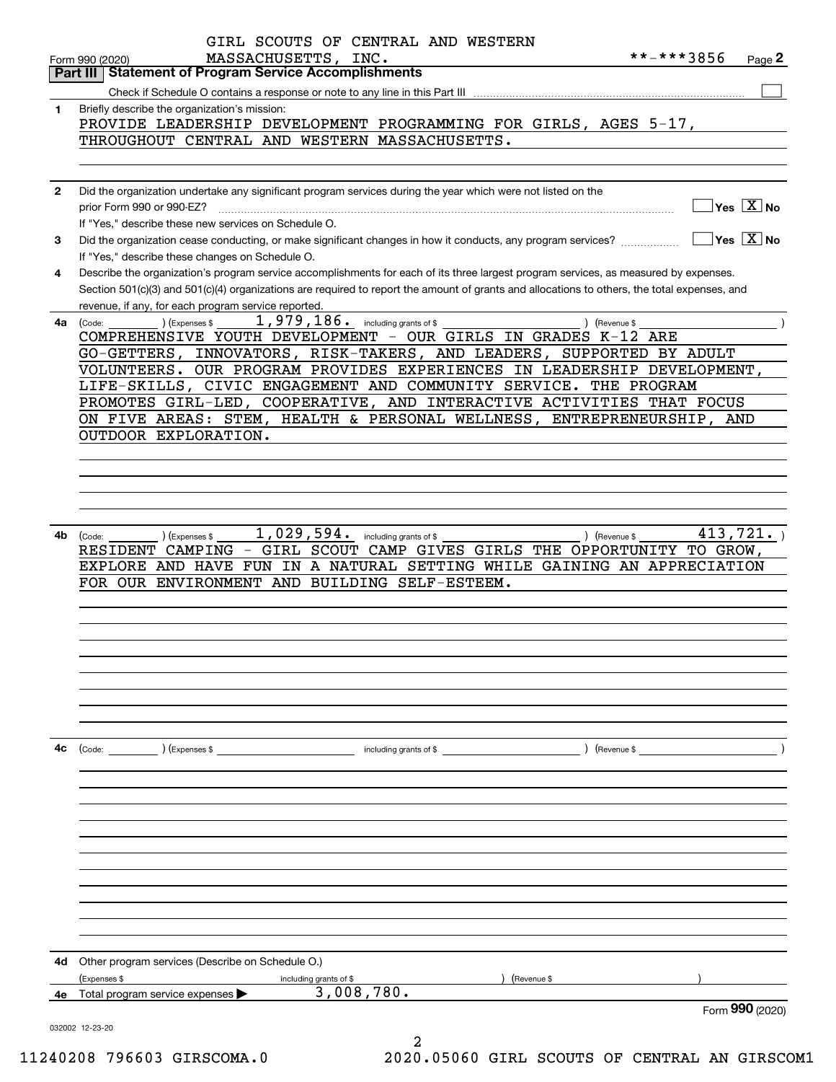| Part III     | <b>Statement of Program Service Accomplishments</b>                                                                                                                                                                                                                                                                                                                                                                                                                                                                                                                                                                                                                                                                                                                                                                                                                                                                                                                                                                                                                                                                                                                                                                                                                                                                                                                                                                                                                                                                                                                                                                                                                                  |
|--------------|--------------------------------------------------------------------------------------------------------------------------------------------------------------------------------------------------------------------------------------------------------------------------------------------------------------------------------------------------------------------------------------------------------------------------------------------------------------------------------------------------------------------------------------------------------------------------------------------------------------------------------------------------------------------------------------------------------------------------------------------------------------------------------------------------------------------------------------------------------------------------------------------------------------------------------------------------------------------------------------------------------------------------------------------------------------------------------------------------------------------------------------------------------------------------------------------------------------------------------------------------------------------------------------------------------------------------------------------------------------------------------------------------------------------------------------------------------------------------------------------------------------------------------------------------------------------------------------------------------------------------------------------------------------------------------------|
|              |                                                                                                                                                                                                                                                                                                                                                                                                                                                                                                                                                                                                                                                                                                                                                                                                                                                                                                                                                                                                                                                                                                                                                                                                                                                                                                                                                                                                                                                                                                                                                                                                                                                                                      |
|              |                                                                                                                                                                                                                                                                                                                                                                                                                                                                                                                                                                                                                                                                                                                                                                                                                                                                                                                                                                                                                                                                                                                                                                                                                                                                                                                                                                                                                                                                                                                                                                                                                                                                                      |
| 1            |                                                                                                                                                                                                                                                                                                                                                                                                                                                                                                                                                                                                                                                                                                                                                                                                                                                                                                                                                                                                                                                                                                                                                                                                                                                                                                                                                                                                                                                                                                                                                                                                                                                                                      |
|              | Briefly describe the organization's mission:<br>PROVIDE LEADERSHIP DEVELOPMENT PROGRAMMING FOR GIRLS, AGES 5-17,<br>THROUGHOUT CENTRAL AND WESTERN MASSACHUSETTS.<br>Did the organization undertake any significant program services during the year which were not listed on the<br>prior Form 990 or 990-EZ?<br>If "Yes," describe these new services on Schedule O.<br>Did the organization cease conducting, or make significant changes in how it conducts, any program services?<br>If "Yes," describe these changes on Schedule O.<br>Describe the organization's program service accomplishments for each of its three largest program services, as measured by expenses.<br>Section 501(c)(3) and 501(c)(4) organizations are required to report the amount of grants and allocations to others, the total expenses, and<br>revenue, if any, for each program service reported.<br>$1,979,186.$ including grants of \$<br>(Expenses \$<br>) (Revenue \$<br>(Code:<br>COMPREHENSIVE YOUTH DEVELOPMENT - OUR GIRLS IN GRADES K-12 ARE<br>GO-GETTERS, INNOVATORS, RISK-TAKERS, AND LEADERS, SUPPORTED BY ADULT<br>VOLUNTEERS. OUR PROGRAM PROVIDES EXPERIENCES IN LEADERSHIP DEVELOPMENT,<br>LIFE-SKILLS, CIVIC ENGAGEMENT AND COMMUNITY SERVICE. THE PROGRAM<br>PROMOTES GIRL-LED, COOPERATIVE, AND INTERACTIVE ACTIVITIES THAT FOCUS<br>ON FIVE AREAS: STEM, HEALTH & PERSONAL WELLNESS, ENTREPRENEURSHIP, AND<br>OUTDOOR EXPLORATION.<br>1,029,594.<br>) (Revenue \$<br>(Expenses \$<br>including grants of \$<br>(Code:<br>- GIRL SCOUT CAMP GIVES GIRLS THE OPPORTUNITY TO GROW,<br>RESIDENT CAMPING<br>EXPLORE AND HAVE<br>FOR OUR ENVIRONMENT AND BUILDING SELF-ESTEEM. |
|              |                                                                                                                                                                                                                                                                                                                                                                                                                                                                                                                                                                                                                                                                                                                                                                                                                                                                                                                                                                                                                                                                                                                                                                                                                                                                                                                                                                                                                                                                                                                                                                                                                                                                                      |
|              |                                                                                                                                                                                                                                                                                                                                                                                                                                                                                                                                                                                                                                                                                                                                                                                                                                                                                                                                                                                                                                                                                                                                                                                                                                                                                                                                                                                                                                                                                                                                                                                                                                                                                      |
| $\mathbf{2}$ |                                                                                                                                                                                                                                                                                                                                                                                                                                                                                                                                                                                                                                                                                                                                                                                                                                                                                                                                                                                                                                                                                                                                                                                                                                                                                                                                                                                                                                                                                                                                                                                                                                                                                      |
|              | $\sqrt{}$ Yes $\sqrt{}$ X $\sqrt{}$ No                                                                                                                                                                                                                                                                                                                                                                                                                                                                                                                                                                                                                                                                                                                                                                                                                                                                                                                                                                                                                                                                                                                                                                                                                                                                                                                                                                                                                                                                                                                                                                                                                                               |
|              | $ Yes X $ No                                                                                                                                                                                                                                                                                                                                                                                                                                                                                                                                                                                                                                                                                                                                                                                                                                                                                                                                                                                                                                                                                                                                                                                                                                                                                                                                                                                                                                                                                                                                                                                                                                                                         |
| 3            |                                                                                                                                                                                                                                                                                                                                                                                                                                                                                                                                                                                                                                                                                                                                                                                                                                                                                                                                                                                                                                                                                                                                                                                                                                                                                                                                                                                                                                                                                                                                                                                                                                                                                      |
| 4            |                                                                                                                                                                                                                                                                                                                                                                                                                                                                                                                                                                                                                                                                                                                                                                                                                                                                                                                                                                                                                                                                                                                                                                                                                                                                                                                                                                                                                                                                                                                                                                                                                                                                                      |
|              |                                                                                                                                                                                                                                                                                                                                                                                                                                                                                                                                                                                                                                                                                                                                                                                                                                                                                                                                                                                                                                                                                                                                                                                                                                                                                                                                                                                                                                                                                                                                                                                                                                                                                      |
|              |                                                                                                                                                                                                                                                                                                                                                                                                                                                                                                                                                                                                                                                                                                                                                                                                                                                                                                                                                                                                                                                                                                                                                                                                                                                                                                                                                                                                                                                                                                                                                                                                                                                                                      |
| 4a           |                                                                                                                                                                                                                                                                                                                                                                                                                                                                                                                                                                                                                                                                                                                                                                                                                                                                                                                                                                                                                                                                                                                                                                                                                                                                                                                                                                                                                                                                                                                                                                                                                                                                                      |
|              |                                                                                                                                                                                                                                                                                                                                                                                                                                                                                                                                                                                                                                                                                                                                                                                                                                                                                                                                                                                                                                                                                                                                                                                                                                                                                                                                                                                                                                                                                                                                                                                                                                                                                      |
|              |                                                                                                                                                                                                                                                                                                                                                                                                                                                                                                                                                                                                                                                                                                                                                                                                                                                                                                                                                                                                                                                                                                                                                                                                                                                                                                                                                                                                                                                                                                                                                                                                                                                                                      |
|              |                                                                                                                                                                                                                                                                                                                                                                                                                                                                                                                                                                                                                                                                                                                                                                                                                                                                                                                                                                                                                                                                                                                                                                                                                                                                                                                                                                                                                                                                                                                                                                                                                                                                                      |
|              |                                                                                                                                                                                                                                                                                                                                                                                                                                                                                                                                                                                                                                                                                                                                                                                                                                                                                                                                                                                                                                                                                                                                                                                                                                                                                                                                                                                                                                                                                                                                                                                                                                                                                      |
|              |                                                                                                                                                                                                                                                                                                                                                                                                                                                                                                                                                                                                                                                                                                                                                                                                                                                                                                                                                                                                                                                                                                                                                                                                                                                                                                                                                                                                                                                                                                                                                                                                                                                                                      |
|              |                                                                                                                                                                                                                                                                                                                                                                                                                                                                                                                                                                                                                                                                                                                                                                                                                                                                                                                                                                                                                                                                                                                                                                                                                                                                                                                                                                                                                                                                                                                                                                                                                                                                                      |
|              |                                                                                                                                                                                                                                                                                                                                                                                                                                                                                                                                                                                                                                                                                                                                                                                                                                                                                                                                                                                                                                                                                                                                                                                                                                                                                                                                                                                                                                                                                                                                                                                                                                                                                      |
|              |                                                                                                                                                                                                                                                                                                                                                                                                                                                                                                                                                                                                                                                                                                                                                                                                                                                                                                                                                                                                                                                                                                                                                                                                                                                                                                                                                                                                                                                                                                                                                                                                                                                                                      |
|              |                                                                                                                                                                                                                                                                                                                                                                                                                                                                                                                                                                                                                                                                                                                                                                                                                                                                                                                                                                                                                                                                                                                                                                                                                                                                                                                                                                                                                                                                                                                                                                                                                                                                                      |
|              |                                                                                                                                                                                                                                                                                                                                                                                                                                                                                                                                                                                                                                                                                                                                                                                                                                                                                                                                                                                                                                                                                                                                                                                                                                                                                                                                                                                                                                                                                                                                                                                                                                                                                      |
|              |                                                                                                                                                                                                                                                                                                                                                                                                                                                                                                                                                                                                                                                                                                                                                                                                                                                                                                                                                                                                                                                                                                                                                                                                                                                                                                                                                                                                                                                                                                                                                                                                                                                                                      |
| 4b.          | 413,721.                                                                                                                                                                                                                                                                                                                                                                                                                                                                                                                                                                                                                                                                                                                                                                                                                                                                                                                                                                                                                                                                                                                                                                                                                                                                                                                                                                                                                                                                                                                                                                                                                                                                             |
|              |                                                                                                                                                                                                                                                                                                                                                                                                                                                                                                                                                                                                                                                                                                                                                                                                                                                                                                                                                                                                                                                                                                                                                                                                                                                                                                                                                                                                                                                                                                                                                                                                                                                                                      |
|              | FUN IN A NATURAL SETTING WHILE GAINING AN APPRECIATION                                                                                                                                                                                                                                                                                                                                                                                                                                                                                                                                                                                                                                                                                                                                                                                                                                                                                                                                                                                                                                                                                                                                                                                                                                                                                                                                                                                                                                                                                                                                                                                                                               |
|              |                                                                                                                                                                                                                                                                                                                                                                                                                                                                                                                                                                                                                                                                                                                                                                                                                                                                                                                                                                                                                                                                                                                                                                                                                                                                                                                                                                                                                                                                                                                                                                                                                                                                                      |
|              |                                                                                                                                                                                                                                                                                                                                                                                                                                                                                                                                                                                                                                                                                                                                                                                                                                                                                                                                                                                                                                                                                                                                                                                                                                                                                                                                                                                                                                                                                                                                                                                                                                                                                      |
|              |                                                                                                                                                                                                                                                                                                                                                                                                                                                                                                                                                                                                                                                                                                                                                                                                                                                                                                                                                                                                                                                                                                                                                                                                                                                                                                                                                                                                                                                                                                                                                                                                                                                                                      |
|              |                                                                                                                                                                                                                                                                                                                                                                                                                                                                                                                                                                                                                                                                                                                                                                                                                                                                                                                                                                                                                                                                                                                                                                                                                                                                                                                                                                                                                                                                                                                                                                                                                                                                                      |
|              |                                                                                                                                                                                                                                                                                                                                                                                                                                                                                                                                                                                                                                                                                                                                                                                                                                                                                                                                                                                                                                                                                                                                                                                                                                                                                                                                                                                                                                                                                                                                                                                                                                                                                      |
|              |                                                                                                                                                                                                                                                                                                                                                                                                                                                                                                                                                                                                                                                                                                                                                                                                                                                                                                                                                                                                                                                                                                                                                                                                                                                                                                                                                                                                                                                                                                                                                                                                                                                                                      |
|              |                                                                                                                                                                                                                                                                                                                                                                                                                                                                                                                                                                                                                                                                                                                                                                                                                                                                                                                                                                                                                                                                                                                                                                                                                                                                                                                                                                                                                                                                                                                                                                                                                                                                                      |
|              |                                                                                                                                                                                                                                                                                                                                                                                                                                                                                                                                                                                                                                                                                                                                                                                                                                                                                                                                                                                                                                                                                                                                                                                                                                                                                                                                                                                                                                                                                                                                                                                                                                                                                      |
|              |                                                                                                                                                                                                                                                                                                                                                                                                                                                                                                                                                                                                                                                                                                                                                                                                                                                                                                                                                                                                                                                                                                                                                                                                                                                                                                                                                                                                                                                                                                                                                                                                                                                                                      |
| 4c           |                                                                                                                                                                                                                                                                                                                                                                                                                                                                                                                                                                                                                                                                                                                                                                                                                                                                                                                                                                                                                                                                                                                                                                                                                                                                                                                                                                                                                                                                                                                                                                                                                                                                                      |
|              | $\text{(Code:}$ $\qquad \qquad$ $\text{(Expenses $}$<br>including grants of $$$                                                                                                                                                                                                                                                                                                                                                                                                                                                                                                                                                                                                                                                                                                                                                                                                                                                                                                                                                                                                                                                                                                                                                                                                                                                                                                                                                                                                                                                                                                                                                                                                      |
|              |                                                                                                                                                                                                                                                                                                                                                                                                                                                                                                                                                                                                                                                                                                                                                                                                                                                                                                                                                                                                                                                                                                                                                                                                                                                                                                                                                                                                                                                                                                                                                                                                                                                                                      |
|              |                                                                                                                                                                                                                                                                                                                                                                                                                                                                                                                                                                                                                                                                                                                                                                                                                                                                                                                                                                                                                                                                                                                                                                                                                                                                                                                                                                                                                                                                                                                                                                                                                                                                                      |
|              |                                                                                                                                                                                                                                                                                                                                                                                                                                                                                                                                                                                                                                                                                                                                                                                                                                                                                                                                                                                                                                                                                                                                                                                                                                                                                                                                                                                                                                                                                                                                                                                                                                                                                      |
|              |                                                                                                                                                                                                                                                                                                                                                                                                                                                                                                                                                                                                                                                                                                                                                                                                                                                                                                                                                                                                                                                                                                                                                                                                                                                                                                                                                                                                                                                                                                                                                                                                                                                                                      |
|              |                                                                                                                                                                                                                                                                                                                                                                                                                                                                                                                                                                                                                                                                                                                                                                                                                                                                                                                                                                                                                                                                                                                                                                                                                                                                                                                                                                                                                                                                                                                                                                                                                                                                                      |
|              |                                                                                                                                                                                                                                                                                                                                                                                                                                                                                                                                                                                                                                                                                                                                                                                                                                                                                                                                                                                                                                                                                                                                                                                                                                                                                                                                                                                                                                                                                                                                                                                                                                                                                      |
|              |                                                                                                                                                                                                                                                                                                                                                                                                                                                                                                                                                                                                                                                                                                                                                                                                                                                                                                                                                                                                                                                                                                                                                                                                                                                                                                                                                                                                                                                                                                                                                                                                                                                                                      |
|              |                                                                                                                                                                                                                                                                                                                                                                                                                                                                                                                                                                                                                                                                                                                                                                                                                                                                                                                                                                                                                                                                                                                                                                                                                                                                                                                                                                                                                                                                                                                                                                                                                                                                                      |
|              |                                                                                                                                                                                                                                                                                                                                                                                                                                                                                                                                                                                                                                                                                                                                                                                                                                                                                                                                                                                                                                                                                                                                                                                                                                                                                                                                                                                                                                                                                                                                                                                                                                                                                      |
|              |                                                                                                                                                                                                                                                                                                                                                                                                                                                                                                                                                                                                                                                                                                                                                                                                                                                                                                                                                                                                                                                                                                                                                                                                                                                                                                                                                                                                                                                                                                                                                                                                                                                                                      |
|              |                                                                                                                                                                                                                                                                                                                                                                                                                                                                                                                                                                                                                                                                                                                                                                                                                                                                                                                                                                                                                                                                                                                                                                                                                                                                                                                                                                                                                                                                                                                                                                                                                                                                                      |
| 4d           | Other program services (Describe on Schedule O.)                                                                                                                                                                                                                                                                                                                                                                                                                                                                                                                                                                                                                                                                                                                                                                                                                                                                                                                                                                                                                                                                                                                                                                                                                                                                                                                                                                                                                                                                                                                                                                                                                                     |
|              |                                                                                                                                                                                                                                                                                                                                                                                                                                                                                                                                                                                                                                                                                                                                                                                                                                                                                                                                                                                                                                                                                                                                                                                                                                                                                                                                                                                                                                                                                                                                                                                                                                                                                      |
| 4е           | (Expenses \$<br>(Revenue \$<br>including grants of \$<br>3,008,780.<br>Total program service expenses                                                                                                                                                                                                                                                                                                                                                                                                                                                                                                                                                                                                                                                                                                                                                                                                                                                                                                                                                                                                                                                                                                                                                                                                                                                                                                                                                                                                                                                                                                                                                                                |

2 11240208 796603 GIRSCOMA.0 2020.05060 GIRL SCOUTS OF CENTRAL AN GIRSCOM1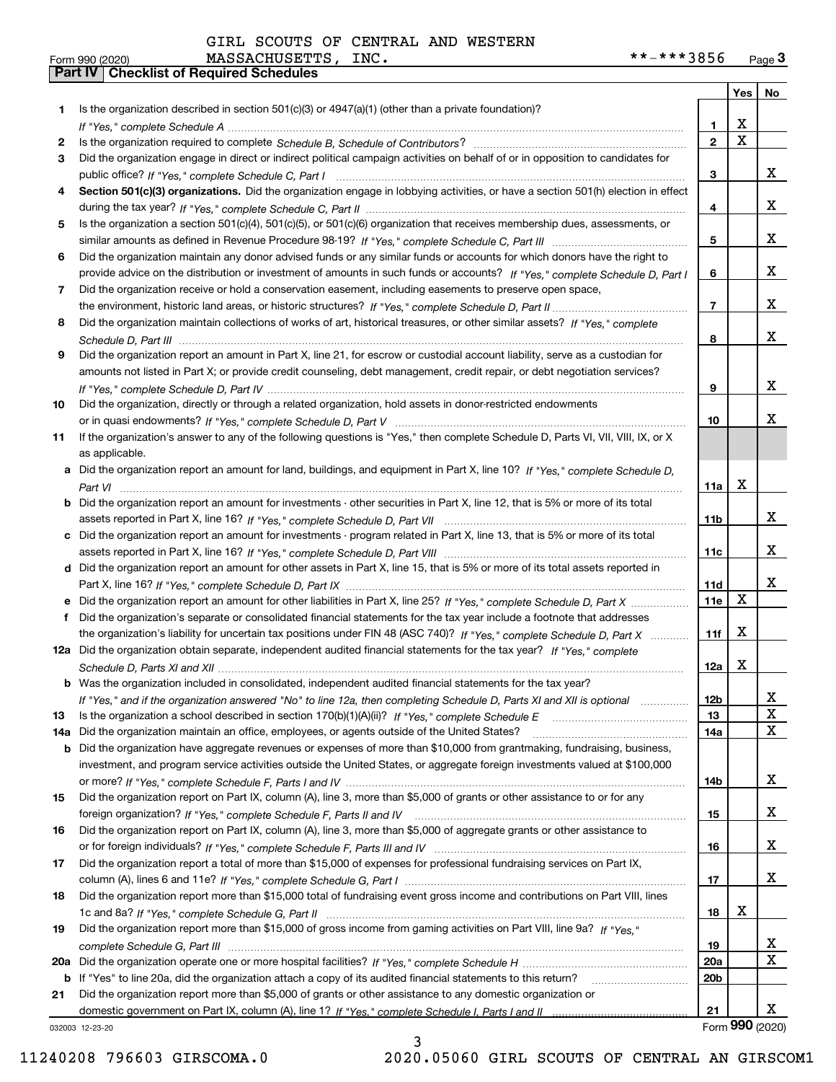**Form 990 (2020)**<br>**Part IV** Checklist of Required Schedules GIRL SCOUTS OF CENTRAL AND WESTERN

| Form 990 (2020) | MASSACHUSETTS,<br>INC. | .***3856<br>$***-$<br>Page $\mathbf{3}$ |
|-----------------|------------------------|-----------------------------------------|
|-----------------|------------------------|-----------------------------------------|

|     |                                                                                                                                                 |                         | Yes                   | No          |
|-----|-------------------------------------------------------------------------------------------------------------------------------------------------|-------------------------|-----------------------|-------------|
| 1   | Is the organization described in section $501(c)(3)$ or $4947(a)(1)$ (other than a private foundation)?                                         |                         |                       |             |
|     |                                                                                                                                                 | 1.                      | X                     |             |
| 2   |                                                                                                                                                 | $\overline{\mathbf{2}}$ | $\overline{\text{x}}$ |             |
| 3   | Did the organization engage in direct or indirect political campaign activities on behalf of or in opposition to candidates for                 |                         |                       |             |
|     |                                                                                                                                                 | 3                       |                       | x           |
| 4   | Section 501(c)(3) organizations. Did the organization engage in lobbying activities, or have a section 501(h) election in effect                |                         |                       |             |
|     |                                                                                                                                                 | 4                       |                       | X.          |
| 5   | Is the organization a section 501(c)(4), 501(c)(5), or 501(c)(6) organization that receives membership dues, assessments, or                    |                         |                       |             |
|     |                                                                                                                                                 | 5                       |                       | X.          |
| 6   | Did the organization maintain any donor advised funds or any similar funds or accounts for which donors have the right to                       |                         |                       |             |
|     | provide advice on the distribution or investment of amounts in such funds or accounts? If "Yes," complete Schedule D, Part I                    | 6                       |                       | X.          |
| 7   | Did the organization receive or hold a conservation easement, including easements to preserve open space,                                       |                         |                       |             |
|     |                                                                                                                                                 | $\overline{7}$          |                       | X.          |
| 8   | Did the organization maintain collections of works of art, historical treasures, or other similar assets? If "Yes," complete                    |                         |                       |             |
|     |                                                                                                                                                 | 8                       |                       | X.          |
| 9   | Did the organization report an amount in Part X, line 21, for escrow or custodial account liability, serve as a custodian for                   |                         |                       |             |
|     | amounts not listed in Part X; or provide credit counseling, debt management, credit repair, or debt negotiation services?                       |                         |                       | X.          |
|     |                                                                                                                                                 | 9                       |                       |             |
| 10  | Did the organization, directly or through a related organization, hold assets in donor-restricted endowments                                    |                         |                       | x           |
|     |                                                                                                                                                 | 10                      |                       |             |
| 11  | If the organization's answer to any of the following questions is "Yes," then complete Schedule D, Parts VI, VII, VIII, IX, or X                |                         |                       |             |
|     | as applicable.<br>a Did the organization report an amount for land, buildings, and equipment in Part X, line 10? If "Yes," complete Schedule D, |                         |                       |             |
|     |                                                                                                                                                 | 11a                     | X                     |             |
|     | <b>b</b> Did the organization report an amount for investments - other securities in Part X, line 12, that is 5% or more of its total           |                         |                       |             |
|     |                                                                                                                                                 | 11b                     |                       | X.          |
| c   | Did the organization report an amount for investments - program related in Part X, line 13, that is 5% or more of its total                     |                         |                       |             |
|     |                                                                                                                                                 | 11c                     |                       | X.          |
| d   | Did the organization report an amount for other assets in Part X, line 15, that is 5% or more of its total assets reported in                   |                         |                       |             |
|     |                                                                                                                                                 | 11d                     |                       | X.          |
|     | e Did the organization report an amount for other liabilities in Part X, line 25? If "Yes," complete Schedule D, Part X                         | 11e                     | $\mathbf X$           |             |
| f   | Did the organization's separate or consolidated financial statements for the tax year include a footnote that addresses                         |                         |                       |             |
|     | the organization's liability for uncertain tax positions under FIN 48 (ASC 740)? If "Yes," complete Schedule D, Part X                          | 11f                     | X                     |             |
|     | 12a Did the organization obtain separate, independent audited financial statements for the tax year? If "Yes," complete                         |                         |                       |             |
|     |                                                                                                                                                 | 12a                     | X                     |             |
|     | <b>b</b> Was the organization included in consolidated, independent audited financial statements for the tax year?                              |                         |                       |             |
|     | If "Yes," and if the organization answered "No" to line 12a, then completing Schedule D, Parts XI and XII is optional                           | 12b                     |                       | A           |
| 13  |                                                                                                                                                 | 13                      |                       | X           |
| 14a | Did the organization maintain an office, employees, or agents outside of the United States?                                                     | 14a                     |                       | $\mathbf X$ |
| b   | Did the organization have aggregate revenues or expenses of more than \$10,000 from grantmaking, fundraising, business,                         |                         |                       |             |
|     | investment, and program service activities outside the United States, or aggregate foreign investments valued at \$100,000                      |                         |                       |             |
|     |                                                                                                                                                 | 14b                     |                       | x           |
| 15  | Did the organization report on Part IX, column (A), line 3, more than \$5,000 of grants or other assistance to or for any                       |                         |                       |             |
|     |                                                                                                                                                 | 15                      |                       | x           |
| 16  | Did the organization report on Part IX, column (A), line 3, more than \$5,000 of aggregate grants or other assistance to                        |                         |                       |             |
|     |                                                                                                                                                 | 16                      |                       | x           |
| 17  | Did the organization report a total of more than \$15,000 of expenses for professional fundraising services on Part IX,                         |                         |                       |             |
|     |                                                                                                                                                 | 17                      |                       | x           |
| 18  | Did the organization report more than \$15,000 total of fundraising event gross income and contributions on Part VIII, lines                    |                         |                       |             |
|     |                                                                                                                                                 | 18                      | х                     |             |
| 19  | Did the organization report more than \$15,000 of gross income from gaming activities on Part VIII, line 9a? If "Yes."                          |                         |                       |             |
|     |                                                                                                                                                 | 19                      |                       | X,          |
| 20a |                                                                                                                                                 | <b>20a</b>              |                       | X           |
| b   | If "Yes" to line 20a, did the organization attach a copy of its audited financial statements to this return?                                    | 20 <sub>b</sub>         |                       |             |
| 21  | Did the organization report more than \$5,000 of grants or other assistance to any domestic organization or                                     |                         |                       |             |
|     |                                                                                                                                                 | 21                      |                       | x           |
|     | 032003 12-23-20                                                                                                                                 |                         | Form 990 (2020)       |             |

032003 12-23-20

11240208 796603 GIRSCOMA.0 2020.05060 GIRL SCOUTS OF CENTRAL AN GIRSCOM1

3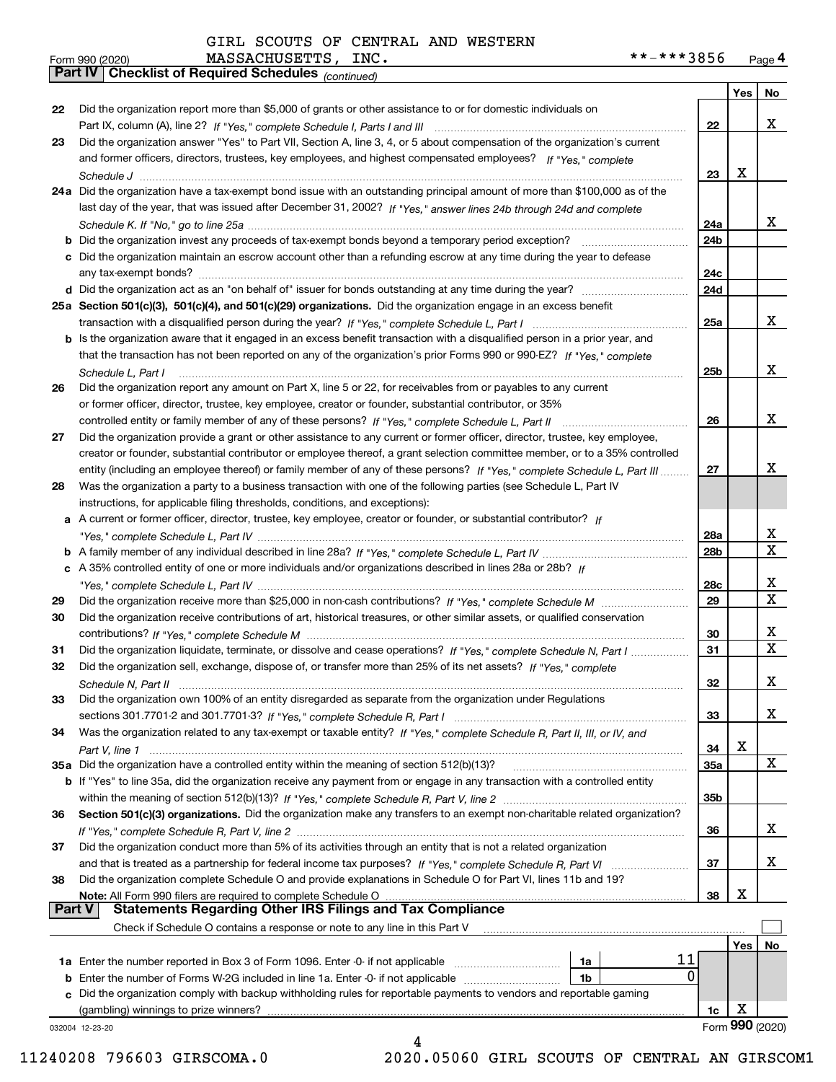*(continued)*

|               |                                                                                                                              |                 |     | Form 990 (2020) |
|---------------|------------------------------------------------------------------------------------------------------------------------------|-----------------|-----|-----------------|
|               | (gambling) winnings to prize winners?                                                                                        | 1c              | х   |                 |
|               | c Did the organization comply with backup withholding rules for reportable payments to vendors and reportable gaming         |                 |     |                 |
|               | <b>b</b> Enter the number of Forms W-2G included in line 1a. Enter -0- if not applicable<br>1b                               |                 |     |                 |
|               | 1a<br><b>1a</b> Enter the number reported in Box 3 of Form 1096. Enter -0- if not applicable <i>manumumumum</i><br>0         |                 |     |                 |
|               | 11                                                                                                                           |                 |     |                 |
|               |                                                                                                                              |                 | Yes | No.             |
|               | Check if Schedule O contains a response or note to any line in this Part V                                                   |                 |     |                 |
| <b>Part V</b> | <b>Statements Regarding Other IRS Filings and Tax Compliance</b>                                                             |                 |     |                 |
|               | Note: All Form 990 filers are required to complete Schedule O                                                                | 38              | х   |                 |
| 38            | Did the organization complete Schedule O and provide explanations in Schedule O for Part VI, lines 11b and 19?               |                 |     |                 |
|               | and that is treated as a partnership for federal income tax purposes? If "Yes," complete Schedule R, Part VI                 | 37              |     | x               |
| 37            | Did the organization conduct more than 5% of its activities through an entity that is not a related organization             |                 |     |                 |
|               |                                                                                                                              | 36              |     | x               |
| 36            | Section 501(c)(3) organizations. Did the organization make any transfers to an exempt non-charitable related organization?   |                 |     |                 |
|               |                                                                                                                              | 35b             |     |                 |
|               | b If "Yes" to line 35a, did the organization receive any payment from or engage in any transaction with a controlled entity  |                 |     |                 |
|               | 35a Did the organization have a controlled entity within the meaning of section 512(b)(13)?                                  | 35a             |     | x               |
|               |                                                                                                                              | 34              | X   |                 |
| 34            | Was the organization related to any tax-exempt or taxable entity? If "Yes," complete Schedule R, Part II, III, or IV, and    |                 |     |                 |
|               |                                                                                                                              | 33              |     | X               |
| 33            | Did the organization own 100% of an entity disregarded as separate from the organization under Regulations                   |                 |     |                 |
|               | Schedule N, Part II                                                                                                          | 32              |     | х               |
| 32            | Did the organization sell, exchange, dispose of, or transfer more than 25% of its net assets? If "Yes," complete             |                 |     |                 |
| 31            | Did the organization liquidate, terminate, or dissolve and cease operations? If "Yes," complete Schedule N, Part I           | 31              |     | $\mathbf X$     |
|               |                                                                                                                              | 30              |     | x               |
| 30            | Did the organization receive contributions of art, historical treasures, or other similar assets, or qualified conservation  |                 |     |                 |
| 29            |                                                                                                                              | 29              |     | $\mathbf X$     |
|               |                                                                                                                              | 28c             |     | х               |
|               | c A 35% controlled entity of one or more individuals and/or organizations described in lines 28a or 28b? If                  |                 |     |                 |
|               |                                                                                                                              | 28 <sub>b</sub> |     | $\mathbf X$     |
|               |                                                                                                                              | 28a             |     | x               |
|               | a A current or former officer, director, trustee, key employee, creator or founder, or substantial contributor? If           |                 |     |                 |
|               | instructions, for applicable filing thresholds, conditions, and exceptions):                                                 |                 |     |                 |
| 28            | Was the organization a party to a business transaction with one of the following parties (see Schedule L, Part IV            |                 |     |                 |
|               | entity (including an employee thereof) or family member of any of these persons? If "Yes," complete Schedule L, Part III     | 27              |     |                 |
|               | creator or founder, substantial contributor or employee thereof, a grant selection committee member, or to a 35% controlled  |                 |     | х               |
|               |                                                                                                                              |                 |     |                 |
| 27            | Did the organization provide a grant or other assistance to any current or former officer, director, trustee, key employee,  |                 |     |                 |
|               |                                                                                                                              | 26              |     | х               |
|               | or former officer, director, trustee, key employee, creator or founder, substantial contributor, or 35%                      |                 |     |                 |
| 26            | Did the organization report any amount on Part X, line 5 or 22, for receivables from or payables to any current              |                 |     |                 |
|               | Schedule L. Part I                                                                                                           | 25 <sub>b</sub> |     | х               |
|               | that the transaction has not been reported on any of the organization's prior Forms 990 or 990-EZ? If "Yes." complete        |                 |     |                 |
|               | b Is the organization aware that it engaged in an excess benefit transaction with a disqualified person in a prior year, and |                 |     |                 |
|               |                                                                                                                              | 25a             |     | x               |
|               | 25a Section 501(c)(3), 501(c)(4), and 501(c)(29) organizations. Did the organization engage in an excess benefit             |                 |     |                 |
|               |                                                                                                                              | 24d             |     |                 |
|               |                                                                                                                              | 24c             |     |                 |
|               | c Did the organization maintain an escrow account other than a refunding escrow at any time during the year to defease       |                 |     |                 |
|               | <b>b</b> Did the organization invest any proceeds of tax-exempt bonds beyond a temporary period exception?                   | 24b             |     |                 |
|               |                                                                                                                              | 24a             |     | x               |
|               | last day of the year, that was issued after December 31, 2002? If "Yes," answer lines 24b through 24d and complete           |                 |     |                 |
|               | 24a Did the organization have a tax-exempt bond issue with an outstanding principal amount of more than \$100,000 as of the  |                 |     |                 |
|               |                                                                                                                              | 23              | x   |                 |
|               | and former officers, directors, trustees, key employees, and highest compensated employees? If "Yes," complete               |                 |     |                 |
| 23            | Did the organization answer "Yes" to Part VII, Section A, line 3, 4, or 5 about compensation of the organization's current   |                 |     |                 |
|               |                                                                                                                              | 22              |     | x               |
| 22            | Did the organization report more than \$5,000 of grants or other assistance to or for domestic individuals on                |                 |     |                 |
|               |                                                                                                                              |                 | Yes | No              |

11240208 796603 GIRSCOMA.0 2020.05060 GIRL SCOUTS OF CENTRAL AN GIRSCOM1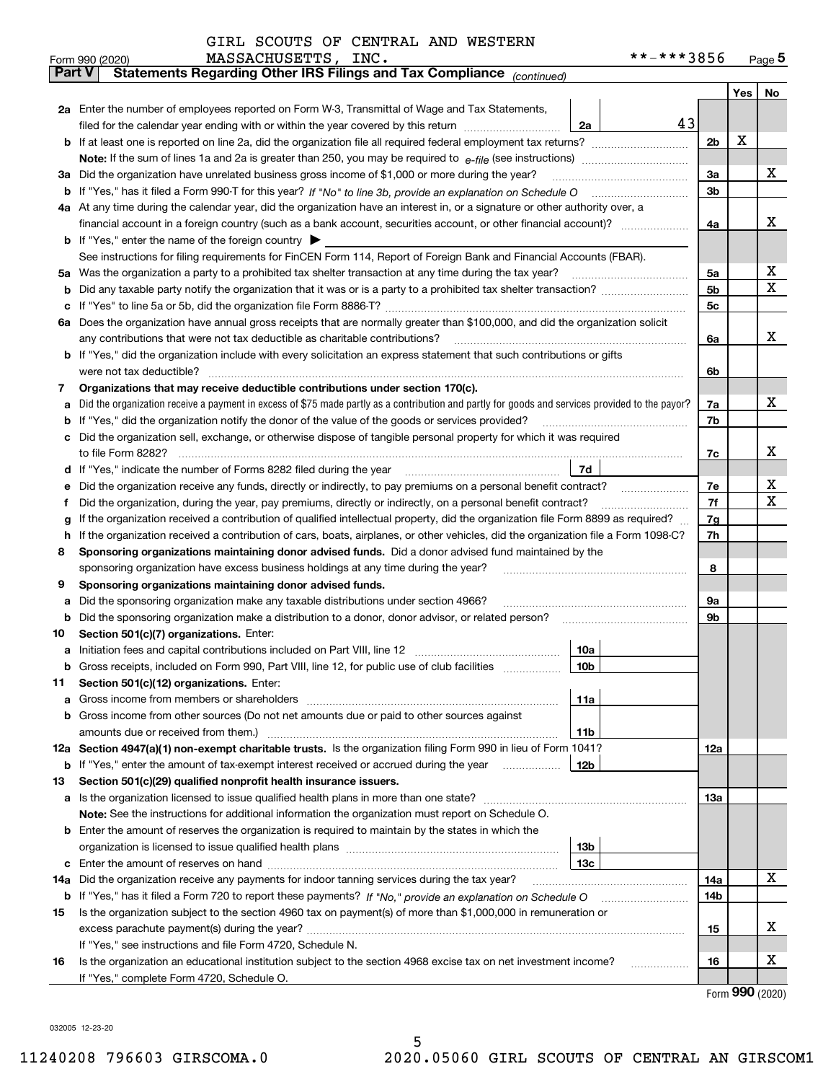| GIRL SCOUTS OF CENTRAL AND WESTERN |  |  |
|------------------------------------|--|--|
|                                    |  |  |

|               | MASSACHUSETTS, INC.<br>Form 990 (2020)                                                                                                          | **-***3856     |   | Page $5$       |
|---------------|-------------------------------------------------------------------------------------------------------------------------------------------------|----------------|---|----------------|
| <b>Part V</b> | Statements Regarding Other IRS Filings and Tax Compliance (continued)                                                                           |                |   |                |
|               |                                                                                                                                                 |                |   | Yes $\vert$ No |
|               | 2a Enter the number of employees reported on Form W-3, Transmittal of Wage and Tax Statements,                                                  |                |   |                |
|               | filed for the calendar year ending with or within the year covered by this return [[[[[[[[[[[[[[[[[[[[[[[[[[[<br>2a                             | 43             |   |                |
|               |                                                                                                                                                 | 2 <sub>b</sub> | х |                |
|               |                                                                                                                                                 |                |   |                |
|               | 3a Did the organization have unrelated business gross income of \$1,000 or more during the year?                                                | 3a             |   | х              |
|               |                                                                                                                                                 | 3b             |   |                |
|               | 4a At any time during the calendar year, did the organization have an interest in, or a signature or other authority over, a                    |                |   |                |
|               |                                                                                                                                                 | 4a             |   | х              |
|               | <b>b</b> If "Yes," enter the name of the foreign country $\blacktriangleright$                                                                  |                |   |                |
|               | See instructions for filing requirements for FinCEN Form 114, Report of Foreign Bank and Financial Accounts (FBAR).                             |                |   |                |
| 5a            | Was the organization a party to a prohibited tax shelter transaction at any time during the tax year?                                           | 5a             |   | х              |
| b             |                                                                                                                                                 | 5b             |   | x              |
| c             |                                                                                                                                                 | 5c             |   |                |
| 6а            | Does the organization have annual gross receipts that are normally greater than \$100,000, and did the organization solicit                     |                |   |                |
|               | any contributions that were not tax deductible as charitable contributions?                                                                     | 6a             |   | x              |
|               | b If "Yes," did the organization include with every solicitation an express statement that such contributions or gifts                          |                |   |                |
|               | were not tax deductible?                                                                                                                        | 6b             |   |                |
| 7             | Organizations that may receive deductible contributions under section 170(c).                                                                   |                |   |                |
| a             | Did the organization receive a payment in excess of \$75 made partly as a contribution and partly for goods and services provided to the payor? | 7a             |   | х              |
| b             | If "Yes," did the organization notify the donor of the value of the goods or services provided?                                                 | 7b             |   |                |
|               | Did the organization sell, exchange, or otherwise dispose of tangible personal property for which it was required                               |                |   |                |
|               |                                                                                                                                                 | 7c             |   | х              |
| d             | 7d                                                                                                                                              |                |   |                |
| е             | Did the organization receive any funds, directly or indirectly, to pay premiums on a personal benefit contract?                                 | 7e             |   | х<br>X         |
| f             | Did the organization, during the year, pay premiums, directly or indirectly, on a personal benefit contract?                                    | 7f             |   |                |
| g             | If the organization received a contribution of qualified intellectual property, did the organization file Form 8899 as required?                | 7g             |   |                |
| h.            | If the organization received a contribution of cars, boats, airplanes, or other vehicles, did the organization file a Form 1098-C?              | 7h             |   |                |
| 8             | Sponsoring organizations maintaining donor advised funds. Did a donor advised fund maintained by the                                            | 8              |   |                |
| 9             | sponsoring organization have excess business holdings at any time during the year?<br>Sponsoring organizations maintaining donor advised funds. |                |   |                |
| a             | Did the sponsoring organization make any taxable distributions under section 4966?                                                              | 9а             |   |                |
| b             | Did the sponsoring organization make a distribution to a donor, donor advisor, or related person?                                               | 9b             |   |                |
| 10            | Section 501(c)(7) organizations. Enter:                                                                                                         |                |   |                |
|               | 10a                                                                                                                                             |                |   |                |
|               | 10 <sub>b</sub><br>Gross receipts, included on Form 990, Part VIII, line 12, for public use of club facilities                                  |                |   |                |
| 11            | Section 501(c)(12) organizations. Enter:                                                                                                        |                |   |                |
| a             | Gross income from members or shareholders<br>11a                                                                                                |                |   |                |
|               | b Gross income from other sources (Do not net amounts due or paid to other sources against                                                      |                |   |                |
|               | 11 <sub>b</sub>                                                                                                                                 |                |   |                |
|               | 12a Section 4947(a)(1) non-exempt charitable trusts. Is the organization filing Form 990 in lieu of Form 1041?                                  | 12a            |   |                |
|               | <b>b</b> If "Yes," enter the amount of tax-exempt interest received or accrued during the year <i>manument</i><br>12b                           |                |   |                |
| 13            | Section 501(c)(29) qualified nonprofit health insurance issuers.                                                                                |                |   |                |
|               | a Is the organization licensed to issue qualified health plans in more than one state?                                                          | 13а            |   |                |
|               | Note: See the instructions for additional information the organization must report on Schedule O.                                               |                |   |                |
|               | <b>b</b> Enter the amount of reserves the organization is required to maintain by the states in which the                                       |                |   |                |
|               | 13b                                                                                                                                             |                |   |                |
|               | 13с                                                                                                                                             |                |   |                |
| 14a           | Did the organization receive any payments for indoor tanning services during the tax year?                                                      | 14a            |   | x              |
|               | <b>b</b> If "Yes," has it filed a Form 720 to report these payments? If "No," provide an explanation on Schedule O                              | 14b            |   |                |
| 15            | Is the organization subject to the section 4960 tax on payment(s) of more than \$1,000,000 in remuneration or                                   |                |   |                |
|               |                                                                                                                                                 | 15             |   | х              |
|               | If "Yes," see instructions and file Form 4720, Schedule N.                                                                                      |                |   |                |
| 16            | Is the organization an educational institution subject to the section 4968 excise tax on net investment income?                                 | 16             |   | х              |
|               | If "Yes," complete Form 4720, Schedule O.                                                                                                       |                |   |                |

5

Form (2020) **990**

032005 12-23-20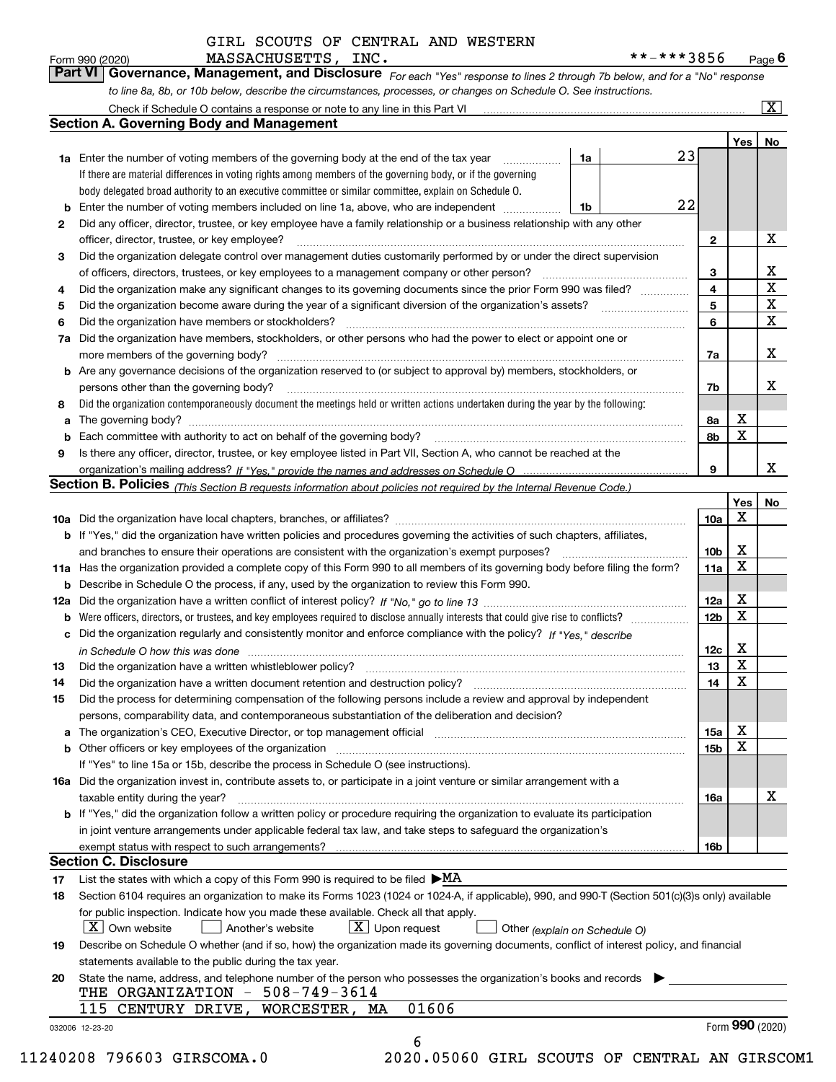| Form 990 (2020) | MASSACHUSETTS, INC.                                                                                                           | **-***3856 | Page $6$                |
|-----------------|-------------------------------------------------------------------------------------------------------------------------------|------------|-------------------------|
|                 | Part VI   Governance, Management, and Disclosure For each "Yes" response to lines 2 through 7b below, and for a "No" response |            |                         |
|                 | to line 8a, 8b, or 10b below, describe the circumstances, processes, or changes on Schedule O. See instructions.              |            |                         |
|                 | Check if Schedule O contains a response or note to any line in this Part VI                                                   |            | $\overline{\mathbf{X}}$ |

|        |                                                                                                                                                                                                                                                                                                                                                                                                                                                                                        |    |    |                 | Yes | No                      |
|--------|----------------------------------------------------------------------------------------------------------------------------------------------------------------------------------------------------------------------------------------------------------------------------------------------------------------------------------------------------------------------------------------------------------------------------------------------------------------------------------------|----|----|-----------------|-----|-------------------------|
|        | <b>1a</b> Enter the number of voting members of the governing body at the end of the tax year                                                                                                                                                                                                                                                                                                                                                                                          | 1a | 23 |                 |     |                         |
|        | If there are material differences in voting rights among members of the governing body, or if the governing                                                                                                                                                                                                                                                                                                                                                                            |    |    |                 |     |                         |
|        | body delegated broad authority to an executive committee or similar committee, explain on Schedule O.                                                                                                                                                                                                                                                                                                                                                                                  |    |    |                 |     |                         |
| b      | Enter the number of voting members included on line 1a, above, who are independent                                                                                                                                                                                                                                                                                                                                                                                                     | 1b | 22 |                 |     |                         |
| 2      | Did any officer, director, trustee, or key employee have a family relationship or a business relationship with any other<br>officer, director, trustee, or key employee?                                                                                                                                                                                                                                                                                                               |    |    | 2               |     | X                       |
| 3      | Did the organization delegate control over management duties customarily performed by or under the direct supervision                                                                                                                                                                                                                                                                                                                                                                  |    |    |                 |     |                         |
|        |                                                                                                                                                                                                                                                                                                                                                                                                                                                                                        |    |    | 3               |     | X                       |
| 4      | Did the organization make any significant changes to its governing documents since the prior Form 990 was filed?                                                                                                                                                                                                                                                                                                                                                                       |    |    | 4               |     | $\overline{\mathbf{x}}$ |
| 5      |                                                                                                                                                                                                                                                                                                                                                                                                                                                                                        |    |    | 5               |     | X                       |
| 6      | Did the organization have members or stockholders?                                                                                                                                                                                                                                                                                                                                                                                                                                     |    |    | 6               |     | $\mathbf x$             |
| 7a     | Did the organization have members, stockholders, or other persons who had the power to elect or appoint one or                                                                                                                                                                                                                                                                                                                                                                         |    |    | 7a              |     | x                       |
|        | b Are any governance decisions of the organization reserved to (or subject to approval by) members, stockholders, or                                                                                                                                                                                                                                                                                                                                                                   |    |    |                 |     |                         |
|        | persons other than the governing body?<br>$\begin{minipage}{0.5\textwidth} \begin{tabular}{ l l l } \hline \multicolumn{1}{ l l } \hline \multicolumn{1}{ l } \multicolumn{1}{ l } \multicolumn{1}{ l } \multicolumn{1}{ l } \multicolumn{1}{ l } \multicolumn{1}{ l } \multicolumn{1}{ l } \multicolumn{1}{ l } \multicolumn{1}{ l } \multicolumn{1}{ l } \multicolumn{1}{ l } \multicolumn{1}{ l } \multicolumn{1}{ l } \multicolumn{1}{ l } \multicolumn{1}{ l } \multicolumn{1}{ $ |    |    | 7b              |     | х                       |
| 8      | Did the organization contemporaneously document the meetings held or written actions undertaken during the year by the following:                                                                                                                                                                                                                                                                                                                                                      |    |    |                 |     |                         |
| a      |                                                                                                                                                                                                                                                                                                                                                                                                                                                                                        |    |    | 8a              | X   |                         |
| b      |                                                                                                                                                                                                                                                                                                                                                                                                                                                                                        |    |    | 8b              | X   |                         |
| 9      | Is there any officer, director, trustee, or key employee listed in Part VII, Section A, who cannot be reached at the                                                                                                                                                                                                                                                                                                                                                                   |    |    |                 |     |                         |
|        |                                                                                                                                                                                                                                                                                                                                                                                                                                                                                        |    |    | 9               |     | x                       |
|        | <b>Section B. Policies</b> (This Section B requests information about policies not required by the Internal Revenue Code.)                                                                                                                                                                                                                                                                                                                                                             |    |    |                 |     |                         |
|        |                                                                                                                                                                                                                                                                                                                                                                                                                                                                                        |    |    |                 | Yes | No                      |
|        |                                                                                                                                                                                                                                                                                                                                                                                                                                                                                        |    |    | 10a             | x   |                         |
|        | <b>b</b> If "Yes," did the organization have written policies and procedures governing the activities of such chapters, affiliates,                                                                                                                                                                                                                                                                                                                                                    |    |    |                 |     |                         |
|        |                                                                                                                                                                                                                                                                                                                                                                                                                                                                                        |    |    | 10 <sub>b</sub> | x   |                         |
|        |                                                                                                                                                                                                                                                                                                                                                                                                                                                                                        |    |    |                 | X   |                         |
|        | 11a Has the organization provided a complete copy of this Form 990 to all members of its governing body before filing the form?                                                                                                                                                                                                                                                                                                                                                        |    |    | 11a             |     |                         |
|        | <b>b</b> Describe in Schedule O the process, if any, used by the organization to review this Form 990.                                                                                                                                                                                                                                                                                                                                                                                 |    |    |                 | X   |                         |
|        |                                                                                                                                                                                                                                                                                                                                                                                                                                                                                        |    |    | 12a             | X   |                         |
| b<br>c | Did the organization regularly and consistently monitor and enforce compliance with the policy? If "Yes." describe                                                                                                                                                                                                                                                                                                                                                                     |    |    | 12b             |     |                         |
|        | in Schedule O how this was done manufactured and continuum control of the state of the state of the state of t                                                                                                                                                                                                                                                                                                                                                                         |    |    | 12c             | Х   |                         |
| 13     | Did the organization have a written whistleblower policy? [11] matter content to the organization have a written whistleblower policy? [11] matter content content content of the organization have a written whistleblower po                                                                                                                                                                                                                                                         |    |    | 13              | X   |                         |
| 14     | Did the organization have a written document retention and destruction policy? manufactured and the organization have a written document retention and destruction policy?                                                                                                                                                                                                                                                                                                             |    |    | 14              | X   |                         |
| 15     | Did the process for determining compensation of the following persons include a review and approval by independent<br>persons, comparability data, and contemporaneous substantiation of the deliberation and decision?                                                                                                                                                                                                                                                                |    |    |                 |     |                         |
|        | The organization's CEO, Executive Director, or top management official manufactured content content of the organization's CEO, Executive Director, or top management official                                                                                                                                                                                                                                                                                                          |    |    | 15a             | X   |                         |
|        | <b>b</b> Other officers or key employees of the organization                                                                                                                                                                                                                                                                                                                                                                                                                           |    |    | 15b             | X   |                         |
|        | If "Yes" to line 15a or 15b, describe the process in Schedule O (see instructions).                                                                                                                                                                                                                                                                                                                                                                                                    |    |    |                 |     |                         |
|        | 16a Did the organization invest in, contribute assets to, or participate in a joint venture or similar arrangement with a                                                                                                                                                                                                                                                                                                                                                              |    |    |                 |     |                         |
|        | taxable entity during the year?                                                                                                                                                                                                                                                                                                                                                                                                                                                        |    |    | 16a             |     | X                       |
|        | b If "Yes," did the organization follow a written policy or procedure requiring the organization to evaluate its participation                                                                                                                                                                                                                                                                                                                                                         |    |    |                 |     |                         |
|        | in joint venture arrangements under applicable federal tax law, and take steps to safequard the organization's                                                                                                                                                                                                                                                                                                                                                                         |    |    |                 |     |                         |
|        | exempt status with respect to such arrangements?                                                                                                                                                                                                                                                                                                                                                                                                                                       |    |    | 16b             |     |                         |
|        | <b>Section C. Disclosure</b>                                                                                                                                                                                                                                                                                                                                                                                                                                                           |    |    |                 |     |                         |
| 17     | List the states with which a copy of this Form 990 is required to be filed $\blacktriangleright$ MA                                                                                                                                                                                                                                                                                                                                                                                    |    |    |                 |     |                         |
| 18     | Section 6104 requires an organization to make its Forms 1023 (1024 or 1024-A, if applicable), 990, and 990-T (Section 501(c)(3)s only) available                                                                                                                                                                                                                                                                                                                                       |    |    |                 |     |                         |
|        | for public inspection. Indicate how you made these available. Check all that apply.<br>$\mid$ $\rm X \mid$ Own website<br>$X$ Upon request<br>Another's website<br>Other (explain on Schedule O)                                                                                                                                                                                                                                                                                       |    |    |                 |     |                         |
| 19     | Describe on Schedule O whether (and if so, how) the organization made its governing documents, conflict of interest policy, and financial                                                                                                                                                                                                                                                                                                                                              |    |    |                 |     |                         |
|        | statements available to the public during the tax year.                                                                                                                                                                                                                                                                                                                                                                                                                                |    |    |                 |     |                         |
| 20     | State the name, address, and telephone number of the person who possesses the organization's books and records                                                                                                                                                                                                                                                                                                                                                                         |    |    |                 |     |                         |
|        | THE ORGANIZATION - 508-749-3614<br>01606<br>WORCESTER, MA<br>115 CENTURY DRIVE,                                                                                                                                                                                                                                                                                                                                                                                                        |    |    |                 |     |                         |
|        |                                                                                                                                                                                                                                                                                                                                                                                                                                                                                        |    |    |                 |     |                         |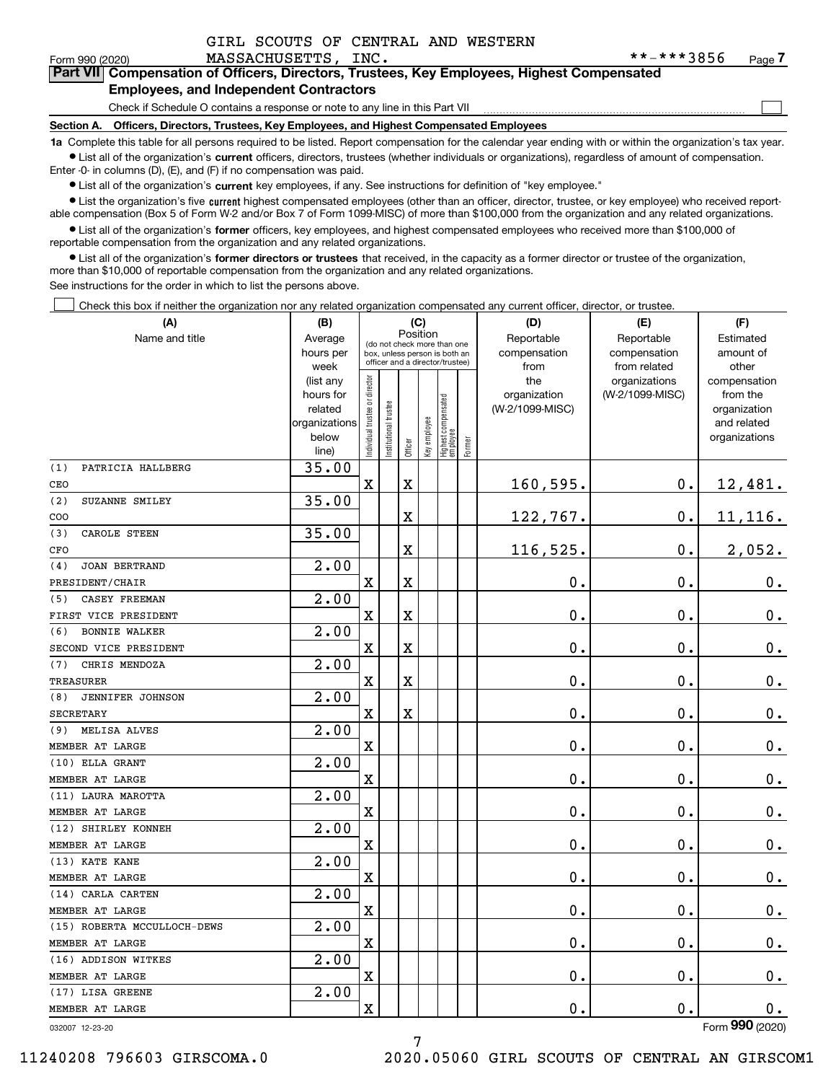$\mathcal{L}^{\text{max}}$ 

| Form 990 (2020) | MASSACHUSETTS, INC.                           | **-***3856                                                                                 | Page <i>I</i> |
|-----------------|-----------------------------------------------|--------------------------------------------------------------------------------------------|---------------|
|                 |                                               | Part VII Compensation of Officers, Directors, Trustees, Key Employees, Highest Compensated |               |
|                 | <b>Employees, and Independent Contractors</b> |                                                                                            |               |

Check if Schedule O contains a response or note to any line in this Part VII

**Section A. Officers, Directors, Trustees, Key Employees, and Highest Compensated Employees**

**1a**  Complete this table for all persons required to be listed. Report compensation for the calendar year ending with or within the organization's tax year. **•** List all of the organization's current officers, directors, trustees (whether individuals or organizations), regardless of amount of compensation.

Enter -0- in columns (D), (E), and (F) if no compensation was paid.

 $\bullet$  List all of the organization's  $\,$ current key employees, if any. See instructions for definition of "key employee."

**•** List the organization's five current highest compensated employees (other than an officer, director, trustee, or key employee) who received reportable compensation (Box 5 of Form W-2 and/or Box 7 of Form 1099-MISC) of more than \$100,000 from the organization and any related organizations.

**•** List all of the organization's former officers, key employees, and highest compensated employees who received more than \$100,000 of reportable compensation from the organization and any related organizations.

**former directors or trustees**  ¥ List all of the organization's that received, in the capacity as a former director or trustee of the organization, more than \$10,000 of reportable compensation from the organization and any related organizations.

See instructions for the order in which to list the persons above.

Check this box if neither the organization nor any related organization compensated any current officer, director, or trustee.  $\mathcal{L}^{\text{max}}$ 

| (A)                            | (B)                    |                               |                                                                  | (C)         |              |                                   |           | (D)                 | (E)                              | (F)                      |
|--------------------------------|------------------------|-------------------------------|------------------------------------------------------------------|-------------|--------------|-----------------------------------|-----------|---------------------|----------------------------------|--------------------------|
| Name and title                 | Average                |                               | Position<br>(do not check more than one                          |             | Reportable   | Reportable                        | Estimated |                     |                                  |                          |
|                                | hours per              |                               | box, unless person is both an<br>officer and a director/trustee) |             | compensation | compensation                      | amount of |                     |                                  |                          |
|                                | week                   |                               |                                                                  |             |              |                                   |           | from                | from related                     | other                    |
|                                | (list any<br>hours for |                               |                                                                  |             |              |                                   |           | the<br>organization | organizations<br>(W-2/1099-MISC) | compensation<br>from the |
|                                | related                |                               |                                                                  |             |              |                                   |           | (W-2/1099-MISC)     |                                  | organization             |
|                                | organizations          |                               |                                                                  |             |              |                                   |           |                     |                                  | and related              |
|                                | below                  | ndividual trustee or director | nstitutional trustee                                             |             | Key employee |                                   |           |                     |                                  | organizations            |
|                                | line)                  |                               |                                                                  | Officer     |              | Highest compensated<br>  employee | Former    |                     |                                  |                          |
| (1)<br>PATRICIA HALLBERG       | 35.00                  |                               |                                                                  |             |              |                                   |           |                     |                                  |                          |
| CEO                            |                        | $\rm X$                       |                                                                  | $\mathbf X$ |              |                                   |           | 160,595.            | $\mathbf 0$ .                    | 12,481.                  |
| (2)<br>SUZANNE SMILEY          | 35.00                  |                               |                                                                  |             |              |                                   |           |                     |                                  |                          |
| COO                            |                        |                               |                                                                  | $\mathbf X$ |              |                                   |           | 122,767.            | $0$ .                            | 11, 116.                 |
| CAROLE STEEN<br>(3)            | 35.00                  |                               |                                                                  |             |              |                                   |           |                     |                                  |                          |
| CFO                            |                        |                               |                                                                  | $\mathbf X$ |              |                                   |           | 116,525.            | $\mathbf 0$ .                    | 2,052.                   |
| <b>JOAN BERTRAND</b><br>(4)    | 2.00                   |                               |                                                                  |             |              |                                   |           |                     |                                  |                          |
| PRESIDENT/CHAIR                |                        | $\overline{\mathbf{X}}$       |                                                                  | $\mathbf X$ |              |                                   |           | 0.                  | 0.                               | $0_{.}$                  |
| CASEY FREEMAN<br>(5)           | 2.00                   |                               |                                                                  |             |              |                                   |           |                     |                                  |                          |
| FIRST VICE PRESIDENT           |                        | $\overline{\text{X}}$         |                                                                  | $\mathbf X$ |              |                                   |           | 0.                  | 0.                               | $\mathbf 0$ .            |
| <b>BONNIE WALKER</b><br>(6)    | 2.00                   |                               |                                                                  |             |              |                                   |           |                     |                                  |                          |
| SECOND VICE PRESIDENT          |                        | $\overline{\text{X}}$         |                                                                  | $\rm X$     |              |                                   |           | 0.                  | $\mathbf 0$ .                    | $\mathbf 0$ .            |
| CHRIS MENDOZA<br>(7)           | 2.00                   |                               |                                                                  |             |              |                                   |           |                     |                                  |                          |
| <b>TREASURER</b>               |                        | $\overline{\text{X}}$         |                                                                  | $\rm X$     |              |                                   |           | 0.                  | 0.                               | $0_{.}$                  |
| <b>JENNIFER JOHNSON</b><br>(8) | 2.00                   |                               |                                                                  |             |              |                                   |           |                     |                                  |                          |
| <b>SECRETARY</b>               |                        | $\rm X$                       |                                                                  | $\mathbf X$ |              |                                   |           | 0.                  | $\mathbf 0$ .                    | $0_{.}$                  |
| MELISA ALVES<br>(9)            | 2.00                   |                               |                                                                  |             |              |                                   |           |                     |                                  |                          |
| MEMBER AT LARGE                |                        | X                             |                                                                  |             |              |                                   |           | $\mathbf 0$ .       | 0.                               | $\mathbf 0$ .            |
| (10) ELLA GRANT                | 2.00                   |                               |                                                                  |             |              |                                   |           |                     |                                  |                          |
| MEMBER AT LARGE                |                        | $\overline{\mathbf{X}}$       |                                                                  |             |              |                                   |           | $\mathbf 0$ .       | $\mathbf 0$ .                    | $0_{.}$                  |
| (11) LAURA MAROTTA             | 2.00                   |                               |                                                                  |             |              |                                   |           |                     |                                  |                          |
| MEMBER AT LARGE                |                        | X                             |                                                                  |             |              |                                   |           | $\mathbf 0$ .       | $\mathbf 0$ .                    | $\mathbf 0$ .            |
| (12) SHIRLEY KONNEH            | 2.00                   |                               |                                                                  |             |              |                                   |           |                     |                                  |                          |
| MEMBER AT LARGE                |                        | X                             |                                                                  |             |              |                                   |           | 0.                  | $\mathbf 0$ .                    | $\mathbf 0$ .            |
| (13) KATE KANE                 | 2.00                   |                               |                                                                  |             |              |                                   |           |                     |                                  |                          |
| MEMBER AT LARGE                |                        | X                             |                                                                  |             |              |                                   |           | 0.                  | $\mathbf 0$ .                    | $0_{.}$                  |
| (14) CARLA CARTEN              | 2.00                   |                               |                                                                  |             |              |                                   |           |                     |                                  |                          |
| MEMBER AT LARGE                |                        | $\rm X$                       |                                                                  |             |              |                                   |           | 0.                  | $\mathbf 0$ .                    | $\mathbf 0$ .            |
| (15) ROBERTA MCCULLOCH-DEWS    | 2.00                   |                               |                                                                  |             |              |                                   |           |                     |                                  |                          |
| MEMBER AT LARGE                |                        | X                             |                                                                  |             |              |                                   |           | 0.                  | 0.                               | $\mathbf 0$ .            |
| (16) ADDISON WITKES            | $\overline{2.00}$      |                               |                                                                  |             |              |                                   |           |                     |                                  |                          |
| MEMBER AT LARGE                |                        | $\rm X$                       |                                                                  |             |              |                                   |           | 0.                  | $\mathbf 0$ .                    | $\mathbf 0$ .            |
| (17) LISA GREENE               | 2.00                   |                               |                                                                  |             |              |                                   |           |                     |                                  |                          |
| MEMBER AT LARGE                |                        | $\overline{\mathbf{X}}$       |                                                                  |             |              |                                   |           | 0.                  | $\mathbf 0$ .                    | 0.                       |
|                                |                        |                               |                                                                  |             |              |                                   |           |                     |                                  | $\overline{2}$           |

7

032007 12-23-20

Form (2020) **990**

11240208 796603 GIRSCOMA.0 2020.05060 GIRL SCOUTS OF CENTRAL AN GIRSCOM1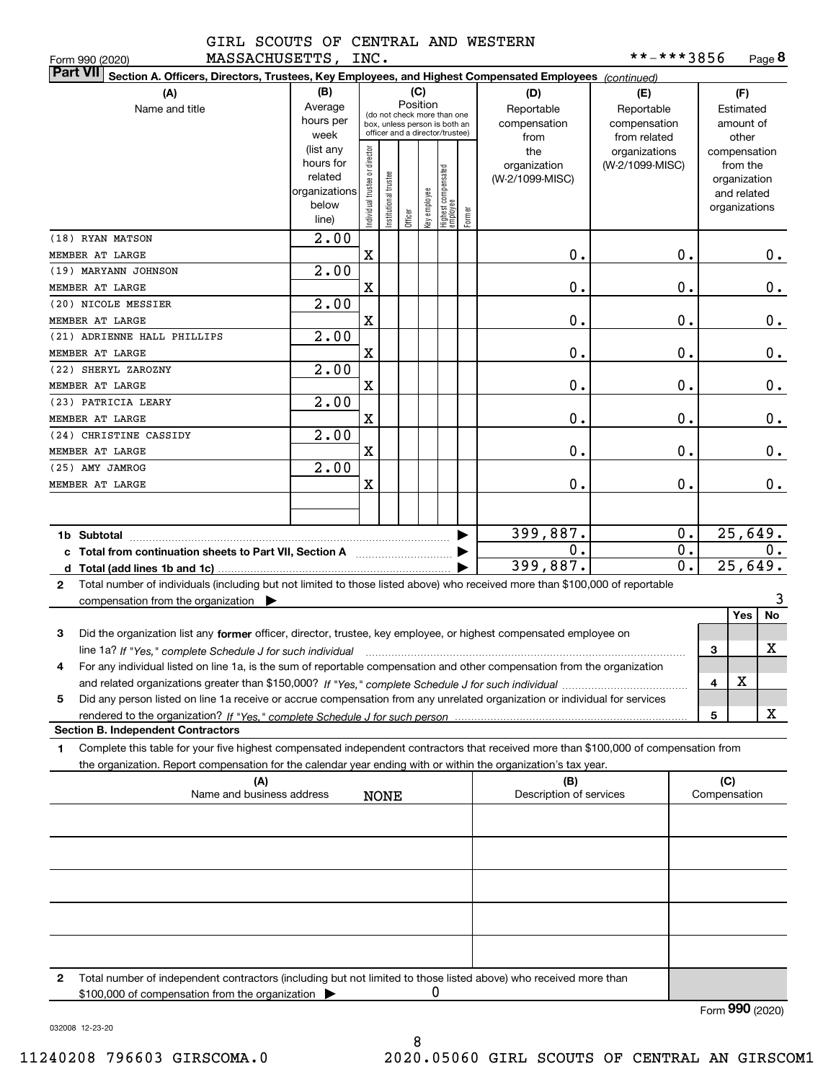|                    | GIRL SCOUTS OF CENTRAL AND WESTERN |  |
|--------------------|------------------------------------|--|
| MACCACUIICETTE TNC |                                    |  |

| **-***3856 | Page 8 |
|------------|--------|
|            |        |

| Form 990 (2020)<br>MASSACHUSETTS,                                                                                                               |                                                                                           | INC.                           |                      |                                                                                                                    |              |                                  |        |                                                                                     | **-***3856                                                                            |                  |     |                                                                                                   | Page <b>ö</b> |
|-------------------------------------------------------------------------------------------------------------------------------------------------|-------------------------------------------------------------------------------------------|--------------------------------|----------------------|--------------------------------------------------------------------------------------------------------------------|--------------|----------------------------------|--------|-------------------------------------------------------------------------------------|---------------------------------------------------------------------------------------|------------------|-----|---------------------------------------------------------------------------------------------------|---------------|
| <b>Part VII</b><br>Section A. Officers, Directors, Trustees, Key Employees, and Highest Compensated Employees (continued)                       |                                                                                           |                                |                      |                                                                                                                    |              |                                  |        |                                                                                     |                                                                                       |                  |     |                                                                                                   |               |
| (A)<br>Name and title                                                                                                                           | (B)<br>Average<br>hours per<br>week<br>(list any<br>hours for<br>related<br>organizations | Individual trustee or director |                      | (C)<br>Position<br>(do not check more than one<br>box, unless person is both an<br>officer and a director/trustee) |              |                                  |        | (D)<br>Reportable<br>compensation<br>from<br>the<br>organization<br>(W-2/1099-MISC) | (E)<br>Reportable<br>compensation<br>from related<br>organizations<br>(W-2/1099-MISC) |                  |     | (F)<br>Estimated<br>amount of<br>other<br>compensation<br>from the<br>organization<br>and related |               |
|                                                                                                                                                 | below<br>line)                                                                            |                                | nstitutional trustee | Officer                                                                                                            | key employee | Highest compensated<br> employee | Former |                                                                                     |                                                                                       |                  |     | organizations                                                                                     |               |
| (18) RYAN MATSON                                                                                                                                | 2.00                                                                                      |                                |                      |                                                                                                                    |              |                                  |        |                                                                                     |                                                                                       |                  |     |                                                                                                   |               |
| MEMBER AT LARGE                                                                                                                                 |                                                                                           | $\mathbf X$                    |                      |                                                                                                                    |              |                                  |        | 0.                                                                                  |                                                                                       | 0.               |     |                                                                                                   | 0.            |
| (19) MARYANN JOHNSON<br>MEMBER AT LARGE                                                                                                         | 2.00                                                                                      | X                              |                      |                                                                                                                    |              |                                  |        | 0.                                                                                  |                                                                                       | 0.               |     |                                                                                                   | $0_{.}$       |
| (20) NICOLE MESSIER                                                                                                                             | 2.00                                                                                      |                                |                      |                                                                                                                    |              |                                  |        |                                                                                     |                                                                                       |                  |     |                                                                                                   |               |
| MEMBER AT LARGE                                                                                                                                 |                                                                                           | X                              |                      |                                                                                                                    |              |                                  |        | $\mathbf 0$ .                                                                       |                                                                                       | 0.               |     |                                                                                                   | 0.            |
| (21) ADRIENNE HALL PHILLIPS                                                                                                                     | 2.00                                                                                      |                                |                      |                                                                                                                    |              |                                  |        |                                                                                     |                                                                                       |                  |     |                                                                                                   |               |
| MEMBER AT LARGE                                                                                                                                 |                                                                                           | X                              |                      |                                                                                                                    |              |                                  |        | $\mathbf 0$ .                                                                       |                                                                                       | 0.               |     |                                                                                                   | 0.            |
| (22) SHERYL ZAROZNY                                                                                                                             | 2.00                                                                                      |                                |                      |                                                                                                                    |              |                                  |        |                                                                                     |                                                                                       |                  |     |                                                                                                   |               |
| MEMBER AT LARGE                                                                                                                                 |                                                                                           | X                              |                      |                                                                                                                    |              |                                  |        | $\mathbf 0$ .                                                                       |                                                                                       | 0.               |     |                                                                                                   | 0.            |
| (23) PATRICIA LEARY                                                                                                                             | 2.00                                                                                      | X                              |                      |                                                                                                                    |              |                                  |        | $\mathbf 0$ .                                                                       |                                                                                       | 0.               |     |                                                                                                   | 0.            |
| MEMBER AT LARGE<br>(24) CHRISTINE CASSIDY                                                                                                       | 2.00                                                                                      |                                |                      |                                                                                                                    |              |                                  |        |                                                                                     |                                                                                       |                  |     |                                                                                                   |               |
| MEMBER AT LARGE                                                                                                                                 |                                                                                           | X                              |                      |                                                                                                                    |              |                                  |        | 0.                                                                                  |                                                                                       | 0.               |     |                                                                                                   | 0.            |
| (25) AMY JAMROG                                                                                                                                 | 2.00                                                                                      |                                |                      |                                                                                                                    |              |                                  |        |                                                                                     |                                                                                       |                  |     |                                                                                                   |               |
| MEMBER AT LARGE                                                                                                                                 |                                                                                           | X                              |                      |                                                                                                                    |              |                                  |        | 0.                                                                                  |                                                                                       | 0.               |     |                                                                                                   | $0$ .         |
|                                                                                                                                                 |                                                                                           |                                |                      |                                                                                                                    |              |                                  |        |                                                                                     |                                                                                       |                  |     |                                                                                                   |               |
|                                                                                                                                                 |                                                                                           |                                |                      |                                                                                                                    |              |                                  |        | 399,887.                                                                            |                                                                                       | 0.               |     | 25,649.                                                                                           |               |
| 0.<br>c Total from continuation sheets to Part VII, Section A <b>manual</b> Total Trum                                                          |                                                                                           |                                |                      |                                                                                                                    |              | $\overline{0}$ .                 |        |                                                                                     | 0.                                                                                    |                  |     |                                                                                                   |               |
|                                                                                                                                                 |                                                                                           |                                |                      |                                                                                                                    |              |                                  |        | 399,887.                                                                            |                                                                                       | $\overline{0}$ . |     | 25,649.                                                                                           |               |
| Total number of individuals (including but not limited to those listed above) who received more than \$100,000 of reportable<br>$\mathbf{2}$    |                                                                                           |                                |                      |                                                                                                                    |              |                                  |        |                                                                                     |                                                                                       |                  |     |                                                                                                   |               |
| compensation from the organization $\blacktriangleright$                                                                                        |                                                                                           |                                |                      |                                                                                                                    |              |                                  |        |                                                                                     |                                                                                       |                  |     | Yes                                                                                               | 3<br>No       |
| 3<br>Did the organization list any former officer, director, trustee, key employee, or highest compensated employee on                          |                                                                                           |                                |                      |                                                                                                                    |              |                                  |        |                                                                                     |                                                                                       |                  |     |                                                                                                   |               |
| line 1a? If "Yes," complete Schedule J for such individual manufactured contained and the 1a? If "Yes," complete Schedule J for such individual |                                                                                           |                                |                      |                                                                                                                    |              |                                  |        |                                                                                     |                                                                                       |                  | 3   |                                                                                                   | х             |
| For any individual listed on line 1a, is the sum of reportable compensation and other compensation from the organization                        |                                                                                           |                                |                      |                                                                                                                    |              |                                  |        |                                                                                     |                                                                                       |                  |     |                                                                                                   |               |
|                                                                                                                                                 |                                                                                           |                                |                      |                                                                                                                    |              |                                  |        |                                                                                     |                                                                                       |                  | 4   | х                                                                                                 |               |
| Did any person listed on line 1a receive or accrue compensation from any unrelated organization or individual for services<br>5                 |                                                                                           |                                |                      |                                                                                                                    |              |                                  |        |                                                                                     |                                                                                       |                  |     |                                                                                                   |               |
| <b>Section B. Independent Contractors</b>                                                                                                       |                                                                                           |                                |                      |                                                                                                                    |              |                                  |        |                                                                                     |                                                                                       |                  | 5   |                                                                                                   | x             |
| Complete this table for your five highest compensated independent contractors that received more than \$100,000 of compensation from<br>1       |                                                                                           |                                |                      |                                                                                                                    |              |                                  |        |                                                                                     |                                                                                       |                  |     |                                                                                                   |               |
| the organization. Report compensation for the calendar year ending with or within the organization's tax year.                                  |                                                                                           |                                |                      |                                                                                                                    |              |                                  |        |                                                                                     |                                                                                       |                  |     |                                                                                                   |               |
| (A)                                                                                                                                             |                                                                                           |                                |                      |                                                                                                                    |              |                                  |        | (B)                                                                                 |                                                                                       |                  | (C) |                                                                                                   |               |
| Name and business address                                                                                                                       |                                                                                           |                                | <b>NONE</b>          |                                                                                                                    |              |                                  |        | Description of services                                                             |                                                                                       |                  |     | Compensation                                                                                      |               |
|                                                                                                                                                 |                                                                                           |                                |                      |                                                                                                                    |              |                                  |        |                                                                                     |                                                                                       |                  |     |                                                                                                   |               |
|                                                                                                                                                 |                                                                                           |                                |                      |                                                                                                                    |              |                                  |        |                                                                                     |                                                                                       |                  |     |                                                                                                   |               |
|                                                                                                                                                 |                                                                                           |                                |                      |                                                                                                                    |              |                                  |        |                                                                                     |                                                                                       |                  |     |                                                                                                   |               |
|                                                                                                                                                 |                                                                                           |                                |                      |                                                                                                                    |              |                                  |        |                                                                                     |                                                                                       |                  |     |                                                                                                   |               |
|                                                                                                                                                 |                                                                                           |                                |                      |                                                                                                                    |              |                                  |        |                                                                                     |                                                                                       |                  |     |                                                                                                   |               |
|                                                                                                                                                 |                                                                                           |                                |                      |                                                                                                                    |              |                                  |        |                                                                                     |                                                                                       |                  |     |                                                                                                   |               |
|                                                                                                                                                 |                                                                                           |                                |                      |                                                                                                                    |              |                                  |        |                                                                                     |                                                                                       |                  |     |                                                                                                   |               |
| Total number of independent contractors (including but not limited to those listed above) who received more than<br>2                           |                                                                                           |                                |                      |                                                                                                                    |              |                                  |        |                                                                                     |                                                                                       |                  |     |                                                                                                   |               |
| \$100,000 of compensation from the organization                                                                                                 |                                                                                           |                                |                      |                                                                                                                    |              |                                  |        |                                                                                     |                                                                                       |                  |     |                                                                                                   |               |

032008 12-23-20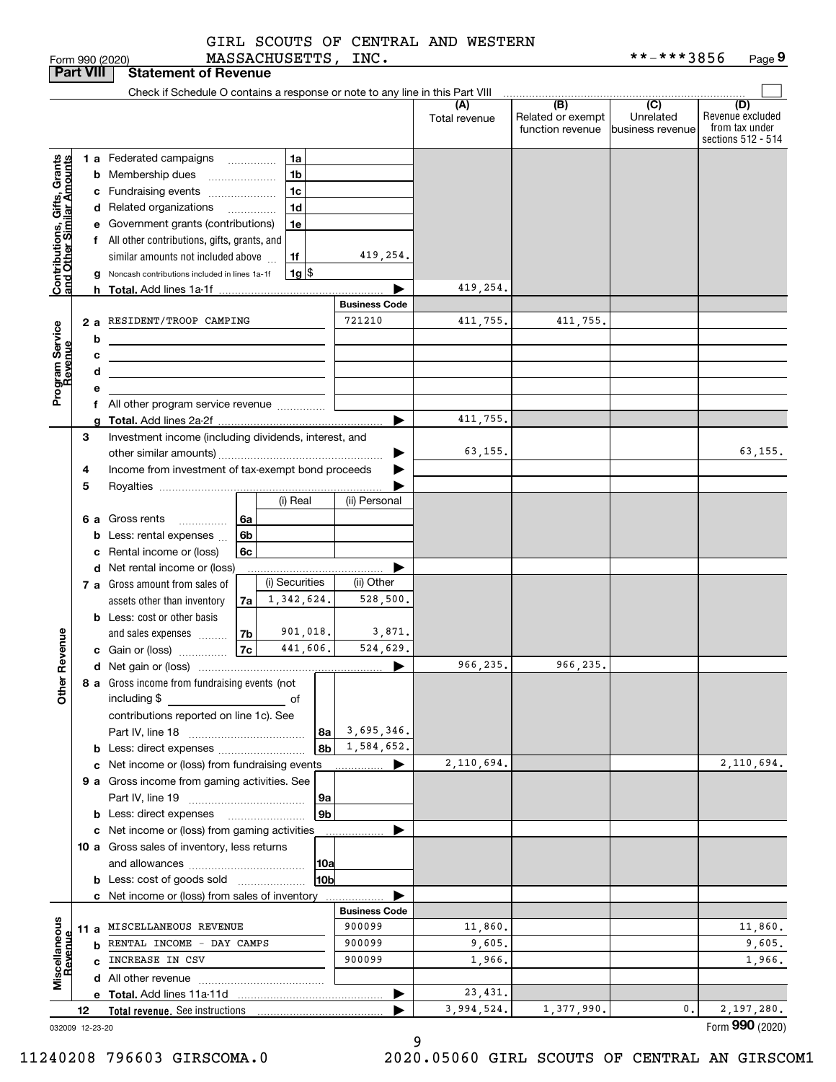|                                                           |                  | Form 990 (2020)                                                                                                                                                                                                                      |                                      | <b>MASSACHUSETTS,</b> |                | INC.                 |                      |                                                                                              | **-***3856                    | Page 9                                                          |
|-----------------------------------------------------------|------------------|--------------------------------------------------------------------------------------------------------------------------------------------------------------------------------------------------------------------------------------|--------------------------------------|-----------------------|----------------|----------------------|----------------------|----------------------------------------------------------------------------------------------|-------------------------------|-----------------------------------------------------------------|
|                                                           | <b>Part VIII</b> | <b>Statement of Revenue</b>                                                                                                                                                                                                          |                                      |                       |                |                      |                      |                                                                                              |                               |                                                                 |
|                                                           |                  | Check if Schedule O contains a response or note to any line in this Part VIII                                                                                                                                                        |                                      |                       |                |                      |                      |                                                                                              |                               |                                                                 |
|                                                           |                  |                                                                                                                                                                                                                                      |                                      |                       |                |                      | (A)<br>Total revenue | $\overline{(\mathsf{B})}$ $\overline{(\mathsf{C})}$<br>Related or exempt<br>function revenue | Unrelated<br>business revenue | (D)<br>Revenue excluded<br>from tax under<br>sections 512 - 514 |
|                                                           |                  | 1 a Federated campaigns                                                                                                                                                                                                              |                                      | 1a                    |                |                      |                      |                                                                                              |                               |                                                                 |
|                                                           | b                | Membership dues                                                                                                                                                                                                                      | $\ldots \ldots \ldots \ldots \ldots$ | 1 <sub>b</sub>        |                |                      |                      |                                                                                              |                               |                                                                 |
|                                                           | c                | Fundraising events                                                                                                                                                                                                                   |                                      | 1 <sub>c</sub>        |                |                      |                      |                                                                                              |                               |                                                                 |
|                                                           |                  | d Related organizations                                                                                                                                                                                                              |                                      | 1 <sub>d</sub>        |                |                      |                      |                                                                                              |                               |                                                                 |
| Contributions, Gifts, Grants<br>and Other Similar Amounts | е                | Government grants (contributions)                                                                                                                                                                                                    |                                      | 1e                    |                |                      |                      |                                                                                              |                               |                                                                 |
|                                                           |                  | f All other contributions, gifts, grants, and                                                                                                                                                                                        |                                      |                       |                |                      |                      |                                                                                              |                               |                                                                 |
|                                                           |                  | similar amounts not included above                                                                                                                                                                                                   |                                      | 1f                    |                | 419,254.             |                      |                                                                                              |                               |                                                                 |
|                                                           | g                | Noncash contributions included in lines 1a-1f                                                                                                                                                                                        |                                      |                       | $1g$ \$        |                      |                      |                                                                                              |                               |                                                                 |
|                                                           | h                |                                                                                                                                                                                                                                      |                                      |                       |                |                      | 419,254.             |                                                                                              |                               |                                                                 |
|                                                           |                  |                                                                                                                                                                                                                                      |                                      |                       |                | <b>Business Code</b> |                      |                                                                                              |                               |                                                                 |
|                                                           | 2a               | RESIDENT/TROOP CAMPING                                                                                                                                                                                                               |                                      |                       |                | 721210               | 411,755.             | 411,755.                                                                                     |                               |                                                                 |
|                                                           | b                | <u> 1989 - Johann Barn, mars and de Branch Barn, mars and de Branch Barn, mars and de Branch Barn, mars and de Br</u>                                                                                                                |                                      |                       |                |                      |                      |                                                                                              |                               |                                                                 |
| Program Service<br>Revenue                                | с                | <u>state and the state of the state of the state of the state of the state of the state of the state of the state of the state of the state of the state of the state of the state of the state of the state of the state of the</u> |                                      |                       |                |                      |                      |                                                                                              |                               |                                                                 |
|                                                           | d                | the contract of the contract of the contract of the contract of the contract of                                                                                                                                                      |                                      |                       |                |                      |                      |                                                                                              |                               |                                                                 |
|                                                           |                  | е                                                                                                                                                                                                                                    |                                      |                       |                |                      |                      |                                                                                              |                               |                                                                 |
|                                                           |                  | f All other program service revenue                                                                                                                                                                                                  |                                      |                       |                |                      |                      |                                                                                              |                               |                                                                 |
|                                                           | g                |                                                                                                                                                                                                                                      |                                      |                       |                |                      | 411,755.             |                                                                                              |                               |                                                                 |
|                                                           | 3                | Investment income (including dividends, interest, and                                                                                                                                                                                |                                      |                       |                |                      | 63,155.              |                                                                                              |                               | 63,155.                                                         |
|                                                           |                  | Income from investment of tax-exempt bond proceeds<br>4                                                                                                                                                                              |                                      |                       |                |                      |                      |                                                                                              |                               |                                                                 |
|                                                           |                  |                                                                                                                                                                                                                                      |                                      |                       |                |                      |                      |                                                                                              |                               |                                                                 |
|                                                           | 5                |                                                                                                                                                                                                                                      |                                      | (i) Real              |                | (ii) Personal        |                      |                                                                                              |                               |                                                                 |
|                                                           |                  |                                                                                                                                                                                                                                      |                                      |                       |                |                      |                      |                                                                                              |                               |                                                                 |
|                                                           |                  | 6 a Gross rents                                                                                                                                                                                                                      | 6a<br>6b                             |                       |                |                      |                      |                                                                                              |                               |                                                                 |
|                                                           | b<br>c           | Less: rental expenses<br>Rental income or (loss)                                                                                                                                                                                     | 6c                                   |                       |                |                      |                      |                                                                                              |                               |                                                                 |
|                                                           |                  | d Net rental income or (loss)                                                                                                                                                                                                        |                                      |                       |                |                      |                      |                                                                                              |                               |                                                                 |
|                                                           |                  | 7 a Gross amount from sales of                                                                                                                                                                                                       |                                      | (i) Securities        |                | (ii) Other           |                      |                                                                                              |                               |                                                                 |
|                                                           |                  | assets other than inventory                                                                                                                                                                                                          | 7a                                   | 1,342,624.            |                | 528,500.             |                      |                                                                                              |                               |                                                                 |
|                                                           |                  | <b>b</b> Less: cost or other basis                                                                                                                                                                                                   |                                      |                       |                |                      |                      |                                                                                              |                               |                                                                 |
|                                                           |                  | and sales expenses                                                                                                                                                                                                                   | 7b                                   |                       | 901,018.       | 3,871.               |                      |                                                                                              |                               |                                                                 |
| evenue                                                    |                  | c Gain or (loss)                                                                                                                                                                                                                     | 7c                                   |                       | 441,606.       | 524,629.             |                      |                                                                                              |                               |                                                                 |
| Œ                                                         |                  |                                                                                                                                                                                                                                      |                                      |                       |                |                      | 966,235.             | 966,235.                                                                                     |                               |                                                                 |
|                                                           |                  | 8 a Gross income from fundraising events (not                                                                                                                                                                                        |                                      |                       |                |                      |                      |                                                                                              |                               |                                                                 |
| Other                                                     |                  | including \$                                                                                                                                                                                                                         |                                      |                       |                |                      |                      |                                                                                              |                               |                                                                 |
|                                                           |                  | contributions reported on line 1c). See                                                                                                                                                                                              |                                      |                       |                |                      |                      |                                                                                              |                               |                                                                 |
|                                                           |                  |                                                                                                                                                                                                                                      |                                      |                       | 8a             | 3,695,346.           |                      |                                                                                              |                               |                                                                 |
|                                                           |                  | <b>b</b> Less: direct expenses <i></i>                                                                                                                                                                                               |                                      |                       | 8b             | 1,584,652.           |                      |                                                                                              |                               |                                                                 |
|                                                           |                  | c Net income or (loss) from fundraising events                                                                                                                                                                                       |                                      |                       |                | ▶<br>.               | 2,110,694.           |                                                                                              |                               | 2,110,694.                                                      |
|                                                           |                  | 9 a Gross income from gaming activities. See                                                                                                                                                                                         |                                      |                       |                |                      |                      |                                                                                              |                               |                                                                 |
|                                                           |                  |                                                                                                                                                                                                                                      |                                      |                       | 9a             |                      |                      |                                                                                              |                               |                                                                 |
|                                                           |                  |                                                                                                                                                                                                                                      |                                      |                       | 9 <sub>b</sub> |                      |                      |                                                                                              |                               |                                                                 |
|                                                           |                  | c Net income or (loss) from gaming activities                                                                                                                                                                                        |                                      |                       |                |                      |                      |                                                                                              |                               |                                                                 |
|                                                           |                  | 10 a Gross sales of inventory, less returns                                                                                                                                                                                          |                                      |                       |                |                      |                      |                                                                                              |                               |                                                                 |
|                                                           |                  |                                                                                                                                                                                                                                      |                                      |                       | 10a            |                      |                      |                                                                                              |                               |                                                                 |
|                                                           |                  | <b>b</b> Less: cost of goods sold                                                                                                                                                                                                    |                                      |                       | 10b            |                      |                      |                                                                                              |                               |                                                                 |
|                                                           |                  | c Net income or (loss) from sales of inventory                                                                                                                                                                                       |                                      |                       |                |                      |                      |                                                                                              |                               |                                                                 |
|                                                           |                  |                                                                                                                                                                                                                                      |                                      |                       |                | <b>Business Code</b> |                      |                                                                                              |                               |                                                                 |
| Miscellaneous                                             |                  | 11 a MISCELLANEOUS REVENUE                                                                                                                                                                                                           |                                      |                       |                | 900099               | 11,860.              |                                                                                              |                               | 11,860.                                                         |
|                                                           |                  | <b>b</b> RENTAL INCOME - DAY CAMPS                                                                                                                                                                                                   |                                      |                       |                | 900099               | 9,605.               |                                                                                              |                               | 9,605.                                                          |
|                                                           |                  | c INCREASE IN CSV                                                                                                                                                                                                                    |                                      |                       |                | 900099               | 1,966.               |                                                                                              |                               | 1,966.                                                          |
|                                                           |                  |                                                                                                                                                                                                                                      |                                      |                       |                |                      |                      |                                                                                              |                               |                                                                 |
|                                                           |                  |                                                                                                                                                                                                                                      |                                      |                       |                |                      | 23,431.              |                                                                                              |                               |                                                                 |
|                                                           | 12               | Total revenue. See instructions                                                                                                                                                                                                      |                                      |                       |                |                      | 3,994,524.           | 1,377,990.                                                                                   | 0.                            | 2,197,280.                                                      |

032009 12-23-20

9

Form (2020) **990**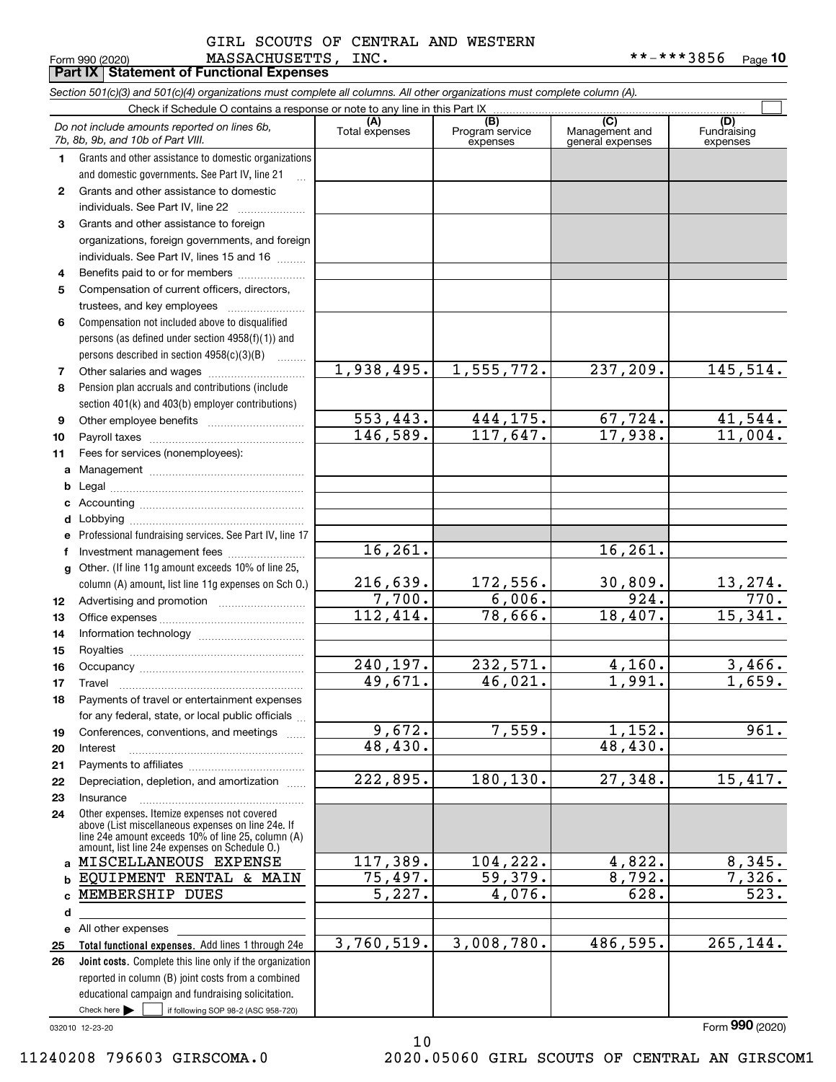#### MASSACHUSETTS, INC. \*\*-\*\*\*3856 GIRL SCOUTS OF CENTRAL AND WESTERN

**10**

|              | Form 990 (2020)<br>MASSACHUSETTS,<br><b>Part IX   Statement of Functional Expenses</b>                                                                                                                     | TMC.                  |                                    |                                           | * * - * * * 3856<br>Page 10    |
|--------------|------------------------------------------------------------------------------------------------------------------------------------------------------------------------------------------------------------|-----------------------|------------------------------------|-------------------------------------------|--------------------------------|
|              | Section 501(c)(3) and 501(c)(4) organizations must complete all columns. All other organizations must complete column (A).                                                                                 |                       |                                    |                                           |                                |
|              | Check if Schedule O contains a response or note to any line in this Part IX                                                                                                                                |                       |                                    |                                           |                                |
|              | Do not include amounts reported on lines 6b,<br>7b, 8b, 9b, and 10b of Part VIII.                                                                                                                          | (A)<br>Total expenses | (B)<br>Program service<br>expenses | (C)<br>Management and<br>general expenses | (D)<br>Fundraising<br>expenses |
| 1.           | Grants and other assistance to domestic organizations                                                                                                                                                      |                       |                                    |                                           |                                |
|              | and domestic governments. See Part IV, line 21<br>$\mathbf{r}$                                                                                                                                             |                       |                                    |                                           |                                |
| $\mathbf{2}$ | Grants and other assistance to domestic                                                                                                                                                                    |                       |                                    |                                           |                                |
|              |                                                                                                                                                                                                            |                       |                                    |                                           |                                |
| 3            | Grants and other assistance to foreign                                                                                                                                                                     |                       |                                    |                                           |                                |
|              | organizations, foreign governments, and foreign                                                                                                                                                            |                       |                                    |                                           |                                |
|              | individuals. See Part IV, lines 15 and 16                                                                                                                                                                  |                       |                                    |                                           |                                |
| 4            | Benefits paid to or for members                                                                                                                                                                            |                       |                                    |                                           |                                |
| 5            | Compensation of current officers, directors,                                                                                                                                                               |                       |                                    |                                           |                                |
|              | trustees, and key employees                                                                                                                                                                                |                       |                                    |                                           |                                |
| 6            | Compensation not included above to disqualified                                                                                                                                                            |                       |                                    |                                           |                                |
|              | persons (as defined under section 4958(f)(1)) and                                                                                                                                                          |                       |                                    |                                           |                                |
|              | persons described in section 4958(c)(3)(B)                                                                                                                                                                 | 1,938,495.            | 1,555,772.                         | 237,209.                                  | 145,514.                       |
| 7            |                                                                                                                                                                                                            |                       |                                    |                                           |                                |
| 8            | Pension plan accruals and contributions (include<br>section 401(k) and 403(b) employer contributions)                                                                                                      |                       |                                    |                                           |                                |
| 9            |                                                                                                                                                                                                            | 553,443.              | 444,175.                           | 67,724.                                   | 41,544.                        |
| 10           |                                                                                                                                                                                                            | 146,589.              | 117,647.                           | 17,938.                                   | 11,004.                        |
| 11           | Fees for services (nonemployees):                                                                                                                                                                          |                       |                                    |                                           |                                |
| a            |                                                                                                                                                                                                            |                       |                                    |                                           |                                |
| b            |                                                                                                                                                                                                            |                       |                                    |                                           |                                |
| c            |                                                                                                                                                                                                            |                       |                                    |                                           |                                |
| d            |                                                                                                                                                                                                            |                       |                                    |                                           |                                |
| е            | Professional fundraising services. See Part IV, line 17                                                                                                                                                    |                       |                                    |                                           |                                |
| f            | Investment management fees                                                                                                                                                                                 | 16,261.               |                                    | 16, 261.                                  |                                |
| g            | Other. (If line 11g amount exceeds 10% of line 25,                                                                                                                                                         |                       |                                    |                                           |                                |
|              | column (A) amount, list line 11g expenses on Sch 0.)                                                                                                                                                       | 216,639.              | 172,556.                           | 30,809.                                   | 13,274.                        |
| 12           |                                                                                                                                                                                                            | 7,700.                | 6,006.                             | 924.                                      | $\overline{770}$ .             |
| 13           |                                                                                                                                                                                                            | 112,414.              | 78,666.                            | 18, 407.                                  | 15,341.                        |
| 14           |                                                                                                                                                                                                            |                       |                                    |                                           |                                |
| 15           |                                                                                                                                                                                                            |                       |                                    |                                           |                                |
| 16           | Occupancy                                                                                                                                                                                                  | 240,197.              | 232,571.                           | 4,160.                                    | 3,466.                         |
| 17           | Travel                                                                                                                                                                                                     | 49,671.               | 46,021.                            | 1,991.                                    | 1,659.                         |
| 18           | Payments of travel or entertainment expenses                                                                                                                                                               |                       |                                    |                                           |                                |
|              | for any federal, state, or local public officials                                                                                                                                                          | 9,672.                | 7,559.                             | 1,152.                                    | 961.                           |
| 19<br>20     | Conferences, conventions, and meetings<br>Interest                                                                                                                                                         | 48,430.               |                                    | 48,430.                                   |                                |
| 21           |                                                                                                                                                                                                            |                       |                                    |                                           |                                |
| 22           | Depreciation, depletion, and amortization                                                                                                                                                                  | 222,895.              | 180,130.                           | 27,348.                                   | 15,417.                        |
| 23           | Insurance                                                                                                                                                                                                  |                       |                                    |                                           |                                |
| 24           | Other expenses. Itemize expenses not covered<br>above (List miscellaneous expenses on line 24e. If<br>line 24e amount exceeds 10% of line 25, column (A)<br>amount, list line 24e expenses on Schedule O.) |                       |                                    |                                           |                                |
| a            | MISCELLANEOUS EXPENSE                                                                                                                                                                                      | 117,389.              | 104,222.                           | 4,822.                                    | 8,345.                         |
|              | EQUIPMENT RENTAL & MAIN                                                                                                                                                                                    | 75,497.               | 59,379.                            | 8,792.                                    | 7,326.                         |
|              | MEMBERSHIP DUES                                                                                                                                                                                            | 5,227.                | 4,076.                             | 628.                                      | 523.                           |
| d            |                                                                                                                                                                                                            |                       |                                    |                                           |                                |
|              | e All other expenses                                                                                                                                                                                       |                       |                                    |                                           |                                |
| 25           | Total functional expenses. Add lines 1 through 24e                                                                                                                                                         | 3,760,519.            | 3,008,780.                         | 486,595.                                  | 265,144.                       |
| 26           | Joint costs. Complete this line only if the organization<br>reported in column (B) joint costs from a combined                                                                                             |                       |                                    |                                           |                                |
|              | educational campaign and fundraising solicitation.                                                                                                                                                         |                       |                                    |                                           |                                |
|              | Check here $\blacktriangleright$<br>if following SOP 98-2 (ASC 958-720)                                                                                                                                    |                       |                                    |                                           |                                |

10

032010 12-23-20

Form (2020) **990**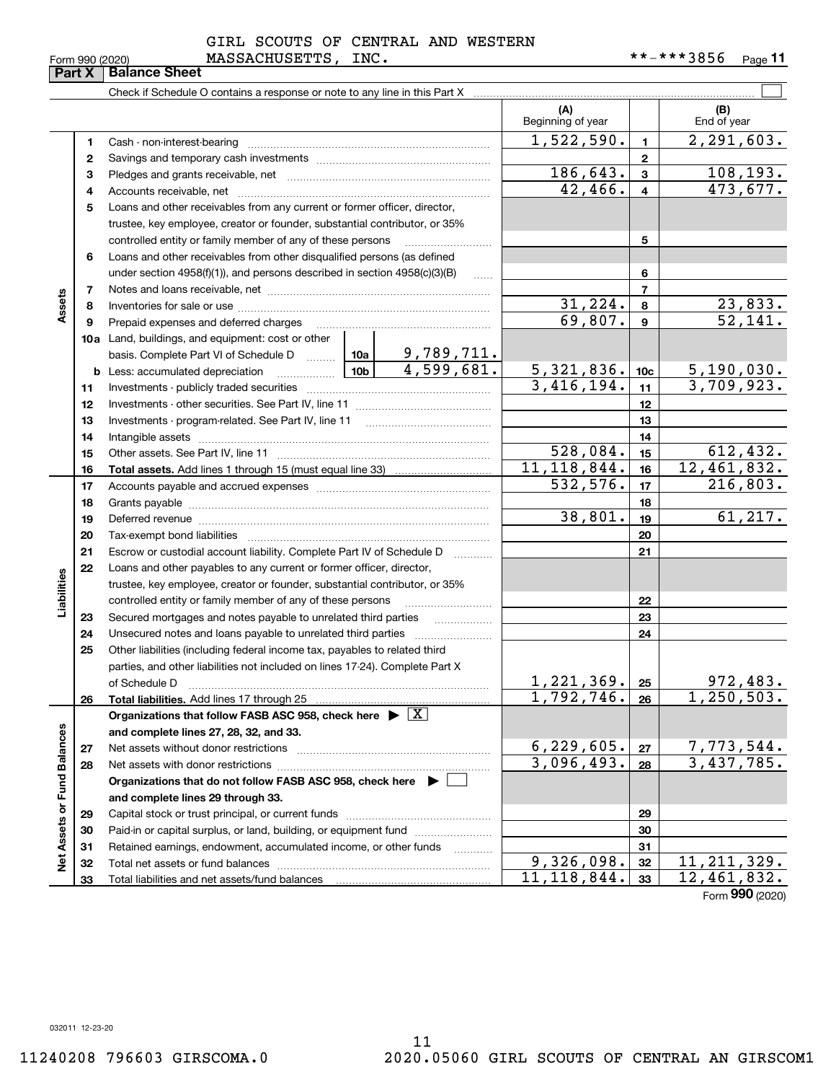|                                    | <b>Part X</b> | <b>Balance Sheet</b>                                                               |         |            |                           |                 |                    |
|------------------------------------|---------------|------------------------------------------------------------------------------------|---------|------------|---------------------------|-----------------|--------------------|
|                                    |               |                                                                                    |         |            |                           |                 |                    |
|                                    |               |                                                                                    |         |            | (A)<br>Beginning of year  |                 | (B)<br>End of year |
|                                    | 1.            | Cash - non-interest-bearing                                                        |         |            | 1,522,590.                | $\mathbf{1}$    | 2, 291, 603.       |
|                                    | 2             |                                                                                    |         |            |                           | $\mathbf{2}$    |                    |
|                                    | 3             |                                                                                    |         |            | 186,643.                  | 3               | 108, 193.          |
|                                    | 4             |                                                                                    |         |            | 42,466.                   | 4               | 473,677.           |
|                                    | 5             | Loans and other receivables from any current or former officer, director,          |         |            |                           |                 |                    |
|                                    |               | trustee, key employee, creator or founder, substantial contributor, or 35%         |         |            |                           |                 |                    |
|                                    |               | controlled entity or family member of any of these persons                         |         |            |                           | 5               |                    |
|                                    | 6             | Loans and other receivables from other disqualified persons (as defined            |         |            |                           |                 |                    |
|                                    |               | under section $4958(f)(1)$ , and persons described in section $4958(c)(3)(B)$      | 1.1.1.1 |            | 6                         |                 |                    |
|                                    | 7             |                                                                                    |         |            |                           | $\overline{7}$  |                    |
| Assets                             | 8             |                                                                                    |         | 31, 224.   | 8                         | 23,833.         |                    |
|                                    | 9             | Prepaid expenses and deferred charges                                              |         |            | 69,807.                   | 9               | 52,141.            |
|                                    |               | 10a Land, buildings, and equipment: cost or other                                  |         |            |                           |                 |                    |
|                                    |               | basis. Complete Part VI of Schedule D  10a                                         |         | 9,789,711. |                           |                 |                    |
|                                    |               | <u>  1</u> 0b  <br><b>b</b> Less: accumulated depreciation                         |         | 4,599,681. | 5,321,836.                | 10 <sub>c</sub> | 5,190,030.         |
|                                    | 11            |                                                                                    |         |            | 3,416,194.                | 11              | 3,709,923.         |
|                                    | 12            |                                                                                    |         |            | 12                        |                 |                    |
|                                    | 13            |                                                                                    |         |            |                           | 13              |                    |
|                                    | 14            |                                                                                    |         |            |                           | 14              |                    |
|                                    | 15            |                                                                                    |         |            | 528,084.                  | 15              | 612, 432.          |
|                                    | 16            |                                                                                    |         |            | $\overline{11,118,844}$ . | 16              | 12,461,832.        |
|                                    | 17            |                                                                                    |         | 532,576.   | 17                        | 216,803.        |                    |
|                                    | 18            |                                                                                    |         |            | 18                        |                 |                    |
|                                    | 19            |                                                                                    |         |            | 38,801.                   | 19              | 61, 217.           |
|                                    | 20            |                                                                                    |         |            |                           | 20              |                    |
|                                    | 21            | Escrow or custodial account liability. Complete Part IV of Schedule D              |         | .          |                           | 21              |                    |
|                                    | 22            | Loans and other payables to any current or former officer, director,               |         |            |                           |                 |                    |
|                                    |               | trustee, key employee, creator or founder, substantial contributor, or 35%         |         |            |                           |                 |                    |
| Liabilities                        |               | controlled entity or family member of any of these persons                         |         |            |                           | 22              |                    |
|                                    | 23            | Secured mortgages and notes payable to unrelated third parties                     |         | .          |                           | 23              |                    |
|                                    | 24            |                                                                                    |         |            |                           | 24              |                    |
|                                    | 25            | Other liabilities (including federal income tax, payables to related third         |         |            |                           |                 |                    |
|                                    |               | parties, and other liabilities not included on lines 17-24). Complete Part X       |         |            |                           |                 |                    |
|                                    |               | of Schedule D                                                                      |         |            | 1,221,369.                | 25              | 972,483.           |
|                                    | 26            | Total liabilities. Add lines 17 through 25                                         |         |            | 1,792,746.                | 26              | 1,250,503.         |
|                                    |               | Organizations that follow FASB ASC 958, check here $\blacktriangleright \boxed{X}$ |         |            |                           |                 |                    |
|                                    |               | and complete lines 27, 28, 32, and 33.                                             |         |            |                           |                 |                    |
|                                    | 27            | Net assets without donor restrictions                                              |         |            | 6, 229, 605.              | 27              | 7,773,544.         |
|                                    | 28            |                                                                                    |         |            | 3,096,493.                | 28              | 3,437,785.         |
|                                    |               | Organizations that do not follow FASB ASC 958, check here $\blacktriangleright$    |         |            |                           |                 |                    |
|                                    |               | and complete lines 29 through 33.                                                  |         |            |                           |                 |                    |
|                                    | 29            |                                                                                    |         |            |                           | 29              |                    |
|                                    | 30            | Paid-in or capital surplus, or land, building, or equipment fund                   |         |            |                           | 30              |                    |
| <b>Vet Assets or Fund Balances</b> | 31            | Retained earnings, endowment, accumulated income, or other funds                   |         | .          |                           | 31              |                    |
|                                    | 32            |                                                                                    |         |            | 9,326,098.                | 32              | 11, 211, 329.      |

Form (2020) **990**

032011 12-23-20

**33**

**33**

11,118,844. 12,461,832.

Total liabilities and net assets/fund balances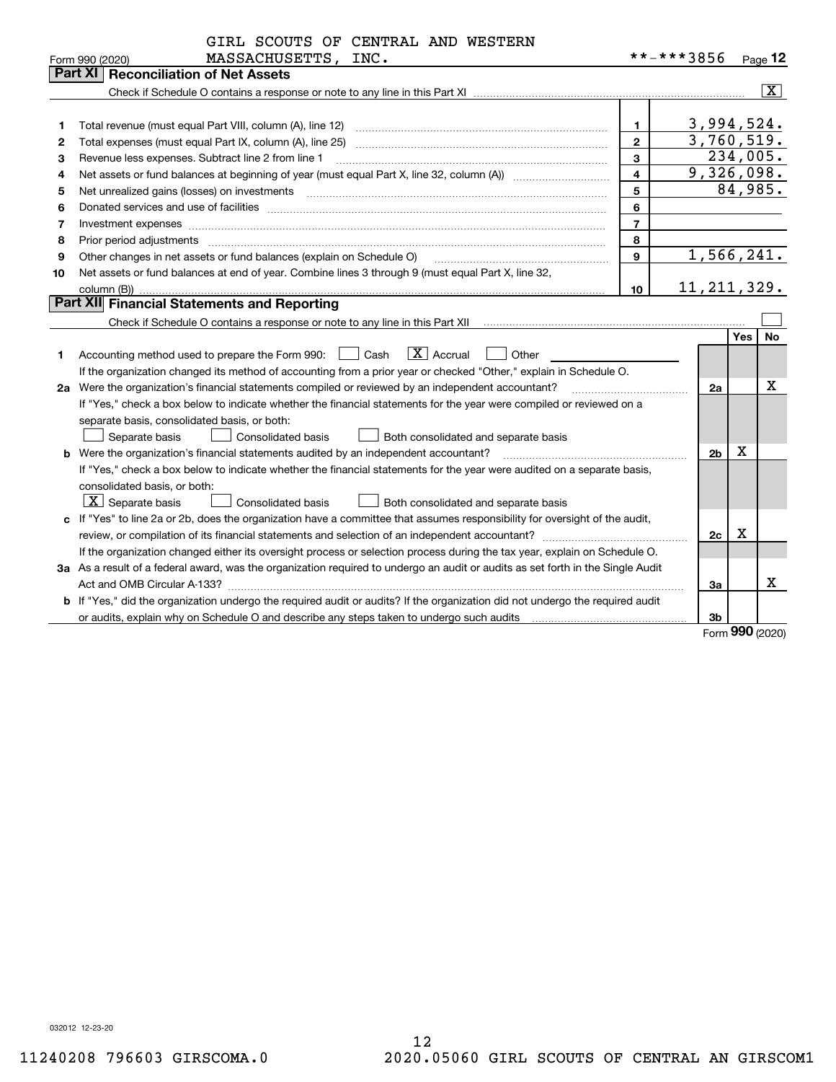|    | GIRL SCOUTS OF CENTRAL AND WESTERN                                                                                              |                |                |             |                         |  |  |
|----|---------------------------------------------------------------------------------------------------------------------------------|----------------|----------------|-------------|-------------------------|--|--|
|    | MASSACHUSETTS, INC.<br>Form 990 (2020)                                                                                          |                | **-***3856     |             | Page 12                 |  |  |
|    | Part XI<br><b>Reconciliation of Net Assets</b>                                                                                  |                |                |             |                         |  |  |
|    |                                                                                                                                 |                |                |             | $\overline{\mathbf{X}}$ |  |  |
|    |                                                                                                                                 |                |                |             |                         |  |  |
| 1  | Total revenue (must equal Part VIII, column (A), line 12)                                                                       | $\mathbf{1}$   | 3,994,524.     |             |                         |  |  |
| 2  | Total expenses (must equal Part IX, column (A), line 25)                                                                        | $\mathbf{2}$   | 3,760,519.     |             |                         |  |  |
| з  | Revenue less expenses. Subtract line 2 from line 1                                                                              | 3              | 234,005.       |             |                         |  |  |
| 4  |                                                                                                                                 | $\overline{4}$ | 9,326,098.     |             |                         |  |  |
| 5  |                                                                                                                                 | 5              |                | 84,985.     |                         |  |  |
| 6  |                                                                                                                                 | 6              |                |             |                         |  |  |
| 7  | Investment expenses www.communication.com/multiple/expenses/communications/communications/communications/                       | $\overline{7}$ |                |             |                         |  |  |
| 8  | Prior period adjustments                                                                                                        | 8              |                |             |                         |  |  |
| 9  | Other changes in net assets or fund balances (explain on Schedule O)                                                            | $\mathbf{Q}$   | 1,566,241.     |             |                         |  |  |
| 10 | Net assets or fund balances at end of year. Combine lines 3 through 9 (must equal Part X, line 32,                              |                |                |             |                         |  |  |
|    | column (B))                                                                                                                     | 10             | 11, 211, 329.  |             |                         |  |  |
|    | Part XII Financial Statements and Reporting                                                                                     |                |                |             |                         |  |  |
|    |                                                                                                                                 |                |                |             |                         |  |  |
|    |                                                                                                                                 |                |                | Yes         | <b>No</b>               |  |  |
| 1. | $ X $ Accrual<br>Accounting method used to prepare the Form 990: <u>II</u> Cash<br>Other                                        |                |                |             |                         |  |  |
|    | If the organization changed its method of accounting from a prior year or checked "Other," explain in Schedule O.               |                |                |             |                         |  |  |
|    | 2a Were the organization's financial statements compiled or reviewed by an independent accountant?                              |                | 2a             |             | х                       |  |  |
|    | If "Yes," check a box below to indicate whether the financial statements for the year were compiled or reviewed on a            |                |                |             |                         |  |  |
|    | separate basis, consolidated basis, or both:                                                                                    |                |                |             |                         |  |  |
|    | Separate basis<br>Consolidated basis<br>Both consolidated and separate basis                                                    |                |                |             |                         |  |  |
|    | <b>b</b> Were the organization's financial statements audited by an independent accountant?                                     |                | 2 <sub>b</sub> | $\mathbf X$ |                         |  |  |
|    | If "Yes," check a box below to indicate whether the financial statements for the year were audited on a separate basis,         |                |                |             |                         |  |  |
|    | consolidated basis, or both:                                                                                                    |                |                |             |                         |  |  |
|    | $X$ Separate basis<br><b>Consolidated basis</b><br>Both consolidated and separate basis                                         |                |                |             |                         |  |  |
|    | c If "Yes" to line 2a or 2b, does the organization have a committee that assumes responsibility for oversight of the audit,     |                |                |             |                         |  |  |
|    |                                                                                                                                 |                | 2c             | х           |                         |  |  |
|    | If the organization changed either its oversight process or selection process during the tax year, explain on Schedule O.       |                |                |             |                         |  |  |
|    | 3a As a result of a federal award, was the organization required to undergo an audit or audits as set forth in the Single Audit |                |                |             |                         |  |  |
|    |                                                                                                                                 |                | 3a             |             | х                       |  |  |
|    | b If "Yes," did the organization undergo the required audit or audits? If the organization did not undergo the required audit   |                |                |             |                         |  |  |
|    |                                                                                                                                 |                | 3b             |             |                         |  |  |
|    |                                                                                                                                 |                |                | $\Omega$    |                         |  |  |

Form (2020) **990**

032012 12-23-20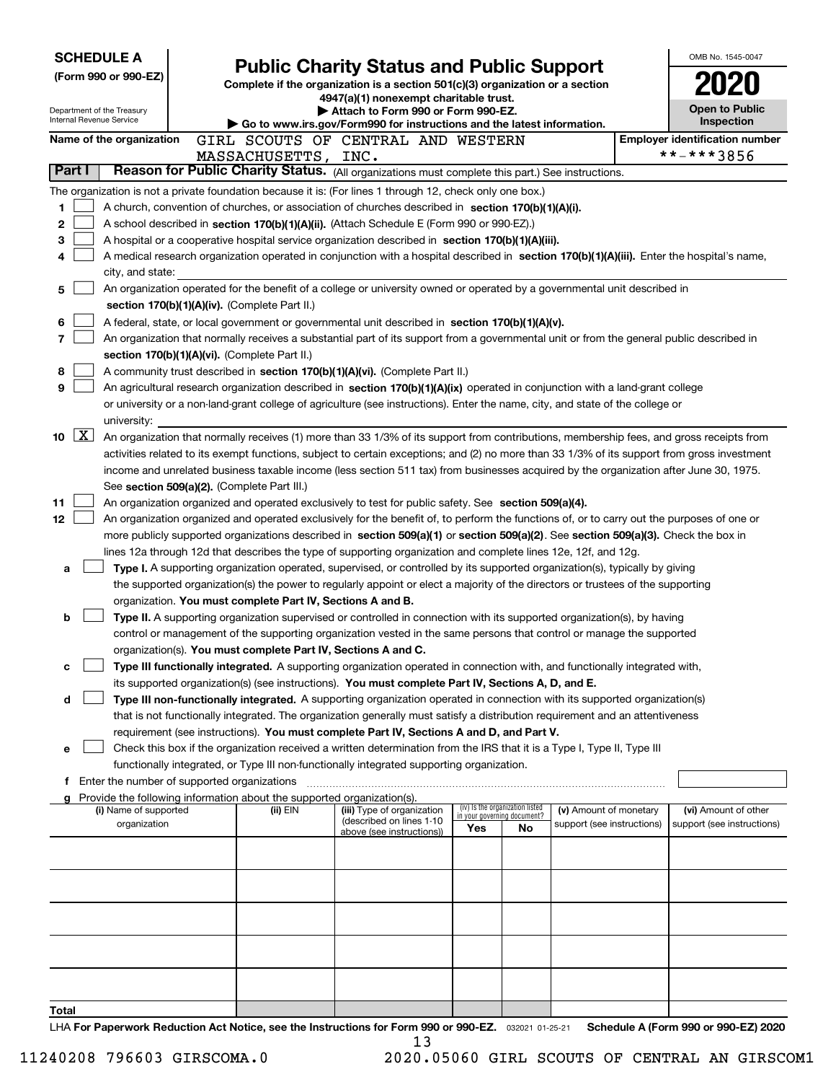| <b>SCHEDULE A</b>                                      |                                                                                                                                                                                                                                                                                  |                                                                                                                         |                                 |                            |  | OMB No. 1545-0047                     |  |  |  |  |
|--------------------------------------------------------|----------------------------------------------------------------------------------------------------------------------------------------------------------------------------------------------------------------------------------------------------------------------------------|-------------------------------------------------------------------------------------------------------------------------|---------------------------------|----------------------------|--|---------------------------------------|--|--|--|--|
| (Form 990 or 990-EZ)                                   |                                                                                                                                                                                                                                                                                  | <b>Public Charity Status and Public Support</b>                                                                         |                                 |                            |  |                                       |  |  |  |  |
|                                                        |                                                                                                                                                                                                                                                                                  | Complete if the organization is a section 501(c)(3) organization or a section<br>4947(a)(1) nonexempt charitable trust. |                                 |                            |  |                                       |  |  |  |  |
| Department of the Treasury<br>Internal Revenue Service |                                                                                                                                                                                                                                                                                  | Attach to Form 990 or Form 990-EZ.                                                                                      |                                 |                            |  | <b>Open to Public</b><br>Inspection   |  |  |  |  |
| Name of the organization                               |                                                                                                                                                                                                                                                                                  | Go to www.irs.gov/Form990 for instructions and the latest information.                                                  |                                 |                            |  | <b>Employer identification number</b> |  |  |  |  |
|                                                        | MASSACHUSETTS, INC.                                                                                                                                                                                                                                                              | GIRL SCOUTS OF CENTRAL AND WESTERN                                                                                      |                                 |                            |  | **-***3856                            |  |  |  |  |
| Part I                                                 | Reason for Public Charity Status. (All organizations must complete this part.) See instructions.                                                                                                                                                                                 |                                                                                                                         |                                 |                            |  |                                       |  |  |  |  |
|                                                        | The organization is not a private foundation because it is: (For lines 1 through 12, check only one box.)                                                                                                                                                                        |                                                                                                                         |                                 |                            |  |                                       |  |  |  |  |
| 1.                                                     | A church, convention of churches, or association of churches described in section 170(b)(1)(A)(i).                                                                                                                                                                               |                                                                                                                         |                                 |                            |  |                                       |  |  |  |  |
| 2                                                      | A school described in section 170(b)(1)(A)(ii). (Attach Schedule E (Form 990 or 990-EZ).)                                                                                                                                                                                        |                                                                                                                         |                                 |                            |  |                                       |  |  |  |  |
| 3                                                      | A hospital or a cooperative hospital service organization described in section $170(b)(1)(A)(iii)$ .                                                                                                                                                                             |                                                                                                                         |                                 |                            |  |                                       |  |  |  |  |
| 4                                                      | A medical research organization operated in conjunction with a hospital described in section 170(b)(1)(A)(iii). Enter the hospital's name,                                                                                                                                       |                                                                                                                         |                                 |                            |  |                                       |  |  |  |  |
| city, and state:                                       |                                                                                                                                                                                                                                                                                  |                                                                                                                         |                                 |                            |  |                                       |  |  |  |  |
| 5                                                      | An organization operated for the benefit of a college or university owned or operated by a governmental unit described in                                                                                                                                                        |                                                                                                                         |                                 |                            |  |                                       |  |  |  |  |
|                                                        | section 170(b)(1)(A)(iv). (Complete Part II.)                                                                                                                                                                                                                                    |                                                                                                                         |                                 |                            |  |                                       |  |  |  |  |
| 6<br>$\overline{7}$                                    | A federal, state, or local government or governmental unit described in section 170(b)(1)(A)(v).                                                                                                                                                                                 |                                                                                                                         |                                 |                            |  |                                       |  |  |  |  |
|                                                        | An organization that normally receives a substantial part of its support from a governmental unit or from the general public described in<br>section 170(b)(1)(A)(vi). (Complete Part II.)                                                                                       |                                                                                                                         |                                 |                            |  |                                       |  |  |  |  |
| 8                                                      | A community trust described in section 170(b)(1)(A)(vi). (Complete Part II.)                                                                                                                                                                                                     |                                                                                                                         |                                 |                            |  |                                       |  |  |  |  |
| 9                                                      | An agricultural research organization described in section 170(b)(1)(A)(ix) operated in conjunction with a land-grant college                                                                                                                                                    |                                                                                                                         |                                 |                            |  |                                       |  |  |  |  |
|                                                        | or university or a non-land-grant college of agriculture (see instructions). Enter the name, city, and state of the college or                                                                                                                                                   |                                                                                                                         |                                 |                            |  |                                       |  |  |  |  |
| university:                                            |                                                                                                                                                                                                                                                                                  |                                                                                                                         |                                 |                            |  |                                       |  |  |  |  |
| $\boxed{\text{X}}$<br>10                               | An organization that normally receives (1) more than 33 1/3% of its support from contributions, membership fees, and gross receipts from                                                                                                                                         |                                                                                                                         |                                 |                            |  |                                       |  |  |  |  |
|                                                        | activities related to its exempt functions, subject to certain exceptions; and (2) no more than 33 1/3% of its support from gross investment                                                                                                                                     |                                                                                                                         |                                 |                            |  |                                       |  |  |  |  |
|                                                        | income and unrelated business taxable income (less section 511 tax) from businesses acquired by the organization after June 30, 1975.                                                                                                                                            |                                                                                                                         |                                 |                            |  |                                       |  |  |  |  |
|                                                        | See section 509(a)(2). (Complete Part III.)                                                                                                                                                                                                                                      |                                                                                                                         |                                 |                            |  |                                       |  |  |  |  |
| 11                                                     | An organization organized and operated exclusively to test for public safety. See section 509(a)(4).                                                                                                                                                                             |                                                                                                                         |                                 |                            |  |                                       |  |  |  |  |
| 12                                                     | An organization organized and operated exclusively for the benefit of, to perform the functions of, or to carry out the purposes of one or<br>more publicly supported organizations described in section 509(a)(1) or section 509(a)(2). See section 509(a)(3). Check the box in |                                                                                                                         |                                 |                            |  |                                       |  |  |  |  |
|                                                        | lines 12a through 12d that describes the type of supporting organization and complete lines 12e, 12f, and 12g.                                                                                                                                                                   |                                                                                                                         |                                 |                            |  |                                       |  |  |  |  |
| a                                                      | Type I. A supporting organization operated, supervised, or controlled by its supported organization(s), typically by giving                                                                                                                                                      |                                                                                                                         |                                 |                            |  |                                       |  |  |  |  |
|                                                        | the supported organization(s) the power to regularly appoint or elect a majority of the directors or trustees of the supporting                                                                                                                                                  |                                                                                                                         |                                 |                            |  |                                       |  |  |  |  |
|                                                        | organization. You must complete Part IV, Sections A and B.                                                                                                                                                                                                                       |                                                                                                                         |                                 |                            |  |                                       |  |  |  |  |
| b                                                      | Type II. A supporting organization supervised or controlled in connection with its supported organization(s), by having                                                                                                                                                          |                                                                                                                         |                                 |                            |  |                                       |  |  |  |  |
|                                                        | control or management of the supporting organization vested in the same persons that control or manage the supported                                                                                                                                                             |                                                                                                                         |                                 |                            |  |                                       |  |  |  |  |
|                                                        | organization(s). You must complete Part IV, Sections A and C.                                                                                                                                                                                                                    |                                                                                                                         |                                 |                            |  |                                       |  |  |  |  |
| с                                                      | Type III functionally integrated. A supporting organization operated in connection with, and functionally integrated with,                                                                                                                                                       |                                                                                                                         |                                 |                            |  |                                       |  |  |  |  |
| d                                                      | its supported organization(s) (see instructions). You must complete Part IV, Sections A, D, and E.<br>Type III non-functionally integrated. A supporting organization operated in connection with its supported organization(s)                                                  |                                                                                                                         |                                 |                            |  |                                       |  |  |  |  |
|                                                        | that is not functionally integrated. The organization generally must satisfy a distribution requirement and an attentiveness                                                                                                                                                     |                                                                                                                         |                                 |                            |  |                                       |  |  |  |  |
|                                                        | requirement (see instructions). You must complete Part IV, Sections A and D, and Part V.                                                                                                                                                                                         |                                                                                                                         |                                 |                            |  |                                       |  |  |  |  |
| е                                                      | Check this box if the organization received a written determination from the IRS that it is a Type I, Type II, Type III                                                                                                                                                          |                                                                                                                         |                                 |                            |  |                                       |  |  |  |  |
|                                                        | functionally integrated, or Type III non-functionally integrated supporting organization.                                                                                                                                                                                        |                                                                                                                         |                                 |                            |  |                                       |  |  |  |  |
|                                                        | f Enter the number of supported organizations                                                                                                                                                                                                                                    |                                                                                                                         |                                 |                            |  |                                       |  |  |  |  |
| (i) Name of supported                                  | Provide the following information about the supported organization(s).<br>(ii) EIN                                                                                                                                                                                               | (iii) Type of organization                                                                                              | (iv) Is the organization listed | (v) Amount of monetary     |  | (vi) Amount of other                  |  |  |  |  |
| organization                                           |                                                                                                                                                                                                                                                                                  | (described on lines 1-10                                                                                                | in your governing document?     | support (see instructions) |  | support (see instructions)            |  |  |  |  |
|                                                        |                                                                                                                                                                                                                                                                                  | above (see instructions))                                                                                               | Yes<br>No                       |                            |  |                                       |  |  |  |  |
|                                                        |                                                                                                                                                                                                                                                                                  |                                                                                                                         |                                 |                            |  |                                       |  |  |  |  |
|                                                        |                                                                                                                                                                                                                                                                                  |                                                                                                                         |                                 |                            |  |                                       |  |  |  |  |
|                                                        |                                                                                                                                                                                                                                                                                  |                                                                                                                         |                                 |                            |  |                                       |  |  |  |  |
|                                                        |                                                                                                                                                                                                                                                                                  |                                                                                                                         |                                 |                            |  |                                       |  |  |  |  |
|                                                        |                                                                                                                                                                                                                                                                                  |                                                                                                                         |                                 |                            |  |                                       |  |  |  |  |
|                                                        |                                                                                                                                                                                                                                                                                  |                                                                                                                         |                                 |                            |  |                                       |  |  |  |  |
|                                                        |                                                                                                                                                                                                                                                                                  |                                                                                                                         |                                 |                            |  |                                       |  |  |  |  |
|                                                        |                                                                                                                                                                                                                                                                                  |                                                                                                                         |                                 |                            |  |                                       |  |  |  |  |
|                                                        |                                                                                                                                                                                                                                                                                  |                                                                                                                         |                                 |                            |  |                                       |  |  |  |  |
| Total                                                  | UA For Beneruark Boduction Act Notice, see the Instructions for Form 000 or 000 F7 000001 0105 01 Schoolule A (Form 000 or 000 F7) 2020                                                                                                                                          |                                                                                                                         |                                 |                            |  |                                       |  |  |  |  |

LHA For Paperwork Reduction Act Notice, see the Instructions for Form 990 or 990-EZ. <sub>032021</sub> o1-25-21 Schedule A (Form 990 or 990-EZ) 2020 13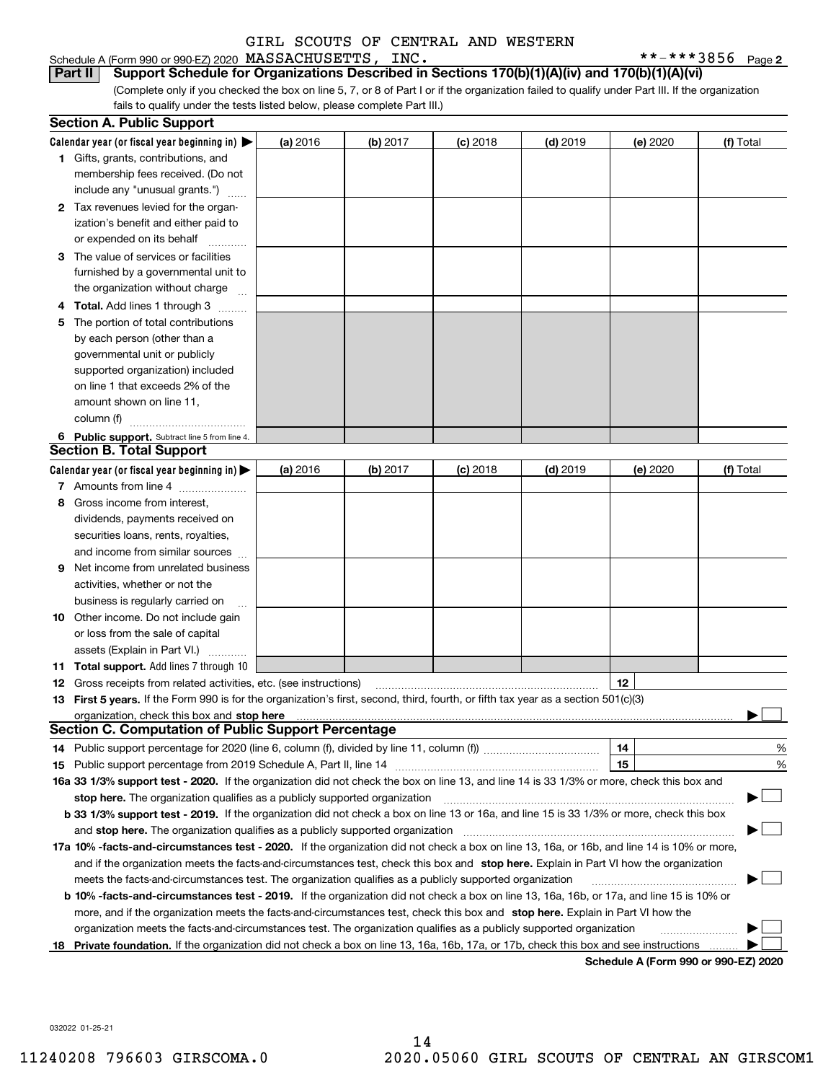**6** Public support. Subtract line 5 from line 4. **Calendar year (or fiscal year beginning in)**  |  $***$   $***$  3856 Page 2 **(a)** 2016 **| (b)** 2017 **| (c)** 2018 **| (d)** 2019 **| (e)** 2020 **| (f) 1**Gifts, grants, contributions, and **2**Tax revenues levied for the organ-**3**The value of services or facilities **4 Total.** Add lines 1 through 3  $\,\ldots\ldots\,$ **5** The portion of total contributions Schedule A (Form 990 or 990-EZ) 2020 Page MASSACHUSETTS, INC. \*\*-\*\*\*3856 (Complete only if you checked the box on line 5, 7, or 8 of Part I or if the organization failed to qualify under Part III. If the organization fails to qualify under the tests listed below, please complete Part III.) (a) 2016 16 **| (b)** 2017 **| (c)** 2018 **| (d)** 2019 **| (e)** 2020 **| (f)** Total membership fees received. (Do not include any "unusual grants.")  $\quad \, \dots \,$ ization's benefit and either paid to or expended on its behalf  $\begin{array}{ccc} \dots & \dots \dots \end{array}$ furnished by a governmental unit to the organization without charge  $\quad \ldots$ by each person (other than a governmental unit or publicly supported organization) included on line 1 that exceeds 2% of the amount shown on line 11, column (f) <sub>……………………………</sub>… **Part II Support Schedule for Organizations Described in Sections 170(b)(1)(A)(iv) and 170(b)(1)(A)(vi) Section A. Public Support** GIRL SCOUTS OF CENTRAL AND WESTERN

#### **Section B. Total Support**

|    | σεντισπ οι ποται σαρροπ                                                                                                                         |          |          |            |            |                  |                                 |  |  |
|----|-------------------------------------------------------------------------------------------------------------------------------------------------|----------|----------|------------|------------|------------------|---------------------------------|--|--|
|    | Calendar year (or fiscal year beginning in) $\blacktriangleright$                                                                               | (a) 2016 | (b) 2017 | $(c)$ 2018 | $(d)$ 2019 | (e) 2020         | (f) Total                       |  |  |
|    | 7 Amounts from line 4                                                                                                                           |          |          |            |            |                  |                                 |  |  |
| 8  | Gross income from interest,                                                                                                                     |          |          |            |            |                  |                                 |  |  |
|    | dividends, payments received on                                                                                                                 |          |          |            |            |                  |                                 |  |  |
|    | securities loans, rents, royalties,                                                                                                             |          |          |            |            |                  |                                 |  |  |
|    | and income from similar sources                                                                                                                 |          |          |            |            |                  |                                 |  |  |
| 9  | Net income from unrelated business                                                                                                              |          |          |            |            |                  |                                 |  |  |
|    | activities, whether or not the                                                                                                                  |          |          |            |            |                  |                                 |  |  |
|    | business is regularly carried on                                                                                                                |          |          |            |            |                  |                                 |  |  |
| 10 | Other income. Do not include gain                                                                                                               |          |          |            |            |                  |                                 |  |  |
|    | or loss from the sale of capital                                                                                                                |          |          |            |            |                  |                                 |  |  |
|    | assets (Explain in Part VI.)                                                                                                                    |          |          |            |            |                  |                                 |  |  |
|    | <b>11 Total support.</b> Add lines 7 through 10                                                                                                 |          |          |            |            |                  |                                 |  |  |
| 12 | Gross receipts from related activities, etc. (see instructions)                                                                                 |          |          |            |            | 12 <sup>12</sup> |                                 |  |  |
|    | 13 First 5 years. If the Form 990 is for the organization's first, second, third, fourth, or fifth tax year as a section 501(c)(3)              |          |          |            |            |                  |                                 |  |  |
|    |                                                                                                                                                 |          |          |            |            |                  |                                 |  |  |
|    | <b>Section C. Computation of Public Support Percentage</b>                                                                                      |          |          |            |            |                  |                                 |  |  |
|    |                                                                                                                                                 |          |          |            |            | 14               | %                               |  |  |
|    |                                                                                                                                                 |          |          |            |            | 15               | %                               |  |  |
|    | 16a 33 1/3% support test - 2020. If the organization did not check the box on line 13, and line 14 is 33 1/3% or more, check this box and       |          |          |            |            |                  |                                 |  |  |
|    | stop here. The organization qualifies as a publicly supported organization                                                                      |          |          |            |            |                  | $\Box$<br>$\blacktriangleright$ |  |  |
|    | <b>b 33 1/3% support test - 2019.</b> If the organization did not check a box on line 13 or 16a, and line 15 is 33 1/3% or more, check this box |          |          |            |            |                  |                                 |  |  |
|    |                                                                                                                                                 |          |          |            |            |                  | $\blacktriangleright$           |  |  |
|    | 17a 10% -facts-and-circumstances test - 2020. If the organization did not check a box on line 13, 16a, or 16b, and line 14 is 10% or more,      |          |          |            |            |                  |                                 |  |  |
|    | and if the organization meets the facts-and-circumstances test, check this box and stop here. Explain in Part VI how the organization           |          |          |            |            |                  |                                 |  |  |
|    | meets the facts-and-circumstances test. The organization qualifies as a publicly supported organization                                         |          |          |            |            |                  | ▶                               |  |  |
|    | <b>b 10% -facts-and-circumstances test - 2019.</b> If the organization did not check a box on line 13, 16a, 16b, or 17a, and line 15 is 10% or  |          |          |            |            |                  |                                 |  |  |
|    | more, and if the organization meets the facts-and-circumstances test, check this box and stop here. Explain in Part VI how the                  |          |          |            |            |                  |                                 |  |  |
|    | organization meets the facts-and-circumstances test. The organization qualifies as a publicly supported organization                            |          |          |            |            |                  |                                 |  |  |
|    | 18 Private foundation. If the organization did not check a box on line 13, 16a, 16b, 17a, or 17b, check this box and see instructions           |          |          |            |            |                  |                                 |  |  |

**Schedule A (Form 990 or 990-EZ) 2020**

032022 01-25-21

14 11240208 796603 GIRSCOMA.0 2020.05060 GIRL SCOUTS OF CENTRAL AN GIRSCOM1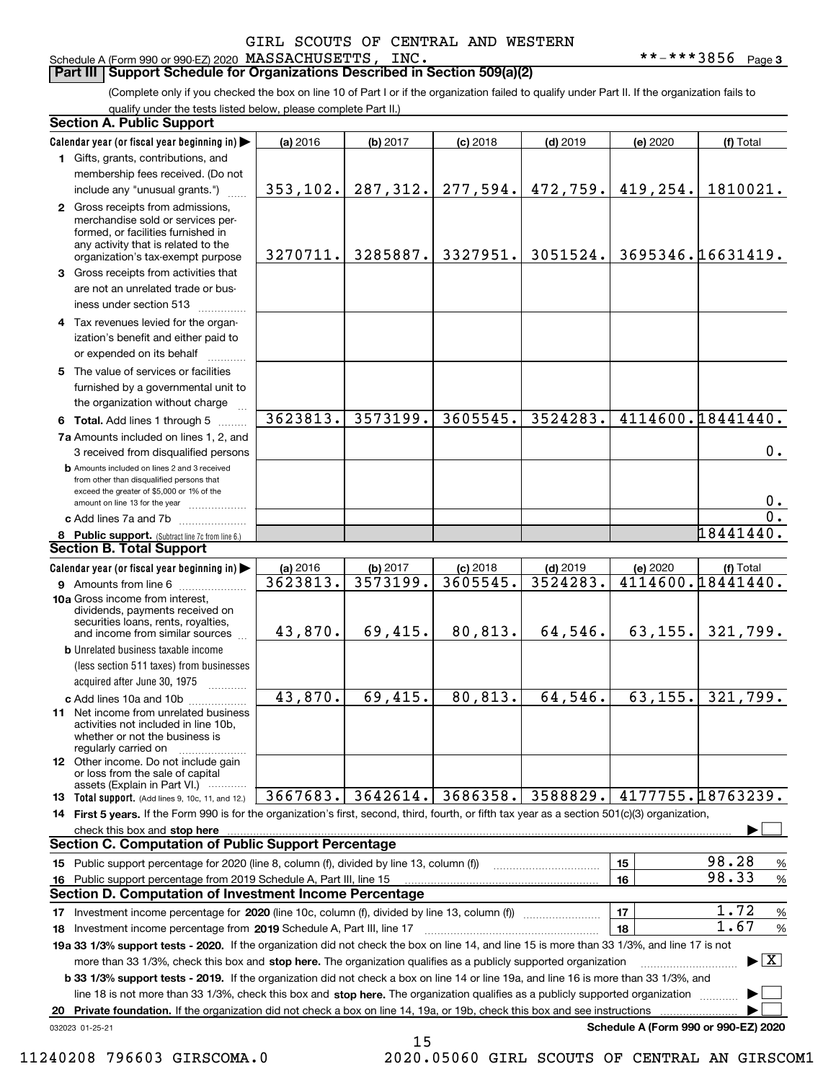Schedule A (Form 990 or 990-EZ) 2020 Page MASSACHUSETTS, INC. \*\*-\*\*\*3856

**3**

#### **Part III Support Schedule for Organizations Described in Section 509(a)(2)**

(Complete only if you checked the box on line 10 of Part I or if the organization failed to qualify under Part II. If the organization fails to qualify under the tests listed below, please complete Part II.)

| <b>Section A. Public Support</b> |                                                                                                                                                                                                                                                                  |           |          |                       |            |          |                                 |  |
|----------------------------------|------------------------------------------------------------------------------------------------------------------------------------------------------------------------------------------------------------------------------------------------------------------|-----------|----------|-----------------------|------------|----------|---------------------------------|--|
|                                  | Calendar year (or fiscal year beginning in)                                                                                                                                                                                                                      | (a) 2016  | (b) 2017 | $(c)$ 2018            | $(d)$ 2019 | (e) 2020 | (f) Total                       |  |
|                                  | 1 Gifts, grants, contributions, and                                                                                                                                                                                                                              |           |          |                       |            |          |                                 |  |
|                                  | membership fees received. (Do not                                                                                                                                                                                                                                |           |          |                       |            |          |                                 |  |
|                                  | include any "unusual grants.")                                                                                                                                                                                                                                   | 353, 102. |          | $287, 312.$ 277, 594. | 472,759.   | 419,254. | 1810021.                        |  |
|                                  | 2 Gross receipts from admissions,<br>merchandise sold or services per-<br>formed, or facilities furnished in<br>any activity that is related to the<br>organization's tax-exempt purpose                                                                         | 3270711.  | 3285887. | 3327951.              | 3051524.   |          | 3695346.16631419.               |  |
|                                  | 3 Gross receipts from activities that<br>are not an unrelated trade or bus-<br>iness under section 513                                                                                                                                                           |           |          |                       |            |          |                                 |  |
|                                  | 4 Tax revenues levied for the organ-<br>ization's benefit and either paid to<br>or expended on its behalf                                                                                                                                                        |           |          |                       |            |          |                                 |  |
|                                  | 5 The value of services or facilities<br>furnished by a governmental unit to<br>the organization without charge                                                                                                                                                  |           |          |                       |            |          |                                 |  |
|                                  | 6 Total. Add lines 1 through 5                                                                                                                                                                                                                                   | 3623813.  | 3573199. | 3605545.              | 3524283.   |          | 4114600.18441440.               |  |
|                                  | 7a Amounts included on lines 1, 2, and<br>3 received from disqualified persons                                                                                                                                                                                   |           |          |                       |            |          | 0.                              |  |
|                                  | <b>b</b> Amounts included on lines 2 and 3 received<br>from other than disqualified persons that<br>exceed the greater of \$5,000 or 1% of the<br>amount on line 13 for the year                                                                                 |           |          |                       |            |          | $0$ .                           |  |
|                                  | c Add lines 7a and 7b                                                                                                                                                                                                                                            |           |          |                       |            |          | $\overline{0}$ .                |  |
|                                  | 8 Public support. (Subtract line 7c from line 6.)                                                                                                                                                                                                                |           |          |                       |            |          | 18441440.                       |  |
|                                  | <b>Section B. Total Support</b>                                                                                                                                                                                                                                  |           |          |                       |            |          |                                 |  |
|                                  | Calendar year (or fiscal year beginning in)                                                                                                                                                                                                                      | (a) 2016  | (b) 2017 | $(c)$ 2018            | $(d)$ 2019 | (e) 2020 | (f) Total                       |  |
|                                  | 9 Amounts from line 6                                                                                                                                                                                                                                            | 3623813.  | 3573199. | 3605545.              | 3524283.   |          | 4114600.18441440.               |  |
|                                  | 10a Gross income from interest,<br>dividends, payments received on<br>securities loans, rents, royalties,<br>and income from similar sources                                                                                                                     | 43,870.   | 69,415.  | 80,813.               | 64,546.    | 63, 155. | 321,799.                        |  |
|                                  | <b>b</b> Unrelated business taxable income<br>(less section 511 taxes) from businesses<br>acquired after June 30, 1975                                                                                                                                           |           |          |                       |            |          |                                 |  |
|                                  | c Add lines 10a and 10b<br>11 Net income from unrelated business<br>activities not included in line 10b,<br>whether or not the business is<br>regularly carried on                                                                                               | 43,870.   | 69,415.  | 80, 813.              | 64,546.    | 63, 155. | 321,799.                        |  |
|                                  | <b>12</b> Other income. Do not include gain<br>or loss from the sale of capital<br>assets (Explain in Part VI.)                                                                                                                                                  |           |          |                       |            |          |                                 |  |
|                                  | 13 Total support. (Add lines 9, 10c, 11, and 12.)                                                                                                                                                                                                                | 3667683.  | 3642614. | 3686358.              | 3588829.   |          | 4177755.18763239.               |  |
|                                  | 14 First 5 years. If the Form 990 is for the organization's first, second, third, fourth, or fifth tax year as a section 501(c)(3) organization,                                                                                                                 |           |          |                       |            |          |                                 |  |
|                                  | check this box and stop here <b>with the construction of the construction</b> of the change of the state of the state of the change of the state of the change of the state of the state of the change of the state of the state of                              |           |          |                       |            |          |                                 |  |
|                                  | <b>Section C. Computation of Public Support Percentage</b>                                                                                                                                                                                                       |           |          |                       |            |          |                                 |  |
|                                  | 15 Public support percentage for 2020 (line 8, column (f), divided by line 13, column (f))                                                                                                                                                                       |           |          |                       |            | 15       | 98.28<br>%                      |  |
| 16                               | Public support percentage from 2019 Schedule A, Part III, line 15<br><b>Section D. Computation of Investment Income Percentage</b>                                                                                                                               |           |          |                       |            | 16       | 98.33<br>%                      |  |
|                                  |                                                                                                                                                                                                                                                                  |           |          |                       |            |          | 1.72                            |  |
| 17                               | Investment income percentage for 2020 (line 10c, column (f), divided by line 13, column (f))                                                                                                                                                                     |           |          |                       |            | 17<br>18 | $\%$<br>1.67                    |  |
|                                  | 18 Investment income percentage from 2019 Schedule A, Part III, line 17<br>19a 33 1/3% support tests - 2020. If the organization did not check the box on line 14, and line 15 is more than 33 1/3%, and line 17 is not                                          |           |          |                       |            |          | $\%$                            |  |
|                                  | more than 33 1/3%, check this box and stop here. The organization qualifies as a publicly supported organization<br><b>b 33 1/3% support tests - 2019.</b> If the organization did not check a box on line 14 or line 19a, and line 16 is more than 33 1/3%, and |           |          |                       |            |          | $\blacktriangleright$ $\vert$ X |  |
|                                  | line 18 is not more than 33 1/3%, check this box and stop here. The organization qualifies as a publicly supported organization                                                                                                                                  |           |          |                       |            |          |                                 |  |
| 20                               | Private foundation. If the organization did not check a box on line 14, 19a, or 19b, check this box and see instructions                                                                                                                                         |           |          |                       |            |          |                                 |  |
|                                  | Schedule A (Form 990 or 990-EZ) 2020<br>032023 01-25-21                                                                                                                                                                                                          |           |          |                       |            |          |                                 |  |

15

 <sup>11240208 796603</sup> GIRSCOMA.0 2020.05060 GIRL SCOUTS OF CENTRAL AN GIRSCOM1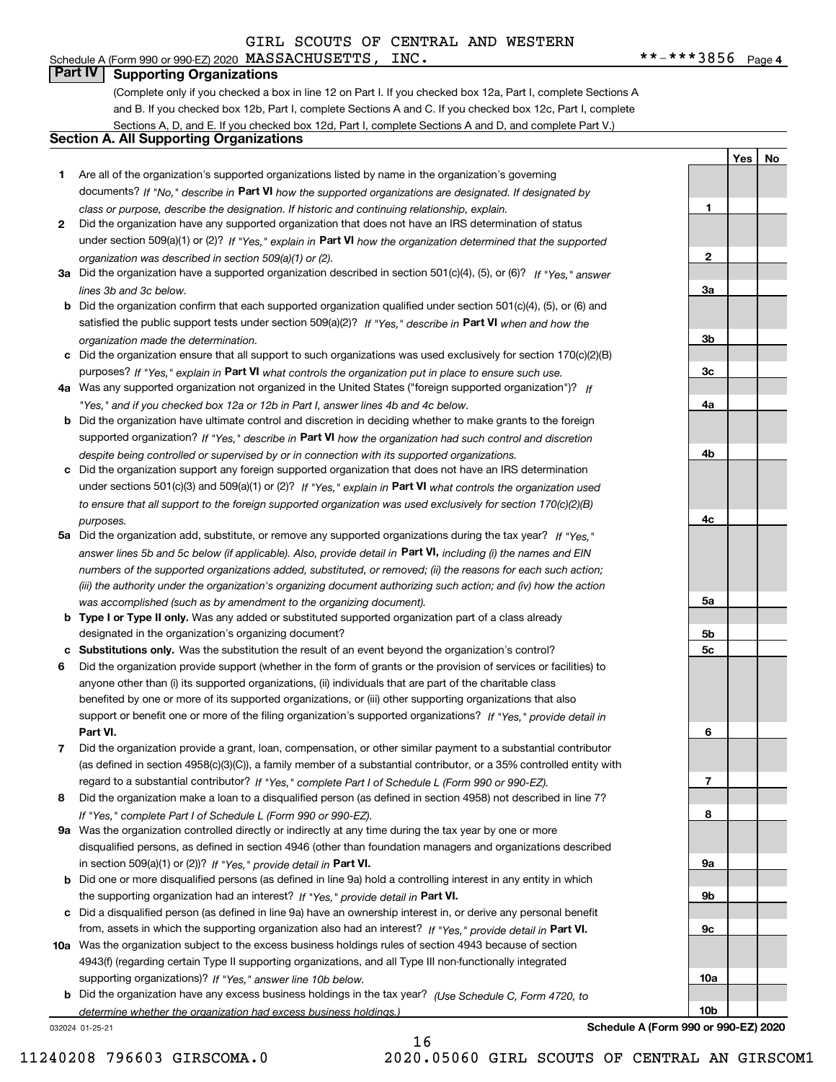# **Part IV Supporting Organizations**

(Complete only if you checked a box in line 12 on Part I. If you checked box 12a, Part I, complete Sections A and B. If you checked box 12b, Part I, complete Sections A and C. If you checked box 12c, Part I, complete Sections A, D, and E. If you checked box 12d, Part I, complete Sections A and D, and complete Part V.)

#### **Section A. All Supporting Organizations**

- **1** Are all of the organization's supported organizations listed by name in the organization's governing documents? If "No," describe in **Part VI** how the supported organizations are designated. If designated by *class or purpose, describe the designation. If historic and continuing relationship, explain.*
- **2** Did the organization have any supported organization that does not have an IRS determination of status under section 509(a)(1) or (2)? If "Yes," explain in Part VI how the organization determined that the supported *organization was described in section 509(a)(1) or (2).*
- **3a** Did the organization have a supported organization described in section 501(c)(4), (5), or (6)? If "Yes," answer *lines 3b and 3c below.*
- **b** Did the organization confirm that each supported organization qualified under section 501(c)(4), (5), or (6) and satisfied the public support tests under section 509(a)(2)? If "Yes," describe in **Part VI** when and how the *organization made the determination.*
- **c**Did the organization ensure that all support to such organizations was used exclusively for section 170(c)(2)(B) purposes? If "Yes," explain in **Part VI** what controls the organization put in place to ensure such use.
- **4a***If* Was any supported organization not organized in the United States ("foreign supported organization")? *"Yes," and if you checked box 12a or 12b in Part I, answer lines 4b and 4c below.*
- **b** Did the organization have ultimate control and discretion in deciding whether to make grants to the foreign supported organization? If "Yes," describe in **Part VI** how the organization had such control and discretion *despite being controlled or supervised by or in connection with its supported organizations.*
- **c** Did the organization support any foreign supported organization that does not have an IRS determination under sections 501(c)(3) and 509(a)(1) or (2)? If "Yes," explain in **Part VI** what controls the organization used *to ensure that all support to the foreign supported organization was used exclusively for section 170(c)(2)(B) purposes.*
- **5a** Did the organization add, substitute, or remove any supported organizations during the tax year? If "Yes," answer lines 5b and 5c below (if applicable). Also, provide detail in **Part VI,** including (i) the names and EIN *numbers of the supported organizations added, substituted, or removed; (ii) the reasons for each such action; (iii) the authority under the organization's organizing document authorizing such action; and (iv) how the action was accomplished (such as by amendment to the organizing document).*
- **b** Type I or Type II only. Was any added or substituted supported organization part of a class already designated in the organization's organizing document?
- **cSubstitutions only.**  Was the substitution the result of an event beyond the organization's control?
- **6** Did the organization provide support (whether in the form of grants or the provision of services or facilities) to **Part VI.** *If "Yes," provide detail in* support or benefit one or more of the filing organization's supported organizations? anyone other than (i) its supported organizations, (ii) individuals that are part of the charitable class benefited by one or more of its supported organizations, or (iii) other supporting organizations that also
- **7**Did the organization provide a grant, loan, compensation, or other similar payment to a substantial contributor *If "Yes," complete Part I of Schedule L (Form 990 or 990-EZ).* regard to a substantial contributor? (as defined in section 4958(c)(3)(C)), a family member of a substantial contributor, or a 35% controlled entity with
- **8** Did the organization make a loan to a disqualified person (as defined in section 4958) not described in line 7? *If "Yes," complete Part I of Schedule L (Form 990 or 990-EZ).*
- **9a** Was the organization controlled directly or indirectly at any time during the tax year by one or more in section 509(a)(1) or (2))? If "Yes," *provide detail in* <code>Part VI.</code> disqualified persons, as defined in section 4946 (other than foundation managers and organizations described
- **b** Did one or more disqualified persons (as defined in line 9a) hold a controlling interest in any entity in which the supporting organization had an interest? If "Yes," provide detail in P**art VI**.
- **c**Did a disqualified person (as defined in line 9a) have an ownership interest in, or derive any personal benefit from, assets in which the supporting organization also had an interest? If "Yes," provide detail in P**art VI.**
- **10a** Was the organization subject to the excess business holdings rules of section 4943 because of section supporting organizations)? If "Yes," answer line 10b below. 4943(f) (regarding certain Type II supporting organizations, and all Type III non-functionally integrated
- **b** Did the organization have any excess business holdings in the tax year? (Use Schedule C, Form 4720, to *determine whether the organization had excess business holdings.)*

16

032024 01-25-21

**Schedule A (Form 990 or 990-EZ) 2020**

**4c5a 5b5c6789a 9b9c10a10b**

**1**

**2**

**3a**

**3b**

**3c**

**4a**

**4b**

**YesNo**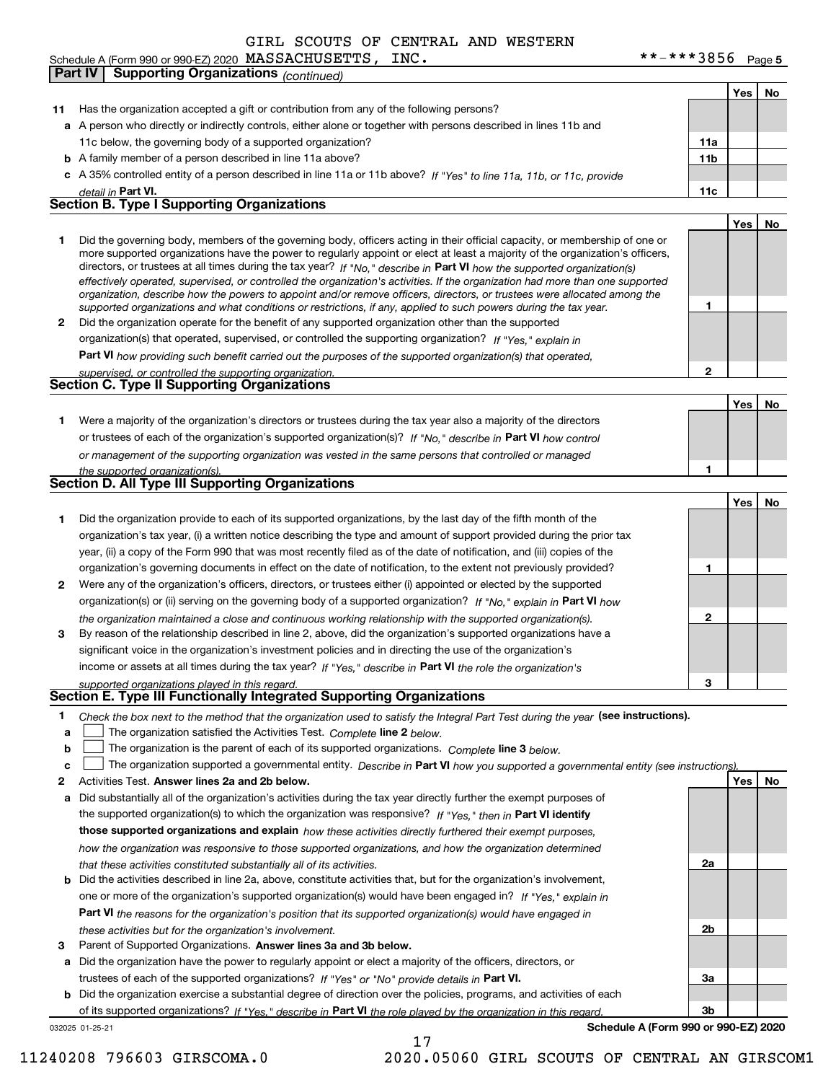Schedule A (Form 990 or 990-EZ) 2020 Page MASSACHUSETTS, INC. \*\*-\*\*\*3856 **Part IV Supporting Organizations** *(continued)*

11c below, the governing body of a supported organization?

**11** Has the organization accepted a gift or contribution from any of the following persons?

**a**A person who directly or indirectly controls, either alone or together with persons described in lines 11b and

032025 01-25-21 **b** A family member of a person described in line 11a above? **c** A 35% controlled entity of a person described in line 11a or 11b above? If "Yes" to line 11a, 11b, or 11c, provide **11bPart VI. 11c Yes No 12** Did the organization operate for the benefit of any supported organization other than the supported directors, or trustees at all times during the tax year? If "No," describe in **Part VI** how the supported organization(s) **12Part VI**  *how providing such benefit carried out the purposes of the supported organization(s) that operated,* **Yes No 1** Were a majority of the organization's directors or trustees during the tax year also a majority of the directors or trustees of each of the organization's supported organization(s)? If "No," describe in **Part VI** how control **1Yes No 1** Did the organization provide to each of its supported organizations, by the last day of the fifth month of the **2** Were any of the organization's officers, directors, or trustees either (i) appointed or elected by the supported **3123**organization(s) or (ii) serving on the governing body of a supported organization? If "No," explain in **Part VI** how income or assets at all times during the tax year? If "Yes," describe in **Part VI** the role the organization's **12Answer lines 2a and 2b below. Yes No** Activities Test. **3** Parent of Supported Organizations. Answer lines 3a and 3b below. Check the box next to the method that the organization used to satisfy the Integral Part Test during the year (see instructions). **abclinupy** The organization satisfied the Activities Test. Complete line 2 below. The organization is the parent of each of its supported organizations. *Complete* line 3 *below.* The organization supported a governmental entity. *Describe in* Part **VI** *how you supported a governmental entity (see instruction<u>s).</u>* **a** Did substantially all of the organization's activities during the tax year directly further the exempt purposes of **b** Did the activities described in line 2a, above, constitute activities that, but for the organization's involvement, **a** Did the organization have the power to regularly appoint or elect a majority of the officers, directors, or **b** Did the organization exercise a substantial degree of direction over the policies, programs, and activities of each the supported organization(s) to which the organization was responsive? If "Yes," then in **Part VI identify those supported organizations and explain**  *how these activities directly furthered their exempt purposes,* **2a 2b3a3bPart VI**  *the reasons for the organization's position that its supported organization(s) would have engaged in* trustees of each of the supported organizations? If "Yes" or "No" provide details in **Part VI.** of its supported organizations? If "Yes," describe in Part VI the role played by the organization in this regard. **Schedule A (Form 990 or 990-EZ) 2020** *detail in effectively operated, supervised, or controlled the organization's activities. If the organization had more than one supported organization, describe how the powers to appoint and/or remove officers, directors, or trustees were allocated among the supported organizations and what conditions or restrictions, if any, applied to such powers during the tax year. If "Yes," explain in* organization(s) that operated, supervised, or controlled the supporting organization? *supervised, or controlled the supporting organization. or management of the supporting organization was vested in the same persons that controlled or managed the supported organization(s). the organization maintained a close and continuous working relationship with the supported organization(s). supported organizations played in this regard. how the organization was responsive to those supported organizations, and how the organization determined that these activities constituted substantially all of its activities.* one or more of the organization's supported organization(s) would have been engaged in? If "Yes," e*xplain in these activities but for the organization's involvement.* Did the governing body, members of the governing body, officers acting in their official capacity, or membership of one or more supported organizations have the power to regularly appoint or elect at least a majority of the organization's officers, organization's tax year, (i) a written notice describing the type and amount of support provided during the prior tax year, (ii) a copy of the Form 990 that was most recently filed as of the date of notification, and (iii) copies of the organization's governing documents in effect on the date of notification, to the extent not previously provided? By reason of the relationship described in line 2, above, did the organization's supported organizations have a significant voice in the organization's investment policies and in directing the use of the organization's **Section B. Type I Supporting Organizations Section C. Type II Supporting Organizations Section D. All Type III Supporting Organizations Section E. Type III Functionally Integrated Supporting Organizations**  $\mathcal{L}^{\text{max}}$  $\mathcal{L}^{\text{max}}$ 17 11240208 796603 GIRSCOMA.0 2020.05060 GIRL SCOUTS OF CENTRAL AN GIRSCOM1

**11a**

**Yes**

**No**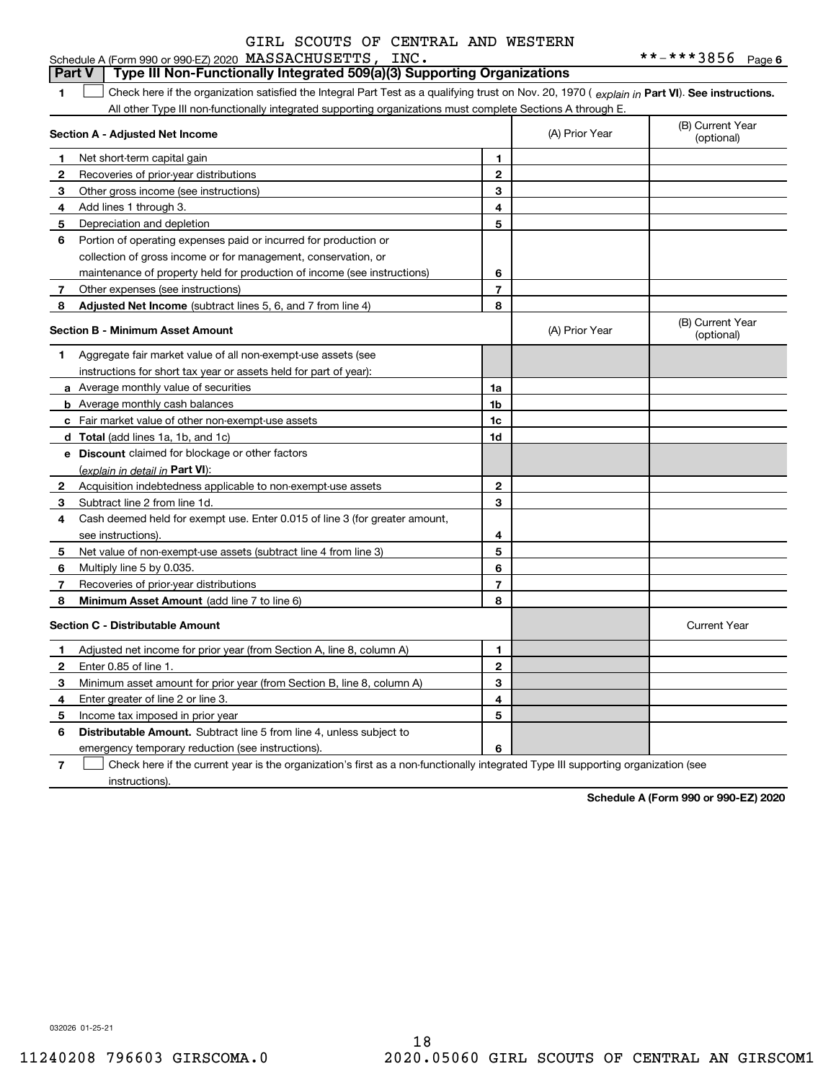#### **1Part VI** Check here if the organization satisfied the Integral Part Test as a qualifying trust on Nov. 20, 1970 ( explain in Part **VI**). See instructions. **Section A - Adjusted Net Income 123** Other gross income (see instructions) **456** Portion of operating expenses paid or incurred for production or **7** Other expenses (see instructions) **8** Adjusted Net Income (subtract lines 5, 6, and 7 from line 4) **8 8 1234567Section B - Minimum Asset Amount 1**Aggregate fair market value of all non-exempt-use assets (see **2**Acquisition indebtedness applicable to non-exempt-use assets **3** Subtract line 2 from line 1d. **4**Cash deemed held for exempt use. Enter 0.015 of line 3 (for greater amount, **5** Net value of non-exempt-use assets (subtract line 4 from line 3) **678a** Average monthly value of securities **b** Average monthly cash balances **c**Fair market value of other non-exempt-use assets **dTotal**  (add lines 1a, 1b, and 1c) **eDiscount** claimed for blockage or other factors **1a1b1c1d2345678**(explain in detail in Part VI): **Minimum Asset Amount**  (add line 7 to line 6) **Section C - Distributable Amount 12**Enter 0.85 of line 1. **345612345Distributable Amount.** Subtract line 5 from line 4, unless subject to Schedule A (Form 990 or 990-EZ) 2020 Page MASSACHUSETTS, INC. \*\*-\*\*\*3856 All other Type III non-functionally integrated supporting organizations must complete Sections A through E. (B) Current Year (optional)(A) Prior Year Net short-term capital gain Recoveries of prior-year distributions Add lines 1 through 3. Depreciation and depletion collection of gross income or for management, conservation, or maintenance of property held for production of income (see instructions) (B) Current Year (optional)(A) Prior Year instructions for short tax year or assets held for part of year): see instructions). Multiply line 5 by 0.035. Recoveries of prior-year distributions Current Year Adjusted net income for prior year (from Section A, line 8, column A) Minimum asset amount for prior year (from Section B, line 8, column A) Enter greater of line 2 or line 3. Income tax imposed in prior year **Part V Type III Non-Functionally Integrated 509(a)(3) Supporting Organizations**   $\mathcal{L}^{\text{max}}$

emergency temporary reduction (see instructions).

**7**Check here if the current year is the organization's first as a non-functionally integrated Type III supporting organization (see instructions). $\mathcal{L}^{\text{max}}$ 

**6**

**Schedule A (Form 990 or 990-EZ) 2020**

032026 01-25-21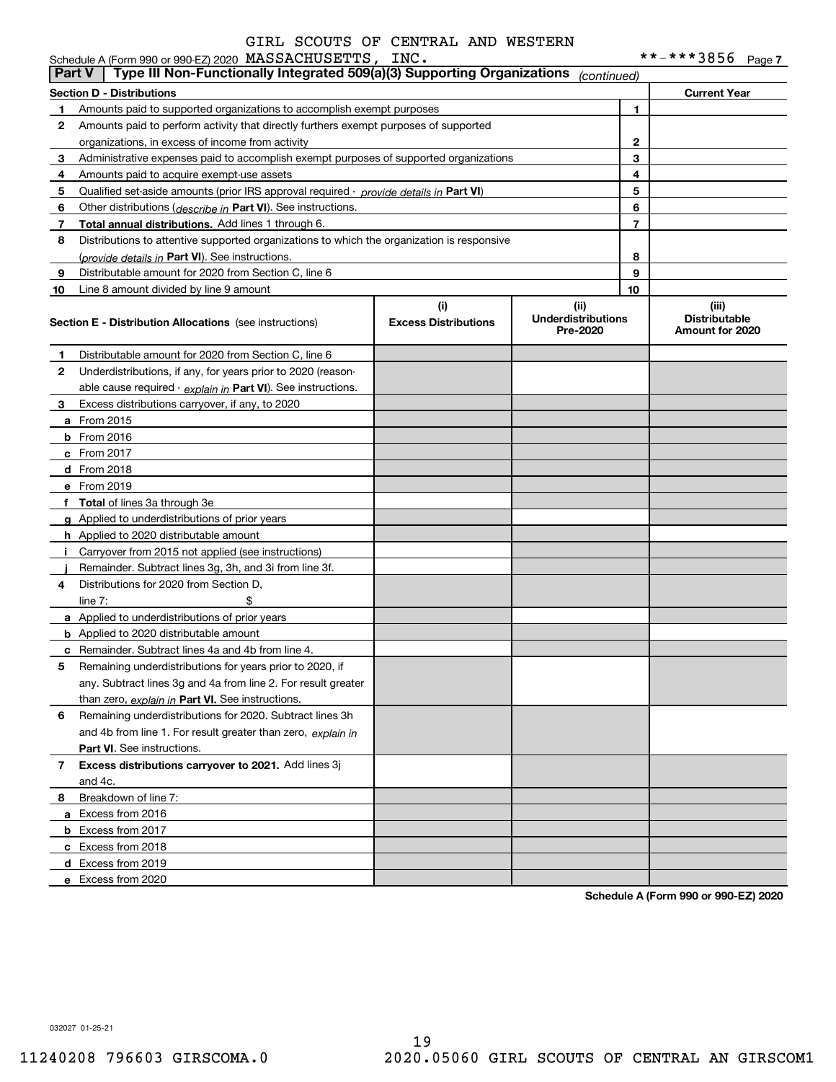|               | Schedule A (Form 990 or 990-EZ) 2020 MASSACHUSETTS, INC.                                   |                                    |                                               |    | **-***3856<br>Page 7                             |
|---------------|--------------------------------------------------------------------------------------------|------------------------------------|-----------------------------------------------|----|--------------------------------------------------|
| <b>Part V</b> | Type III Non-Functionally Integrated 509(a)(3) Supporting Organizations                    |                                    | (continued)                                   |    |                                                  |
|               | <b>Section D - Distributions</b>                                                           |                                    |                                               |    | <b>Current Year</b>                              |
| $\mathbf 1$   | Amounts paid to supported organizations to accomplish exempt purposes                      |                                    |                                               | 1  |                                                  |
| 2             | Amounts paid to perform activity that directly furthers exempt purposes of supported       |                                    |                                               |    |                                                  |
|               | organizations, in excess of income from activity                                           |                                    |                                               | 2  |                                                  |
| 3             | Administrative expenses paid to accomplish exempt purposes of supported organizations      |                                    |                                               | 3  |                                                  |
| 4             | Amounts paid to acquire exempt-use assets                                                  |                                    |                                               | 4  |                                                  |
| 5             | Qualified set-aside amounts (prior IRS approval required - provide details in Part VI)     |                                    |                                               | 5  |                                                  |
| 6             | Other distributions ( <i>describe in</i> Part VI). See instructions.                       |                                    |                                               | 6  |                                                  |
| 7             | Total annual distributions. Add lines 1 through 6.                                         |                                    |                                               | 7  |                                                  |
| 8             | Distributions to attentive supported organizations to which the organization is responsive |                                    |                                               |    |                                                  |
|               | (provide details in Part VI). See instructions.                                            |                                    |                                               | 8  |                                                  |
| 9             | Distributable amount for 2020 from Section C, line 6                                       |                                    |                                               | 9  |                                                  |
| 10            | Line 8 amount divided by line 9 amount                                                     |                                    |                                               | 10 |                                                  |
|               | <b>Section E - Distribution Allocations</b> (see instructions)                             | (i)<br><b>Excess Distributions</b> | (ii)<br><b>Underdistributions</b><br>Pre-2020 |    | (iii)<br><b>Distributable</b><br>Amount for 2020 |
| 1             | Distributable amount for 2020 from Section C, line 6                                       |                                    |                                               |    |                                                  |
| 2             | Underdistributions, if any, for years prior to 2020 (reason-                               |                                    |                                               |    |                                                  |
|               | able cause required - explain in Part VI). See instructions.                               |                                    |                                               |    |                                                  |
| 3             | Excess distributions carryover, if any, to 2020                                            |                                    |                                               |    |                                                  |
|               | <b>a</b> From 2015                                                                         |                                    |                                               |    |                                                  |
|               | <b>b</b> From 2016                                                                         |                                    |                                               |    |                                                  |
|               | c From 2017                                                                                |                                    |                                               |    |                                                  |
|               | d From 2018                                                                                |                                    |                                               |    |                                                  |
|               | e From 2019                                                                                |                                    |                                               |    |                                                  |
|               | f Total of lines 3a through 3e                                                             |                                    |                                               |    |                                                  |
|               | g Applied to underdistributions of prior years                                             |                                    |                                               |    |                                                  |
|               | <b>h</b> Applied to 2020 distributable amount                                              |                                    |                                               |    |                                                  |
|               | i Carryover from 2015 not applied (see instructions)                                       |                                    |                                               |    |                                                  |
|               | Remainder. Subtract lines 3g, 3h, and 3i from line 3f.                                     |                                    |                                               |    |                                                  |
| 4             | Distributions for 2020 from Section D,                                                     |                                    |                                               |    |                                                  |
|               | \$<br>line $7:$                                                                            |                                    |                                               |    |                                                  |
|               | a Applied to underdistributions of prior years                                             |                                    |                                               |    |                                                  |
|               | <b>b</b> Applied to 2020 distributable amount                                              |                                    |                                               |    |                                                  |
|               | <b>c</b> Remainder. Subtract lines 4a and 4b from line 4.                                  |                                    |                                               |    |                                                  |
| 5             | Remaining underdistributions for years prior to 2020, if                                   |                                    |                                               |    |                                                  |
|               | any. Subtract lines 3g and 4a from line 2. For result greater                              |                                    |                                               |    |                                                  |
|               | than zero, explain in Part VI. See instructions.                                           |                                    |                                               |    |                                                  |
| 6             | Remaining underdistributions for 2020. Subtract lines 3h                                   |                                    |                                               |    |                                                  |
|               | and 4b from line 1. For result greater than zero, explain in                               |                                    |                                               |    |                                                  |
|               | Part VI. See instructions.                                                                 |                                    |                                               |    |                                                  |
| 7             | Excess distributions carryover to 2021. Add lines 3j                                       |                                    |                                               |    |                                                  |
|               | and 4c.                                                                                    |                                    |                                               |    |                                                  |
| 8             | Breakdown of line 7:                                                                       |                                    |                                               |    |                                                  |
|               | a Excess from 2016                                                                         |                                    |                                               |    |                                                  |
|               | <b>b</b> Excess from 2017                                                                  |                                    |                                               |    |                                                  |
|               | c Excess from 2018                                                                         |                                    |                                               |    |                                                  |
|               | d Excess from 2019                                                                         |                                    |                                               |    |                                                  |
|               | e Excess from 2020                                                                         |                                    |                                               |    |                                                  |
|               |                                                                                            |                                    |                                               |    |                                                  |

**Schedule A (Form 990 or 990-EZ) 2020**

032027 01-25-21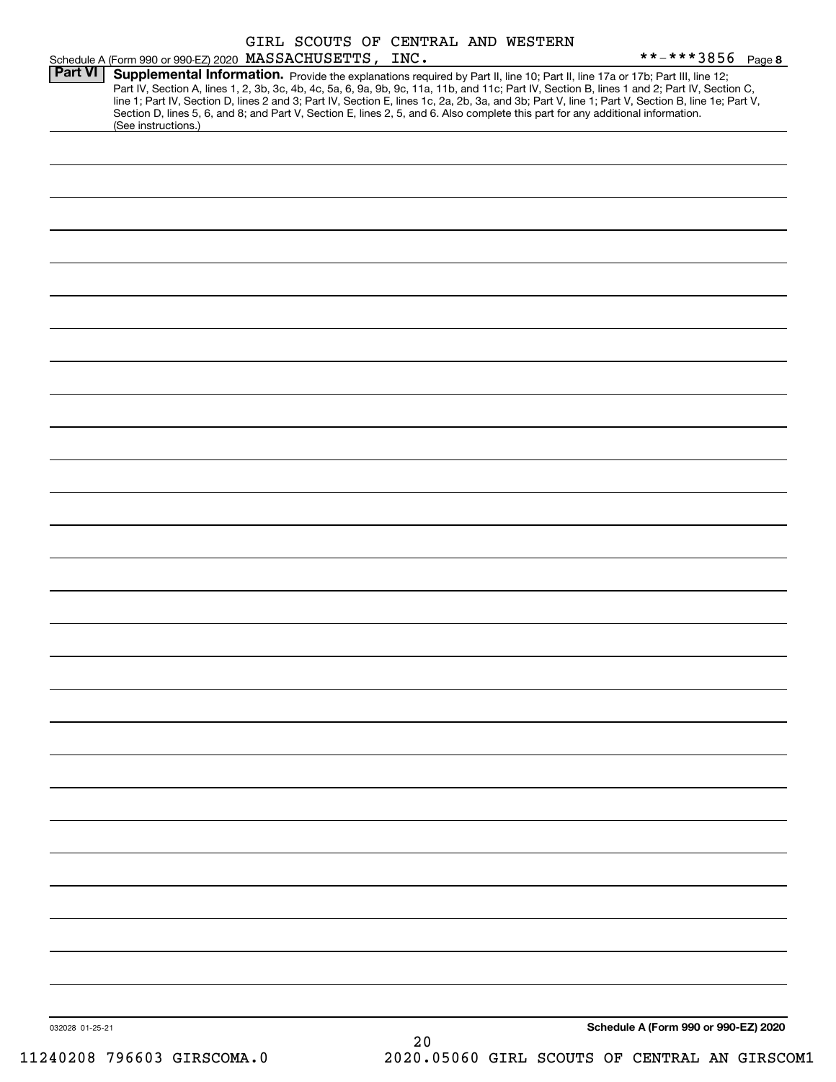|                 | Schedule A (Form 990 or 990-EZ) 2020 MASSACHUSETTS, INC.                                                                                               |  |    | GIRL SCOUTS OF CENTRAL AND WESTERN | **-***3856 Page 8                                                                                                                                                                                                                                                                                                                                                                                                                 |
|-----------------|--------------------------------------------------------------------------------------------------------------------------------------------------------|--|----|------------------------------------|-----------------------------------------------------------------------------------------------------------------------------------------------------------------------------------------------------------------------------------------------------------------------------------------------------------------------------------------------------------------------------------------------------------------------------------|
| <b>Part VI</b>  | Section D, lines 5, 6, and 8; and Part V, Section E, lines 2, 5, and 6. Also complete this part for any additional information.<br>(See instructions.) |  |    |                                    | Supplemental Information. Provide the explanations required by Part II, line 10; Part II, line 17a or 17b; Part III, line 12;<br>Part IV, Section A, lines 1, 2, 3b, 3c, 4b, 4c, 5a, 6, 9a, 9b, 9c, 11a, 11b, and 11c; Part IV, Section B, lines 1 and 2; Part IV, Section C,<br>line 1; Part IV, Section D, lines 2 and 3; Part IV, Section E, lines 1c, 2a, 2b, 3a, and 3b; Part V, line 1; Part V, Section B, line 1e; Part V, |
|                 |                                                                                                                                                        |  |    |                                    |                                                                                                                                                                                                                                                                                                                                                                                                                                   |
|                 |                                                                                                                                                        |  |    |                                    |                                                                                                                                                                                                                                                                                                                                                                                                                                   |
|                 |                                                                                                                                                        |  |    |                                    |                                                                                                                                                                                                                                                                                                                                                                                                                                   |
|                 |                                                                                                                                                        |  |    |                                    |                                                                                                                                                                                                                                                                                                                                                                                                                                   |
|                 |                                                                                                                                                        |  |    |                                    |                                                                                                                                                                                                                                                                                                                                                                                                                                   |
|                 |                                                                                                                                                        |  |    |                                    |                                                                                                                                                                                                                                                                                                                                                                                                                                   |
|                 |                                                                                                                                                        |  |    |                                    |                                                                                                                                                                                                                                                                                                                                                                                                                                   |
|                 |                                                                                                                                                        |  |    |                                    |                                                                                                                                                                                                                                                                                                                                                                                                                                   |
|                 |                                                                                                                                                        |  |    |                                    |                                                                                                                                                                                                                                                                                                                                                                                                                                   |
|                 |                                                                                                                                                        |  |    |                                    |                                                                                                                                                                                                                                                                                                                                                                                                                                   |
|                 |                                                                                                                                                        |  |    |                                    |                                                                                                                                                                                                                                                                                                                                                                                                                                   |
|                 |                                                                                                                                                        |  |    |                                    |                                                                                                                                                                                                                                                                                                                                                                                                                                   |
|                 |                                                                                                                                                        |  |    |                                    |                                                                                                                                                                                                                                                                                                                                                                                                                                   |
|                 |                                                                                                                                                        |  |    |                                    |                                                                                                                                                                                                                                                                                                                                                                                                                                   |
|                 |                                                                                                                                                        |  |    |                                    |                                                                                                                                                                                                                                                                                                                                                                                                                                   |
|                 |                                                                                                                                                        |  |    |                                    |                                                                                                                                                                                                                                                                                                                                                                                                                                   |
|                 |                                                                                                                                                        |  |    |                                    |                                                                                                                                                                                                                                                                                                                                                                                                                                   |
|                 |                                                                                                                                                        |  |    |                                    |                                                                                                                                                                                                                                                                                                                                                                                                                                   |
|                 |                                                                                                                                                        |  |    |                                    |                                                                                                                                                                                                                                                                                                                                                                                                                                   |
|                 |                                                                                                                                                        |  |    |                                    |                                                                                                                                                                                                                                                                                                                                                                                                                                   |
|                 |                                                                                                                                                        |  |    |                                    |                                                                                                                                                                                                                                                                                                                                                                                                                                   |
| 032028 01-25-21 |                                                                                                                                                        |  | 20 |                                    | Schedule A (Form 990 or 990-EZ) 2020                                                                                                                                                                                                                                                                                                                                                                                              |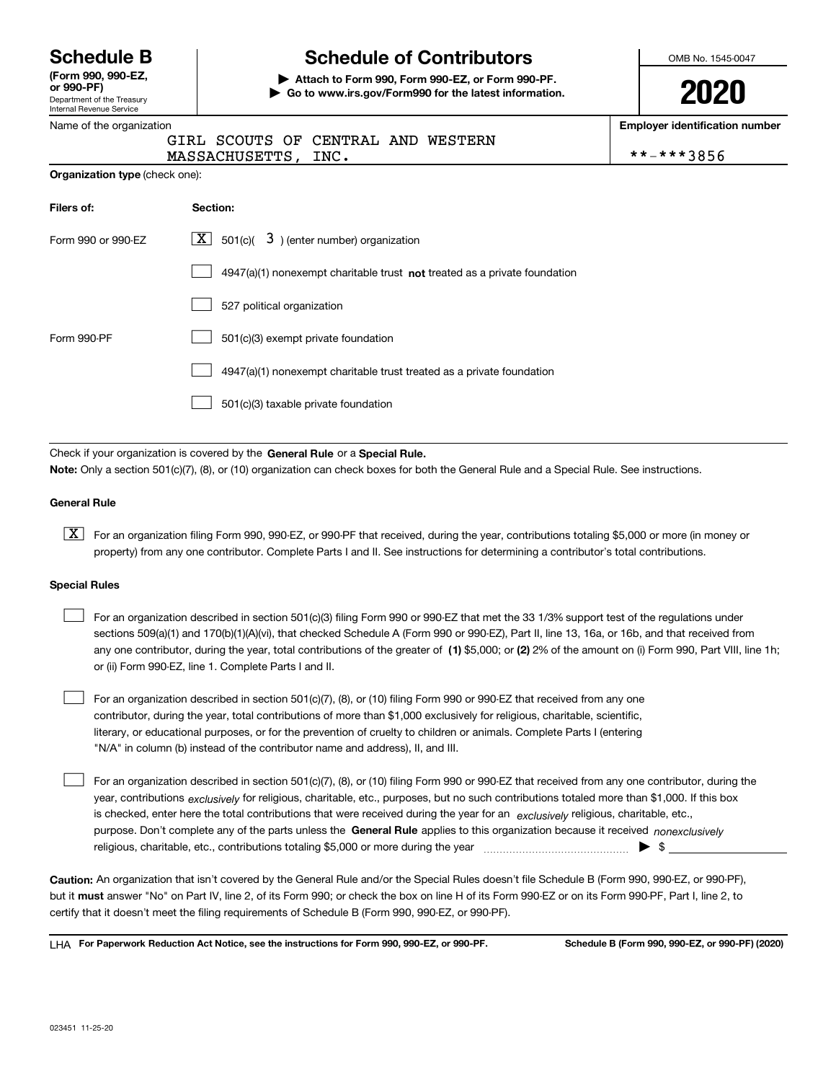Department of the Treasury Internal Revenue Service **(Form 990, 990-EZ, or 990-PF)**

# **Schedule B Schedule of Contributors**

**| Attach to Form 990, Form 990-EZ, or Form 990-PF. | Go to www.irs.gov/Form990 for the latest information.** OMB No. 1545-0047

| Name of the organization              | <b>Employer identification number</b>                                     |            |
|---------------------------------------|---------------------------------------------------------------------------|------------|
|                                       | GIRL SCOUTS OF CENTRAL AND WESTERN<br>MASSACHUSETTS, INC.                 | **-***3856 |
| <b>Organization type (check one):</b> |                                                                           |            |
| Filers of:                            | Section:                                                                  |            |
| Form 990 or 990-EZ                    | $\lfloor x \rfloor$ 501(c)( 3) (enter number) organization                |            |
|                                       | 4947(a)(1) nonexempt charitable trust not treated as a private foundation |            |
|                                       | 527 political organization                                                |            |
| Form 990-PF                           | 501(c)(3) exempt private foundation                                       |            |
|                                       | 4947(a)(1) nonexempt charitable trust treated as a private foundation     |            |
|                                       | 501(c)(3) taxable private foundation                                      |            |
|                                       |                                                                           |            |

Check if your organization is covered by the **General Rule** or a **Special Rule. Note:**  Only a section 501(c)(7), (8), or (10) organization can check boxes for both the General Rule and a Special Rule. See instructions.

#### **General Rule**

 $\boxed{\textbf{X}}$  For an organization filing Form 990, 990-EZ, or 990-PF that received, during the year, contributions totaling \$5,000 or more (in money or property) from any one contributor. Complete Parts I and II. See instructions for determining a contributor's total contributions.

#### **Special Rules**

| For an organization described in section 501(c)(3) filing Form 990 or 990-EZ that met the 33 1/3% support test of the regulations under               |
|-------------------------------------------------------------------------------------------------------------------------------------------------------|
| sections 509(a)(1) and 170(b)(1)(A)(vi), that checked Schedule A (Form 990 or 990-EZ), Part II, line 13, 16a, or 16b, and that received from          |
| any one contributor, during the year, total contributions of the greater of (1) \$5,000; or (2) 2% of the amount on (i) Form 990, Part VIII, line 1h; |
| or (ii) Form 990-EZ, line 1. Complete Parts I and II.                                                                                                 |

For an organization described in section 501(c)(7), (8), or (10) filing Form 990 or 990-EZ that received from any one contributor, during the year, total contributions of more than \$1,000 exclusively for religious, charitable, scientific, literary, or educational purposes, or for the prevention of cruelty to children or animals. Complete Parts I (entering "N/A" in column (b) instead of the contributor name and address), II, and III.  $\mathcal{L}^{\text{max}}$ 

purpose. Don't complete any of the parts unless the **General Rule** applies to this organization because it received *nonexclusively* year, contributions <sub>exclusively</sub> for religious, charitable, etc., purposes, but no such contributions totaled more than \$1,000. If this box is checked, enter here the total contributions that were received during the year for an  $\;$ exclusively religious, charitable, etc., For an organization described in section 501(c)(7), (8), or (10) filing Form 990 or 990-EZ that received from any one contributor, during the religious, charitable, etc., contributions totaling \$5,000 or more during the year  $\Box$ — $\Box$   $\Box$  $\mathcal{L}^{\text{max}}$ 

**Caution:**  An organization that isn't covered by the General Rule and/or the Special Rules doesn't file Schedule B (Form 990, 990-EZ, or 990-PF),  **must** but it answer "No" on Part IV, line 2, of its Form 990; or check the box on line H of its Form 990-EZ or on its Form 990-PF, Part I, line 2, to certify that it doesn't meet the filing requirements of Schedule B (Form 990, 990-EZ, or 990-PF).

**For Paperwork Reduction Act Notice, see the instructions for Form 990, 990-EZ, or 990-PF. Schedule B (Form 990, 990-EZ, or 990-PF) (2020)** LHA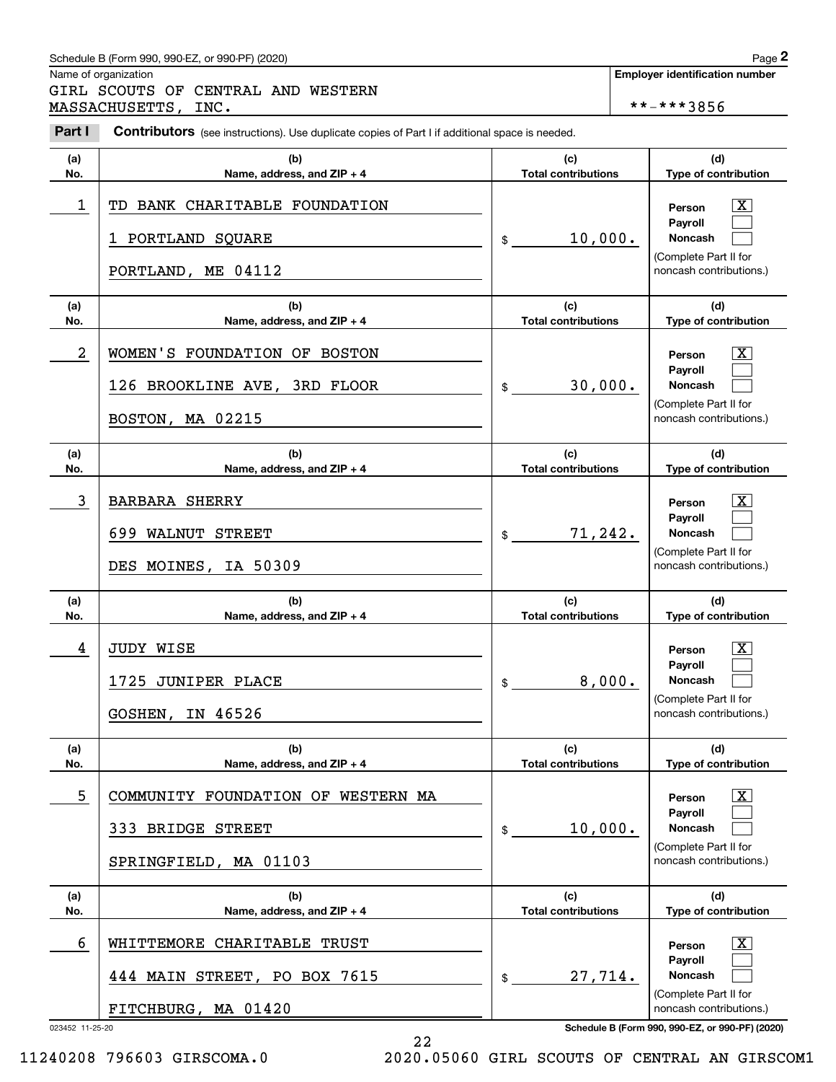### Schedule B (Form 990, 990-EZ, or 990-PF) (2020) **Page 2** Page 2

Name of organization

Chedule B (Form 990, 990-EZ, or 990-PF) (2020)<br> **2Page 2**<br> **2Part I 2PCOUTS OF CENTRAL AND WESTERN**<br> **2Part I Contributors** (see instructions). Use duplicate copies of Part I if additional space is needed.<br> **2Part I** GIRL SCOUTS OF CENTRAL AND WESTERN MASSACHUSETTS, INC.  $****3856$ 

Contributors (see instructions). Use duplicate copies of Part I if additional space is needed.

| (a)                  | (b)                                                                                    | (c)                        | (d)                                                                                                                                             |
|----------------------|----------------------------------------------------------------------------------------|----------------------------|-------------------------------------------------------------------------------------------------------------------------------------------------|
| No.                  | Name, address, and ZIP + 4                                                             | <b>Total contributions</b> | Type of contribution                                                                                                                            |
| 1                    | BANK CHARITABLE FOUNDATION<br>TD<br>1 PORTLAND SQUARE<br>PORTLAND, ME 04112            | 10,000.<br>\$              | $\overline{\text{X}}$<br>Person<br>Payroll<br><b>Noncash</b><br>(Complete Part II for<br>noncash contributions.)                                |
| (a)                  | (b)                                                                                    | (c)                        | (d)                                                                                                                                             |
| No.                  | Name, address, and ZIP + 4                                                             | <b>Total contributions</b> | Type of contribution                                                                                                                            |
| $\overline{a}$       | WOMEN'S FOUNDATION OF BOSTON<br>126 BROOKLINE AVE, 3RD FLOOR<br>BOSTON, MA 02215       | 30,000.<br>\$              | $\overline{\text{X}}$<br>Person<br>Payroll<br><b>Noncash</b><br>(Complete Part II for<br>noncash contributions.)                                |
| (a)                  | (b)                                                                                    | (c)                        | (d)                                                                                                                                             |
| No.                  | Name, address, and ZIP + 4                                                             | <b>Total contributions</b> | Type of contribution                                                                                                                            |
| 3                    | <b>BARBARA SHERRY</b><br>699<br><b>WALNUT</b><br><b>STREET</b><br>DES MOINES, IA 50309 | 71,242.<br>\$              | $\overline{\text{X}}$<br>Person<br>Payroll<br><b>Noncash</b><br>(Complete Part II for<br>noncash contributions.)                                |
| (a)                  | (b)                                                                                    | (c)                        | (d)                                                                                                                                             |
| No.                  | Name, address, and ZIP + 4                                                             | <b>Total contributions</b> | Type of contribution                                                                                                                            |
| 4                    | <b>JUDY WISE</b><br>1725 JUNIPER PLACE<br>GOSHEN, IN 46526                             | 8,000.<br>\$               | x<br>Person<br>Payroll<br><b>Noncash</b><br>(Complete Part II for<br>noncash contributions.)                                                    |
| (a)                  | (b)                                                                                    | (c)                        | (d)                                                                                                                                             |
| No.                  | Name, address, and ZIP + 4                                                             | <b>Total contributions</b> | Type of contribution                                                                                                                            |
| 5                    | COMMUNITY FOUNDATION OF WESTERN MA<br>333 BRIDGE STREET<br>SPRINGFIELD, MA 01103       | 10,000.<br>\$              | x<br>Person<br><b>Payroll</b><br><b>Noncash</b><br>(Complete Part II for<br>noncash contributions.)                                             |
| (a)                  | (b)                                                                                    | (c)                        | (d)                                                                                                                                             |
| No.                  | Name, address, and $ZIP + 4$                                                           | <b>Total contributions</b> | Type of contribution                                                                                                                            |
| 6<br>023452 11-25-20 | WHITTEMORE CHARITABLE TRUST<br>444 MAIN STREET, PO BOX 7615<br>FITCHBURG, MA 01420     | 27,714.<br>\$              | x<br>Person<br><b>Payroll</b><br>Noncash<br>(Complete Part II for<br>noncash contributions.)<br>Schedule B (Form 990, 990-EZ, or 990-PF) (2020) |

22

11240208 796603 GIRSCOMA.0 2020.05060 GIRL SCOUTS OF CENTRAL AN GIRSCOM1

**Employer identification number**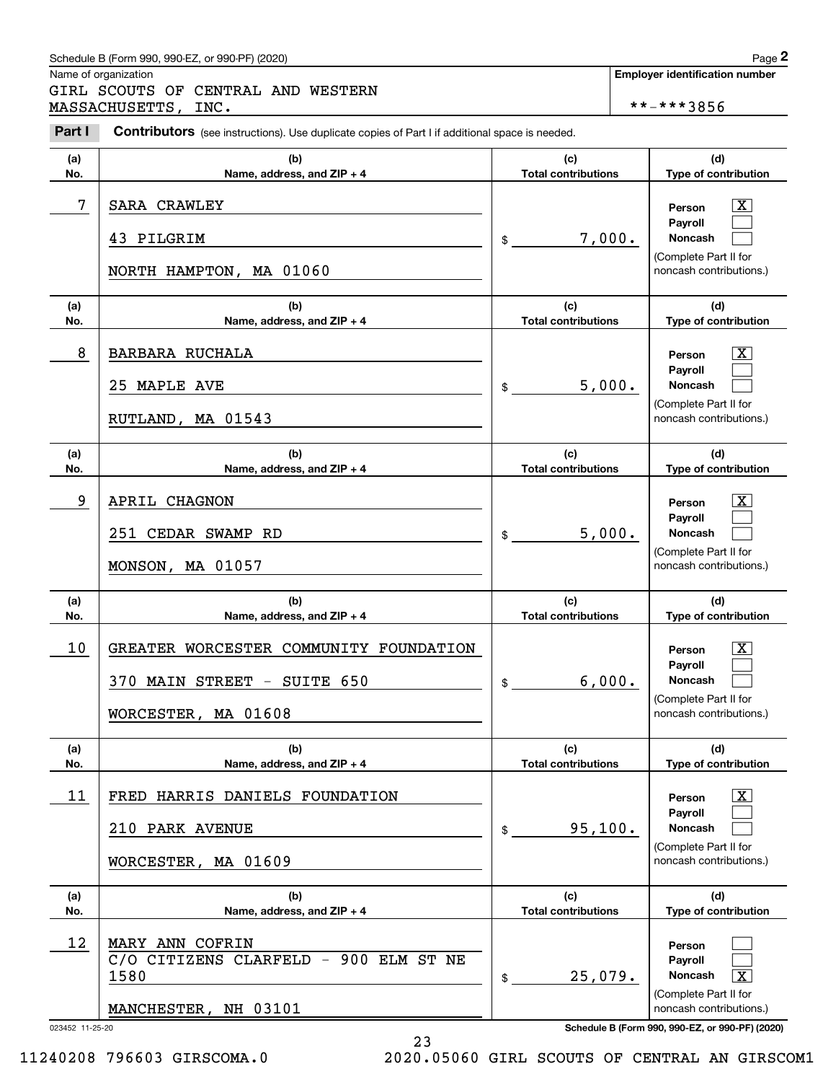### Schedule B (Form 990, 990-EZ, or 990-PF) (2020) Page 2

|                 | Schedule B (Form 990, 990-EZ, or 990-PF) (2020)                                                       |                                   | Page 2                                                                     |
|-----------------|-------------------------------------------------------------------------------------------------------|-----------------------------------|----------------------------------------------------------------------------|
|                 | Name of organization<br>GIRL SCOUTS OF CENTRAL AND WESTERN                                            |                                   | <b>Employer identification number</b>                                      |
|                 | MASSACHUSETTS, INC.                                                                                   |                                   | **-***3856                                                                 |
| Part I          | <b>Contributors</b> (see instructions). Use duplicate copies of Part I if additional space is needed. |                                   |                                                                            |
| (a)             | (b)                                                                                                   | (c)                               | (d)                                                                        |
| No.             | Name, address, and ZIP + 4                                                                            | <b>Total contributions</b>        | Type of contribution                                                       |
| 7               | <b>SARA CRAWLEY</b>                                                                                   |                                   | $\mathbf{X}$<br>Person                                                     |
|                 | 43 PILGRIM                                                                                            | 7,000.<br>\$                      | Payroll<br>Noncash                                                         |
|                 | NORTH HAMPTON, MA 01060                                                                               |                                   | (Complete Part II for<br>noncash contributions.)                           |
| (a)<br>No.      | (b)<br>Name, address, and ZIP + 4                                                                     | (c)<br><b>Total contributions</b> | (d)<br>Type of contribution                                                |
|                 |                                                                                                       |                                   |                                                                            |
| 8               | <b>BARBARA RUCHALA</b>                                                                                |                                   | $\mathbf{X}$<br>Person<br>Payroll                                          |
|                 | 25 MAPLE AVE                                                                                          | 5,000.<br>\$                      | Noncash                                                                    |
|                 | RUTLAND, MA 01543                                                                                     |                                   | (Complete Part II for<br>noncash contributions.)                           |
| (a)             | (b)                                                                                                   | (c)                               | (d)                                                                        |
| No.             | Name, address, and ZIP + 4                                                                            | <b>Total contributions</b>        | Type of contribution                                                       |
| 9               | APRIL CHAGNON                                                                                         |                                   | X<br>Person                                                                |
|                 | 251 CEDAR SWAMP RD                                                                                    | 5,000.                            | Payroll<br>Noncash                                                         |
|                 |                                                                                                       | \$                                | (Complete Part II for                                                      |
|                 | MONSON, MA 01057                                                                                      |                                   | noncash contributions.)                                                    |
| (a)             | (b)                                                                                                   | (c)                               | (d)                                                                        |
| No.             | Name, address, and ZIP + 4                                                                            | <b>Total contributions</b>        | Type of contribution                                                       |
| 10              | GREATER WORCESTER COMMUNITY FOUNDATION                                                                |                                   | $\mathbf{X}$<br>Person                                                     |
|                 | 370 MAIN STREET - SUITE 650                                                                           | 6,000.                            | Payroll<br>Noncash                                                         |
|                 |                                                                                                       | \$                                | (Complete Part II for                                                      |
|                 | WORCESTER, MA 01608                                                                                   |                                   | noncash contributions.)                                                    |
| (a)             | (b)                                                                                                   | (c)                               | (d)                                                                        |
| No.             | Name, address, and ZIP + 4                                                                            | <b>Total contributions</b>        | Type of contribution                                                       |
| 11              | FRED HARRIS DANIELS FOUNDATION                                                                        |                                   | $\mathbf{X}$<br>Person                                                     |
|                 | 210 PARK AVENUE                                                                                       | 95,100.<br>\$                     | Payroll<br>Noncash                                                         |
|                 |                                                                                                       |                                   | (Complete Part II for                                                      |
|                 | WORCESTER, MA 01609                                                                                   |                                   | noncash contributions.)                                                    |
| (a)             | (b)                                                                                                   | (c)                               | (d)                                                                        |
| No.             | Name, address, and ZIP + 4                                                                            | <b>Total contributions</b>        | Type of contribution                                                       |
| 12              | MARY ANN COFRIN                                                                                       |                                   | Person                                                                     |
|                 | C/O CITIZENS CLARFELD - 900 ELM ST NE<br>1580                                                         | 25,079.<br>\$                     | Payroll<br>Noncash<br>$\overline{\mathbf{x}}$                              |
|                 |                                                                                                       |                                   | (Complete Part II for                                                      |
| 023452 11-25-20 | MANCHESTER, NH 03101                                                                                  |                                   | noncash contributions.)<br>Schedule B (Form 990, 990-EZ, or 990-PF) (2020) |

<sup>23</sup>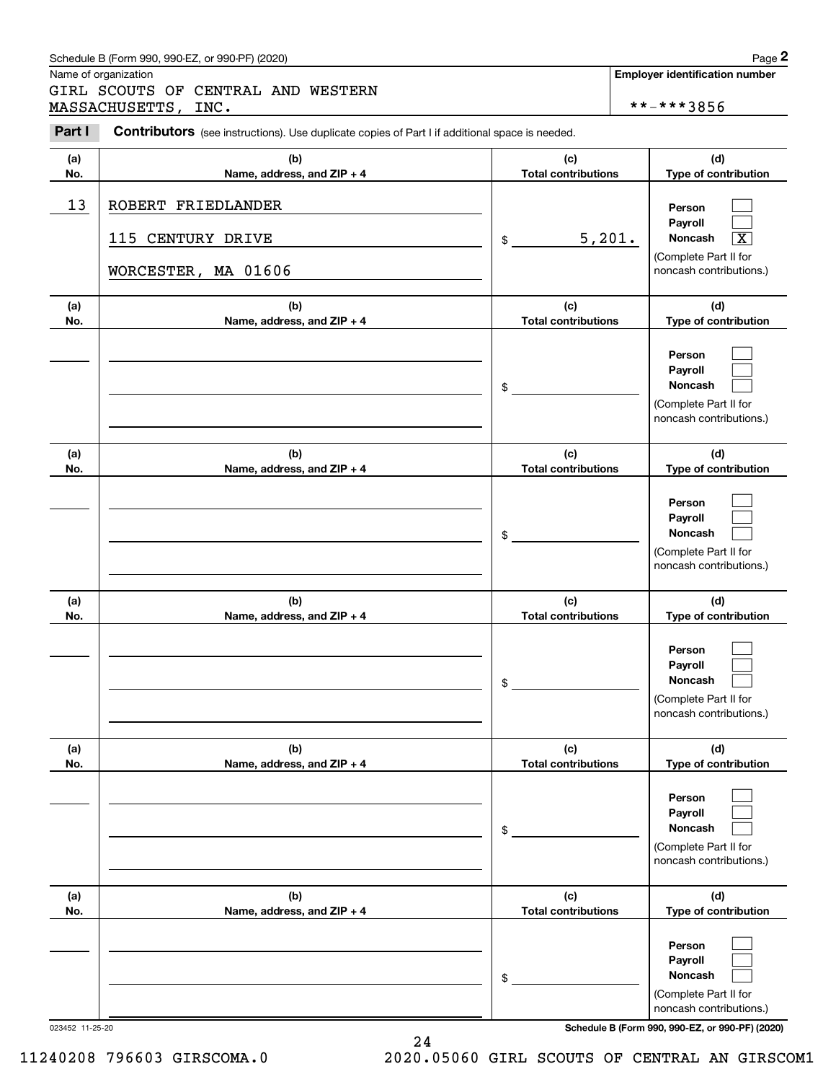### Schedule B (Form 990, 990-EZ, or 990-PF) (2020) **Page 2** Page 2

Name of organization

Chedule B (Form 990, 990-EZ, or 990-PF) (2020)<br> **2Page 2**<br> **2Part I 2PCOUTS OF CENTRAL AND WESTERN**<br> **2Part I Contributors** (see instructions). Use duplicate copies of Part I if additional space is needed.<br> **2Part I** GIRL SCOUTS OF CENTRAL AND WESTERN MASSACHUSETTS, INC.  $****3856$ 

Contributors (see instructions). Use duplicate copies of Part I if additional space is needed.

| 215 | חפ<br>o. |  |
|-----|----------|--|
|     |          |  |

| (a)<br>No.      | (b)<br>Name, address, and ZIP + 4                              | (c)<br><b>Total contributions</b> | (d)<br>Type of contribution                                                                                        |
|-----------------|----------------------------------------------------------------|-----------------------------------|--------------------------------------------------------------------------------------------------------------------|
| 13              | ROBERT FRIEDLANDER<br>115 CENTURY DRIVE<br>WORCESTER, MA 01606 | 5,201.<br>\$                      | Person<br>Pavroll<br><b>Noncash</b><br>$\overline{\texttt{X}}$<br>(Complete Part II for<br>noncash contributions.) |
| (a)<br>No.      | (b)<br>Name, address, and ZIP + 4                              | (c)<br><b>Total contributions</b> | (d)<br>Type of contribution                                                                                        |
|                 |                                                                | \$                                | Person<br>Payroll<br><b>Noncash</b><br>(Complete Part II for<br>noncash contributions.)                            |
| (a)<br>No.      | (b)<br>Name, address, and ZIP + 4                              | (c)<br><b>Total contributions</b> | (d)<br>Type of contribution                                                                                        |
|                 |                                                                | \$                                | Person<br>Payroll<br><b>Noncash</b><br>(Complete Part II for<br>noncash contributions.)                            |
| (a)<br>No.      | (b)<br>Name, address, and ZIP + 4                              | (c)<br><b>Total contributions</b> | (d)<br>Type of contribution                                                                                        |
|                 |                                                                | \$                                | Person<br>Payroll<br><b>Noncash</b><br>(Complete Part II for<br>noncash contributions.)                            |
| (a)<br>No.      | (b)<br>Name, address, and ZIP + 4                              | (c)<br><b>Total contributions</b> | (d)<br>Type of contribution                                                                                        |
|                 |                                                                | \$                                | Person<br>Payroll<br>Noncash<br>(Complete Part II for<br>noncash contributions.)                                   |
| (a)<br>No.      | (b)<br>Name, address, and ZIP + 4                              | (c)<br><b>Total contributions</b> | (d)<br>Type of contribution                                                                                        |
|                 |                                                                | \$                                | Person<br>Payroll<br>Noncash<br>(Complete Part II for<br>noncash contributions.)                                   |
| 023452 11-25-20 |                                                                |                                   | Schedule B (Form 990, 990-EZ, or 990-PF) (2020)                                                                    |

**Employer identification number**

24 11240208 796603 GIRSCOMA.0 2020.05060 GIRL SCOUTS OF CENTRAL AN GIRSCOM1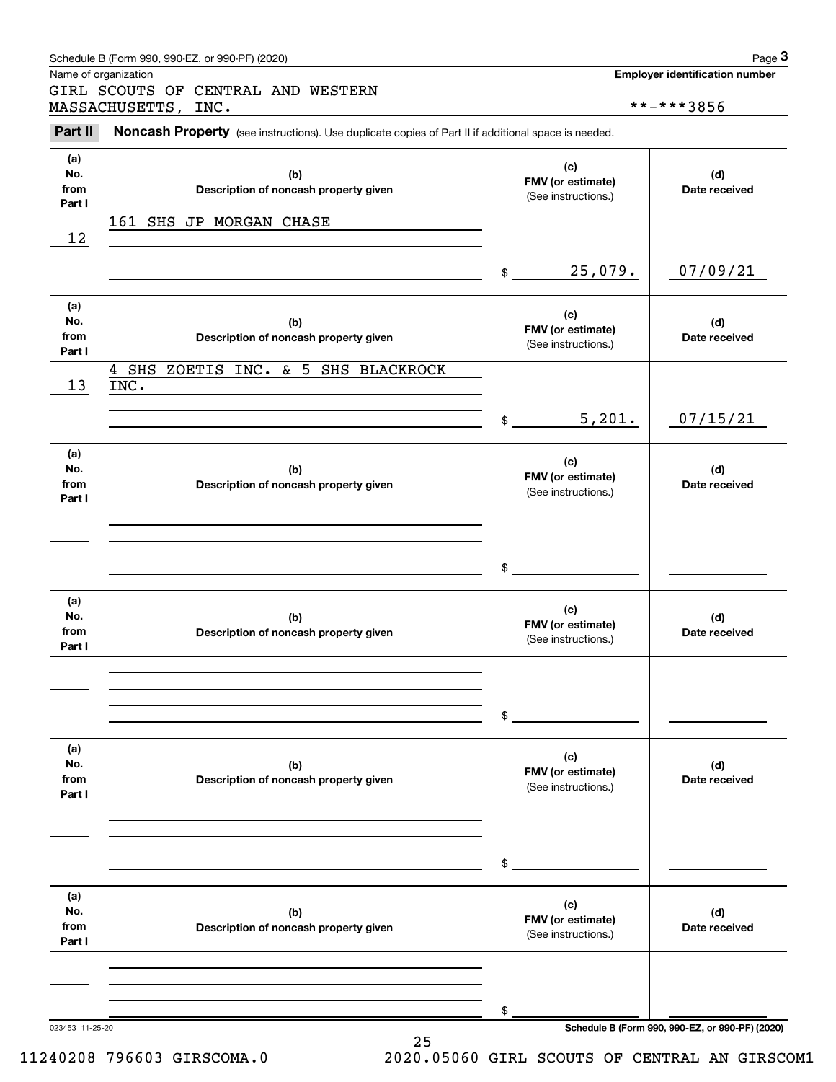| Part II                      | MASSACHUSETTS,<br>INC.<br>Noncash Property (see instructions). Use duplicate copies of Part II if additional space is needed. |                                                 | **-***3856           |
|------------------------------|-------------------------------------------------------------------------------------------------------------------------------|-------------------------------------------------|----------------------|
| (a)<br>No.<br>from           | (b)<br>Description of noncash property given                                                                                  | (c)<br>FMV (or estimate)                        | (d)<br>Date received |
| Part I                       | 161 SHS                                                                                                                       | (See instructions.)                             |                      |
| 12                           | JP MORGAN CHASE                                                                                                               |                                                 |                      |
|                              |                                                                                                                               | 25,079.<br>\$                                   | 07/09/21             |
| (a)<br>No.<br>from<br>Part I | (b)<br>Description of noncash property given                                                                                  | (c)<br>FMV (or estimate)<br>(See instructions.) | (d)<br>Date received |
| 13                           | ZOETIS INC. & 5 SHS BLACKROCK<br>4 SHS<br>INC.                                                                                |                                                 |                      |
|                              |                                                                                                                               | 5,201.<br>\$                                    | 07/15/21             |
| (a)<br>No.<br>from<br>Part I | (b)<br>Description of noncash property given                                                                                  | (c)<br>FMV (or estimate)<br>(See instructions.) | (d)<br>Date received |
|                              |                                                                                                                               | $\mathfrak{S}$                                  |                      |
| (a)<br>No.<br>from<br>Part I | (b)<br>Description of noncash property given                                                                                  | (c)<br>FMV (or estimate)<br>(See instructions.) | (d)<br>Date received |
|                              |                                                                                                                               | \$                                              |                      |
| (a)<br>No.<br>from<br>Part I | (b)<br>Description of noncash property given                                                                                  | (c)<br>FMV (or estimate)<br>(See instructions.) | (d)<br>Date received |
|                              |                                                                                                                               | \$                                              |                      |
| (a)<br>No.<br>from<br>Part I | (b)<br>Description of noncash property given                                                                                  | (c)<br>FMV (or estimate)<br>(See instructions.) | (d)<br>Date received |
|                              |                                                                                                                               |                                                 |                      |
|                              |                                                                                                                               |                                                 |                      |
|                              |                                                                                                                               | \$                                              |                      |

Schedule B (Form 990, 990-EZ, or 990-PF) (2020) Page 3

023453 11-25-20 **Schedule B (Form 990, 990-EZ, or 990-PF) (2020)**

11240208 796603 GIRSCOMA.0 2020.05060 GIRL SCOUTS OF CENTRAL AN GIRSCOM1

25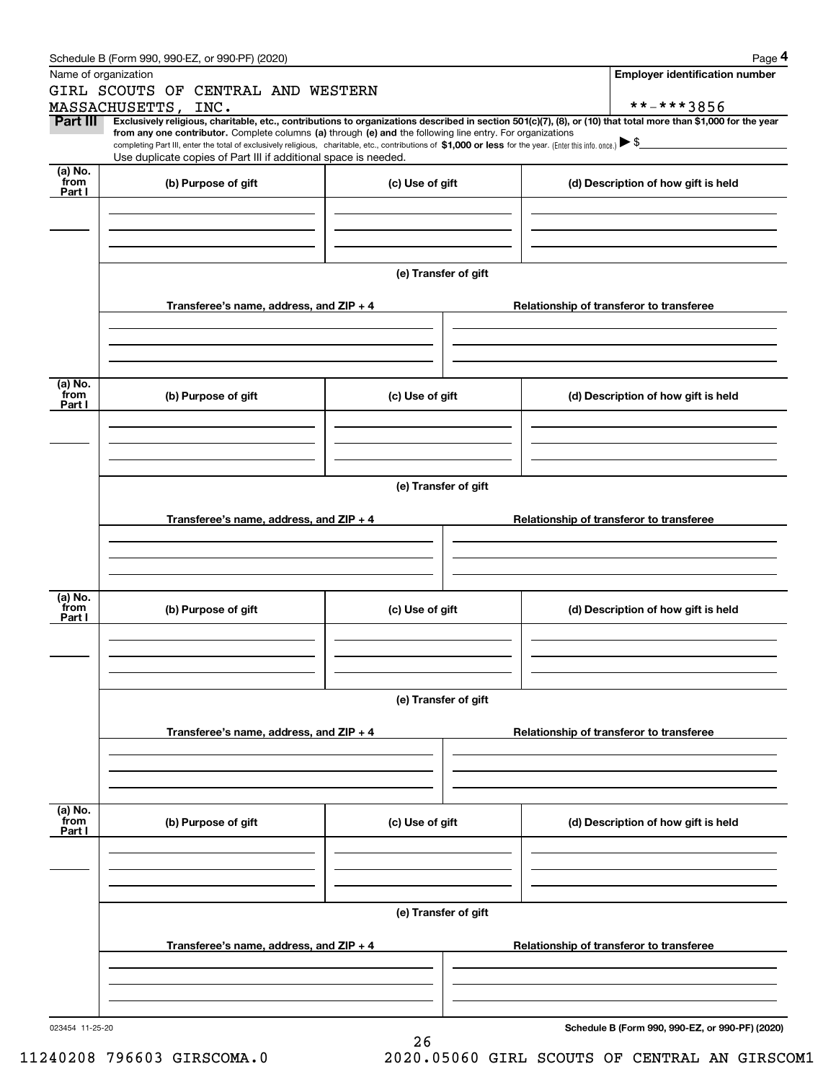|                 | Schedule B (Form 990, 990-EZ, or 990-PF) (2020)                                                                                                                                                                                                                              |                      |                                          | Page 4                                          |  |  |  |
|-----------------|------------------------------------------------------------------------------------------------------------------------------------------------------------------------------------------------------------------------------------------------------------------------------|----------------------|------------------------------------------|-------------------------------------------------|--|--|--|
|                 | Name of organization                                                                                                                                                                                                                                                         |                      |                                          | <b>Employer identification number</b>           |  |  |  |
|                 | GIRL SCOUTS OF CENTRAL AND WESTERN                                                                                                                                                                                                                                           |                      |                                          |                                                 |  |  |  |
|                 | MASSACHUSETTS, INC.                                                                                                                                                                                                                                                          |                      |                                          | **-***3856                                      |  |  |  |
| <b>Part III</b> | Exclusively religious, charitable, etc., contributions to organizations described in section 501(c)(7), (8), or (10) that total more than \$1,000 for the year<br>from any one contributor. Complete columns (a) through (e) and the following line entry. For organizations |                      |                                          |                                                 |  |  |  |
|                 | completing Part III, enter the total of exclusively religious, charitable, etc., contributions of \$1,000 or less for the year. (Enter this info. once.) $\blacktriangleright$ \$                                                                                            |                      |                                          |                                                 |  |  |  |
|                 | Use duplicate copies of Part III if additional space is needed.                                                                                                                                                                                                              |                      |                                          |                                                 |  |  |  |
| (a) No.<br>from | (b) Purpose of gift                                                                                                                                                                                                                                                          | (c) Use of gift      |                                          | (d) Description of how gift is held             |  |  |  |
| Part I          |                                                                                                                                                                                                                                                                              |                      |                                          |                                                 |  |  |  |
|                 |                                                                                                                                                                                                                                                                              |                      |                                          |                                                 |  |  |  |
|                 |                                                                                                                                                                                                                                                                              |                      |                                          |                                                 |  |  |  |
|                 |                                                                                                                                                                                                                                                                              |                      |                                          |                                                 |  |  |  |
|                 |                                                                                                                                                                                                                                                                              | (e) Transfer of gift |                                          |                                                 |  |  |  |
|                 |                                                                                                                                                                                                                                                                              |                      |                                          |                                                 |  |  |  |
|                 | Transferee's name, address, and $ZIP + 4$                                                                                                                                                                                                                                    |                      |                                          | Relationship of transferor to transferee        |  |  |  |
|                 |                                                                                                                                                                                                                                                                              |                      |                                          |                                                 |  |  |  |
|                 |                                                                                                                                                                                                                                                                              |                      |                                          |                                                 |  |  |  |
|                 |                                                                                                                                                                                                                                                                              |                      |                                          |                                                 |  |  |  |
|                 |                                                                                                                                                                                                                                                                              |                      |                                          |                                                 |  |  |  |
| (a) No.<br>from | (b) Purpose of gift                                                                                                                                                                                                                                                          | (c) Use of gift      |                                          | (d) Description of how gift is held             |  |  |  |
| Part I          |                                                                                                                                                                                                                                                                              |                      |                                          |                                                 |  |  |  |
|                 |                                                                                                                                                                                                                                                                              |                      |                                          |                                                 |  |  |  |
|                 |                                                                                                                                                                                                                                                                              |                      |                                          |                                                 |  |  |  |
|                 |                                                                                                                                                                                                                                                                              |                      |                                          |                                                 |  |  |  |
|                 |                                                                                                                                                                                                                                                                              |                      |                                          |                                                 |  |  |  |
|                 | (e) Transfer of gift                                                                                                                                                                                                                                                         |                      |                                          |                                                 |  |  |  |
|                 | Transferee's name, address, and $ZIP + 4$                                                                                                                                                                                                                                    |                      | Relationship of transferor to transferee |                                                 |  |  |  |
|                 |                                                                                                                                                                                                                                                                              |                      |                                          |                                                 |  |  |  |
|                 |                                                                                                                                                                                                                                                                              |                      |                                          |                                                 |  |  |  |
|                 |                                                                                                                                                                                                                                                                              |                      |                                          |                                                 |  |  |  |
|                 |                                                                                                                                                                                                                                                                              |                      |                                          |                                                 |  |  |  |
| (a) No.<br>from | (b) Purpose of gift                                                                                                                                                                                                                                                          | (c) Use of gift      |                                          | (d) Description of how gift is held             |  |  |  |
| Part I          |                                                                                                                                                                                                                                                                              |                      |                                          |                                                 |  |  |  |
|                 |                                                                                                                                                                                                                                                                              |                      |                                          |                                                 |  |  |  |
|                 |                                                                                                                                                                                                                                                                              |                      |                                          |                                                 |  |  |  |
|                 |                                                                                                                                                                                                                                                                              |                      |                                          |                                                 |  |  |  |
|                 | (e) Transfer of gift                                                                                                                                                                                                                                                         |                      |                                          |                                                 |  |  |  |
|                 |                                                                                                                                                                                                                                                                              |                      |                                          |                                                 |  |  |  |
|                 | Transferee's name, address, and $ZIP + 4$                                                                                                                                                                                                                                    |                      | Relationship of transferor to transferee |                                                 |  |  |  |
|                 |                                                                                                                                                                                                                                                                              |                      |                                          |                                                 |  |  |  |
|                 |                                                                                                                                                                                                                                                                              |                      |                                          |                                                 |  |  |  |
|                 |                                                                                                                                                                                                                                                                              |                      |                                          |                                                 |  |  |  |
| (a) No.         |                                                                                                                                                                                                                                                                              |                      |                                          |                                                 |  |  |  |
| from<br>Part I  | (b) Purpose of gift                                                                                                                                                                                                                                                          | (c) Use of gift      |                                          | (d) Description of how gift is held             |  |  |  |
|                 |                                                                                                                                                                                                                                                                              |                      |                                          |                                                 |  |  |  |
|                 |                                                                                                                                                                                                                                                                              |                      |                                          |                                                 |  |  |  |
|                 |                                                                                                                                                                                                                                                                              |                      |                                          |                                                 |  |  |  |
|                 |                                                                                                                                                                                                                                                                              |                      |                                          |                                                 |  |  |  |
|                 |                                                                                                                                                                                                                                                                              | (e) Transfer of gift |                                          |                                                 |  |  |  |
|                 |                                                                                                                                                                                                                                                                              |                      |                                          |                                                 |  |  |  |
|                 | Transferee's name, address, and $ZIP + 4$                                                                                                                                                                                                                                    |                      |                                          | Relationship of transferor to transferee        |  |  |  |
|                 |                                                                                                                                                                                                                                                                              |                      |                                          |                                                 |  |  |  |
|                 |                                                                                                                                                                                                                                                                              |                      |                                          |                                                 |  |  |  |
|                 |                                                                                                                                                                                                                                                                              |                      |                                          |                                                 |  |  |  |
| 023454 11-25-20 |                                                                                                                                                                                                                                                                              |                      |                                          | Schedule B (Form 990, 990-EZ, or 990-PF) (2020) |  |  |  |
|                 |                                                                                                                                                                                                                                                                              | 26                   |                                          |                                                 |  |  |  |

11240208 796603 GIRSCOMA.0 2020.05060 GIRL SCOUTS OF CENTRAL AN GIRSCOM1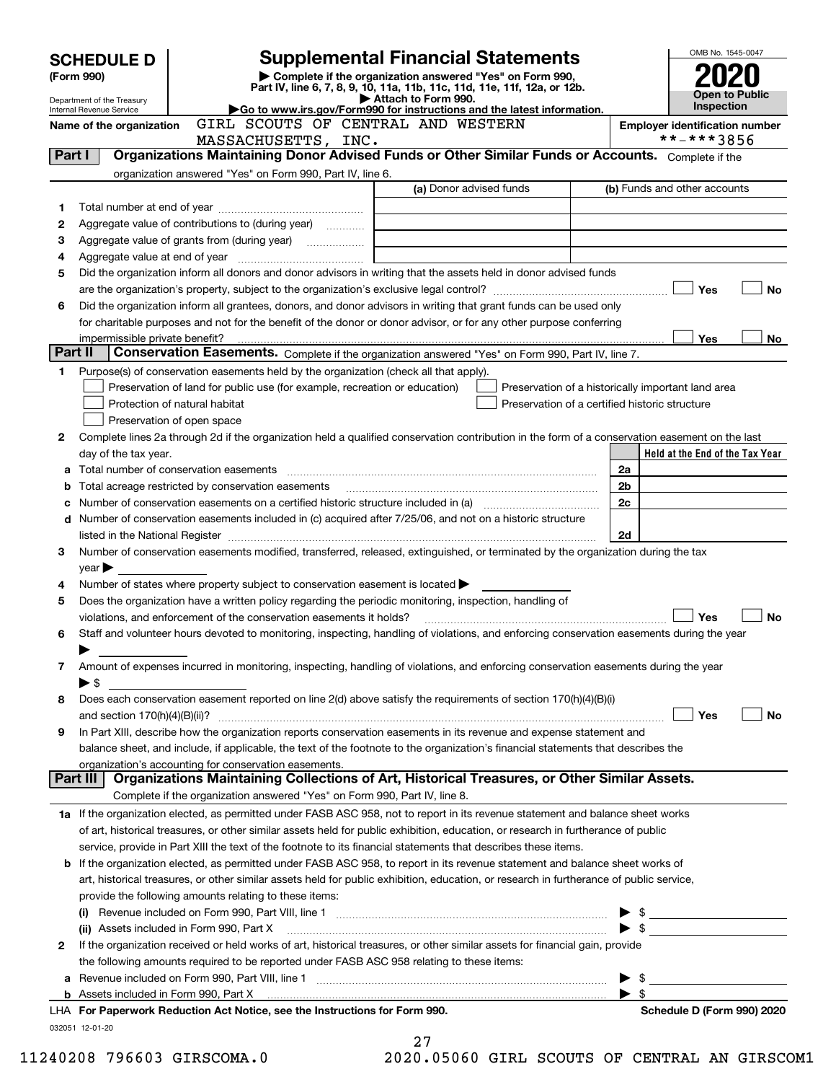| <b>SCHEDULE D</b>                                                                                                                                                                                                                   |                                                                                                                     | <b>Supplemental Financial Statements</b>                                                  | OMB No. 1545-0047                                                                                                                              |                                     |                                 |  |
|-------------------------------------------------------------------------------------------------------------------------------------------------------------------------------------------------------------------------------------|---------------------------------------------------------------------------------------------------------------------|-------------------------------------------------------------------------------------------|------------------------------------------------------------------------------------------------------------------------------------------------|-------------------------------------|---------------------------------|--|
| (Form 990)                                                                                                                                                                                                                          |                                                                                                                     | Complete if the organization answered "Yes" on Form 990,                                  |                                                                                                                                                |                                     |                                 |  |
| Part IV, line 6, 7, 8, 9, 10, 11a, 11b, 11c, 11d, 11e, 11f, 12a, or 12b.<br>Attach to Form 990.<br>Department of the Treasury<br>Go to www.irs.gov/Form990 for instructions and the latest information.<br>Internal Revenue Service |                                                                                                                     |                                                                                           |                                                                                                                                                | <b>Open to Public</b><br>Inspection |                                 |  |
|                                                                                                                                                                                                                                     | Name of the organization                                                                                            |                                                                                           | <b>Employer identification number</b>                                                                                                          |                                     |                                 |  |
|                                                                                                                                                                                                                                     |                                                                                                                     | GIRL SCOUTS OF CENTRAL AND WESTERN<br>MASSACHUSETTS, INC.                                 |                                                                                                                                                |                                     | **-***3856                      |  |
| Part I                                                                                                                                                                                                                              |                                                                                                                     |                                                                                           | Organizations Maintaining Donor Advised Funds or Other Similar Funds or Accounts. Complete if the                                              |                                     |                                 |  |
|                                                                                                                                                                                                                                     |                                                                                                                     | organization answered "Yes" on Form 990, Part IV, line 6.                                 |                                                                                                                                                |                                     |                                 |  |
|                                                                                                                                                                                                                                     |                                                                                                                     |                                                                                           | (a) Donor advised funds                                                                                                                        |                                     | (b) Funds and other accounts    |  |
| 1                                                                                                                                                                                                                                   |                                                                                                                     |                                                                                           |                                                                                                                                                |                                     |                                 |  |
| 2                                                                                                                                                                                                                                   |                                                                                                                     | Aggregate value of contributions to (during year)                                         |                                                                                                                                                |                                     |                                 |  |
| з                                                                                                                                                                                                                                   |                                                                                                                     |                                                                                           |                                                                                                                                                |                                     |                                 |  |
| 4                                                                                                                                                                                                                                   |                                                                                                                     |                                                                                           |                                                                                                                                                |                                     |                                 |  |
| 5                                                                                                                                                                                                                                   |                                                                                                                     |                                                                                           | Did the organization inform all donors and donor advisors in writing that the assets held in donor advised funds                               |                                     | Yes<br><b>No</b>                |  |
| 6                                                                                                                                                                                                                                   |                                                                                                                     |                                                                                           | Did the organization inform all grantees, donors, and donor advisors in writing that grant funds can be used only                              |                                     |                                 |  |
|                                                                                                                                                                                                                                     |                                                                                                                     |                                                                                           | for charitable purposes and not for the benefit of the donor or donor advisor, or for any other purpose conferring                             |                                     |                                 |  |
|                                                                                                                                                                                                                                     | impermissible private benefit?                                                                                      |                                                                                           |                                                                                                                                                |                                     | <b>Yes</b><br>No.               |  |
|                                                                                                                                                                                                                                     | Part II                                                                                                             |                                                                                           | Conservation Easements. Complete if the organization answered "Yes" on Form 990, Part IV, line 7.                                              |                                     |                                 |  |
| 1                                                                                                                                                                                                                                   |                                                                                                                     | Purpose(s) of conservation easements held by the organization (check all that apply).     |                                                                                                                                                |                                     |                                 |  |
|                                                                                                                                                                                                                                     |                                                                                                                     | Preservation of land for public use (for example, recreation or education)                | Preservation of a historically important land area                                                                                             |                                     |                                 |  |
|                                                                                                                                                                                                                                     | Protection of natural habitat                                                                                       |                                                                                           | Preservation of a certified historic structure                                                                                                 |                                     |                                 |  |
|                                                                                                                                                                                                                                     | Preservation of open space                                                                                          |                                                                                           |                                                                                                                                                |                                     |                                 |  |
| 2                                                                                                                                                                                                                                   |                                                                                                                     |                                                                                           | Complete lines 2a through 2d if the organization held a qualified conservation contribution in the form of a conservation easement on the last |                                     |                                 |  |
|                                                                                                                                                                                                                                     | day of the tax year.                                                                                                |                                                                                           |                                                                                                                                                |                                     | Held at the End of the Tax Year |  |
| а                                                                                                                                                                                                                                   |                                                                                                                     |                                                                                           |                                                                                                                                                | 2a                                  |                                 |  |
| b                                                                                                                                                                                                                                   |                                                                                                                     | Total acreage restricted by conservation easements                                        |                                                                                                                                                | 2b                                  |                                 |  |
| с                                                                                                                                                                                                                                   |                                                                                                                     |                                                                                           |                                                                                                                                                | 2c                                  |                                 |  |
| d                                                                                                                                                                                                                                   |                                                                                                                     |                                                                                           | Number of conservation easements included in (c) acquired after 7/25/06, and not on a historic structure                                       |                                     |                                 |  |
|                                                                                                                                                                                                                                     |                                                                                                                     |                                                                                           |                                                                                                                                                | 2d                                  |                                 |  |
| 3                                                                                                                                                                                                                                   |                                                                                                                     |                                                                                           | Number of conservation easements modified, transferred, released, extinguished, or terminated by the organization during the tax               |                                     |                                 |  |
|                                                                                                                                                                                                                                     | $year \blacktriangleright$                                                                                          |                                                                                           |                                                                                                                                                |                                     |                                 |  |
| 4                                                                                                                                                                                                                                   |                                                                                                                     | Number of states where property subject to conservation easement is located >             |                                                                                                                                                |                                     |                                 |  |
| 5                                                                                                                                                                                                                                   |                                                                                                                     | violations, and enforcement of the conservation easements it holds?                       | Does the organization have a written policy regarding the periodic monitoring, inspection, handling of                                         |                                     | Yes<br><b>No</b>                |  |
| 6                                                                                                                                                                                                                                   |                                                                                                                     |                                                                                           | Staff and volunteer hours devoted to monitoring, inspecting, handling of violations, and enforcing conservation easements during the year      |                                     |                                 |  |
|                                                                                                                                                                                                                                     |                                                                                                                     |                                                                                           |                                                                                                                                                |                                     |                                 |  |
| 7                                                                                                                                                                                                                                   |                                                                                                                     |                                                                                           | Amount of expenses incurred in monitoring, inspecting, handling of violations, and enforcing conservation easements during the year            |                                     |                                 |  |
|                                                                                                                                                                                                                                     | ► \$                                                                                                                |                                                                                           |                                                                                                                                                |                                     |                                 |  |
| 8                                                                                                                                                                                                                                   |                                                                                                                     |                                                                                           | Does each conservation easement reported on line 2(d) above satisfy the requirements of section 170(h)(4)(B)(i)                                |                                     |                                 |  |
|                                                                                                                                                                                                                                     |                                                                                                                     |                                                                                           |                                                                                                                                                |                                     | Yes<br>No                       |  |
| 9                                                                                                                                                                                                                                   | In Part XIII, describe how the organization reports conservation easements in its revenue and expense statement and |                                                                                           |                                                                                                                                                |                                     |                                 |  |
|                                                                                                                                                                                                                                     |                                                                                                                     |                                                                                           | balance sheet, and include, if applicable, the text of the footnote to the organization's financial statements that describes the              |                                     |                                 |  |
|                                                                                                                                                                                                                                     |                                                                                                                     | organization's accounting for conservation easements.                                     |                                                                                                                                                |                                     |                                 |  |
|                                                                                                                                                                                                                                     | Part III                                                                                                            |                                                                                           | Organizations Maintaining Collections of Art, Historical Treasures, or Other Similar Assets.                                                   |                                     |                                 |  |
|                                                                                                                                                                                                                                     |                                                                                                                     | Complete if the organization answered "Yes" on Form 990, Part IV, line 8.                 |                                                                                                                                                |                                     |                                 |  |
|                                                                                                                                                                                                                                     |                                                                                                                     |                                                                                           | 1a If the organization elected, as permitted under FASB ASC 958, not to report in its revenue statement and balance sheet works                |                                     |                                 |  |
|                                                                                                                                                                                                                                     |                                                                                                                     |                                                                                           | of art, historical treasures, or other similar assets held for public exhibition, education, or research in furtherance of public              |                                     |                                 |  |
|                                                                                                                                                                                                                                     |                                                                                                                     |                                                                                           | service, provide in Part XIII the text of the footnote to its financial statements that describes these items.                                 |                                     |                                 |  |
|                                                                                                                                                                                                                                     |                                                                                                                     |                                                                                           | <b>b</b> If the organization elected, as permitted under FASB ASC 958, to report in its revenue statement and balance sheet works of           |                                     |                                 |  |
|                                                                                                                                                                                                                                     |                                                                                                                     |                                                                                           | art, historical treasures, or other similar assets held for public exhibition, education, or research in furtherance of public service,        |                                     |                                 |  |
|                                                                                                                                                                                                                                     |                                                                                                                     | provide the following amounts relating to these items:                                    |                                                                                                                                                |                                     |                                 |  |
|                                                                                                                                                                                                                                     | (ii) Assets included in Form 990, Part X                                                                            |                                                                                           |                                                                                                                                                |                                     |                                 |  |
| 2                                                                                                                                                                                                                                   |                                                                                                                     |                                                                                           | If the organization received or held works of art, historical treasures, or other similar assets for financial gain, provide                   |                                     |                                 |  |
|                                                                                                                                                                                                                                     |                                                                                                                     | the following amounts required to be reported under FASB ASC 958 relating to these items: |                                                                                                                                                |                                     |                                 |  |
| а                                                                                                                                                                                                                                   |                                                                                                                     |                                                                                           |                                                                                                                                                |                                     | $\blacktriangleright$ \$        |  |
|                                                                                                                                                                                                                                     |                                                                                                                     |                                                                                           |                                                                                                                                                | $\blacktriangleright$ s             |                                 |  |
|                                                                                                                                                                                                                                     |                                                                                                                     | LHA For Paperwork Reduction Act Notice, see the Instructions for Form 990.                |                                                                                                                                                |                                     | Schedule D (Form 990) 2020      |  |
|                                                                                                                                                                                                                                     | 032051 12-01-20                                                                                                     |                                                                                           |                                                                                                                                                |                                     |                                 |  |
|                                                                                                                                                                                                                                     |                                                                                                                     |                                                                                           | 27                                                                                                                                             |                                     |                                 |  |

| 41         |  |  |  |  |
|------------|--|--|--|--|
| 20 DEDED O |  |  |  |  |

11240208 796603 GIRSCOMA.0 2020.05060 GIRL SCOUTS OF CENTRAL AN GIRSCOM1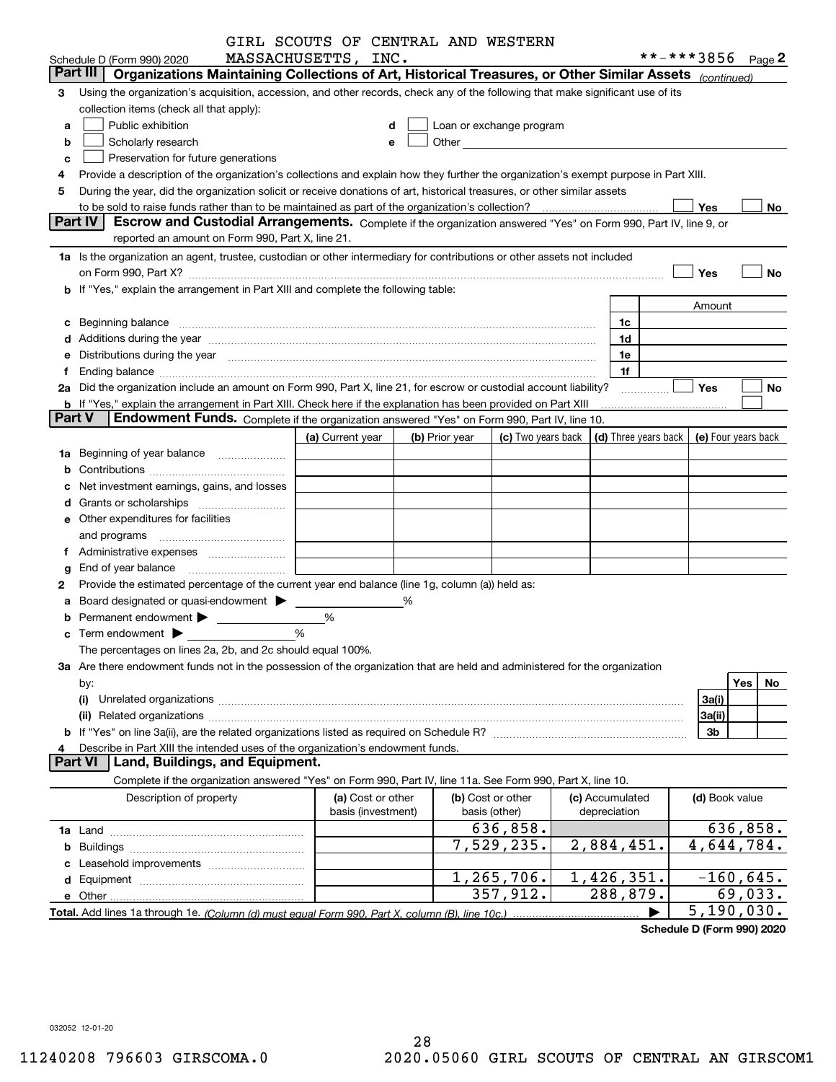|               |                                                                                                                                                                                                                                | GIRL SCOUTS OF CENTRAL AND WESTERN |   |                |                                                                                                                                                                                                                               |  |                           |                                            |                   |
|---------------|--------------------------------------------------------------------------------------------------------------------------------------------------------------------------------------------------------------------------------|------------------------------------|---|----------------|-------------------------------------------------------------------------------------------------------------------------------------------------------------------------------------------------------------------------------|--|---------------------------|--------------------------------------------|-------------------|
|               | Schedule D (Form 990) 2020                                                                                                                                                                                                     | MASSACHUSETTS, INC.                |   |                |                                                                                                                                                                                                                               |  |                           | **-***3856 Page 2                          |                   |
|               | Part III<br>Organizations Maintaining Collections of Art, Historical Treasures, or Other Similar Assets (continued)                                                                                                            |                                    |   |                |                                                                                                                                                                                                                               |  |                           |                                            |                   |
| З             | Using the organization's acquisition, accession, and other records, check any of the following that make significant use of its                                                                                                |                                    |   |                |                                                                                                                                                                                                                               |  |                           |                                            |                   |
|               | collection items (check all that apply):                                                                                                                                                                                       |                                    |   |                |                                                                                                                                                                                                                               |  |                           |                                            |                   |
| a             | Public exhibition                                                                                                                                                                                                              |                                    | d |                | Loan or exchange program                                                                                                                                                                                                      |  |                           |                                            |                   |
| b             | Scholarly research                                                                                                                                                                                                             |                                    | e |                | Other and the contract of the contract of the contract of the contract of the contract of the contract of the contract of the contract of the contract of the contract of the contract of the contract of the contract of the |  |                           |                                            |                   |
| c             | Preservation for future generations                                                                                                                                                                                            |                                    |   |                |                                                                                                                                                                                                                               |  |                           |                                            |                   |
|               | Provide a description of the organization's collections and explain how they further the organization's exempt purpose in Part XIII.                                                                                           |                                    |   |                |                                                                                                                                                                                                                               |  |                           |                                            |                   |
| 5             | During the year, did the organization solicit or receive donations of art, historical treasures, or other similar assets                                                                                                       |                                    |   |                |                                                                                                                                                                                                                               |  |                           |                                            |                   |
|               |                                                                                                                                                                                                                                |                                    |   |                |                                                                                                                                                                                                                               |  |                           | Yes                                        | No                |
|               | Part IV<br>Escrow and Custodial Arrangements. Complete if the organization answered "Yes" on Form 990, Part IV, line 9, or                                                                                                     |                                    |   |                |                                                                                                                                                                                                                               |  |                           |                                            |                   |
|               | reported an amount on Form 990, Part X, line 21.                                                                                                                                                                               |                                    |   |                |                                                                                                                                                                                                                               |  |                           |                                            |                   |
|               | 1a Is the organization an agent, trustee, custodian or other intermediary for contributions or other assets not included                                                                                                       |                                    |   |                |                                                                                                                                                                                                                               |  |                           |                                            |                   |
|               |                                                                                                                                                                                                                                |                                    |   |                |                                                                                                                                                                                                                               |  |                           | Yes                                        | No                |
|               | b If "Yes," explain the arrangement in Part XIII and complete the following table:                                                                                                                                             |                                    |   |                |                                                                                                                                                                                                                               |  |                           |                                            |                   |
|               |                                                                                                                                                                                                                                |                                    |   |                |                                                                                                                                                                                                                               |  |                           | Amount                                     |                   |
| c             |                                                                                                                                                                                                                                |                                    |   |                |                                                                                                                                                                                                                               |  | 1c                        |                                            |                   |
|               |                                                                                                                                                                                                                                |                                    |   |                |                                                                                                                                                                                                                               |  | 1d                        |                                            |                   |
|               | Distributions during the year manufactured and continuum and the year manufactured and the year manufactured and the year manufactured and the year manufactured and the year manufactured and the year manufactured and the y |                                    |   |                |                                                                                                                                                                                                                               |  | 1e                        |                                            |                   |
|               |                                                                                                                                                                                                                                |                                    |   |                |                                                                                                                                                                                                                               |  | 1f                        |                                            |                   |
|               | 2a Did the organization include an amount on Form 990, Part X, line 21, for escrow or custodial account liability?                                                                                                             |                                    |   |                |                                                                                                                                                                                                                               |  | .                         | Yes                                        | No                |
|               | <b>b</b> If "Yes," explain the arrangement in Part XIII. Check here if the explanation has been provided on Part XIII                                                                                                          |                                    |   |                |                                                                                                                                                                                                                               |  |                           |                                            |                   |
| <b>Part V</b> | Endowment Funds. Complete if the organization answered "Yes" on Form 990, Part IV, line 10.                                                                                                                                    |                                    |   |                |                                                                                                                                                                                                                               |  |                           |                                            |                   |
|               |                                                                                                                                                                                                                                | (a) Current year                   |   | (b) Prior year | (c) Two years back                                                                                                                                                                                                            |  |                           | (d) Three years back   (e) Four years back |                   |
| 1a            | Beginning of year balance                                                                                                                                                                                                      |                                    |   |                |                                                                                                                                                                                                                               |  |                           |                                            |                   |
|               |                                                                                                                                                                                                                                |                                    |   |                |                                                                                                                                                                                                                               |  |                           |                                            |                   |
|               | Net investment earnings, gains, and losses                                                                                                                                                                                     |                                    |   |                |                                                                                                                                                                                                                               |  |                           |                                            |                   |
|               |                                                                                                                                                                                                                                |                                    |   |                |                                                                                                                                                                                                                               |  |                           |                                            |                   |
|               | e Other expenditures for facilities                                                                                                                                                                                            |                                    |   |                |                                                                                                                                                                                                                               |  |                           |                                            |                   |
|               |                                                                                                                                                                                                                                |                                    |   |                |                                                                                                                                                                                                                               |  |                           |                                            |                   |
|               |                                                                                                                                                                                                                                |                                    |   |                |                                                                                                                                                                                                                               |  |                           |                                            |                   |
|               | End of year balance                                                                                                                                                                                                            |                                    |   |                |                                                                                                                                                                                                                               |  |                           |                                            |                   |
| 2             | Provide the estimated percentage of the current year end balance (line 1g, column (a)) held as:                                                                                                                                |                                    |   |                |                                                                                                                                                                                                                               |  |                           |                                            |                   |
|               | Board designated or quasi-endowment >                                                                                                                                                                                          |                                    | % |                |                                                                                                                                                                                                                               |  |                           |                                            |                   |
|               | %                                                                                                                                                                                                                              |                                    |   |                |                                                                                                                                                                                                                               |  |                           |                                            |                   |
|               |                                                                                                                                                                                                                                | %                                  |   |                |                                                                                                                                                                                                                               |  |                           |                                            |                   |
|               | The percentages on lines 2a, 2b, and 2c should equal 100%.                                                                                                                                                                     |                                    |   |                |                                                                                                                                                                                                                               |  |                           |                                            |                   |
|               | 3a Are there endowment funds not in the possession of the organization that are held and administered for the organization                                                                                                     |                                    |   |                |                                                                                                                                                                                                                               |  |                           |                                            |                   |
|               | by:                                                                                                                                                                                                                            |                                    |   |                |                                                                                                                                                                                                                               |  |                           |                                            | <b>Yes</b><br>No. |
|               | (i)                                                                                                                                                                                                                            |                                    |   |                |                                                                                                                                                                                                                               |  |                           | 3a(i)                                      |                   |
|               | (ii)                                                                                                                                                                                                                           |                                    |   |                |                                                                                                                                                                                                                               |  |                           | 3a(ii)                                     |                   |
|               |                                                                                                                                                                                                                                |                                    |   |                |                                                                                                                                                                                                                               |  |                           | 3b                                         |                   |
|               | Describe in Part XIII the intended uses of the organization's endowment funds.                                                                                                                                                 |                                    |   |                |                                                                                                                                                                                                                               |  |                           |                                            |                   |
|               | Land, Buildings, and Equipment.<br><b>Part VI</b>                                                                                                                                                                              |                                    |   |                |                                                                                                                                                                                                                               |  |                           |                                            |                   |
|               | Complete if the organization answered "Yes" on Form 990, Part IV, line 11a. See Form 990, Part X, line 10.                                                                                                                     |                                    |   |                |                                                                                                                                                                                                                               |  |                           |                                            |                   |
|               | Description of property                                                                                                                                                                                                        | (a) Cost or other                  |   |                | (b) Cost or other                                                                                                                                                                                                             |  | (c) Accumulated           | (d) Book value                             |                   |
|               |                                                                                                                                                                                                                                | basis (investment)                 |   |                | basis (other)                                                                                                                                                                                                                 |  | depreciation              |                                            |                   |
|               |                                                                                                                                                                                                                                |                                    |   |                | 636,858.                                                                                                                                                                                                                      |  |                           |                                            | 636,858.          |
|               |                                                                                                                                                                                                                                |                                    |   |                | 7,529,235.                                                                                                                                                                                                                    |  | 2,884,451.                |                                            | 4,644,784.        |
|               |                                                                                                                                                                                                                                |                                    |   |                |                                                                                                                                                                                                                               |  |                           |                                            |                   |
|               |                                                                                                                                                                                                                                |                                    |   |                | 1, 265, 706.                                                                                                                                                                                                                  |  | $\overline{1,426}$ , 351. |                                            | $-160,645.$       |
|               |                                                                                                                                                                                                                                |                                    |   |                | 357,912.                                                                                                                                                                                                                      |  | 288,879.                  |                                            | 69,033.           |
|               |                                                                                                                                                                                                                                |                                    |   |                |                                                                                                                                                                                                                               |  |                           |                                            | 5,190,030.        |
|               |                                                                                                                                                                                                                                |                                    |   |                |                                                                                                                                                                                                                               |  |                           |                                            |                   |

**Schedule D (Form 990) 2020**

032052 12-01-20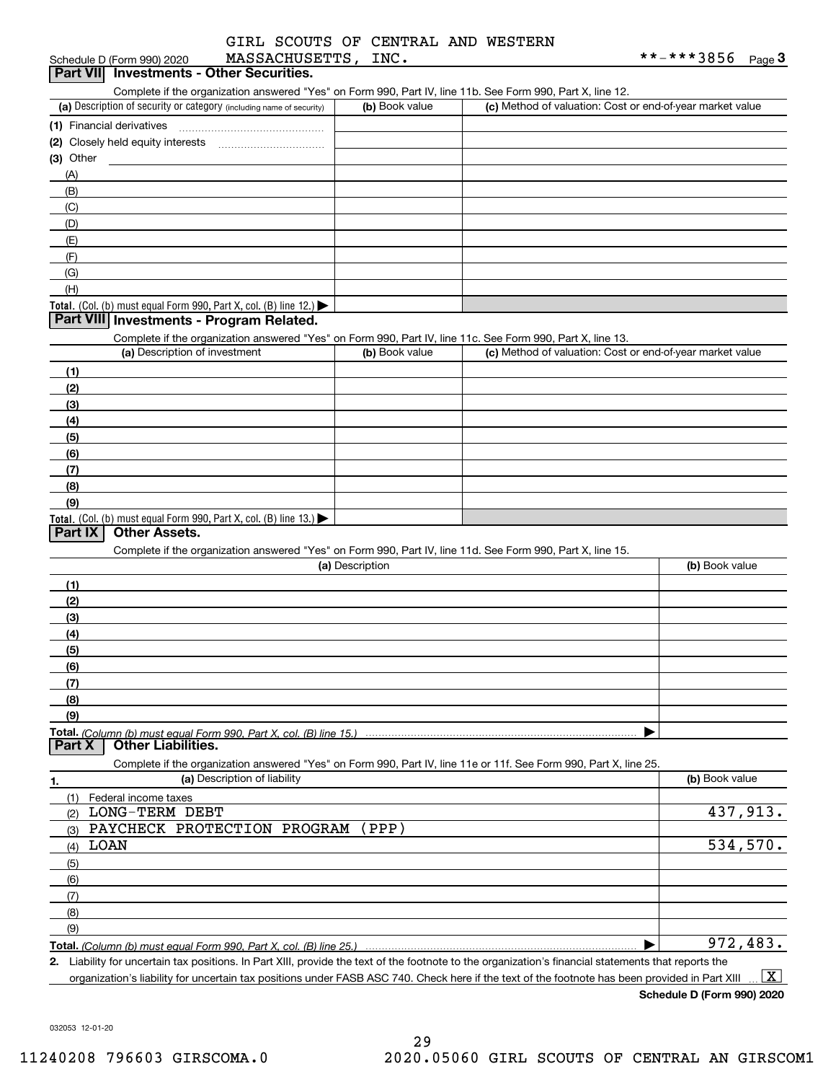|                 | GIRL SCOUTS OF CENTRAL AND WESTERN |  |
|-----------------|------------------------------------|--|
| MACCACUIICE TNO |                                    |  |

| <b>MASSACHUSETTS,</b><br>Schedule D (Form 990) 2020                                                               | INC.            |                                                           | **-***3856<br><u>Page</u> 3 |
|-------------------------------------------------------------------------------------------------------------------|-----------------|-----------------------------------------------------------|-----------------------------|
| Part VII Investments - Other Securities.                                                                          |                 |                                                           |                             |
| Complete if the organization answered "Yes" on Form 990, Part IV, line 11b. See Form 990, Part X, line 12.        |                 |                                                           |                             |
| (a) Description of security or category (including name of security)                                              | (b) Book value  | (c) Method of valuation: Cost or end-of-year market value |                             |
|                                                                                                                   |                 |                                                           |                             |
|                                                                                                                   |                 |                                                           |                             |
| $(3)$ Other                                                                                                       |                 |                                                           |                             |
| (A)                                                                                                               |                 |                                                           |                             |
| (B)                                                                                                               |                 |                                                           |                             |
| (C)                                                                                                               |                 |                                                           |                             |
| (D)                                                                                                               |                 |                                                           |                             |
| (E)                                                                                                               |                 |                                                           |                             |
| (F)                                                                                                               |                 |                                                           |                             |
| (G)                                                                                                               |                 |                                                           |                             |
| (H)                                                                                                               |                 |                                                           |                             |
| Total. (Col. (b) must equal Form 990, Part X, col. (B) line 12.)                                                  |                 |                                                           |                             |
| Part VIII Investments - Program Related.                                                                          |                 |                                                           |                             |
| Complete if the organization answered "Yes" on Form 990, Part IV, line 11c. See Form 990, Part X, line 13.        |                 |                                                           |                             |
| (a) Description of investment                                                                                     | (b) Book value  | (c) Method of valuation: Cost or end-of-year market value |                             |
| (1)                                                                                                               |                 |                                                           |                             |
| (2)                                                                                                               |                 |                                                           |                             |
| (3)                                                                                                               |                 |                                                           |                             |
| (4)                                                                                                               |                 |                                                           |                             |
| (5)                                                                                                               |                 |                                                           |                             |
| (6)                                                                                                               |                 |                                                           |                             |
| (7)                                                                                                               |                 |                                                           |                             |
| (8)                                                                                                               |                 |                                                           |                             |
| (9)                                                                                                               |                 |                                                           |                             |
| Total. (Col. (b) must equal Form 990, Part X, col. (B) line $13.$ )                                               |                 |                                                           |                             |
| Part IX<br><b>Other Assets.</b>                                                                                   |                 |                                                           |                             |
| Complete if the organization answered "Yes" on Form 990, Part IV, line 11d. See Form 990, Part X, line 15.        |                 |                                                           |                             |
|                                                                                                                   | (a) Description |                                                           | (b) Book value              |
| (1)                                                                                                               |                 |                                                           |                             |
| (2)                                                                                                               |                 |                                                           |                             |
| (3)                                                                                                               |                 |                                                           |                             |
| (4)                                                                                                               |                 |                                                           |                             |
| (5)                                                                                                               |                 |                                                           |                             |
| (6)                                                                                                               |                 |                                                           |                             |
| (7)                                                                                                               |                 |                                                           |                             |
| (8)                                                                                                               |                 |                                                           |                             |
| (9)                                                                                                               |                 |                                                           |                             |
|                                                                                                                   |                 |                                                           |                             |
| <b>Other Liabilities.</b><br>Part X                                                                               |                 |                                                           |                             |
| Complete if the organization answered "Yes" on Form 990, Part IV, line 11e or 11f. See Form 990, Part X, line 25. |                 |                                                           |                             |
| (a) Description of liability<br>1.                                                                                |                 |                                                           | (b) Book value              |
| Federal income taxes<br>(1)                                                                                       |                 |                                                           |                             |
| <b>LONG-TERM DEBT</b><br>(2)                                                                                      |                 |                                                           | 437,913.                    |
| PAYCHECK PROTECTION PROGRAM<br>(3)                                                                                | (PPP)           |                                                           |                             |
| LOAN<br>(4)                                                                                                       |                 |                                                           | 534,570.                    |
| (5)                                                                                                               |                 |                                                           |                             |
|                                                                                                                   |                 |                                                           |                             |
|                                                                                                                   |                 |                                                           |                             |
| (6)                                                                                                               |                 |                                                           |                             |
| (7)                                                                                                               |                 |                                                           |                             |
| (8)                                                                                                               |                 |                                                           |                             |
| (9)                                                                                                               |                 |                                                           | 972,483.                    |

organization's liability for uncertain tax positions under FASB ASC 740. Check here if the text of the footnote has been provided in Part XIII  $\boxed{\text{X}}$ 

**Schedule D (Form 990) 2020**

032053 12-01-20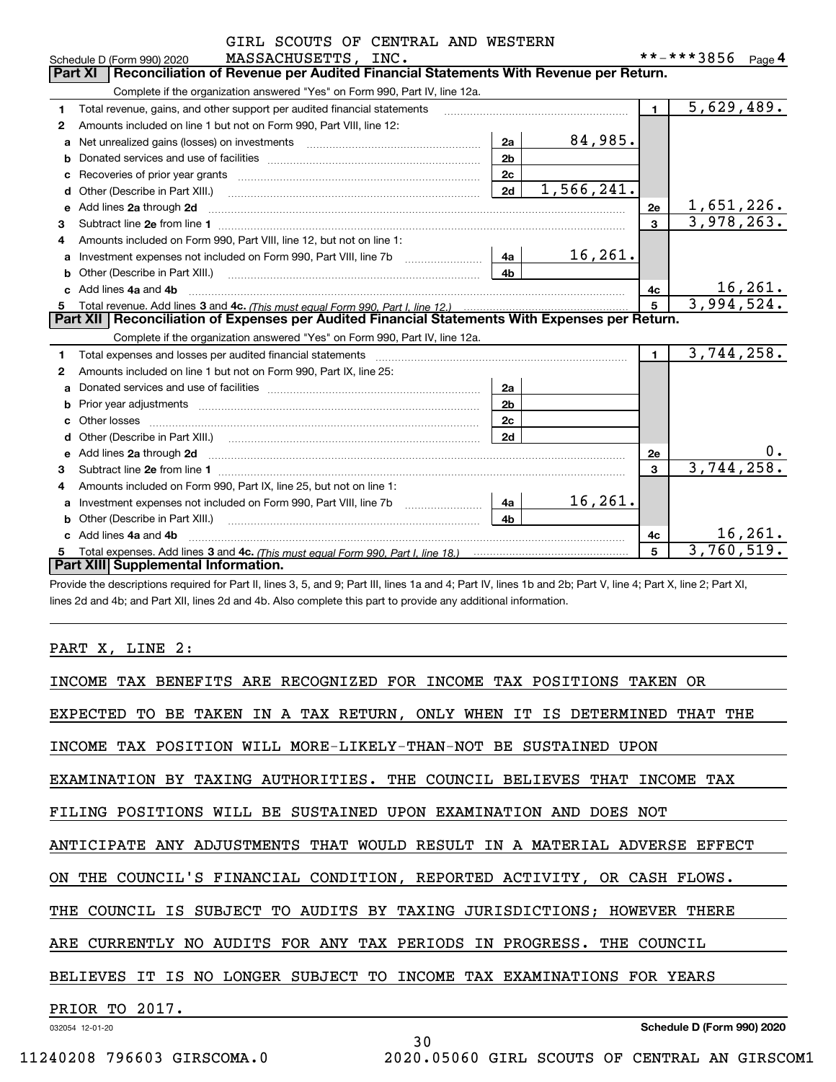|              | GIRL SCOUTS OF CENTRAL AND WESTERN                                                                                                                                                                                                  |                |            |              |                   |          |
|--------------|-------------------------------------------------------------------------------------------------------------------------------------------------------------------------------------------------------------------------------------|----------------|------------|--------------|-------------------|----------|
|              | MASSACHUSETTS, INC.<br>Schedule D (Form 990) 2020                                                                                                                                                                                   |                |            |              | **-***3856 Page 4 |          |
|              | Reconciliation of Revenue per Audited Financial Statements With Revenue per Return.<br><b>Part XI</b>                                                                                                                               |                |            |              |                   |          |
|              | Complete if the organization answered "Yes" on Form 990, Part IV, line 12a.                                                                                                                                                         |                |            |              |                   |          |
| 1            | Total revenue, gains, and other support per audited financial statements                                                                                                                                                            |                |            | $\mathbf{1}$ | 5,629,489.        |          |
| 2            | Amounts included on line 1 but not on Form 990, Part VIII, line 12:                                                                                                                                                                 |                |            |              |                   |          |
| a            |                                                                                                                                                                                                                                     | 2a             | 84,985.    |              |                   |          |
| b            |                                                                                                                                                                                                                                     | 2 <sub>b</sub> |            |              |                   |          |
| c            |                                                                                                                                                                                                                                     | 2c             |            |              |                   |          |
|              |                                                                                                                                                                                                                                     | 2d             | 1,566,241. |              |                   |          |
| е            | Add lines 2a through 2d                                                                                                                                                                                                             |                |            | <b>2e</b>    | 1,651,226.        |          |
| 3            |                                                                                                                                                                                                                                     |                |            | $\mathbf{3}$ | 3,978,263.        |          |
| 4            | Amounts included on Form 990, Part VIII, line 12, but not on line 1:                                                                                                                                                                |                |            |              |                   |          |
| a            |                                                                                                                                                                                                                                     | 4a             | 16,261.    |              |                   |          |
| b            |                                                                                                                                                                                                                                     | 4b             |            |              |                   |          |
|              | c Add lines 4a and 4b                                                                                                                                                                                                               |                |            | 4c           |                   | 16, 261. |
| 5            |                                                                                                                                                                                                                                     |                | 5          | 3,994,524.   |                   |          |
|              | Part XII   Reconciliation of Expenses per Audited Financial Statements With Expenses per Return.                                                                                                                                    |                |            |              |                   |          |
|              | Complete if the organization answered "Yes" on Form 990, Part IV, line 12a.                                                                                                                                                         |                |            |              |                   |          |
| 1            |                                                                                                                                                                                                                                     |                |            | $\mathbf{1}$ | 3,744,258.        |          |
| $\mathbf{2}$ | Amounts included on line 1 but not on Form 990, Part IX, line 25:                                                                                                                                                                   |                |            |              |                   |          |
| a            |                                                                                                                                                                                                                                     | 2a             |            |              |                   |          |
|              |                                                                                                                                                                                                                                     | 2 <sub>b</sub> |            |              |                   |          |
| C.           |                                                                                                                                                                                                                                     | 2 <sub>c</sub> |            |              |                   |          |
|              |                                                                                                                                                                                                                                     | 2d             |            |              |                   |          |
| е            | Add lines 2a through 2d <b>contained a contained a contained a contained a</b> contained a contained a contained a contained a contained a contained a contained a contained a contained a contained a contained a contained a cont |                |            | <b>2e</b>    |                   |          |
| 3            |                                                                                                                                                                                                                                     |                |            | 3            | 3,744,258.        |          |
| 4            | Amounts included on Form 990, Part IX, line 25, but not on line 1:                                                                                                                                                                  |                |            |              |                   |          |
| a            |                                                                                                                                                                                                                                     | 4a             | 16, 261.   |              |                   |          |
|              | <b>b</b> Other (Describe in Part XIII.)                                                                                                                                                                                             | 4 <sub>b</sub> |            |              |                   |          |
|              | c Add lines 4a and 4b                                                                                                                                                                                                               |                |            | 4c           |                   | 16, 261. |
| 5            |                                                                                                                                                                                                                                     |                |            | 5            | 3,760,519.        |          |
|              | Part XIII Supplemental Information.                                                                                                                                                                                                 |                |            |              |                   |          |

Provide the descriptions required for Part II, lines 3, 5, and 9; Part III, lines 1a and 4; Part IV, lines 1b and 2b; Part V, line 4; Part X, line 2; Part XI, lines 2d and 4b; and Part XII, lines 2d and 4b. Also complete this part to provide any additional information.

# PART X, LINE 2:

| INCOME TAX BENEFITS ARE RECOGNIZED FOR INCOME TAX POSITIONS TAKEN OR          |
|-------------------------------------------------------------------------------|
| EXPECTED TO BE TAKEN IN A TAX RETURN, ONLY WHEN IT IS DETERMINED THAT THE     |
| INCOME TAX POSITION WILL MORE-LIKELY-THAN-NOT BE SUSTAINED UPON               |
| EXAMINATION BY TAXING AUTHORITIES. THE COUNCIL BELIEVES THAT INCOME TAX       |
| FILING POSITIONS WILL BE SUSTAINED UPON EXAMINATION AND DOES NOT              |
| ANTICIPATE ANY ADJUSTMENTS THAT WOULD RESULT IN A MATERIAL ADVERSE EFFECT     |
| ON THE COUNCIL'S FINANCIAL CONDITION, REPORTED ACTIVITY, OR CASH FLOWS.       |
| IS SUBJECT TO AUDITS BY TAXING JURISDICTIONS; HOWEVER THERE<br>COUNCIL<br>THE |
| ARE CURRENTLY NO AUDITS FOR ANY TAX PERIODS IN PROGRESS. THE COUNCIL          |
| BELIEVES IT IS NO LONGER SUBJECT TO INCOME TAX EXAMINATIONS FOR YEARS         |
| PRIOR TO 2017.                                                                |
| Schedule D (Form 990) 2020<br>032054 12-01-20<br>30                           |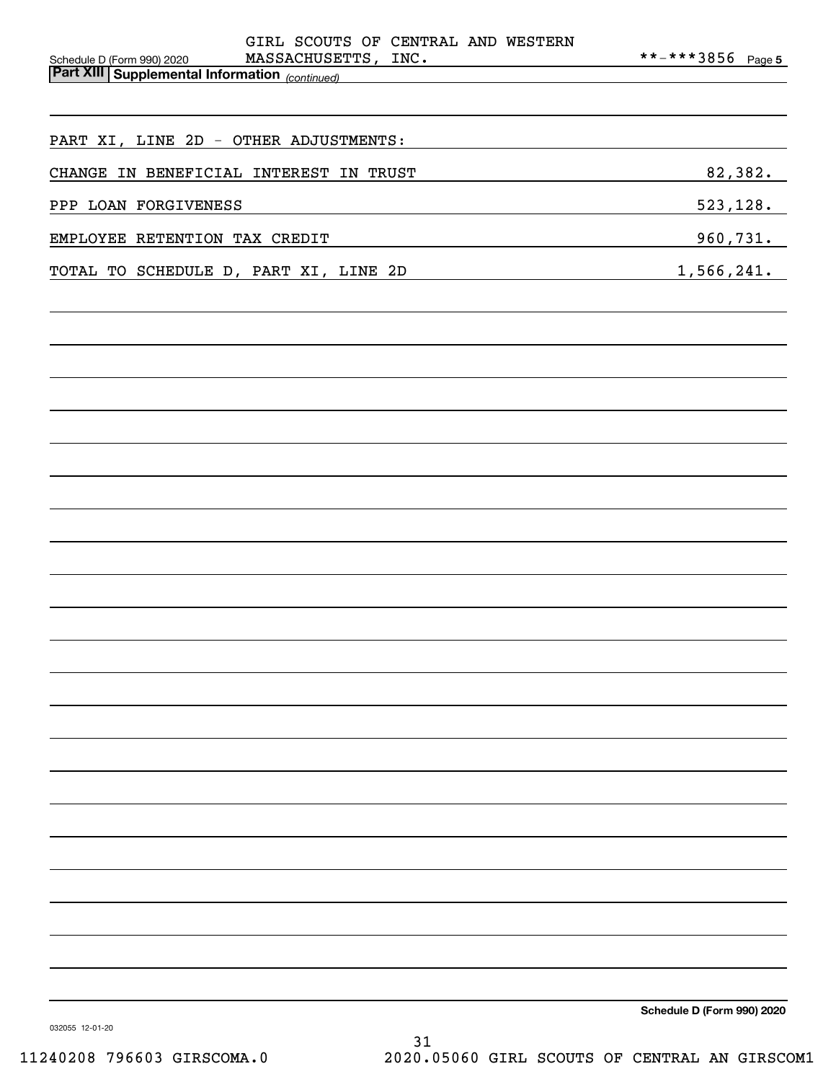| GIRL SCOUTS OF CENTRAL AND WESTERN                                                                                      |                            |
|-------------------------------------------------------------------------------------------------------------------------|----------------------------|
| MASSACHUSETTS, INC.<br>Schedule D (Form 990) 2020<br><b>Part XIII   Supplemental Information</b> <sub>(continued)</sub> | **-***3856 Page 5          |
|                                                                                                                         |                            |
|                                                                                                                         |                            |
| PART XI, LINE 2D - OTHER ADJUSTMENTS:                                                                                   |                            |
| CHANGE IN BENEFICIAL INTEREST IN TRUST                                                                                  | 82,382.                    |
|                                                                                                                         |                            |
| PPP LOAN FORGIVENESS                                                                                                    | 523, 128.                  |
| EMPLOYEE RETENTION TAX CREDIT                                                                                           | 960,731.                   |
| TOTAL TO SCHEDULE D, PART XI, LINE 2D<br><u> 1990 - Johann John Barn, mars a</u>                                        | 1,566,241.                 |
|                                                                                                                         |                            |
|                                                                                                                         |                            |
|                                                                                                                         |                            |
|                                                                                                                         |                            |
|                                                                                                                         |                            |
|                                                                                                                         |                            |
|                                                                                                                         |                            |
|                                                                                                                         |                            |
|                                                                                                                         |                            |
|                                                                                                                         |                            |
|                                                                                                                         |                            |
|                                                                                                                         |                            |
|                                                                                                                         |                            |
|                                                                                                                         |                            |
|                                                                                                                         |                            |
|                                                                                                                         |                            |
|                                                                                                                         |                            |
|                                                                                                                         |                            |
|                                                                                                                         |                            |
|                                                                                                                         |                            |
|                                                                                                                         |                            |
|                                                                                                                         |                            |
|                                                                                                                         |                            |
|                                                                                                                         |                            |
|                                                                                                                         |                            |
|                                                                                                                         |                            |
|                                                                                                                         |                            |
|                                                                                                                         |                            |
|                                                                                                                         | Schedule D (Form 990) 2020 |
|                                                                                                                         |                            |

032055 12-01-20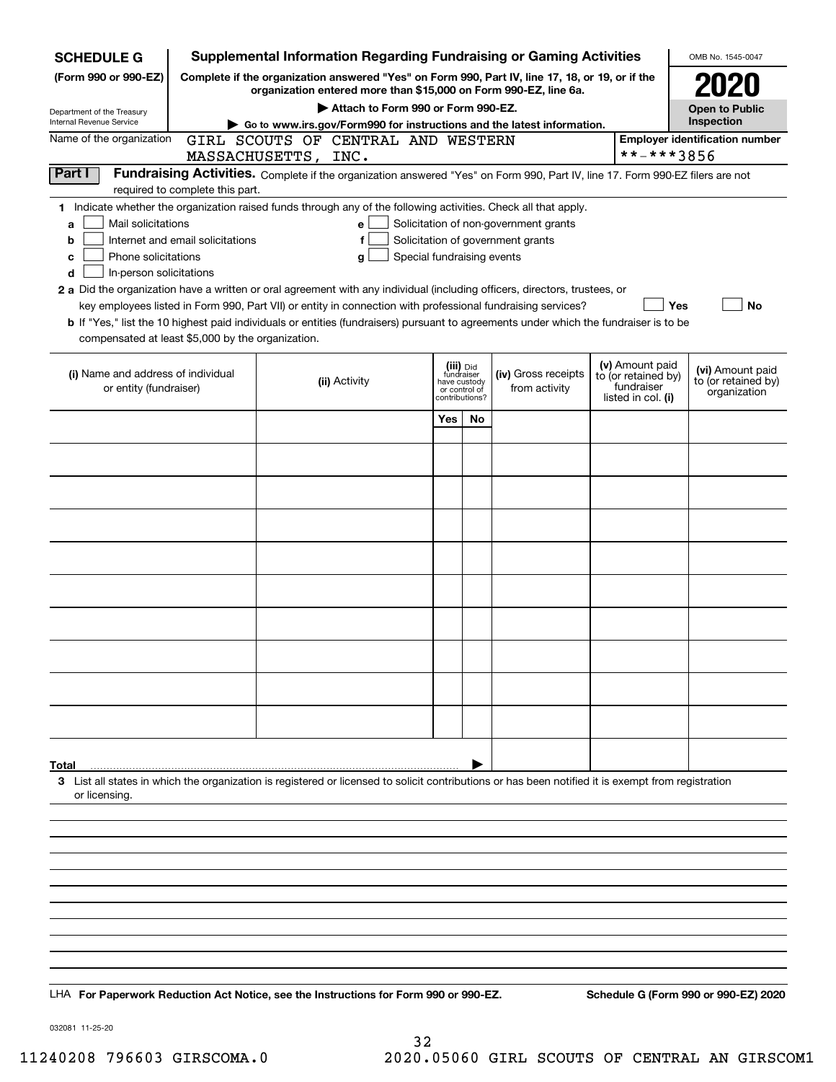| <b>SCHEDULE G</b>                                                                                                                                                                 | <b>Supplemental Information Regarding Fundraising or Gaming Activities</b>                                                                                                                                                                                                                                                                                                                                                                                                                                                                                |                                                 |                         |                                                                            |  |                                                                            | OMB No. 1545-0047                                       |  |  |  |  |
|-----------------------------------------------------------------------------------------------------------------------------------------------------------------------------------|-----------------------------------------------------------------------------------------------------------------------------------------------------------------------------------------------------------------------------------------------------------------------------------------------------------------------------------------------------------------------------------------------------------------------------------------------------------------------------------------------------------------------------------------------------------|-------------------------------------------------|-------------------------|----------------------------------------------------------------------------|--|----------------------------------------------------------------------------|---------------------------------------------------------|--|--|--|--|
| (Form 990 or 990-EZ)                                                                                                                                                              | Complete if the organization answered "Yes" on Form 990, Part IV, line 17, 18, or 19, or if the<br>organization entered more than \$15,000 on Form 990-EZ, line 6a.                                                                                                                                                                                                                                                                                                                                                                                       |                                                 |                         |                                                                            |  |                                                                            |                                                         |  |  |  |  |
|                                                                                                                                                                                   | Attach to Form 990 or Form 990-EZ.                                                                                                                                                                                                                                                                                                                                                                                                                                                                                                                        |                                                 |                         |                                                                            |  |                                                                            |                                                         |  |  |  |  |
| Department of the Treasury<br>Internal Revenue Service                                                                                                                            | Go to www.irs.gov/Form990 for instructions and the latest information.                                                                                                                                                                                                                                                                                                                                                                                                                                                                                    |                                                 |                         |                                                                            |  |                                                                            | <b>Open to Public</b><br>Inspection                     |  |  |  |  |
| Name of the organization                                                                                                                                                          | GIRL SCOUTS OF CENTRAL AND WESTERN<br>MASSACHUSETTS, INC.                                                                                                                                                                                                                                                                                                                                                                                                                                                                                                 |                                                 |                         |                                                                            |  | **-***3856                                                                 | <b>Employer identification number</b>                   |  |  |  |  |
| Part I<br>required to complete this part.                                                                                                                                         | Fundraising Activities. Complete if the organization answered "Yes" on Form 990, Part IV, line 17. Form 990-EZ filers are not                                                                                                                                                                                                                                                                                                                                                                                                                             |                                                 |                         |                                                                            |  |                                                                            |                                                         |  |  |  |  |
| Mail solicitations<br>a<br>Internet and email solicitations<br>b<br>Phone solicitations<br>с<br>In-person solicitations<br>d<br>compensated at least \$5,000 by the organization. | 1 Indicate whether the organization raised funds through any of the following activities. Check all that apply.<br>e<br>f<br>Special fundraising events<br>a<br>2 a Did the organization have a written or oral agreement with any individual (including officers, directors, trustees, or<br>key employees listed in Form 990, Part VII) or entity in connection with professional fundraising services?<br><b>b</b> If "Yes," list the 10 highest paid individuals or entities (fundraisers) pursuant to agreements under which the fundraiser is to be |                                                 |                         | Solicitation of non-government grants<br>Solicitation of government grants |  | Yes                                                                        | No                                                      |  |  |  |  |
| (i) Name and address of individual<br>or entity (fundraiser)                                                                                                                      | (ii) Activity                                                                                                                                                                                                                                                                                                                                                                                                                                                                                                                                             | have custody<br>or control of<br>contributions? | (iii) Did<br>fundraiser | (iv) Gross receipts<br>from activity                                       |  | (v) Amount paid<br>to (or retained by)<br>fundraiser<br>listed in col. (i) | (vi) Amount paid<br>to (or retained by)<br>organization |  |  |  |  |
|                                                                                                                                                                                   |                                                                                                                                                                                                                                                                                                                                                                                                                                                                                                                                                           | Yes                                             | <b>No</b>               |                                                                            |  |                                                                            |                                                         |  |  |  |  |
|                                                                                                                                                                                   |                                                                                                                                                                                                                                                                                                                                                                                                                                                                                                                                                           |                                                 |                         |                                                                            |  |                                                                            |                                                         |  |  |  |  |
|                                                                                                                                                                                   |                                                                                                                                                                                                                                                                                                                                                                                                                                                                                                                                                           |                                                 |                         |                                                                            |  |                                                                            |                                                         |  |  |  |  |
|                                                                                                                                                                                   |                                                                                                                                                                                                                                                                                                                                                                                                                                                                                                                                                           |                                                 |                         |                                                                            |  |                                                                            |                                                         |  |  |  |  |
|                                                                                                                                                                                   |                                                                                                                                                                                                                                                                                                                                                                                                                                                                                                                                                           |                                                 |                         |                                                                            |  |                                                                            |                                                         |  |  |  |  |
|                                                                                                                                                                                   |                                                                                                                                                                                                                                                                                                                                                                                                                                                                                                                                                           |                                                 |                         |                                                                            |  |                                                                            |                                                         |  |  |  |  |
|                                                                                                                                                                                   |                                                                                                                                                                                                                                                                                                                                                                                                                                                                                                                                                           |                                                 |                         |                                                                            |  |                                                                            |                                                         |  |  |  |  |
|                                                                                                                                                                                   |                                                                                                                                                                                                                                                                                                                                                                                                                                                                                                                                                           |                                                 |                         |                                                                            |  |                                                                            |                                                         |  |  |  |  |
|                                                                                                                                                                                   |                                                                                                                                                                                                                                                                                                                                                                                                                                                                                                                                                           |                                                 |                         |                                                                            |  |                                                                            |                                                         |  |  |  |  |
|                                                                                                                                                                                   |                                                                                                                                                                                                                                                                                                                                                                                                                                                                                                                                                           |                                                 |                         |                                                                            |  |                                                                            |                                                         |  |  |  |  |
|                                                                                                                                                                                   |                                                                                                                                                                                                                                                                                                                                                                                                                                                                                                                                                           |                                                 |                         |                                                                            |  |                                                                            |                                                         |  |  |  |  |
|                                                                                                                                                                                   |                                                                                                                                                                                                                                                                                                                                                                                                                                                                                                                                                           |                                                 |                         |                                                                            |  |                                                                            |                                                         |  |  |  |  |
| Total<br>or licensing.                                                                                                                                                            | 3 List all states in which the organization is registered or licensed to solicit contributions or has been notified it is exempt from registration                                                                                                                                                                                                                                                                                                                                                                                                        |                                                 |                         |                                                                            |  |                                                                            |                                                         |  |  |  |  |
|                                                                                                                                                                                   |                                                                                                                                                                                                                                                                                                                                                                                                                                                                                                                                                           |                                                 |                         |                                                                            |  |                                                                            |                                                         |  |  |  |  |
|                                                                                                                                                                                   |                                                                                                                                                                                                                                                                                                                                                                                                                                                                                                                                                           |                                                 |                         |                                                                            |  |                                                                            |                                                         |  |  |  |  |
|                                                                                                                                                                                   |                                                                                                                                                                                                                                                                                                                                                                                                                                                                                                                                                           |                                                 |                         |                                                                            |  |                                                                            |                                                         |  |  |  |  |
|                                                                                                                                                                                   |                                                                                                                                                                                                                                                                                                                                                                                                                                                                                                                                                           |                                                 |                         |                                                                            |  |                                                                            |                                                         |  |  |  |  |
|                                                                                                                                                                                   |                                                                                                                                                                                                                                                                                                                                                                                                                                                                                                                                                           |                                                 |                         |                                                                            |  |                                                                            |                                                         |  |  |  |  |
|                                                                                                                                                                                   | LHA For Paperwork Reduction Act Notice, see the Instructions for Form 990 or 990-EZ.                                                                                                                                                                                                                                                                                                                                                                                                                                                                      |                                                 |                         |                                                                            |  |                                                                            | Schedule G (Form 990 or 990-EZ) 2020                    |  |  |  |  |

032081 11-25-20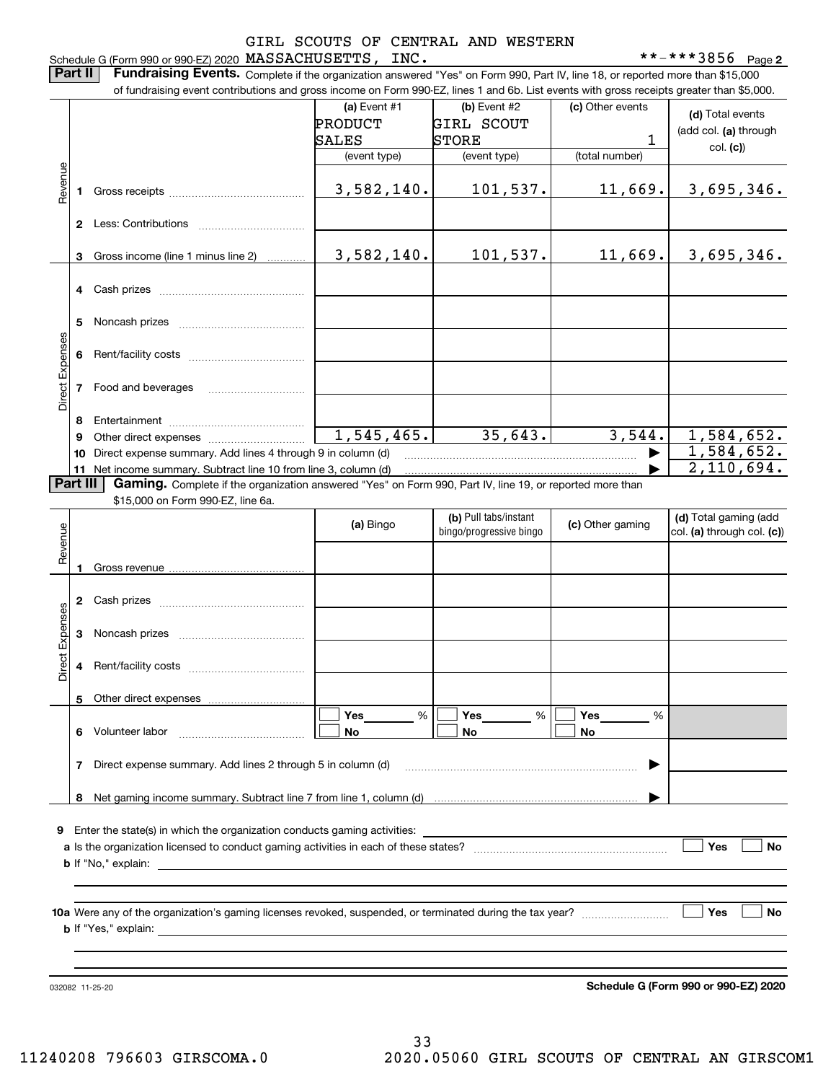# Schedule G (Form 990 or 990-EZ) 2020 Page MASSACHUSETTS, INC. \*\*-\*\*\*3856 GIRL SCOUTS OF CENTRAL AND WESTERN

**Part II** | Fundraising Events. Complete if the organization answered "Yes" on Form 990, Part IV, line 18, or reported more than \$15,000

|                 |    | of fundraising event contributions and gross income on Form 990-EZ, lines 1 and 6b. List events with gross receipts greater than \$5,000. |                |                         |                      |                                      |
|-----------------|----|-------------------------------------------------------------------------------------------------------------------------------------------|----------------|-------------------------|----------------------|--------------------------------------|
|                 |    |                                                                                                                                           | (a) Event #1   | (b) Event #2            | (c) Other events     | (d) Total events                     |
|                 |    |                                                                                                                                           | <b>PRODUCT</b> | <b>GIRL SCOUT</b>       |                      | (add col. (a) through                |
|                 |    |                                                                                                                                           | SALES          | <b>STORE</b>            | 1                    | col. (c))                            |
|                 |    |                                                                                                                                           | (event type)   | (event type)            | (total number)       |                                      |
| Revenue         |    |                                                                                                                                           | 3,582,140.     | 101,537.                | 11,669.              | 3,695,346.                           |
|                 | 1. |                                                                                                                                           |                |                         |                      |                                      |
|                 |    |                                                                                                                                           |                |                         |                      |                                      |
|                 | 3  | Gross income (line 1 minus line 2)                                                                                                        | 3,582,140.     | 101,537.                | 11,669.              | 3,695,346.                           |
|                 | 4  |                                                                                                                                           |                |                         |                      |                                      |
|                 |    |                                                                                                                                           |                |                         |                      |                                      |
|                 | 5  |                                                                                                                                           |                |                         |                      |                                      |
| Direct Expenses | 6  |                                                                                                                                           |                |                         |                      |                                      |
|                 | 7  | Food and beverages                                                                                                                        |                |                         |                      |                                      |
|                 | 8  |                                                                                                                                           |                |                         |                      |                                      |
|                 | 9  |                                                                                                                                           | 1,545,465.     | 35,643.                 | 3,544.               | 1,584,652.                           |
|                 | 10 | Direct expense summary. Add lines 4 through 9 in column (d)                                                                               |                |                         |                      | 1,584,652.                           |
|                 | 11 | Net income summary. Subtract line 10 from line 3, column (d)                                                                              |                |                         |                      | 2,110,694.                           |
| Part III        |    | Gaming. Complete if the organization answered "Yes" on Form 990, Part IV, line 19, or reported more than                                  |                |                         |                      |                                      |
|                 |    | \$15,000 on Form 990-EZ, line 6a.                                                                                                         |                |                         |                      |                                      |
|                 |    |                                                                                                                                           | (a) Bingo      | (b) Pull tabs/instant   | (c) Other gaming     | (d) Total gaming (add                |
| Revenue         |    |                                                                                                                                           |                | bingo/progressive bingo |                      | col. (a) through col. (c))           |
|                 |    |                                                                                                                                           |                |                         |                      |                                      |
|                 | 1  |                                                                                                                                           |                |                         |                      |                                      |
|                 | 2  |                                                                                                                                           |                |                         |                      |                                      |
|                 | 3  |                                                                                                                                           |                |                         |                      |                                      |
| Direct Expenses | 4  |                                                                                                                                           |                |                         |                      |                                      |
|                 |    |                                                                                                                                           |                |                         |                      |                                      |
|                 |    | 5 Other direct expenses                                                                                                                   |                |                         |                      |                                      |
|                 |    |                                                                                                                                           | %<br>Yes       | %<br>Yes                | Yes<br>$\frac{0}{0}$ |                                      |
|                 |    | 6 Volunteer labor                                                                                                                         | No             | No                      | No                   |                                      |
|                 | 7  | Direct expense summary. Add lines 2 through 5 in column (d)                                                                               |                |                         |                      |                                      |
|                 | 8  |                                                                                                                                           |                |                         |                      |                                      |
|                 |    |                                                                                                                                           |                |                         |                      |                                      |
| 9               |    |                                                                                                                                           |                |                         |                      |                                      |
|                 |    |                                                                                                                                           |                |                         |                      | Yes<br>No                            |
|                 |    |                                                                                                                                           |                |                         |                      |                                      |
|                 |    |                                                                                                                                           |                |                         |                      |                                      |
|                 |    |                                                                                                                                           |                |                         |                      |                                      |
|                 |    |                                                                                                                                           |                |                         |                      | Yes<br>No                            |
|                 |    |                                                                                                                                           |                |                         |                      |                                      |
|                 |    |                                                                                                                                           |                |                         |                      |                                      |
|                 |    |                                                                                                                                           |                |                         |                      |                                      |
|                 |    | 032082 11-25-20                                                                                                                           |                |                         |                      | Schedule G (Form 990 or 990-EZ) 2020 |

**Schedule G (Form 990 or 990-EZ) 2020**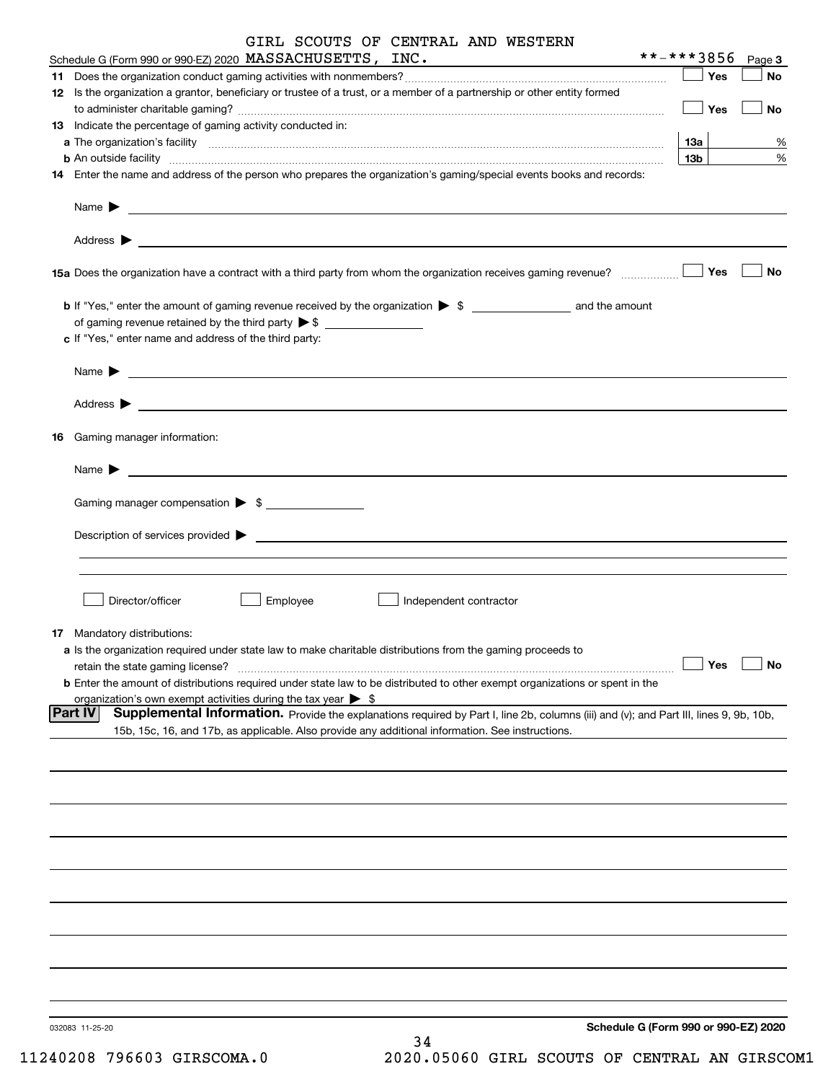|    | GIRL SCOUTS OF CENTRAL AND WESTERN                                                                                                                                      |                 |        |
|----|-------------------------------------------------------------------------------------------------------------------------------------------------------------------------|-----------------|--------|
|    | Schedule G (Form 990 or 990-EZ) 2020 MASSACHUSETTS, INC.                                                                                                                | **-***3856      | Page 3 |
|    |                                                                                                                                                                         | Yes             | No     |
|    | 12 Is the organization a grantor, beneficiary or trustee of a trust, or a member of a partnership or other entity formed                                                | Yes             | No     |
|    | 13 Indicate the percentage of gaming activity conducted in:                                                                                                             |                 |        |
|    |                                                                                                                                                                         | <b>13a</b>      | %      |
|    | <b>b</b> An outside facility <i>www.communicality www.communicality.communicality www.communicality www.communicality.com</i>                                           | 13 <sub>b</sub> | %      |
|    | 14 Enter the name and address of the person who prepares the organization's gaming/special events books and records:                                                    |                 |        |
|    | Name $\triangleright$ $\underbrace{\phantom{aaaaa}}$                                                                                                                    |                 |        |
|    |                                                                                                                                                                         |                 |        |
|    | 15a Does the organization have a contract with a third party from whom the organization receives gaming revenue?                                                        | Yes             | No     |
|    |                                                                                                                                                                         |                 |        |
|    | c If "Yes," enter name and address of the third party:                                                                                                                  |                 |        |
|    |                                                                                                                                                                         |                 |        |
|    |                                                                                                                                                                         |                 |        |
| 16 | Gaming manager information:                                                                                                                                             |                 |        |
|    | Name $\blacktriangleright$ $\lrcorner$                                                                                                                                  |                 |        |
|    | Gaming manager compensation > \$                                                                                                                                        |                 |        |
|    |                                                                                                                                                                         |                 |        |
|    |                                                                                                                                                                         |                 |        |
|    |                                                                                                                                                                         |                 |        |
|    |                                                                                                                                                                         |                 |        |
|    | Director/officer<br>Employee<br>Independent contractor                                                                                                                  |                 |        |
|    |                                                                                                                                                                         |                 |        |
|    | <b>17</b> Mandatory distributions:                                                                                                                                      |                 |        |
|    | a Is the organization required under state law to make charitable distributions from the gaming proceeds to                                                             | Yes             | No     |
|    | retain the state gaming license?<br><b>b</b> Enter the amount of distributions required under state law to be distributed to other exempt organizations or spent in the |                 |        |
|    | organization's own exempt activities during the tax year > \$                                                                                                           |                 |        |
|    | <b>Part IV</b><br>Supplemental Information. Provide the explanations required by Part I, line 2b, columns (iii) and (v); and Part III, lines 9, 9b, 10b,                |                 |        |
|    | 15b, 15c, 16, and 17b, as applicable. Also provide any additional information. See instructions.                                                                        |                 |        |
|    |                                                                                                                                                                         |                 |        |
|    |                                                                                                                                                                         |                 |        |
|    |                                                                                                                                                                         |                 |        |
|    |                                                                                                                                                                         |                 |        |
|    |                                                                                                                                                                         |                 |        |
|    |                                                                                                                                                                         |                 |        |
|    |                                                                                                                                                                         |                 |        |
|    |                                                                                                                                                                         |                 |        |
|    |                                                                                                                                                                         |                 |        |
|    |                                                                                                                                                                         |                 |        |
|    |                                                                                                                                                                         |                 |        |
|    |                                                                                                                                                                         |                 |        |
|    |                                                                                                                                                                         |                 |        |
|    |                                                                                                                                                                         |                 |        |
|    |                                                                                                                                                                         |                 |        |
|    | Schedule G (Form 990 or 990-EZ) 2020<br>032083 11-25-20                                                                                                                 |                 |        |
|    | 34                                                                                                                                                                      |                 |        |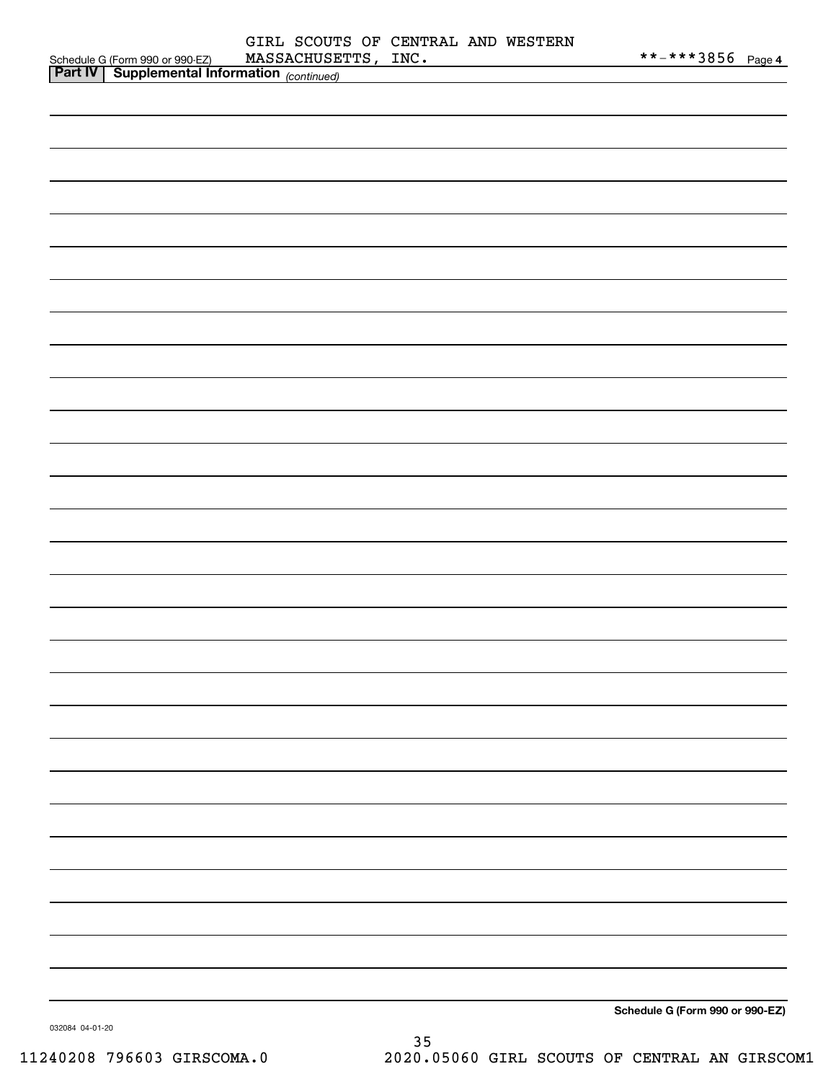| Schedule G (Form 990 or 990-EZ) MASSACHUSE<br>Part IV   Supplemental Information (continued) | GIRL SCOUTS OF CENTRAL AND WESTERN<br>MASSACHUSETTS, INC. |  | **-***3856 Page 4               |
|----------------------------------------------------------------------------------------------|-----------------------------------------------------------|--|---------------------------------|
|                                                                                              |                                                           |  |                                 |
|                                                                                              |                                                           |  |                                 |
|                                                                                              |                                                           |  |                                 |
|                                                                                              |                                                           |  |                                 |
|                                                                                              |                                                           |  |                                 |
|                                                                                              |                                                           |  |                                 |
|                                                                                              |                                                           |  |                                 |
|                                                                                              |                                                           |  |                                 |
|                                                                                              |                                                           |  |                                 |
|                                                                                              |                                                           |  |                                 |
|                                                                                              |                                                           |  |                                 |
|                                                                                              |                                                           |  |                                 |
|                                                                                              |                                                           |  |                                 |
|                                                                                              |                                                           |  |                                 |
|                                                                                              |                                                           |  |                                 |
|                                                                                              |                                                           |  |                                 |
|                                                                                              |                                                           |  |                                 |
|                                                                                              |                                                           |  |                                 |
|                                                                                              |                                                           |  |                                 |
|                                                                                              |                                                           |  |                                 |
|                                                                                              |                                                           |  |                                 |
|                                                                                              |                                                           |  |                                 |
|                                                                                              |                                                           |  |                                 |
|                                                                                              |                                                           |  |                                 |
|                                                                                              |                                                           |  |                                 |
|                                                                                              |                                                           |  |                                 |
|                                                                                              |                                                           |  |                                 |
|                                                                                              |                                                           |  | Schedule G (Form 990 or 990-EZ) |

032084 04-01-20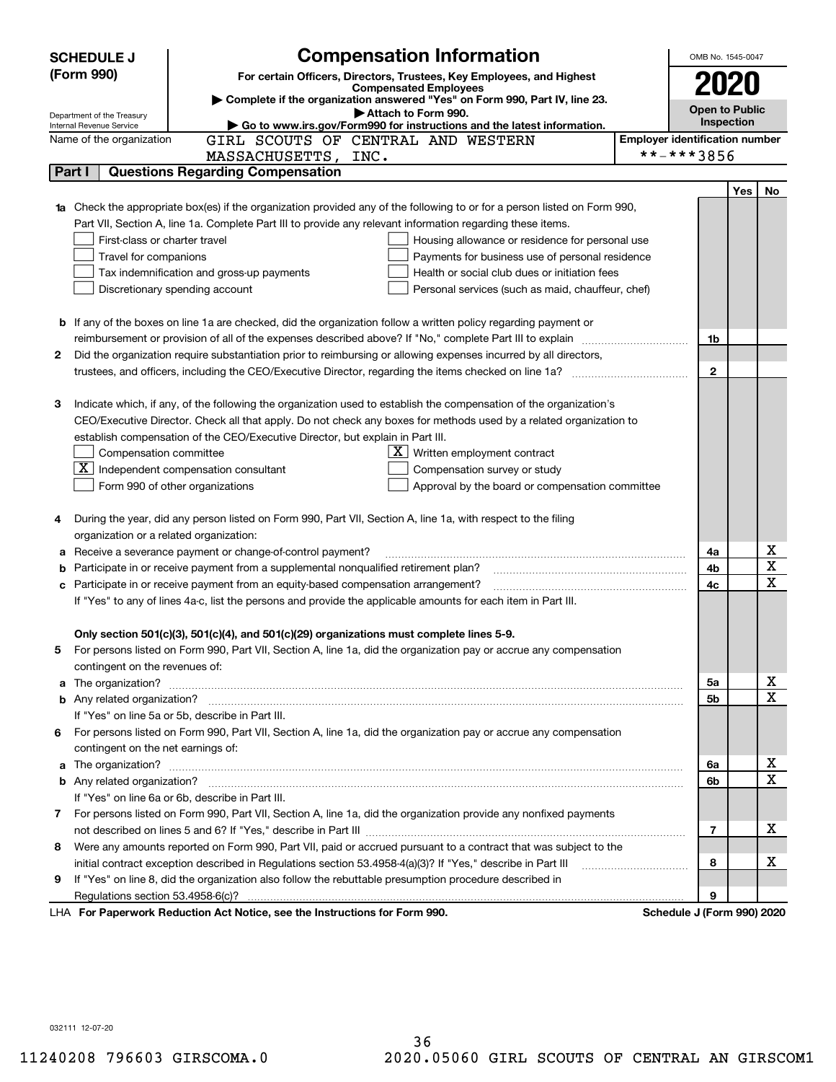|    | <b>SCHEDULE J</b>                       | OMB No. 1545-0047                                                                                                                                                                                   |                                                     |     |        |  |  |  |
|----|-----------------------------------------|-----------------------------------------------------------------------------------------------------------------------------------------------------------------------------------------------------|-----------------------------------------------------|-----|--------|--|--|--|
|    | (Form 990)                              | For certain Officers, Directors, Trustees, Key Employees, and Highest                                                                                                                               | 2020                                                |     |        |  |  |  |
|    |                                         | <b>Compensated Employees</b><br>Complete if the organization answered "Yes" on Form 990, Part IV, line 23.                                                                                          |                                                     |     |        |  |  |  |
|    | Department of the Treasury              | Attach to Form 990.                                                                                                                                                                                 | <b>Open to Public</b>                               |     |        |  |  |  |
|    | Internal Revenue Service                | Go to www.irs.gov/Form990 for instructions and the latest information.                                                                                                                              | Inspection<br><b>Employer identification number</b> |     |        |  |  |  |
|    | Name of the organization                | GIRL SCOUTS OF CENTRAL AND WESTERN                                                                                                                                                                  |                                                     |     |        |  |  |  |
|    | Part I                                  | MASSACHUSETTS,<br>INC.<br><b>Questions Regarding Compensation</b>                                                                                                                                   | **-***3856                                          |     |        |  |  |  |
|    |                                         |                                                                                                                                                                                                     |                                                     |     |        |  |  |  |
|    |                                         | Check the appropriate box(es) if the organization provided any of the following to or for a person listed on Form 990,                                                                              |                                                     | Yes | No     |  |  |  |
| 1a |                                         | Part VII, Section A, line 1a. Complete Part III to provide any relevant information regarding these items.                                                                                          |                                                     |     |        |  |  |  |
|    | First-class or charter travel           | Housing allowance or residence for personal use                                                                                                                                                     |                                                     |     |        |  |  |  |
|    | Travel for companions                   | Payments for business use of personal residence                                                                                                                                                     |                                                     |     |        |  |  |  |
|    |                                         | Tax indemnification and gross-up payments<br>Health or social club dues or initiation fees                                                                                                          |                                                     |     |        |  |  |  |
|    |                                         | Discretionary spending account<br>Personal services (such as maid, chauffeur, chef)                                                                                                                 |                                                     |     |        |  |  |  |
|    |                                         |                                                                                                                                                                                                     |                                                     |     |        |  |  |  |
|    |                                         | <b>b</b> If any of the boxes on line 1a are checked, did the organization follow a written policy regarding payment or                                                                              |                                                     |     |        |  |  |  |
|    |                                         |                                                                                                                                                                                                     | 1b                                                  |     |        |  |  |  |
| 2  |                                         | Did the organization require substantiation prior to reimbursing or allowing expenses incurred by all directors,                                                                                    |                                                     |     |        |  |  |  |
|    |                                         |                                                                                                                                                                                                     | $\mathbf{2}$                                        |     |        |  |  |  |
|    |                                         |                                                                                                                                                                                                     |                                                     |     |        |  |  |  |
| З  |                                         | Indicate which, if any, of the following the organization used to establish the compensation of the organization's                                                                                  |                                                     |     |        |  |  |  |
|    |                                         | CEO/Executive Director. Check all that apply. Do not check any boxes for methods used by a related organization to                                                                                  |                                                     |     |        |  |  |  |
|    |                                         | establish compensation of the CEO/Executive Director, but explain in Part III.                                                                                                                      |                                                     |     |        |  |  |  |
|    | Compensation committee                  | $X$ Written employment contract                                                                                                                                                                     |                                                     |     |        |  |  |  |
|    |                                         | $\overline{\mathbf{X}}$ Independent compensation consultant<br>Compensation survey or study                                                                                                         |                                                     |     |        |  |  |  |
|    |                                         | Form 990 of other organizations<br>Approval by the board or compensation committee                                                                                                                  |                                                     |     |        |  |  |  |
|    |                                         |                                                                                                                                                                                                     |                                                     |     |        |  |  |  |
| 4  |                                         | During the year, did any person listed on Form 990, Part VII, Section A, line 1a, with respect to the filing                                                                                        |                                                     |     |        |  |  |  |
|    | organization or a related organization: |                                                                                                                                                                                                     |                                                     |     |        |  |  |  |
| а  |                                         | Receive a severance payment or change-of-control payment?                                                                                                                                           | 4a                                                  |     | х<br>X |  |  |  |
| b  |                                         | Participate in or receive payment from a supplemental nonqualified retirement plan?                                                                                                                 | 4b                                                  |     | х      |  |  |  |
|    |                                         | c Participate in or receive payment from an equity-based compensation arrangement?<br>If "Yes" to any of lines 4a-c, list the persons and provide the applicable amounts for each item in Part III. | 4с                                                  |     |        |  |  |  |
|    |                                         |                                                                                                                                                                                                     |                                                     |     |        |  |  |  |
|    |                                         | Only section 501(c)(3), 501(c)(4), and 501(c)(29) organizations must complete lines 5-9.                                                                                                            |                                                     |     |        |  |  |  |
|    |                                         | For persons listed on Form 990, Part VII, Section A, line 1a, did the organization pay or accrue any compensation                                                                                   |                                                     |     |        |  |  |  |
|    | contingent on the revenues of:          |                                                                                                                                                                                                     |                                                     |     |        |  |  |  |
|    |                                         |                                                                                                                                                                                                     | 5а                                                  |     | х      |  |  |  |
|    |                                         |                                                                                                                                                                                                     | 5b                                                  |     | х      |  |  |  |
|    |                                         | If "Yes" on line 5a or 5b, describe in Part III.                                                                                                                                                    |                                                     |     |        |  |  |  |
|    |                                         | 6 For persons listed on Form 990, Part VII, Section A, line 1a, did the organization pay or accrue any compensation                                                                                 |                                                     |     |        |  |  |  |
|    | contingent on the net earnings of:      |                                                                                                                                                                                                     |                                                     |     |        |  |  |  |
|    |                                         |                                                                                                                                                                                                     | 6a                                                  |     | х      |  |  |  |
|    |                                         |                                                                                                                                                                                                     | 6b                                                  |     | х      |  |  |  |
|    |                                         | If "Yes" on line 6a or 6b, describe in Part III.                                                                                                                                                    |                                                     |     |        |  |  |  |
|    |                                         | 7 For persons listed on Form 990, Part VII, Section A, line 1a, did the organization provide any nonfixed payments                                                                                  |                                                     |     |        |  |  |  |
|    |                                         |                                                                                                                                                                                                     | 7                                                   |     | х      |  |  |  |
|    |                                         | 8 Were any amounts reported on Form 990, Part VII, paid or accrued pursuant to a contract that was subject to the                                                                                   |                                                     |     |        |  |  |  |
|    |                                         | initial contract exception described in Regulations section 53.4958-4(a)(3)? If "Yes," describe in Part III                                                                                         | 8                                                   |     | х      |  |  |  |
| 9  |                                         | If "Yes" on line 8, did the organization also follow the rebuttable presumption procedure described in                                                                                              |                                                     |     |        |  |  |  |
|    |                                         |                                                                                                                                                                                                     | 9                                                   |     |        |  |  |  |
|    |                                         | LHA For Paperwork Reduction Act Notice, see the Instructions for Form 990.                                                                                                                          | Schedule J (Form 990) 2020                          |     |        |  |  |  |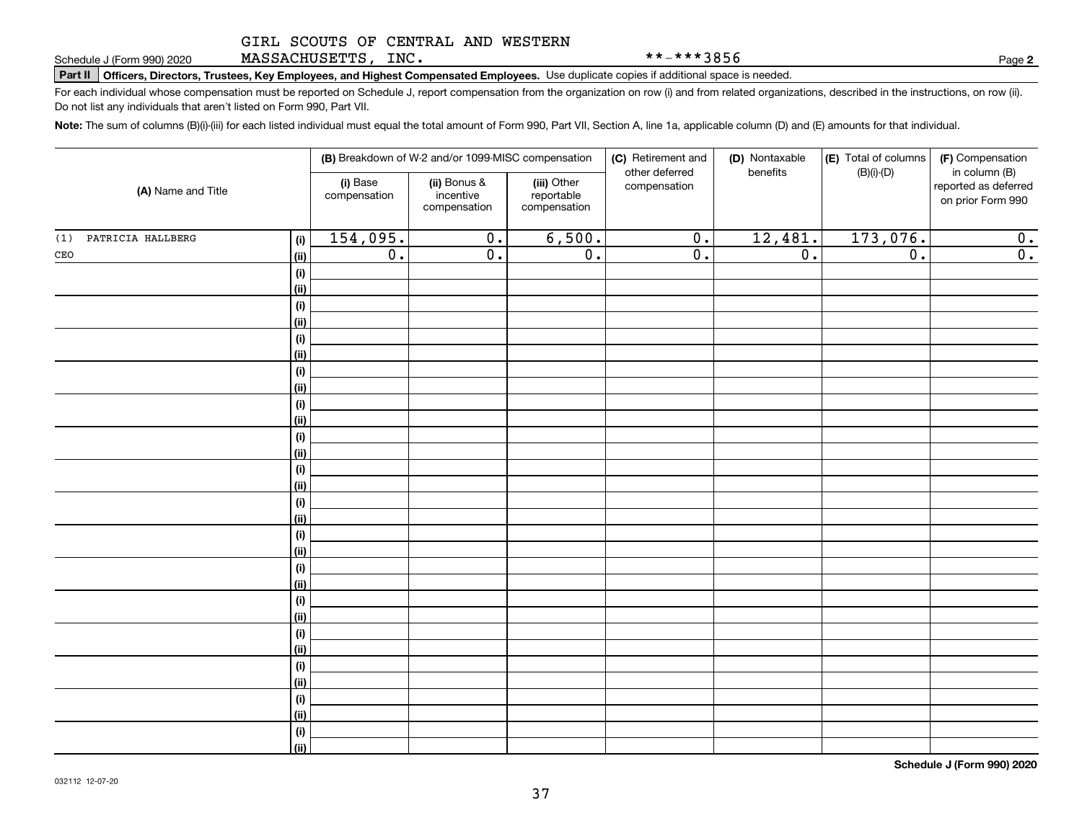MASSACHUSETTS, INC.

\*\*-\*\*\*3856

**2**

**Part II Officers, Directors, Trustees, Key Employees, and Highest Compensated Employees.**  Schedule J (Form 990) 2020 Page Use duplicate copies if additional space is needed.

For each individual whose compensation must be reported on Schedule J, report compensation from the organization on row (i) and from related organizations, described in the instructions, on row (ii). Do not list any individuals that aren't listed on Form 990, Part VII.

**Note:**  The sum of columns (B)(i)-(iii) for each listed individual must equal the total amount of Form 990, Part VII, Section A, line 1a, applicable column (D) and (E) amounts for that individual.

|                                 | (B) Breakdown of W-2 and/or 1099-MISC compensation |                                           |                                           | (C) Retirement and<br>other deferred | (D) Nontaxable<br>benefits | (E) Total of columns<br>$(B)(i)-(D)$ | (F) Compensation<br>in column (B)         |
|---------------------------------|----------------------------------------------------|-------------------------------------------|-------------------------------------------|--------------------------------------|----------------------------|--------------------------------------|-------------------------------------------|
| (A) Name and Title              | (i) Base<br>compensation                           | (ii) Bonus &<br>incentive<br>compensation | (iii) Other<br>reportable<br>compensation | compensation                         |                            |                                      | reported as deferred<br>on prior Form 990 |
| PATRICIA HALLBERG<br>(1)<br>(i) | 154,095.                                           | $\overline{0}$ .                          | 6,500.                                    | $\overline{0}$ .                     | 12,481.                    | 173,076.                             | 0.                                        |
| $\mathtt{CEO}$<br><u>(ii)</u>   | $\overline{0}$ .                                   | $\overline{0}$ .                          | $\overline{0}$ .                          | $\overline{0}$ .                     | $\overline{0}$ .           | $\overline{0}$ .                     | 0.                                        |
| $\qquad \qquad \textbf{(i)}$    |                                                    |                                           |                                           |                                      |                            |                                      |                                           |
| <u>(ii)</u>                     |                                                    |                                           |                                           |                                      |                            |                                      |                                           |
| (i)                             |                                                    |                                           |                                           |                                      |                            |                                      |                                           |
| <u>(ii)</u>                     |                                                    |                                           |                                           |                                      |                            |                                      |                                           |
| (i)                             |                                                    |                                           |                                           |                                      |                            |                                      |                                           |
| <u>(ii)</u>                     |                                                    |                                           |                                           |                                      |                            |                                      |                                           |
| (i)                             |                                                    |                                           |                                           |                                      |                            |                                      |                                           |
| <u>(ii)</u>                     |                                                    |                                           |                                           |                                      |                            |                                      |                                           |
| (i)                             |                                                    |                                           |                                           |                                      |                            |                                      |                                           |
| <u>(ii)</u>                     |                                                    |                                           |                                           |                                      |                            |                                      |                                           |
| (i)                             |                                                    |                                           |                                           |                                      |                            |                                      |                                           |
| <u>(ii)</u>                     |                                                    |                                           |                                           |                                      |                            |                                      |                                           |
| (i)<br><u>(ii)</u>              |                                                    |                                           |                                           |                                      |                            |                                      |                                           |
| (i)                             |                                                    |                                           |                                           |                                      |                            |                                      |                                           |
| <u>(ii)</u>                     |                                                    |                                           |                                           |                                      |                            |                                      |                                           |
| (i)                             |                                                    |                                           |                                           |                                      |                            |                                      |                                           |
| <u>(ii)</u>                     |                                                    |                                           |                                           |                                      |                            |                                      |                                           |
| (i)                             |                                                    |                                           |                                           |                                      |                            |                                      |                                           |
| <u>(ii)</u>                     |                                                    |                                           |                                           |                                      |                            |                                      |                                           |
| (i)                             |                                                    |                                           |                                           |                                      |                            |                                      |                                           |
| <u>(ii)</u>                     |                                                    |                                           |                                           |                                      |                            |                                      |                                           |
| (i)                             |                                                    |                                           |                                           |                                      |                            |                                      |                                           |
| <u>(ii)</u>                     |                                                    |                                           |                                           |                                      |                            |                                      |                                           |
| (i)                             |                                                    |                                           |                                           |                                      |                            |                                      |                                           |
| <u>(ii)</u>                     |                                                    |                                           |                                           |                                      |                            |                                      |                                           |
| (i)                             |                                                    |                                           |                                           |                                      |                            |                                      |                                           |
| <u>(ii)</u>                     |                                                    |                                           |                                           |                                      |                            |                                      |                                           |
| (i)                             |                                                    |                                           |                                           |                                      |                            |                                      |                                           |
| $\vert$ (ii)                    |                                                    |                                           |                                           |                                      |                            |                                      |                                           |

**Schedule J (Form 990) 2020**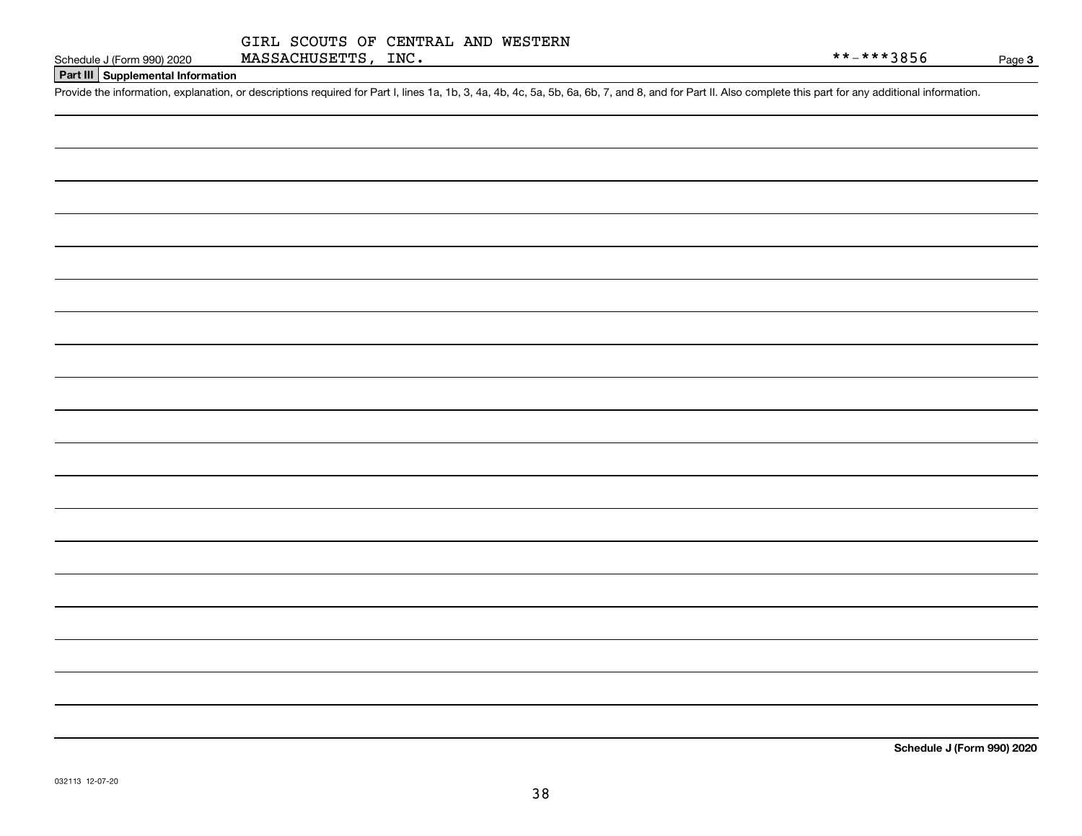| Schodule 1 (Form 000) 202 |  |  |
|---------------------------|--|--|

Page 3

# **Part III Supplemental Information**

Schedule J (Form 990) 2020 MASSACHUSETTS, INC.<br>Part III Supplemental Information<br>Provide the information, explanation, or descriptions required for Part I, lines 1a, 1b, 3, 4a, 4b, 4c, 5a, 5b, 6a, 6b, 7, and 8, and for Pa

**Schedule J (Form 990) 2020**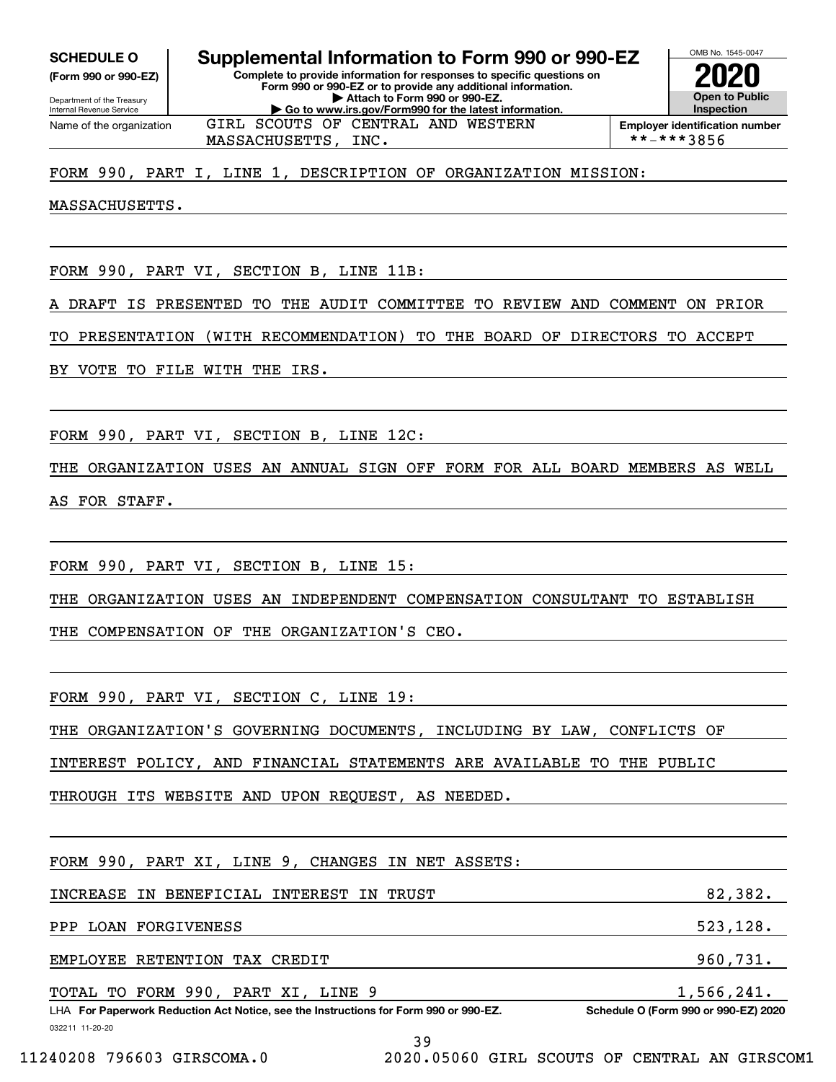Internal Revenue Service

Department of the Treasury **(Form 990 or 990-EZ)**

Name of the organization

**Complete to provide information for responses to specific questions on Form 990 or 990-EZ or to provide any additional information. | Attach to Form 990 or 990-EZ. | Go to www.irs.gov/Form990 for the latest information. SCHEDULE O Supplemental Information to Form 990 or 990-EZ**



MASSACHUSETTS, INC.  $\qquad \qquad \qquad$  \*\*-\*\*\*3856

### FORM 990, PART I, LINE 1, DESCRIPTION OF ORGANIZATION MISSION:

GIRL SCOUTS OF CENTRAL AND WESTERN

MASSACHUSETTS.

FORM 990, PART VI, SECTION B, LINE 11B:

DRAFT IS PRESENTED TO THE AUDIT COMMITTEE TO REVIEW AND COMMENT ON PRIOR

TO PRESENTATION (WITH RECOMMENDATION) TO THE BOARD OF DIRECTORS TO ACCEPT

BY VOTE TO FILE WITH THE IRS.

FORM 990, PART VI, SECTION B, LINE 12C:

THE ORGANIZATION USES AN ANNUAL SIGN OFF FORM FOR ALL BOARD MEMBERS AS WELL AS FOR STAFF.

FORM 990, PART VI, SECTION B, LINE 15:

THE ORGANIZATION USES AN INDEPENDENT COMPENSATION CONSULTANT TO ESTABLISH

THE COMPENSATION OF THE ORGANIZATION'S CEO.

FORM 990, PART VI, SECTION C, LINE 19:

THE ORGANIZATION'S GOVERNING DOCUMENTS, INCLUDING BY LAW, CONFLICTS OF

INTEREST POLICY, AND FINANCIAL STATEMENTS ARE AVAILABLE TO THE PUBLIC

THROUGH ITS WEBSITE AND UPON REQUEST, AS NEEDED.

032211 11-20-20 LHA For Paperwork Reduction Act Notice, see the Instructions for Form 990 or 990-EZ. Schedule O (Form 990 or 990-EZ) 2020 FORM 990, PART XI, LINE 9, CHANGES IN NET ASSETS: INCREASE IN BENEFICIAL INTEREST IN TRUST **1990 CONTROLLY 1991** 82,382. PPP LOAN FORGIVENESS 523, 523, 523, 523, 528. EMPLOYEE RETENTION TAX CREDIT 960,731. TOTAL TO FORM 990, PART XI, LINE 9 2001 1.566,241. 39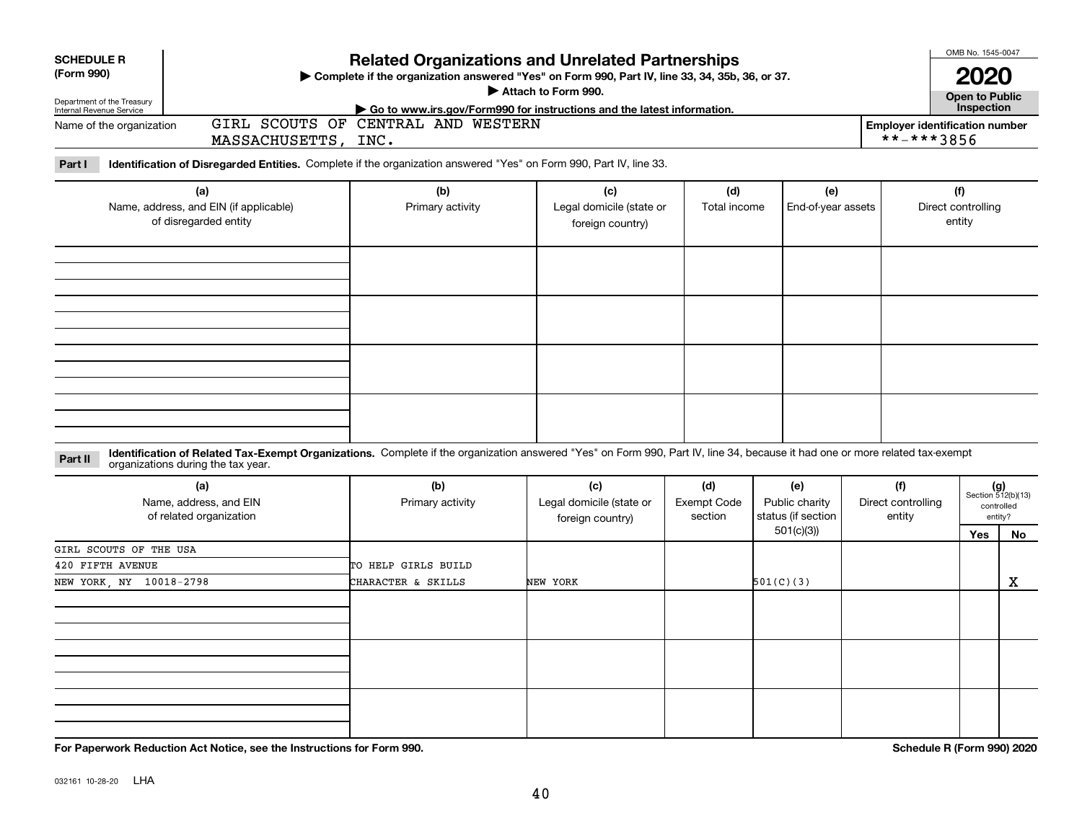| <b>SCHEDULE R</b><br>(Form 990)                                        |                                                                        |                                                                                                                                                                              | <b>Related Organizations and Unrelated Partnerships</b><br>Complete if the organization answered "Yes" on Form 990, Part IV, line 33, 34, 35b, 36, or 37. |                                      |                                                          |                                     |                            |                                                                   |   |  |  |
|------------------------------------------------------------------------|------------------------------------------------------------------------|------------------------------------------------------------------------------------------------------------------------------------------------------------------------------|-----------------------------------------------------------------------------------------------------------------------------------------------------------|--------------------------------------|----------------------------------------------------------|-------------------------------------|----------------------------|-------------------------------------------------------------------|---|--|--|
| Department of the Treasury<br>Internal Revenue Service                 |                                                                        |                                                                                                                                                                              | Attach to Form 990.<br>Go to www.irs.gov/Form990 for instructions and the latest information.                                                             |                                      |                                                          |                                     |                            |                                                                   |   |  |  |
| Name of the organization                                               | MASSACHUSETTS,                                                         | GIRL SCOUTS OF CENTRAL AND WESTERN<br>INC.                                                                                                                                   | <b>Employer identification number</b><br>**-***3856                                                                                                       |                                      |                                                          |                                     |                            |                                                                   |   |  |  |
| Part I                                                                 |                                                                        | Identification of Disregarded Entities. Complete if the organization answered "Yes" on Form 990, Part IV, line 33.                                                           |                                                                                                                                                           |                                      |                                                          |                                     |                            |                                                                   |   |  |  |
| (a)<br>Name, address, and EIN (if applicable)<br>of disregarded entity |                                                                        | (b)<br>Primary activity                                                                                                                                                      | (d)<br>(c)<br>Legal domicile (state or<br>Total income<br>foreign country)                                                                                |                                      | (e)<br>End-of-year assets                                |                                     |                            | (f)<br>Direct controlling<br>entity                               |   |  |  |
|                                                                        |                                                                        |                                                                                                                                                                              |                                                                                                                                                           |                                      |                                                          |                                     |                            |                                                                   |   |  |  |
|                                                                        |                                                                        |                                                                                                                                                                              |                                                                                                                                                           |                                      |                                                          |                                     |                            |                                                                   |   |  |  |
|                                                                        |                                                                        |                                                                                                                                                                              |                                                                                                                                                           |                                      |                                                          |                                     |                            |                                                                   |   |  |  |
| Part II                                                                | organizations during the tax year.                                     | Identification of Related Tax-Exempt Organizations. Complete if the organization answered "Yes" on Form 990, Part IV, line 34, because it had one or more related tax-exempt |                                                                                                                                                           |                                      |                                                          |                                     |                            |                                                                   |   |  |  |
|                                                                        | (a)<br>Name, address, and EIN<br>of related organization               | (b)<br>Primary activity                                                                                                                                                      | (c)<br>Legal domicile (state or<br>foreign country)                                                                                                       | (d)<br><b>Exempt Code</b><br>section | (e)<br>Public charity<br>status (if section<br>501(c)(3) | (f)<br>Direct controlling<br>entity |                            | $(g)$<br>Section 512(b)(13)<br>controlled<br>entity?<br>Yes<br>No |   |  |  |
| GIRL SCOUTS OF THE USA                                                 |                                                                        |                                                                                                                                                                              |                                                                                                                                                           |                                      |                                                          |                                     |                            |                                                                   |   |  |  |
| 420 FIFTH AVENUE<br>NEW YORK, NY 10018-2798                            |                                                                        | TO HELP GIRLS BUILD<br>CHARACTER & SKILLS                                                                                                                                    | NEW YORK                                                                                                                                                  |                                      | 501(C)(3)                                                |                                     |                            |                                                                   | X |  |  |
|                                                                        |                                                                        |                                                                                                                                                                              |                                                                                                                                                           |                                      |                                                          |                                     |                            |                                                                   |   |  |  |
|                                                                        |                                                                        |                                                                                                                                                                              |                                                                                                                                                           |                                      |                                                          |                                     |                            |                                                                   |   |  |  |
|                                                                        | For Paperwork Reduction Act Notice, see the Instructions for Form 990. |                                                                                                                                                                              |                                                                                                                                                           |                                      |                                                          |                                     | Schedule R (Form 990) 2020 |                                                                   |   |  |  |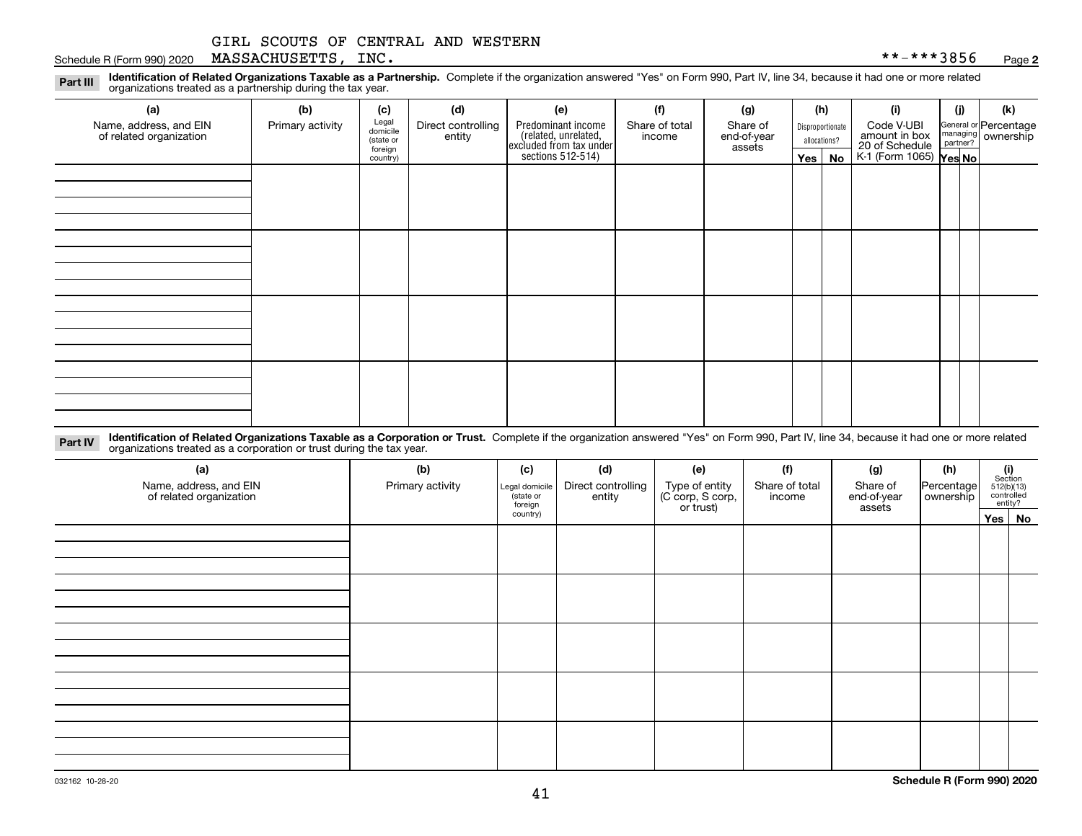#### Schedule R (Form 990) 2020 Page MASSACHUSETTS, INC. \*\*-\*\*\*3856

**2**

**Identification of Related Organizations Taxable as a Partnership.** Complete if the organization answered "Yes" on Form 990, Part IV, line 34, because it had one or more related **Part III** organizations treated as a partnership during the tax year.

| (a)                                               | (b)              | (c)                  | (d)                          | (e)                                                                 | (f)                      | (g)                     |  | (h)              | (i)                                               | (j) | (k)                   |  |
|---------------------------------------------------|------------------|----------------------|------------------------------|---------------------------------------------------------------------|--------------------------|-------------------------|--|------------------|---------------------------------------------------|-----|-----------------------|--|
| Name, address, and EIN<br>of related organization | Primary activity | Legal<br>domicile    | Direct controlling<br>entity | Predominant income                                                  | Share of total<br>income | Share of<br>end-of-year |  | Disproportionate | Code V-UBI<br>amount in box                       |     | General or Percentage |  |
|                                                   |                  | (state or<br>foreign |                              | related, unrelated,<br>excluded from tax under<br>sections 512-514) |                          | assets                  |  | allocations?     |                                                   |     | managing ownership    |  |
|                                                   |                  | country)             |                              |                                                                     |                          |                         |  | $Yes \mid No$    | 20 of Schedule Partner?<br>K-1 (Form 1065) Yes No |     |                       |  |
|                                                   |                  |                      |                              |                                                                     |                          |                         |  |                  |                                                   |     |                       |  |
|                                                   |                  |                      |                              |                                                                     |                          |                         |  |                  |                                                   |     |                       |  |
|                                                   |                  |                      |                              |                                                                     |                          |                         |  |                  |                                                   |     |                       |  |
|                                                   |                  |                      |                              |                                                                     |                          |                         |  |                  |                                                   |     |                       |  |
|                                                   |                  |                      |                              |                                                                     |                          |                         |  |                  |                                                   |     |                       |  |
|                                                   |                  |                      |                              |                                                                     |                          |                         |  |                  |                                                   |     |                       |  |
|                                                   |                  |                      |                              |                                                                     |                          |                         |  |                  |                                                   |     |                       |  |
|                                                   |                  |                      |                              |                                                                     |                          |                         |  |                  |                                                   |     |                       |  |
|                                                   |                  |                      |                              |                                                                     |                          |                         |  |                  |                                                   |     |                       |  |
|                                                   |                  |                      |                              |                                                                     |                          |                         |  |                  |                                                   |     |                       |  |
|                                                   |                  |                      |                              |                                                                     |                          |                         |  |                  |                                                   |     |                       |  |
|                                                   |                  |                      |                              |                                                                     |                          |                         |  |                  |                                                   |     |                       |  |
|                                                   |                  |                      |                              |                                                                     |                          |                         |  |                  |                                                   |     |                       |  |
|                                                   |                  |                      |                              |                                                                     |                          |                         |  |                  |                                                   |     |                       |  |
|                                                   |                  |                      |                              |                                                                     |                          |                         |  |                  |                                                   |     |                       |  |
|                                                   |                  |                      |                              |                                                                     |                          |                         |  |                  |                                                   |     |                       |  |
|                                                   |                  |                      |                              |                                                                     |                          |                         |  |                  |                                                   |     |                       |  |

**Identification of Related Organizations Taxable as a Corporation or Trust.** Complete if the organization answered "Yes" on Form 990, Part IV, line 34, because it had one or more related **Part IV** organizations treated as a corporation or trust during the tax year.

| (a)<br>Name, address, and EIN<br>of related organization | (b)<br>Primary activity | (c)<br>Legal domicile<br>(state or<br>foreign | (d)<br>Direct controlling<br>entity | (e)<br>Type of entity<br>(C corp, S corp,<br>or trust) | (f)<br>Share of total<br>income | (g)<br>Share of<br>end-of-year<br>assets | (h)<br>Percentage<br>ownership | $\begin{array}{c} \textbf{(i)}\\ \text{Section}\\ 512 \text{(b)} \text{(13)}\\ \text{controlled}\\ \text{entity?} \end{array}$ |          |
|----------------------------------------------------------|-------------------------|-----------------------------------------------|-------------------------------------|--------------------------------------------------------|---------------------------------|------------------------------------------|--------------------------------|--------------------------------------------------------------------------------------------------------------------------------|----------|
|                                                          |                         | country)                                      |                                     |                                                        |                                 |                                          |                                |                                                                                                                                | Yes   No |
|                                                          |                         |                                               |                                     |                                                        |                                 |                                          |                                |                                                                                                                                |          |
|                                                          |                         |                                               |                                     |                                                        |                                 |                                          |                                |                                                                                                                                |          |
|                                                          |                         |                                               |                                     |                                                        |                                 |                                          |                                |                                                                                                                                |          |
|                                                          |                         |                                               |                                     |                                                        |                                 |                                          |                                |                                                                                                                                |          |
|                                                          |                         |                                               |                                     |                                                        |                                 |                                          |                                |                                                                                                                                |          |
|                                                          |                         |                                               |                                     |                                                        |                                 |                                          |                                |                                                                                                                                |          |
|                                                          |                         |                                               |                                     |                                                        |                                 |                                          |                                |                                                                                                                                |          |
|                                                          |                         |                                               |                                     |                                                        |                                 |                                          |                                |                                                                                                                                |          |
|                                                          |                         |                                               |                                     |                                                        |                                 |                                          |                                |                                                                                                                                |          |
|                                                          |                         |                                               |                                     |                                                        |                                 |                                          |                                |                                                                                                                                |          |
|                                                          |                         |                                               |                                     |                                                        |                                 |                                          |                                |                                                                                                                                |          |
|                                                          |                         |                                               |                                     |                                                        |                                 |                                          |                                |                                                                                                                                |          |
|                                                          |                         |                                               |                                     |                                                        |                                 |                                          |                                |                                                                                                                                |          |
|                                                          |                         |                                               |                                     |                                                        |                                 |                                          |                                |                                                                                                                                |          |
|                                                          |                         |                                               |                                     |                                                        |                                 |                                          |                                |                                                                                                                                |          |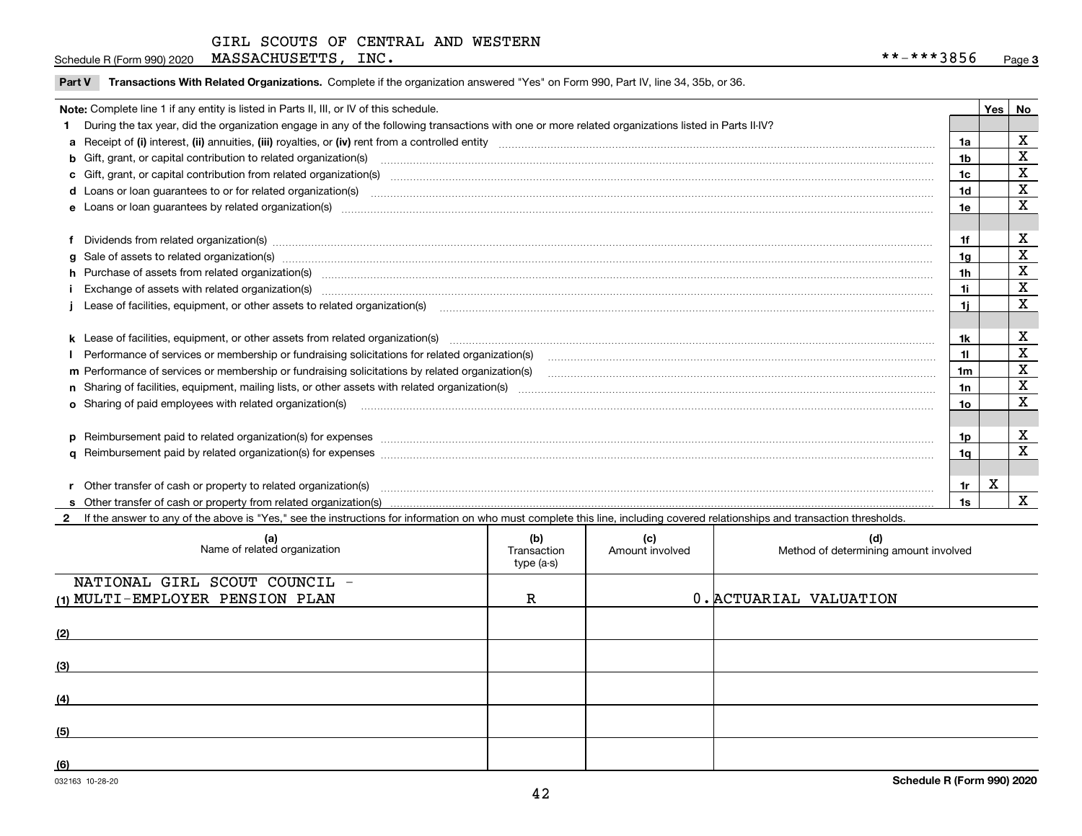Schedule R (Form 990) 2020 Page MASSACHUSETTS, INC. \*\*-\*\*\*3856

|  | Part V Transactions With Related Organizations. Complete if the organization answered "Yes" on Form 990, Part IV, line 34, 35b, or 36 |  |  |
|--|---------------------------------------------------------------------------------------------------------------------------------------|--|--|
|--|---------------------------------------------------------------------------------------------------------------------------------------|--|--|

| Note: Complete line 1 if any entity is listed in Parts II, III, or IV of this schedule.                                                                                                                                        |                | Yes   No |             |
|--------------------------------------------------------------------------------------------------------------------------------------------------------------------------------------------------------------------------------|----------------|----------|-------------|
| During the tax year, did the organization engage in any of the following transactions with one or more related organizations listed in Parts II-IV?                                                                            |                |          |             |
|                                                                                                                                                                                                                                | 1a             |          | X           |
| b Gift, grant, or capital contribution to related organization(s) manufactured and contribution to related organization(s)                                                                                                     | 1b             |          | X           |
| c Gift, grant, or capital contribution from related organization(s) material content and contribution from related organization(s) material content and content and contribution from related organization(s) material content | 1c             |          | X           |
|                                                                                                                                                                                                                                | 1 <sub>d</sub> |          | X           |
|                                                                                                                                                                                                                                | 1e             |          | X           |
|                                                                                                                                                                                                                                |                |          |             |
| Dividends from related organization(s) www.andron.com/www.andron.com/www.andron.com/www.andron.com/www.andron.com/www.andron.com/www.andron.com/www.andron.com/www.andron.com/www.andron.com/www.andron.com/www.andron.com/www | 1f             |          | X           |
| g Sale of assets to related organization(s) www.assettion.com/www.assettion.com/www.assettion.com/www.assettion.com/www.assettion.com/www.assettion.com/www.assettion.com/www.assettion.com/www.assettion.com/www.assettion.co | 1 <sub>q</sub> |          | $\mathbf X$ |
| h Purchase of assets from related organization(s) manufactured and content to content the content of assets from related organization(s)                                                                                       | 1 <sub>h</sub> |          | X           |
|                                                                                                                                                                                                                                | 1i             |          | $\mathbf x$ |
| Lease of facilities, equipment, or other assets to related organization(s) contained and contained and contained and contained and contained and contained and contained and contained and contained and contained and contain | 1i.            |          | X           |
|                                                                                                                                                                                                                                |                |          |             |
|                                                                                                                                                                                                                                | 1k             |          | X           |
|                                                                                                                                                                                                                                |                |          | $\mathbf X$ |
|                                                                                                                                                                                                                                | 1 <sub>m</sub> |          | $\mathbf X$ |
|                                                                                                                                                                                                                                | 1n             |          | X           |
| <b>o</b> Sharing of paid employees with related organization(s)                                                                                                                                                                | 1o             |          | X           |
|                                                                                                                                                                                                                                |                |          |             |
| p Reimbursement paid to related organization(s) for expenses [11111] and the content of the content of the content of the content of the content of the content of the content of the content of the content of the content of | 1p             |          | X           |
|                                                                                                                                                                                                                                | 1q             |          | X           |
|                                                                                                                                                                                                                                |                |          |             |
| Other transfer of cash or property to related organization(s)                                                                                                                                                                  | 1r             | X        |             |
|                                                                                                                                                                                                                                | 1s             |          | X           |
| 2 If the answer to any of the above is "Yes," see the instructions for information on who must complete this line, including covered relationships and transaction thresholds.                                                 |                |          |             |

| (a)<br>Name of related organization | (b)<br>Transaction<br>type (a-s) | (c)<br>Amount involved | (d)<br>Method of determining amount involved |
|-------------------------------------|----------------------------------|------------------------|----------------------------------------------|
| NATIONAL GIRL SCOUT COUNCIL -       |                                  |                        |                                              |
| (1) MULTI-EMPLOYER PENSION PLAN     | R                                |                        | 0. ACTUARIAL VALUATION                       |
| (2)                                 |                                  |                        |                                              |
| (3)                                 |                                  |                        |                                              |
| (4)                                 |                                  |                        |                                              |
| (5)                                 |                                  |                        |                                              |
| (6)                                 |                                  |                        |                                              |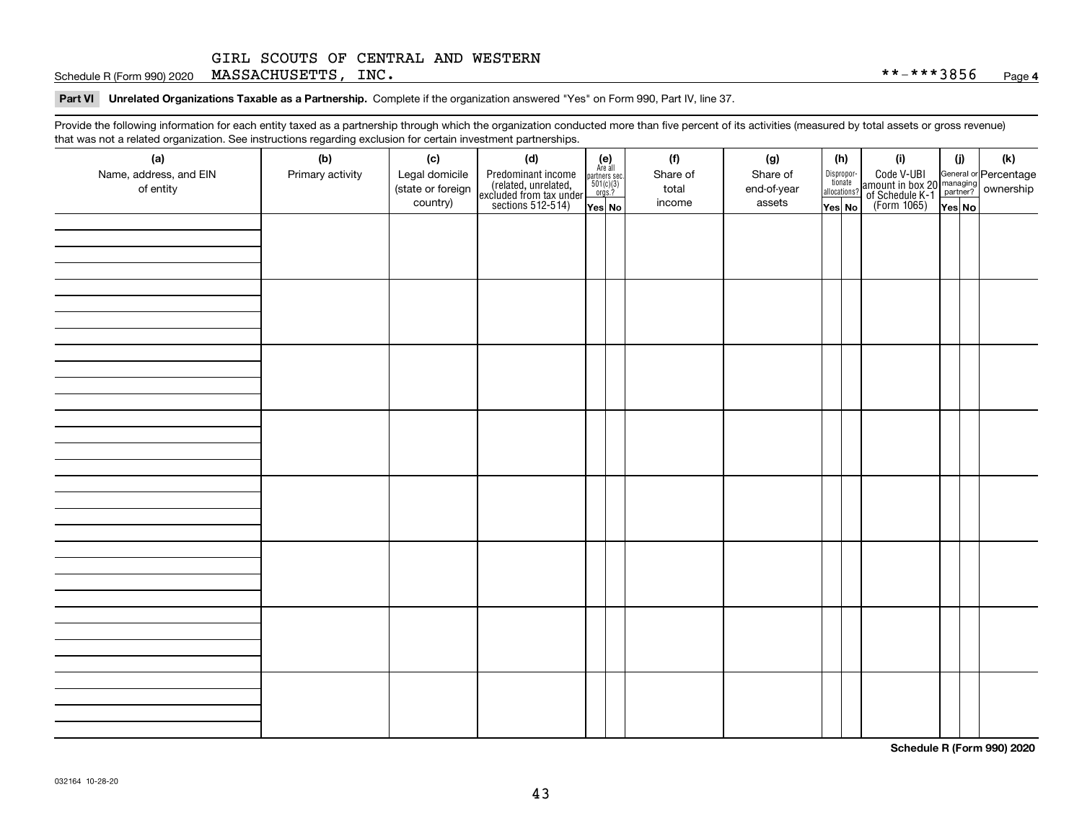Schedule R (Form 990) 2020 Page MASSACHUSETTS, INC. \*\*-\*\*\*3856

**Part VI Unrelated Organizations Taxable as a Partnership. Complete if the organization answered "Yes" on Form 990, Part IV, line 37.** 

Provide the following information for each entity taxed as a partnership through which the organization conducted more than five percent of its activities (measured by total assets or gross revenue) that was not a related organization. See instructions regarding exclusion for certain investment partnerships.

| that was not a related erganization. See includitions regarding excludion for contain investment partnereinper<br>(a) | (b)              | (c)               | (d)                                                                                        |                                                                                                                   | (f)      | (g)         | (h)                              | (i)                                                                                                    | (i)    | $(\mathsf{k})$ |
|-----------------------------------------------------------------------------------------------------------------------|------------------|-------------------|--------------------------------------------------------------------------------------------|-------------------------------------------------------------------------------------------------------------------|----------|-------------|----------------------------------|--------------------------------------------------------------------------------------------------------|--------|----------------|
| Name, address, and EIN                                                                                                | Primary activity | Legal domicile    |                                                                                            | $\begin{array}{c} \textbf{(e)}\\ \text{Are all} \\ \text{partners sec.}\\ 501(c)(3) \\ \text{orgs.?} \end{array}$ | Share of | Share of    |                                  |                                                                                                        |        |                |
| of entity                                                                                                             |                  | (state or foreign |                                                                                            |                                                                                                                   | total    | end-of-year | Disproportionate<br>allocations? |                                                                                                        |        |                |
|                                                                                                                       |                  | country)          | Predominant income<br>(related, unrelated,<br>excluded from tax under<br>sections 512-514) | Yes No                                                                                                            | income   | assets      | Yes No                           | Code V-UBI<br>amount in box 20 managing<br>of Schedule K-1 partner? ownership<br>(Form 1065)<br>ves No | Yes No |                |
|                                                                                                                       |                  |                   |                                                                                            |                                                                                                                   |          |             |                                  |                                                                                                        |        |                |
|                                                                                                                       |                  |                   |                                                                                            |                                                                                                                   |          |             |                                  |                                                                                                        |        |                |
|                                                                                                                       |                  |                   |                                                                                            |                                                                                                                   |          |             |                                  |                                                                                                        |        |                |
|                                                                                                                       |                  |                   |                                                                                            |                                                                                                                   |          |             |                                  |                                                                                                        |        |                |
|                                                                                                                       |                  |                   |                                                                                            |                                                                                                                   |          |             |                                  |                                                                                                        |        |                |
|                                                                                                                       |                  |                   |                                                                                            |                                                                                                                   |          |             |                                  |                                                                                                        |        |                |
|                                                                                                                       |                  |                   |                                                                                            |                                                                                                                   |          |             |                                  |                                                                                                        |        |                |
|                                                                                                                       |                  |                   |                                                                                            |                                                                                                                   |          |             |                                  |                                                                                                        |        |                |
|                                                                                                                       |                  |                   |                                                                                            |                                                                                                                   |          |             |                                  |                                                                                                        |        |                |
|                                                                                                                       |                  |                   |                                                                                            |                                                                                                                   |          |             |                                  |                                                                                                        |        |                |
|                                                                                                                       |                  |                   |                                                                                            |                                                                                                                   |          |             |                                  |                                                                                                        |        |                |
|                                                                                                                       |                  |                   |                                                                                            |                                                                                                                   |          |             |                                  |                                                                                                        |        |                |
|                                                                                                                       |                  |                   |                                                                                            |                                                                                                                   |          |             |                                  |                                                                                                        |        |                |
|                                                                                                                       |                  |                   |                                                                                            |                                                                                                                   |          |             |                                  |                                                                                                        |        |                |
|                                                                                                                       |                  |                   |                                                                                            |                                                                                                                   |          |             |                                  |                                                                                                        |        |                |
|                                                                                                                       |                  |                   |                                                                                            |                                                                                                                   |          |             |                                  |                                                                                                        |        |                |
|                                                                                                                       |                  |                   |                                                                                            |                                                                                                                   |          |             |                                  |                                                                                                        |        |                |
|                                                                                                                       |                  |                   |                                                                                            |                                                                                                                   |          |             |                                  |                                                                                                        |        |                |
|                                                                                                                       |                  |                   |                                                                                            |                                                                                                                   |          |             |                                  |                                                                                                        |        |                |
|                                                                                                                       |                  |                   |                                                                                            |                                                                                                                   |          |             |                                  |                                                                                                        |        |                |
|                                                                                                                       |                  |                   |                                                                                            |                                                                                                                   |          |             |                                  |                                                                                                        |        |                |
|                                                                                                                       |                  |                   |                                                                                            |                                                                                                                   |          |             |                                  |                                                                                                        |        |                |
|                                                                                                                       |                  |                   |                                                                                            |                                                                                                                   |          |             |                                  |                                                                                                        |        |                |
|                                                                                                                       |                  |                   |                                                                                            |                                                                                                                   |          |             |                                  |                                                                                                        |        |                |
|                                                                                                                       |                  |                   |                                                                                            |                                                                                                                   |          |             |                                  |                                                                                                        |        |                |
|                                                                                                                       |                  |                   |                                                                                            |                                                                                                                   |          |             |                                  |                                                                                                        |        |                |
|                                                                                                                       |                  |                   |                                                                                            |                                                                                                                   |          |             |                                  |                                                                                                        |        |                |
|                                                                                                                       |                  |                   |                                                                                            |                                                                                                                   |          |             |                                  |                                                                                                        |        |                |
|                                                                                                                       |                  |                   |                                                                                            |                                                                                                                   |          |             |                                  |                                                                                                        |        |                |
|                                                                                                                       |                  |                   |                                                                                            |                                                                                                                   |          |             |                                  |                                                                                                        |        |                |
|                                                                                                                       |                  |                   |                                                                                            |                                                                                                                   |          |             |                                  |                                                                                                        |        |                |
|                                                                                                                       |                  |                   |                                                                                            |                                                                                                                   |          |             |                                  |                                                                                                        |        |                |
|                                                                                                                       |                  |                   |                                                                                            |                                                                                                                   |          |             |                                  |                                                                                                        |        |                |

**Schedule R (Form 990) 2020**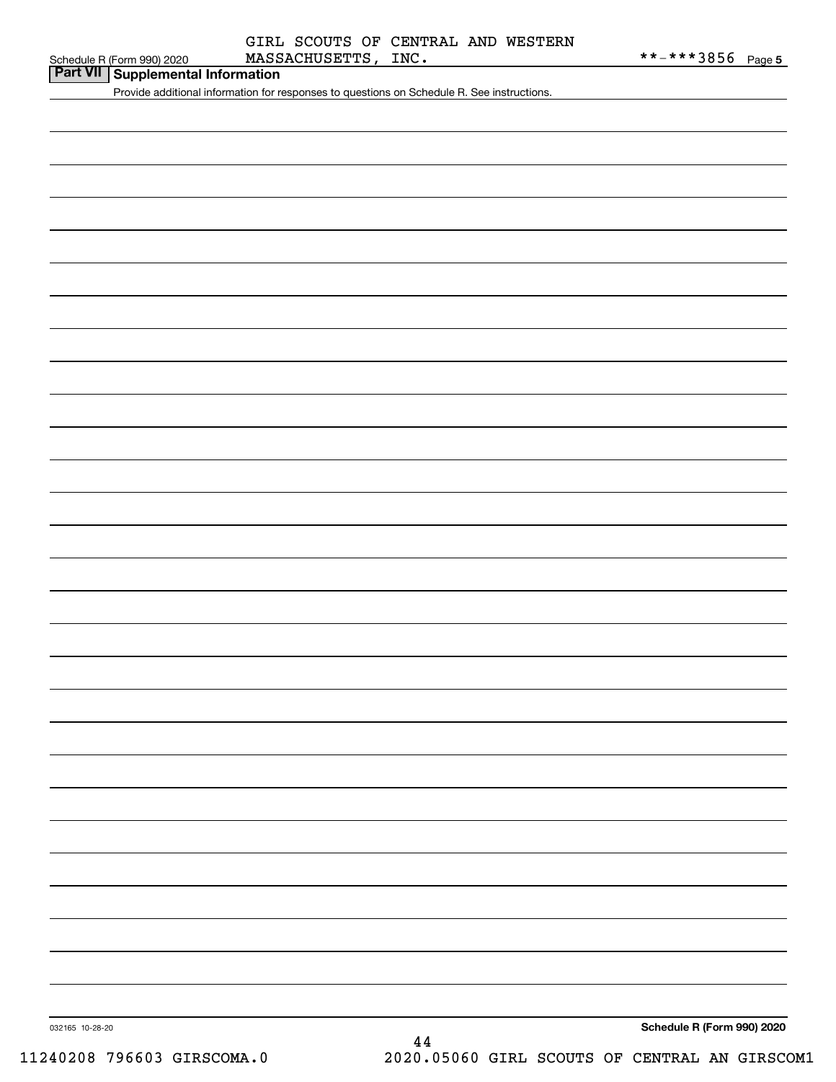| Schedule R (Form 990) 2020 |  |  |
|----------------------------|--|--|

**Part VII Supplemental Information**

Provide additional information for responses to questions on Schedule R. See instructions.

**Schedule R (Form 990) 2020**

032165 10-28-20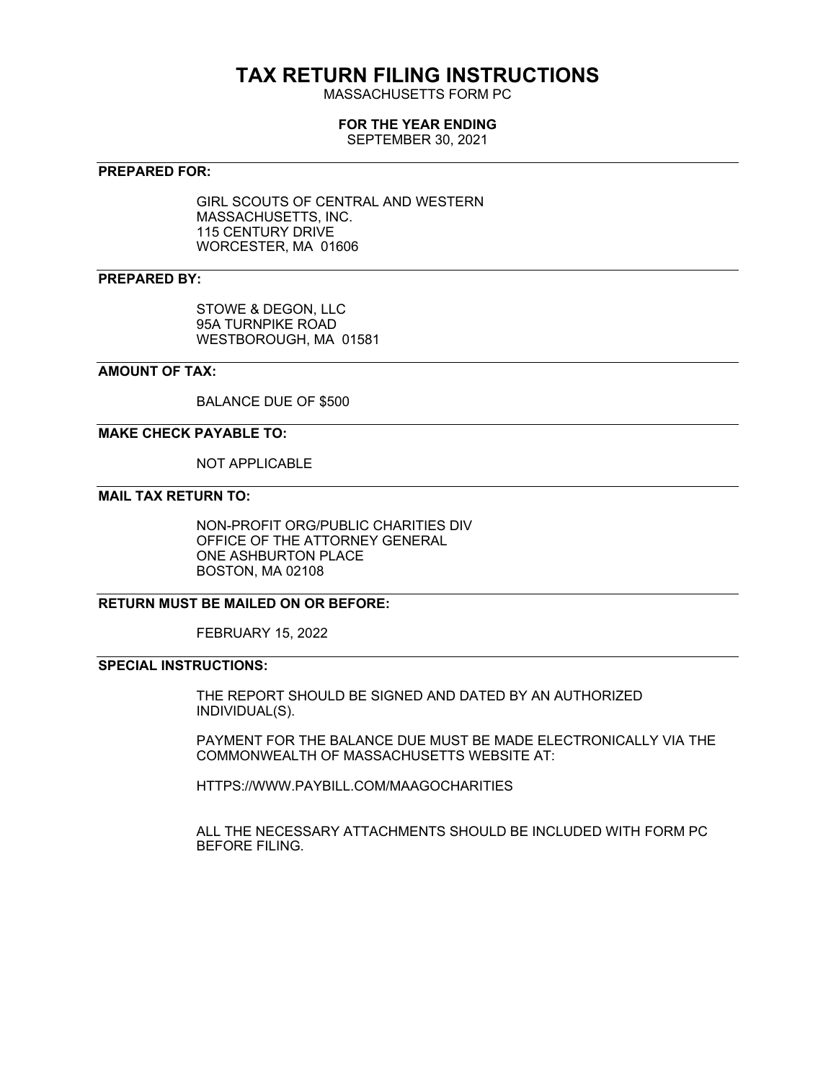# **TAX RETURN FILING INSTRUCTIONS**

MASSACHUSETTS FORM PC

#### **FOR THE YEAR ENDING**

SEPTEMBER 30, 2021

### **PREPARED FOR:**

GIRL SCOUTS OF CENTRAL AND WESTERN MASSACHUSETTS, INC. 115 CENTURY DRIVE WORCESTER, MA 01606

# **PREPARED BY:**

STOWE & DEGON, LLC 95A TURNPIKE ROAD WESTBOROUGH, MA 01581

### **AMOUNT OF TAX:**

BALANCE DUE OF \$500

# **MAKE CHECK PAYABLE TO:**

NOT APPLICABLE

# **MAIL TAX RETURN TO:**

NON-PROFIT ORG/PUBLIC CHARITIES DIV OFFICE OF THE ATTORNEY GENERAL ONE ASHBURTON PLACE BOSTON, MA 02108

# **RETURN MUST BE MAILED ON OR BEFORE:**

FEBRUARY 15, 2022

# **SPECIAL INSTRUCTIONS:**

THE REPORT SHOULD BE SIGNED AND DATED BY AN AUTHORIZED INDIVIDUAL(S).

PAYMENT FOR THE BALANCE DUE MUST BE MADE ELECTRONICALLY VIA THE COMMONWEALTH OF MASSACHUSETTS WEBSITE AT:

HTTPS://WWW.PAYBILL.COM/MAAGOCHARITIES

ALL THE NECESSARY ATTACHMENTS SHOULD BE INCLUDED WITH FORM PC BEFORE FILING.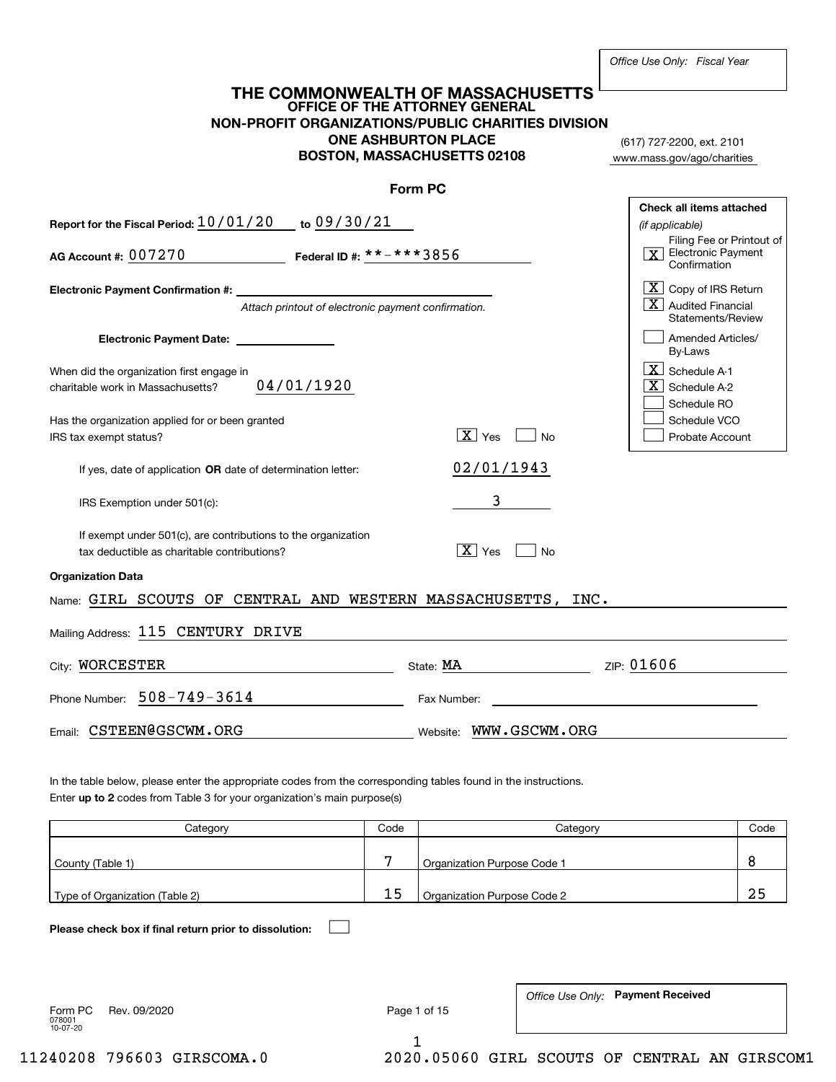|                                                                                                                                                                                                                                                                                                                                                                                                 |                                                     |      | NON-PROFIT ORGANIZATIONS/PUBLIC CHARITIES DIVISION<br><b>ONE ASHBURTON PLACE</b><br><b>BOSTON, MASSACHUSETTS 02108</b> | (617) 727-2200, ext. 2101<br>www.mass.gov/ago/charities  |
|-------------------------------------------------------------------------------------------------------------------------------------------------------------------------------------------------------------------------------------------------------------------------------------------------------------------------------------------------------------------------------------------------|-----------------------------------------------------|------|------------------------------------------------------------------------------------------------------------------------|----------------------------------------------------------|
|                                                                                                                                                                                                                                                                                                                                                                                                 |                                                     |      | Form PC                                                                                                                |                                                          |
|                                                                                                                                                                                                                                                                                                                                                                                                 |                                                     |      |                                                                                                                        | Check all items attached                                 |
| Report for the Fiscal Period: 10/01/20 to 09/30/21                                                                                                                                                                                                                                                                                                                                              |                                                     |      |                                                                                                                        | (if applicable)<br>Filing Fee or Printout of             |
| AG Account #: 007270                                                                                                                                                                                                                                                                                                                                                                            | Federal ID #: $***$ $***$ 3 $8$ 5 $6$               |      |                                                                                                                        | $\boxed{\mathbf{X}}$ Electronic Payment<br>Confirmation  |
| <b>Electronic Payment Confirmation #:</b>                                                                                                                                                                                                                                                                                                                                                       |                                                     |      |                                                                                                                        | $ \mathbf{X} $ Copy of IRS Return                        |
|                                                                                                                                                                                                                                                                                                                                                                                                 | Attach printout of electronic payment confirmation. |      |                                                                                                                        | $\mid$ $X$ $\mid$ Audited Financial<br>Statements/Review |
| Electronic Payment Date: <u>_______________</u>                                                                                                                                                                                                                                                                                                                                                 |                                                     |      |                                                                                                                        | Amended Articles/<br>By-Laws                             |
| When did the organization first engage in                                                                                                                                                                                                                                                                                                                                                       |                                                     |      |                                                                                                                        | $\lfloor \mathbf{X} \rfloor$ Schedule A-1                |
| charitable work in Massachusetts?                                                                                                                                                                                                                                                                                                                                                               | 04/01/1920                                          |      |                                                                                                                        | $\overline{X}$ Schedule A-2                              |
|                                                                                                                                                                                                                                                                                                                                                                                                 |                                                     |      |                                                                                                                        | Schedule RO                                              |
| Has the organization applied for or been granted<br>IRS tax exempt status?                                                                                                                                                                                                                                                                                                                      |                                                     |      | $\boxed{\mathbf{X}}$ Yes<br>l No                                                                                       | Schedule VCO<br>Probate Account                          |
| If yes, date of application OR date of determination letter:                                                                                                                                                                                                                                                                                                                                    |                                                     |      | 02/01/1943                                                                                                             |                                                          |
| IRS Exemption under 501(c):                                                                                                                                                                                                                                                                                                                                                                     |                                                     |      | 3                                                                                                                      |                                                          |
| If exempt under 501(c), are contributions to the organization<br>tax deductible as charitable contributions?                                                                                                                                                                                                                                                                                    |                                                     |      | $\boxed{\text{X}}$ Yes<br>No                                                                                           |                                                          |
| <b>Organization Data</b>                                                                                                                                                                                                                                                                                                                                                                        |                                                     |      |                                                                                                                        |                                                          |
|                                                                                                                                                                                                                                                                                                                                                                                                 |                                                     |      |                                                                                                                        |                                                          |
|                                                                                                                                                                                                                                                                                                                                                                                                 |                                                     |      |                                                                                                                        |                                                          |
|                                                                                                                                                                                                                                                                                                                                                                                                 |                                                     |      |                                                                                                                        |                                                          |
|                                                                                                                                                                                                                                                                                                                                                                                                 |                                                     |      | State: MA                                                                                                              | ZIP: 01606                                               |
|                                                                                                                                                                                                                                                                                                                                                                                                 |                                                     |      | Fax Number:                                                                                                            |                                                          |
|                                                                                                                                                                                                                                                                                                                                                                                                 |                                                     |      | Website: WWW.GSCWM.ORG                                                                                                 |                                                          |
|                                                                                                                                                                                                                                                                                                                                                                                                 |                                                     |      |                                                                                                                        |                                                          |
|                                                                                                                                                                                                                                                                                                                                                                                                 |                                                     |      |                                                                                                                        |                                                          |
| Name: GIRL SCOUTS OF CENTRAL AND WESTERN MASSACHUSETTS, INC.<br>Mailing Address: 115 CENTURY DRIVE<br>City: WORCESTER<br>Phone Number: $508 - 749 - 3614$<br>Email: CSTEEN@GSCWM.ORG<br>In the table below, please enter the appropriate codes from the corresponding tables found in the instructions.<br>Enter up to 2 codes from Table 3 for your organization's main purpose(s)<br>Category |                                                     | Code | Category                                                                                                               | Code                                                     |
| County (Table 1)                                                                                                                                                                                                                                                                                                                                                                                |                                                     | 7    | Organization Purpose Code 1                                                                                            | 8                                                        |
| Type of Organization (Table 2)                                                                                                                                                                                                                                                                                                                                                                  |                                                     | 15   | Organization Purpose Code 2                                                                                            | 25                                                       |
|                                                                                                                                                                                                                                                                                                                                                                                                 |                                                     |      |                                                                                                                        |                                                          |
| Please check box if final return prior to dissolution:                                                                                                                                                                                                                                                                                                                                          |                                                     |      |                                                                                                                        |                                                          |
| Rev. 09/2020<br>Form PC<br>078001<br>10-07-20                                                                                                                                                                                                                                                                                                                                                   |                                                     |      | Page 1 of 15                                                                                                           | Office Use Only: Payment Received                        |

**THE COMMONWEALTH OF MASSACHUSETTS**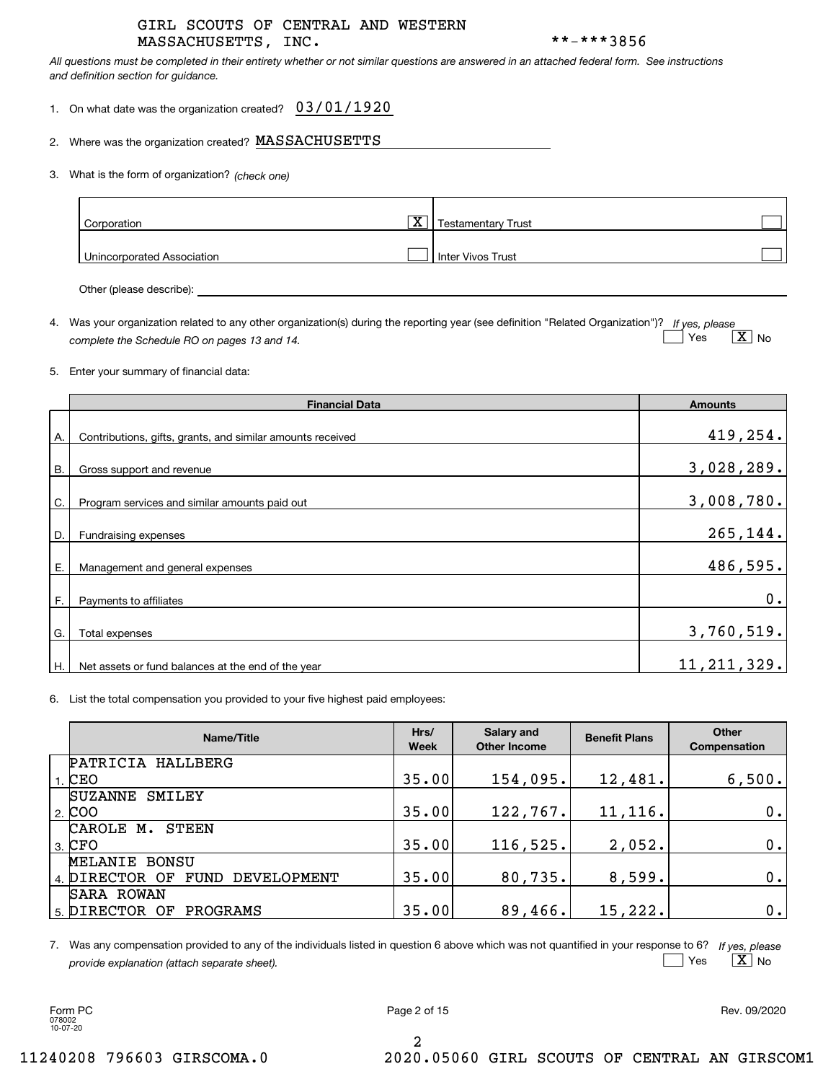### MASSACHUSETTS, INC. \*\*-\*\*\*3856 GIRL SCOUTS OF CENTRAL AND WESTERN

*All questions must be completed in their entirety whether or not similar questions are answered in an attached federal form. See instructions and definition section for guidance.*

1. On what date was the organization created?  $\,$   $\,03$  /  $01$  /  $1920$ 

2.Where was the organization created?  $\, {\rm MASSACHUSETTS}$ 

*(check one)* 3. What is the form of organization?

| Corporation                | $\overline{\mathbf{X}}$ | <b>Testamentary Trust</b> |  |
|----------------------------|-------------------------|---------------------------|--|
| Unincorporated Association |                         | Inter Vivos Trust         |  |

Other (please describe):

4. Was your organization related to any other organization(s) during the reporting year (see definition "Related Organization")? If yes, please *complete the Schedule RO on pages 13 and 14.* Yes X es  $\mid$   $\rm X\mid$  No

#### 5.Enter your summary of financial data:

|    | <b>Financial Data</b>                                      | <b>Amounts</b> |
|----|------------------------------------------------------------|----------------|
| А. | Contributions, gifts, grants, and similar amounts received | 419,254.       |
| В. | Gross support and revenue                                  | 3,028,289.     |
| C. | Program services and similar amounts paid out              | 3,008,780.     |
| D. | Fundraising expenses                                       | 265,144.       |
| Е. | Management and general expenses                            | 486,595.       |
| F. | Payments to affiliates                                     | 0.             |
| G. | Total expenses                                             | 3,760,519.     |
| Η. | Net assets or fund balances at the end of the year         | 11, 211, 329.  |

6. List the total compensation you provided to your five highest paid employees:

| Name/Title                         | Hrs/<br><b>Week</b> | Salary and<br><b>Other Income</b> | <b>Benefit Plans</b> | Other<br><b>Compensation</b> |
|------------------------------------|---------------------|-----------------------------------|----------------------|------------------------------|
| PATRICIA<br>HALLBERG               |                     |                                   |                      |                              |
| $1.$ CEO                           | 35.00               | 154,095.                          | 12,481.              | 6,500.                       |
| <b>SUZANNE</b><br>SMILEY           |                     |                                   |                      |                              |
| $\frac{1}{2}$ COO                  | 35.00               | 122, 767.                         | 11, 116.             | 0.1                          |
| CAROLE M.<br>STEEN                 |                     |                                   |                      |                              |
| $3.$ CFO                           | 35.00               | 116, 525.                         | 2,052.               | 0.1                          |
| MELANIE BONSU                      |                     |                                   |                      |                              |
| FUND DEVELOPMENT<br>4. DIRECTOR OF | 35.00               | 80, 735.                          | 8,599.               | 0.1                          |
| SARA ROWAN                         |                     |                                   |                      |                              |
| 5. DIRECTOR OF<br>PROGRAMS         | 35.00               | 89,466.                           | 15,222.              | 0.1                          |

*If yes, please* 7. Was any compensation provided to any of the individuals listed in question 6 above which was not quantified in your response to 6? *provide explanation (attach separate sheet).*  $Yes$   $\boxed{X}$ es  $\mid$   $\rm X\mid$  No

078002 10-07-20

Form PC Page 2 of 15 Rev. 09/2020

2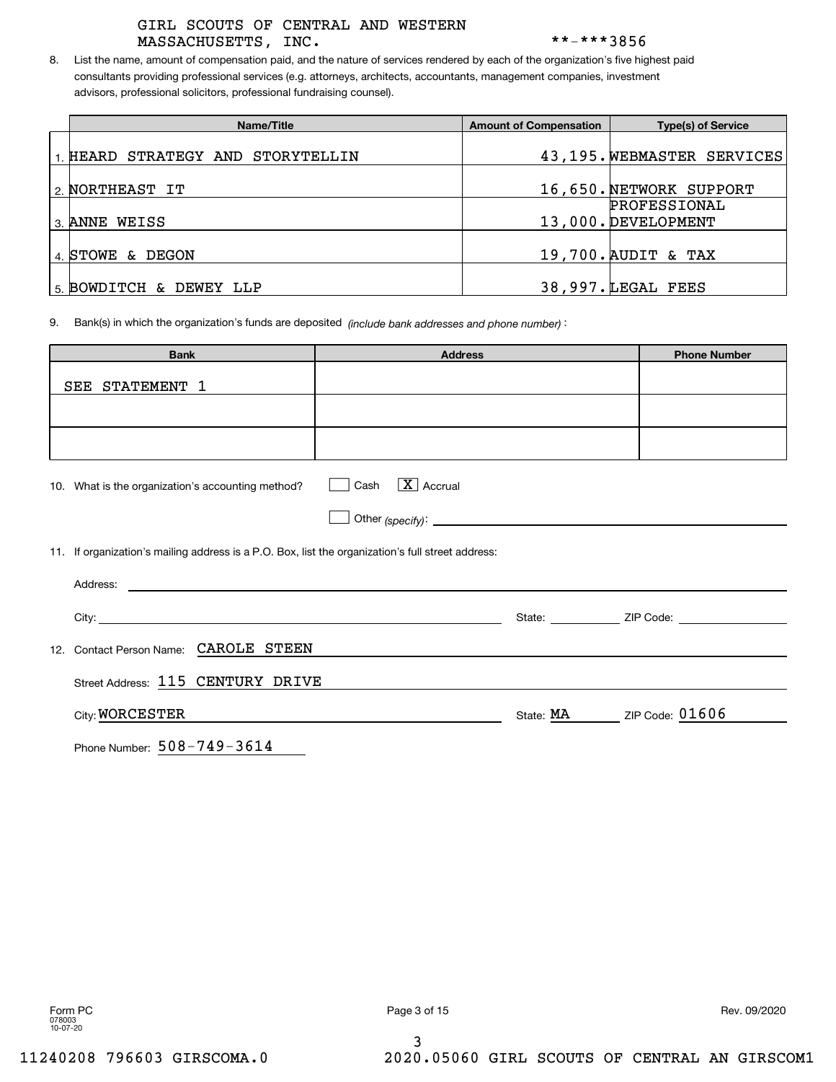# MASSACHUSETTS, INC. \*\*-\*\*\*3856 GIRL SCOUTS OF CENTRAL AND WESTERN

8. List the name, amount of compensation paid, and the nature of services rendered by each of the organization's five highest paid consultants providing professional services (e.g. attorneys, architects, accountants, management companies, investment advisors, professional solicitors, professional fundraising counsel).

| Name/Title                     | <b>Amount of Compensation</b> | <b>Type(s) of Service</b>  |
|--------------------------------|-------------------------------|----------------------------|
|                                |                               |                            |
| HEARD STRATEGY AND STORYTELLIN |                               | 43,195. WEBMASTER SERVICES |
|                                |                               |                            |
| 2. NORTHEAST IT                |                               | 16,650. NETWORK SUPPORT    |
|                                |                               | PROFESSIONAL               |
| 3. ANNE WEISS                  |                               | 13,000. DEVELOPMENT        |
|                                |                               |                            |
| 4. STOWE & DEGON               |                               | 19,700. AUDIT & TAX        |
|                                |                               |                            |
| 5. BOWDITCH & DEWEY LLP        |                               | 38,997. LEGAL FEES         |

). Bank(s) in which the organization's funds are deposited *(include bank addresses and phone number)* 9.

| <b>Bank</b>                                                                                       | <b>Address</b>                     |           | <b>Phone Number</b>           |
|---------------------------------------------------------------------------------------------------|------------------------------------|-----------|-------------------------------|
| SEE STATEMENT 1                                                                                   |                                    |           |                               |
|                                                                                                   |                                    |           |                               |
|                                                                                                   |                                    |           |                               |
| 10. What is the organization's accounting method?                                                 | $\boxed{\text{X}}$ Accrual<br>Cash |           |                               |
|                                                                                                   |                                    |           |                               |
| 11. If organization's mailing address is a P.O. Box, list the organization's full street address: |                                    |           |                               |
|                                                                                                   |                                    |           |                               |
|                                                                                                   |                                    |           | State: <u>ZIP Code:</u> 2000. |
| Contact Person Name: CAROLE STEEN<br>12.                                                          |                                    |           |                               |
| Street Address: 115 CENTURY DRIVE                                                                 |                                    |           |                               |
| City: WORCESTER                                                                                   |                                    | State: MA | ZIP Code: 01606               |

Phone Number: 508-749-3614

3

Form PC Page 3 of 15 Rev. 09/2020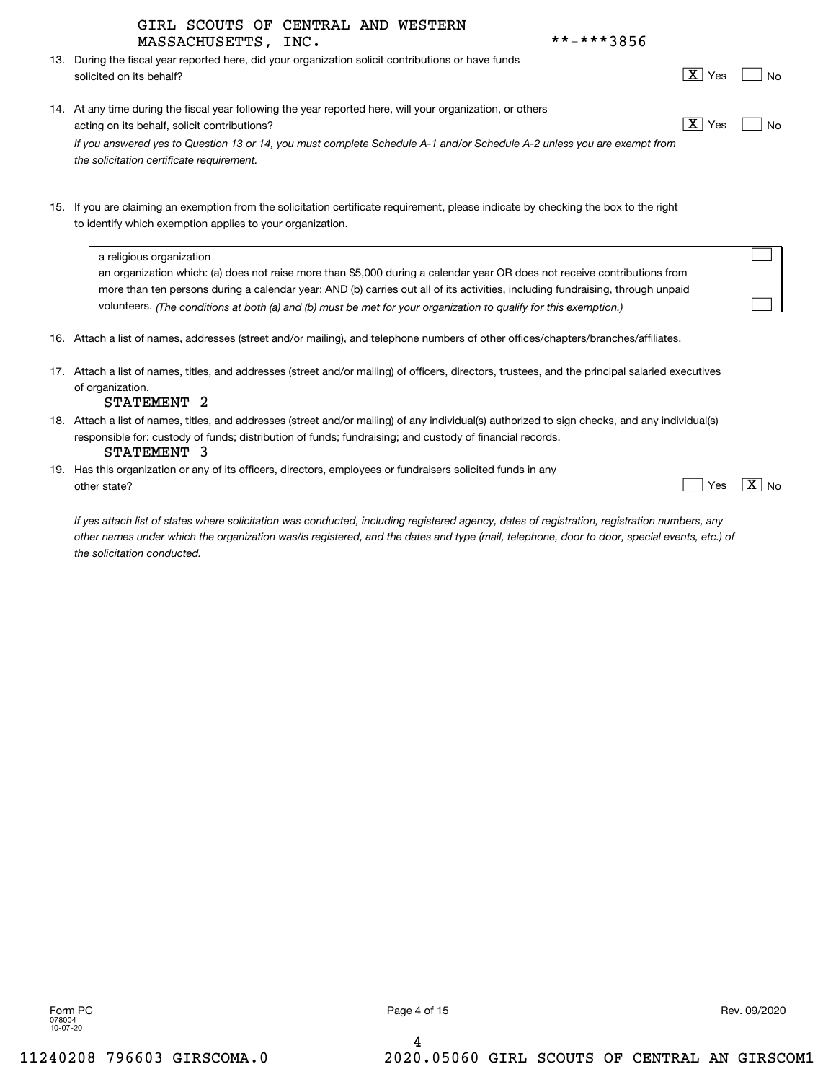|  |  |  |  | **-***3856 |  |
|--|--|--|--|------------|--|
|  |  |  |  |            |  |

|                     | GIRL SCOUTS OF CENTRAL AND WESTERN |  |            |
|---------------------|------------------------------------|--|------------|
| MASSACHUSETTS, INC. |                                    |  | **-***3856 |

13. During the fiscal year reported here, did your organization solicit contributions or have funds solicited on its behalf? No  $\Box$  No  $\Box$  No  $\Box$  No  $\Box$  No  $\Box$  No  $\Box$  No  $\Box$  No  $\Box$  No  $\Box$  No  $\Box$  No  $\Box$  No  $\Box$  No  $\Box$  No  $\Box$  No  $\Box$  No  $\Box$  No  $\Box$  No  $\Box$  No  $\Box$  No  $\Box$  No  $\Box$  No  $\Box$  No  $\Box$  No  $\Box$  No

 $X$  Yes

| 14. At any time during the fiscal year following the year reported here, will your organization, or others              |                |      |
|-------------------------------------------------------------------------------------------------------------------------|----------------|------|
| acting on its behalf, solicit contributions?                                                                            | <b>X</b>   Yes | l No |
| If you answered yes to Question 13 or 14, you must complete Schedule A-1 and/or Schedule A-2 unless you are exempt from |                |      |

15. If you are claiming an exemption from the solicitation certificate requirement, please indicate by checking the box to the right to identify which exemption applies to your organization.

| a religious organization                                                                                                       |  |
|--------------------------------------------------------------------------------------------------------------------------------|--|
| an organization which: (a) does not raise more than \$5,000 during a calendar year OR does not receive contributions from      |  |
| more than ten persons during a calendar year; AND (b) carries out all of its activities, including fundraising, through unpaid |  |
| volunteers. (The conditions at both (a) and (b) must be met for your organization to qualify for this exemption.)              |  |

- 16. Attach a list of names, addresses (street and/or mailing), and telephone numbers of other offices/chapters/branches/affiliates.
- 17. Attach a list of names, titles, and addresses (street and/or mailing) of officers, directors, trustees, and the principal salaried executives of organization.

#### STATEMENT 2

*the solicitation certificate requirement.*

- 18. Attach a list of names, titles, and addresses (street and/or mailing) of any individual(s) authorized to sign checks, and any individual(s) responsible for: custody of funds; distribution of funds; fundraising; and custody of financial records. STATEMENT 3
- 19. Has this organization or any of its officers, directors, employees or fundraisers solicited funds in any other state? Yes  $\Box$  Yes  $\Box$  No

|  |  | um |
|--|--|----|
|--|--|----|

*If yes attach list of states where solicitation was conducted, including registered agency, dates of registration, registration numbers, any other names under which the organization was/is registered, and the dates and type (mail, telephone, door to door, special events, etc.) of the solicitation conducted.*

4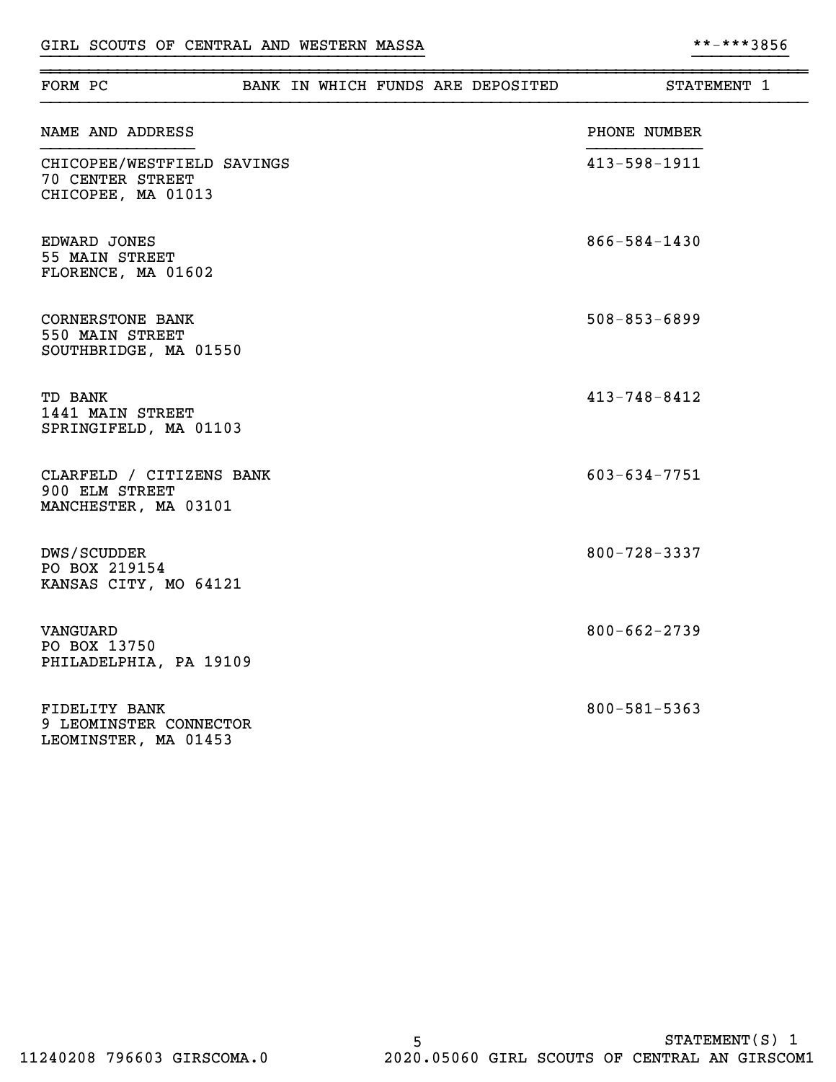| FORM PC                                                              |  |  | BANK IN WHICH FUNDS ARE DEPOSITED | STATEMENT 1        |
|----------------------------------------------------------------------|--|--|-----------------------------------|--------------------|
| NAME AND ADDRESS                                                     |  |  |                                   | PHONE NUMBER       |
| CHICOPEE/WESTFIELD SAVINGS<br>70 CENTER STREET<br>CHICOPEE, MA 01013 |  |  |                                   | $413 - 598 - 1911$ |
| EDWARD JONES<br>55 MAIN STREET<br>FLORENCE, MA 01602                 |  |  |                                   | $866 - 584 - 1430$ |
| <b>CORNERSTONE BANK</b><br>550 MAIN STREET<br>SOUTHBRIDGE, MA 01550  |  |  |                                   | $508 - 853 - 6899$ |
| TD BANK<br>1441 MAIN STREET<br>SPRINGIFELD, MA 01103                 |  |  |                                   | $413 - 748 - 8412$ |
| CLARFELD / CITIZENS BANK<br>900 ELM STREET<br>MANCHESTER, MA 03101   |  |  |                                   | $603 - 634 - 7751$ |
| DWS/SCUDDER<br>PO BOX 219154<br>KANSAS CITY, MO 64121                |  |  |                                   | $800 - 728 - 3337$ |
| VANGUARD<br>PO BOX 13750<br>PHILADELPHIA, PA 19109                   |  |  |                                   | $800 - 662 - 2739$ |
| FIDELITY BANK<br>9 LEOMINSTER CONNECTOR<br>LEOMINSTER, MA 01453      |  |  |                                   | $800 - 581 - 5363$ |

}}}}}}}}}}}}}}}}}}}}}}}}}}}}}}}}}}}}}}}} }}}}}}}}}}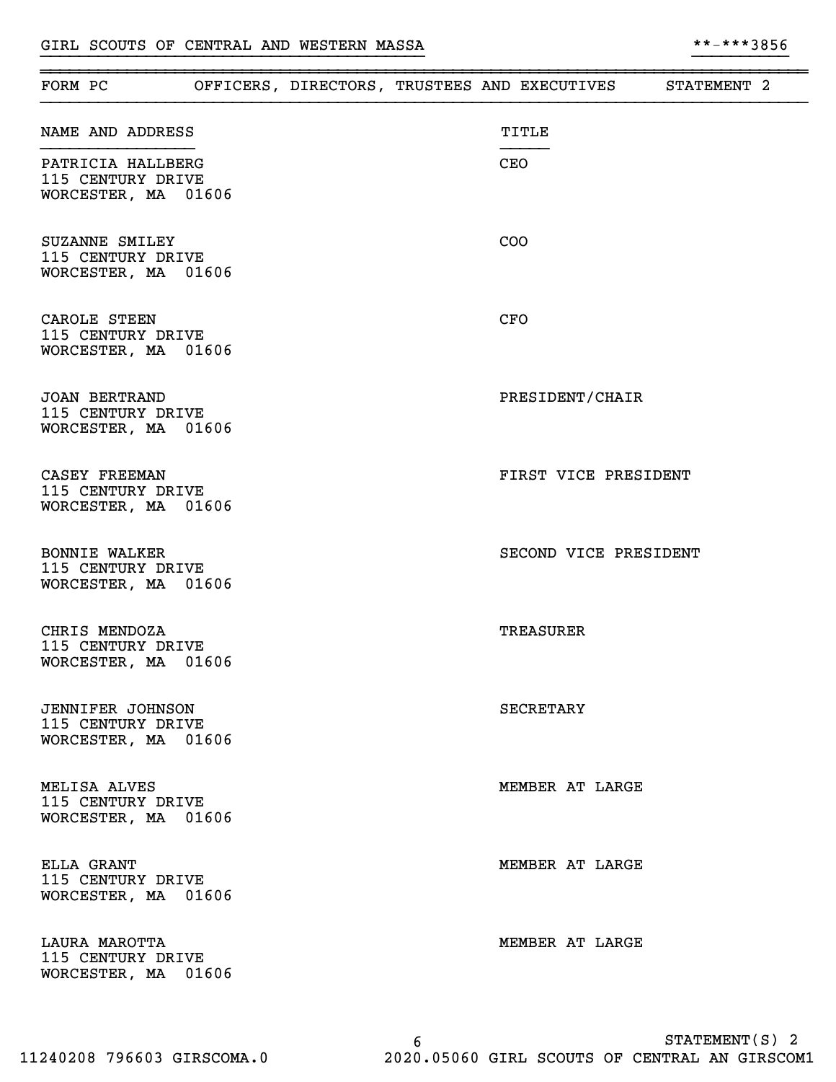| FORM PC                                                             |  |  | OFFICERS, DIRECTORS, TRUSTEES AND EXECUTIVES | STATEMENT 2 |  |
|---------------------------------------------------------------------|--|--|----------------------------------------------|-------------|--|
| NAME AND ADDRESS                                                    |  |  | TITLE                                        |             |  |
| PATRICIA HALLBERG<br>115 CENTURY DRIVE<br>WORCESTER, MA 01606       |  |  | CEO                                          |             |  |
| SUZANNE SMILEY<br>115 CENTURY DRIVE<br>WORCESTER, MA 01606          |  |  | <b>COO</b>                                   |             |  |
| CAROLE STEEN<br>115 CENTURY DRIVE<br>WORCESTER, MA 01606            |  |  | <b>CFO</b>                                   |             |  |
| <b>JOAN BERTRAND</b><br>115 CENTURY DRIVE<br>WORCESTER, MA 01606    |  |  | PRESIDENT/CHAIR                              |             |  |
| CASEY FREEMAN<br>115 CENTURY DRIVE<br>WORCESTER, MA 01606           |  |  | FIRST VICE PRESIDENT                         |             |  |
| <b>BONNIE WALKER</b><br>115 CENTURY DRIVE<br>WORCESTER, MA 01606    |  |  | SECOND VICE PRESIDENT                        |             |  |
| CHRIS MENDOZA<br>115 CENTURY DRIVE<br>WORCESTER, MA 01606           |  |  | TREASURER                                    |             |  |
| <b>JENNIFER JOHNSON</b><br>115 CENTURY DRIVE<br>WORCESTER, MA 01606 |  |  | <b>SECRETARY</b>                             |             |  |
| MELISA ALVES<br>115 CENTURY DRIVE<br>WORCESTER, MA 01606            |  |  | MEMBER AT LARGE                              |             |  |
| ELLA GRANT<br>115 CENTURY DRIVE<br>WORCESTER, MA 01606              |  |  | MEMBER AT LARGE                              |             |  |
| LAURA MAROTTA<br>115 CENTURY DRIVE<br>WORCESTER, MA 01606           |  |  | MEMBER AT LARGE                              |             |  |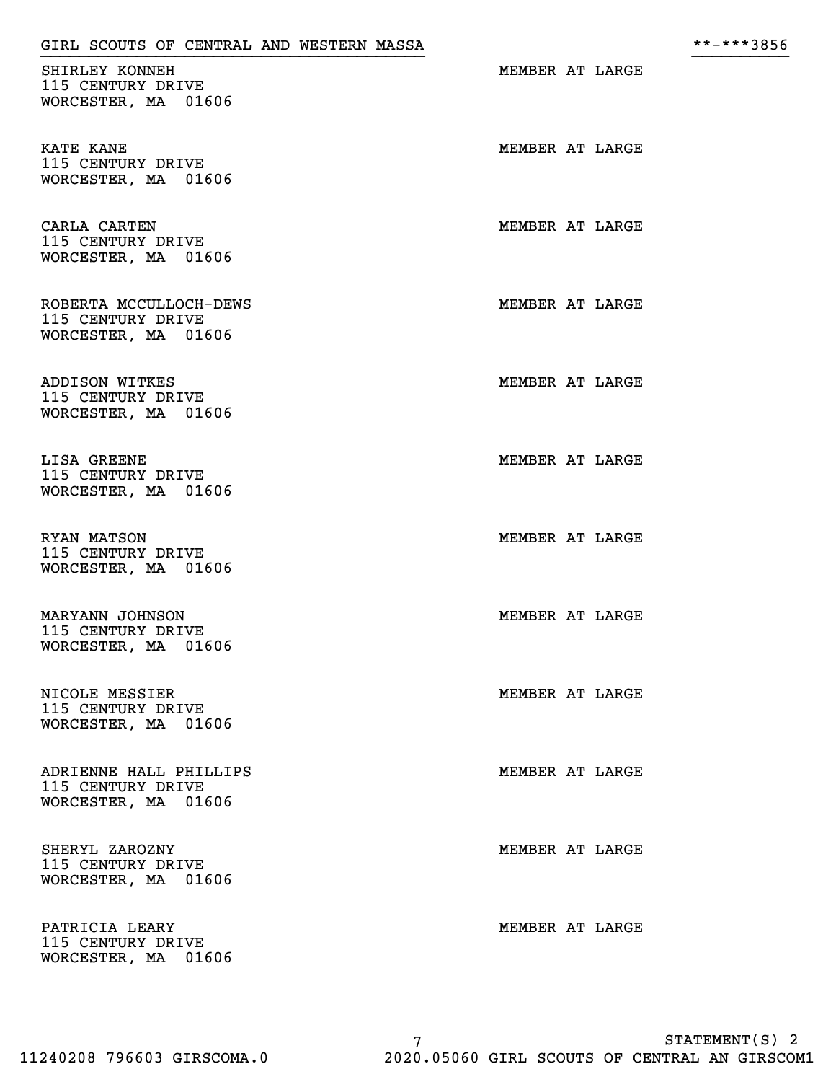| SHIRLEY KONNEH<br>115 CENTURY DRIVE<br>WORCESTER, MA 01606         | MEMBER AT LARGE |  |
|--------------------------------------------------------------------|-----------------|--|
| KATE KANE<br>115 CENTURY DRIVE<br>WORCESTER, MA 01606              | MEMBER AT LARGE |  |
| CARLA CARTEN<br>115 CENTURY DRIVE<br>WORCESTER, MA 01606           | MEMBER AT LARGE |  |
| ROBERTA MCCULLOCH-DEWS<br>115 CENTURY DRIVE<br>WORCESTER, MA 01606 | MEMBER AT LARGE |  |
| ADDISON WITKES<br>115 CENTURY DRIVE<br>WORCESTER, MA 01606         | MEMBER AT LARGE |  |
| LISA GREENE<br>115 CENTURY DRIVE<br>WORCESTER, MA 01606            | MEMBER AT LARGE |  |
| RYAN MATSON<br>115 CENTURY DRIVE<br>WORCESTER, MA 01606            | MEMBER AT LARGE |  |
| MARYANN JOHNSON<br>115 CENTURY DRIVE<br>WORCESTER, MA 01606        | MEMBER AT LARGE |  |
| NICOLE MESSIER<br>115 CENTURY DRIVE<br>WORCESTER, MA 01606         | MEMBER AT LARGE |  |
| ADRIENNE HALL PHILLIPS<br>115 CENTURY DRIVE<br>WORCESTER, MA 01606 | MEMBER AT LARGE |  |
| SHERYL ZAROZNY<br>115 CENTURY DRIVE<br>WORCESTER, MA 01606         | MEMBER AT LARGE |  |
| PATRICIA LEARY<br>115 CENTURY DRIVE<br>WORCESTER, MA 01606         | MEMBER AT LARGE |  |

}}}}}}}}}}}}}}}}}}}}}}}}}}}}}}}}}}}}}}}} }}}}}}}}}}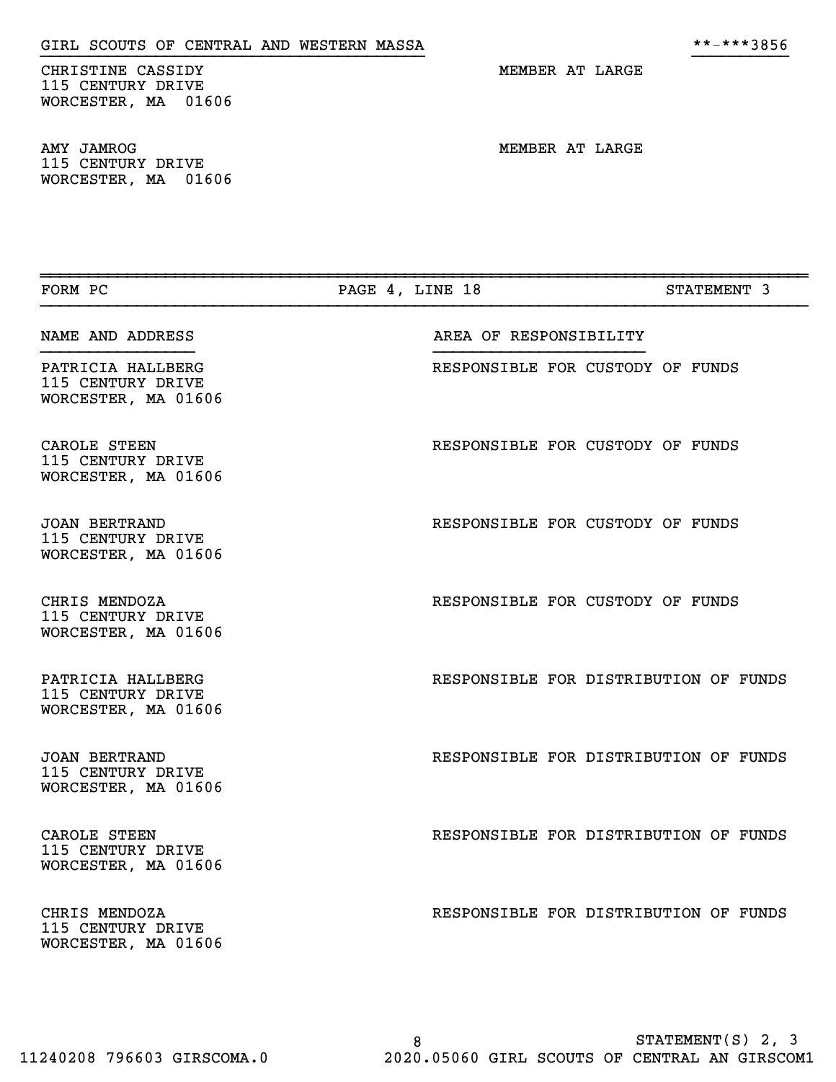CHRISTINE CASSIDY MEMBER AT LARGE 115 CENTURY DRIVE WORCESTER, MA 01606

AMY JAMROG NEMBER AT LARGE 115 CENTURY DRIVE WORCESTER, MA 01606

| FORM PC                                                          | PAGE 4, LINE 18 |                        |                                  | STATEMENT 3                           |
|------------------------------------------------------------------|-----------------|------------------------|----------------------------------|---------------------------------------|
| NAME AND ADDRESS                                                 |                 | AREA OF RESPONSIBILITY |                                  |                                       |
| PATRICIA HALLBERG<br>115 CENTURY DRIVE<br>WORCESTER, MA 01606    |                 |                        | RESPONSIBLE FOR CUSTODY OF FUNDS |                                       |
| CAROLE STEEN<br>115 CENTURY DRIVE<br>WORCESTER, MA 01606         |                 |                        | RESPONSIBLE FOR CUSTODY OF FUNDS |                                       |
| JOAN BERTRAND<br>115 CENTURY DRIVE<br>WORCESTER, MA 01606        |                 |                        | RESPONSIBLE FOR CUSTODY OF FUNDS |                                       |
| CHRIS MENDOZA<br>115 CENTURY DRIVE<br>WORCESTER, MA 01606        |                 |                        | RESPONSIBLE FOR CUSTODY OF FUNDS |                                       |
| PATRICIA HALLBERG<br>115 CENTURY DRIVE<br>WORCESTER, MA 01606    |                 |                        |                                  | RESPONSIBLE FOR DISTRIBUTION OF FUNDS |
| <b>JOAN BERTRAND</b><br>115 CENTURY DRIVE<br>WORCESTER, MA 01606 |                 |                        |                                  | RESPONSIBLE FOR DISTRIBUTION OF FUNDS |
| CAROLE STEEN<br>115 CENTURY DRIVE<br>WORCESTER, MA 01606         |                 |                        |                                  | RESPONSIBLE FOR DISTRIBUTION OF FUNDS |
| CHRIS MENDOZA<br>115 CENTURY DRIVE<br>WORCESTER, MA 01606        |                 |                        |                                  | RESPONSIBLE FOR DISTRIBUTION OF FUNDS |

}}}}}}}}}}}}}}}}}}}}}}}}}}}}}}}}}}}}}}}} }}}}}}}}}}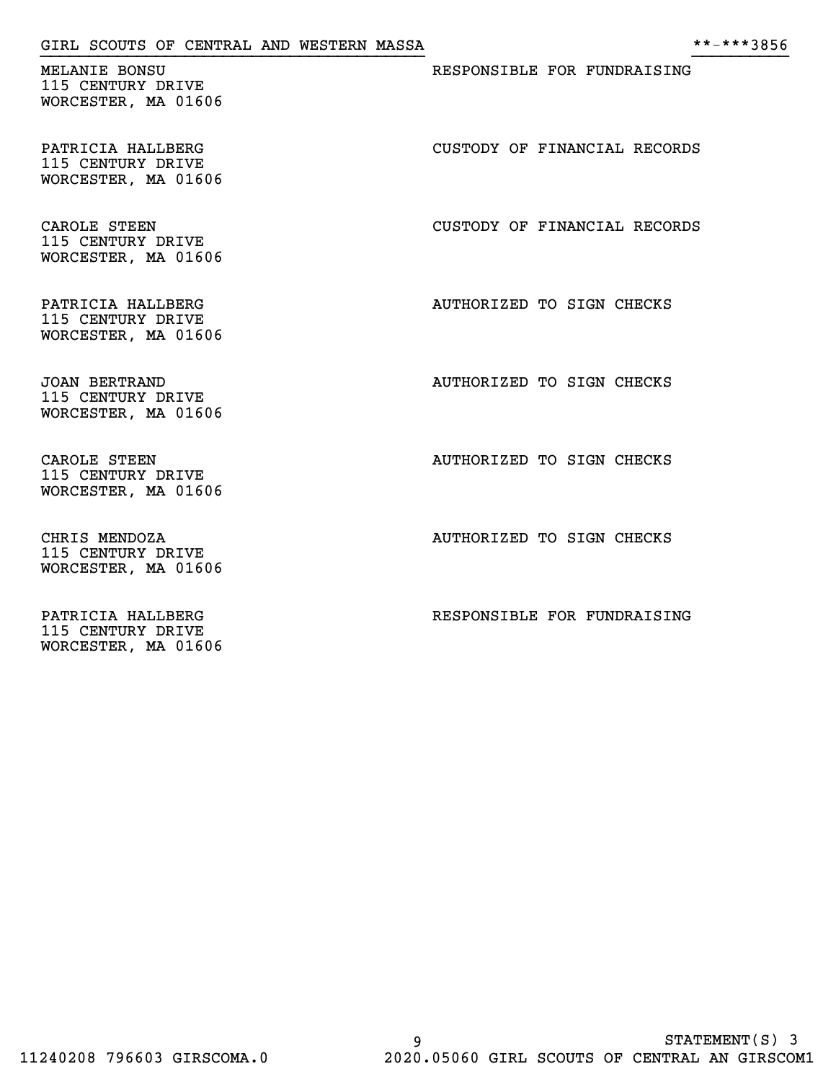| GIRL SCOUTS OF CENTRAL AND WESTERN MASSA                         | **-***3856                   |
|------------------------------------------------------------------|------------------------------|
| MELANIE BONSU<br>115 CENTURY DRIVE<br>WORCESTER, MA 01606        | RESPONSIBLE FOR FUNDRAISING  |
| PATRICIA HALLBERG<br>115 CENTURY DRIVE<br>WORCESTER, MA 01606    | CUSTODY OF FINANCIAL RECORDS |
| CAROLE STEEN<br>115 CENTURY DRIVE<br>WORCESTER, MA 01606         | CUSTODY OF FINANCIAL RECORDS |
| PATRICIA HALLBERG<br>115 CENTURY DRIVE<br>WORCESTER, MA 01606    | AUTHORIZED TO SIGN CHECKS    |
| <b>JOAN BERTRAND</b><br>115 CENTURY DRIVE<br>WORCESTER, MA 01606 | AUTHORIZED TO SIGN CHECKS    |
| CAROLE STEEN<br>115 CENTURY DRIVE<br>WORCESTER, MA 01606         | AUTHORIZED TO SIGN CHECKS    |
| CHRIS MENDOZA<br>115 CENTURY DRIVE<br>WORCESTER, MA 01606        | AUTHORIZED TO SIGN CHECKS    |
| PATRICIA HALLBERG<br>115 CENTURY DRIVE<br>WORCESTER, MA 01606    | RESPONSIBLE FOR FUNDRAISING  |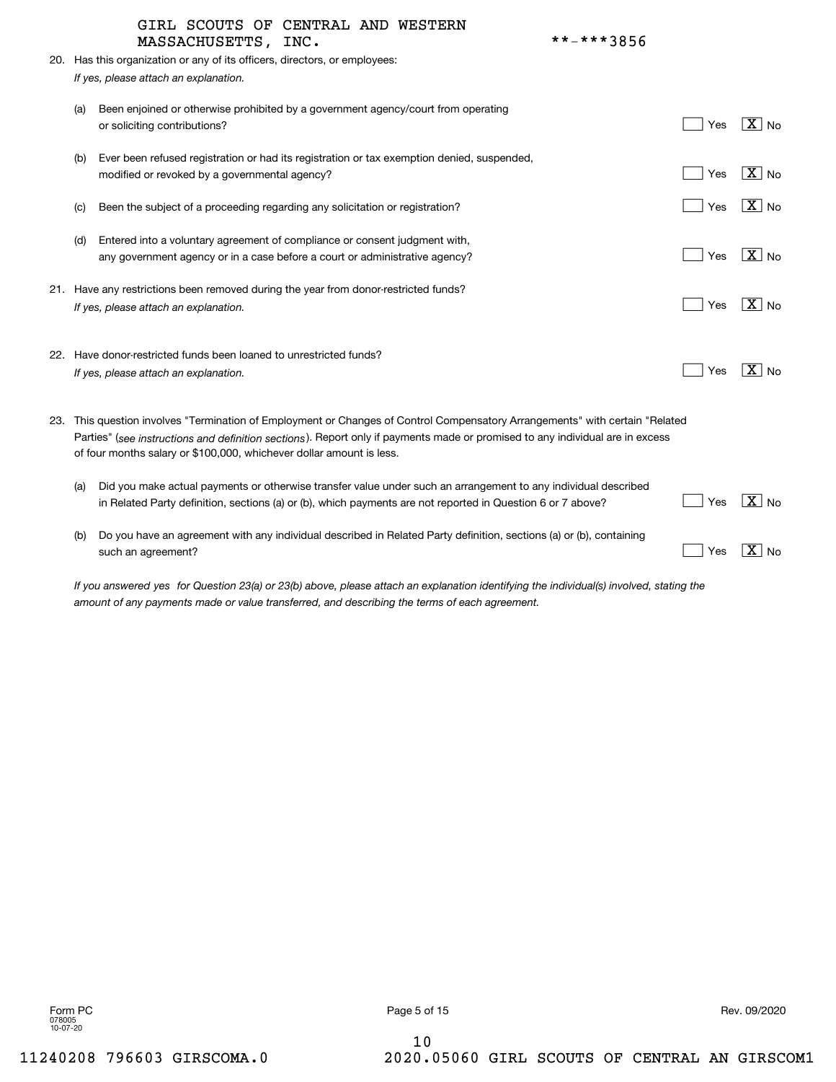|     | GIRL SCOUTS OF CENTRAL AND WESTERN<br>**-***3856<br>MASSACHUSETTS, INC.                                                                                                                                                                                                                                                               |     |                        |
|-----|---------------------------------------------------------------------------------------------------------------------------------------------------------------------------------------------------------------------------------------------------------------------------------------------------------------------------------------|-----|------------------------|
|     | 20. Has this organization or any of its officers, directors, or employees:                                                                                                                                                                                                                                                            |     |                        |
|     | If yes, please attach an explanation.                                                                                                                                                                                                                                                                                                 |     |                        |
|     |                                                                                                                                                                                                                                                                                                                                       |     |                        |
| (a) | Been enjoined or otherwise prohibited by a government agency/court from operating<br>or soliciting contributions?                                                                                                                                                                                                                     | Yes | $\overline{X}$ No      |
| (b) | Ever been refused registration or had its registration or tax exemption denied, suspended,<br>modified or revoked by a governmental agency?                                                                                                                                                                                           | Yes | $\mid$ $\rm X \mid$ No |
| (C) | Been the subject of a proceeding regarding any solicitation or registration?                                                                                                                                                                                                                                                          | Yes | $ X $ No               |
| (d) | Entered into a voluntary agreement of compliance or consent judgment with,<br>any government agency or in a case before a court or administrative agency?                                                                                                                                                                             | Yes | $\boxed{\text{X}}$ No  |
|     | 21. Have any restrictions been removed during the year from donor-restricted funds?<br>If yes, please attach an explanation.                                                                                                                                                                                                          | Yes | X   <sub>No</sub>      |
|     | 22. Have donor-restricted funds been loaned to unrestricted funds?<br>If yes, please attach an explanation.                                                                                                                                                                                                                           | Yes | $ \overline{X} $ No    |
|     | 23. This question involves "Termination of Employment or Changes of Control Compensatory Arrangements" with certain "Related<br>Parties" (see instructions and definition sections). Report only if payments made or promised to any individual are in excess<br>of four months salary or \$100,000, whichever dollar amount is less. |     |                        |
| (a) | Did you make actual payments or otherwise transfer value under such an arrangement to any individual described<br>in Related Party definition, sections (a) or (b), which payments are not reported in Question 6 or 7 above?                                                                                                         | Yes | $X \mid No$            |
| (b) | Do you have an agreement with any individual described in Related Party definition, sections (a) or (b), containing<br>such an agreement?                                                                                                                                                                                             | Yes | $X \mid N_{0}$         |

*If you answered for Question 23(a) or 23(b) above, please attach an explanation identifying the individual(s) involved, stating the yes amount of any payments made or value transferred, and describing the terms of each agreement.*

10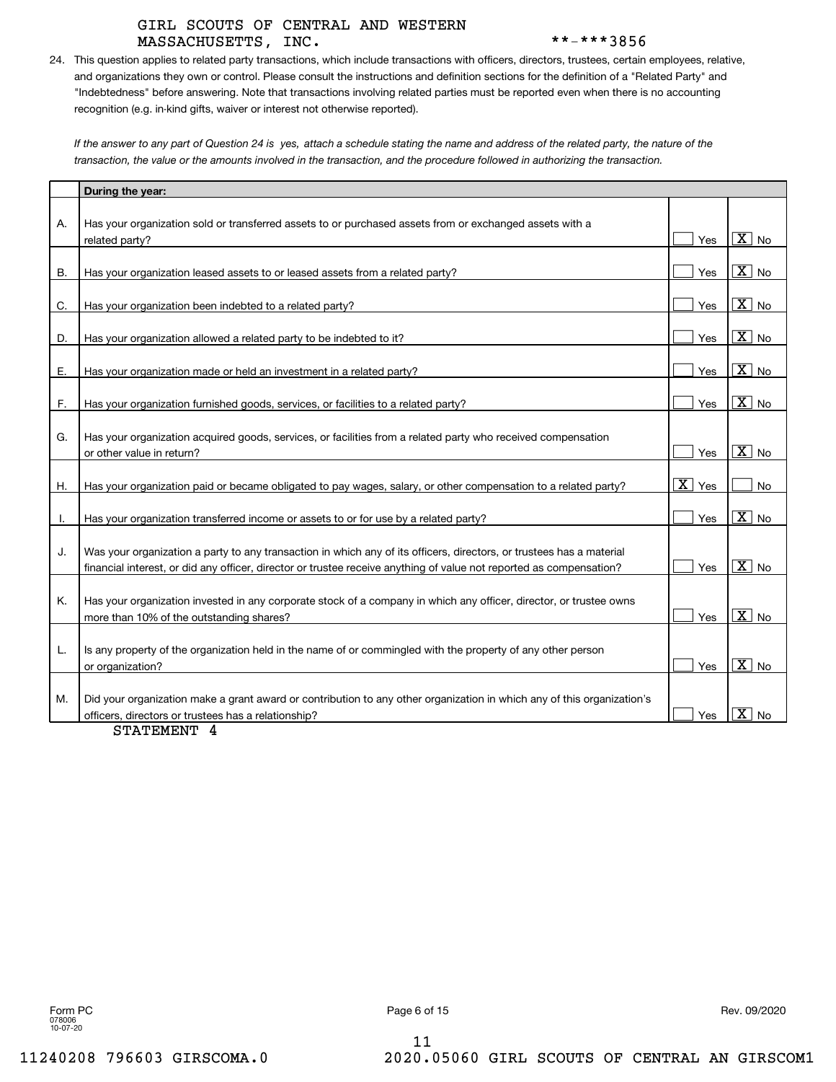# MASSACHUSETTS, INC. \*\*-\*\*\*3856 GIRL SCOUTS OF CENTRAL AND WESTERN

24. This question applies to related party transactions, which include transactions with officers, directors, trustees, certain employees, relative, and organizations they own or control. Please consult the instructions and definition sections for the definition of a "Related Party" and "Indebtedness" before answering. Note that transactions involving related parties must be reported even when there is no accounting recognition (e.g. in-kind gifts, waiver or interest not otherwise reported).

If the answer to any part of Question 24 is yes, attach a schedule stating the name and address of the related party, the nature of the *transaction, the value or the amounts involved in the transaction, and the procedure followed in authorizing the transaction.*

|    | During the year:                                                                                                       |                    |                                      |
|----|------------------------------------------------------------------------------------------------------------------------|--------------------|--------------------------------------|
|    |                                                                                                                        |                    |                                      |
| А. | Has your organization sold or transferred assets to or purchased assets from or exchanged assets with a                |                    |                                      |
|    | related party?                                                                                                         | Yes                | $\overline{\mathtt{x}}$ )<br>No      |
|    |                                                                                                                        |                    |                                      |
| Β. | Has your organization leased assets to or leased assets from a related party?                                          | Yes                | $\overline{\mathtt{x}}$<br>No        |
| C. | Has your organization been indebted to a related party?                                                                | Yes                | $\overline{X}$ No                    |
|    |                                                                                                                        |                    |                                      |
| D. | Has your organization allowed a related party to be indebted to it?                                                    | Yes                | $\overline{X}$ No                    |
|    |                                                                                                                        |                    |                                      |
| Е. | Has your organization made or held an investment in a related party?                                                   | Yes                | $\overline{X}$ No                    |
|    |                                                                                                                        |                    |                                      |
| F. | Has your organization furnished goods, services, or facilities to a related party?                                     | Yes                | $\overline{\text{X}}$<br><b>No</b>   |
|    |                                                                                                                        |                    |                                      |
| G. | Has your organization acquired goods, services, or facilities from a related party who received compensation           |                    | $\overline{X}$ No                    |
|    | or other value in return?                                                                                              | Yes                |                                      |
| Η. | Has your organization paid or became obligated to pay wages, salary, or other compensation to a related party?         | $\overline{X}$ Yes | No                                   |
|    |                                                                                                                        |                    |                                      |
| I. | Has your organization transferred income or assets to or for use by a related party?                                   | Yes                | $\overline{\mathtt{x}}$<br>No        |
|    |                                                                                                                        |                    |                                      |
| J. | Was your organization a party to any transaction in which any of its officers, directors, or trustees has a material   |                    |                                      |
|    | financial interest, or did any officer, director or trustee receive anything of value not reported as compensation?    | Yes                | $\overline{X}$ No                    |
|    |                                                                                                                        |                    |                                      |
| Κ. | Has your organization invested in any corporate stock of a company in which any officer, director, or trustee owns     | Yes                | $\overline{X}$ No                    |
|    | more than 10% of the outstanding shares?                                                                               |                    |                                      |
| L. | Is any property of the organization held in the name of or commingled with the property of any other person            |                    |                                      |
|    | or organization?                                                                                                       | Yes                | $\overline{\mathtt{X}}$<br><b>No</b> |
|    |                                                                                                                        |                    |                                      |
| М. | Did your organization make a grant award or contribution to any other organization in which any of this organization's |                    |                                      |
|    | officers, directors or trustees has a relationship?                                                                    | Yes                | $\overline{\mathtt{x}}$<br><b>No</b> |

STATEMENT 4

11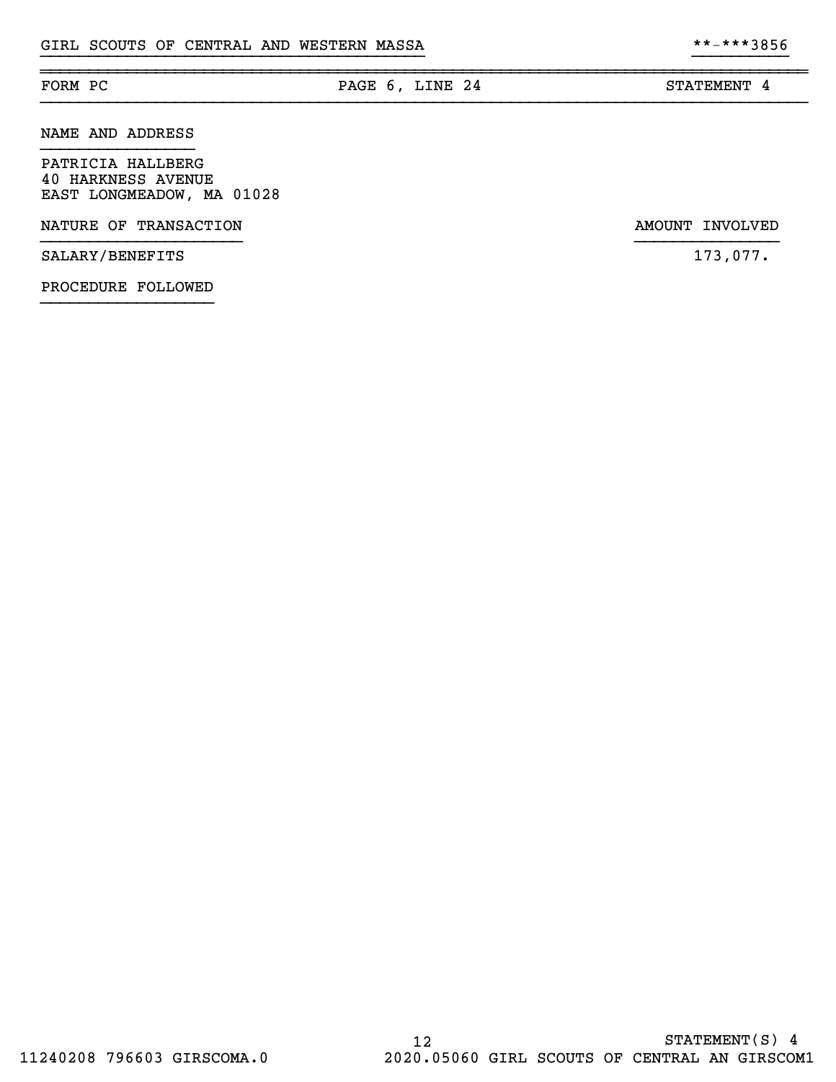# FORM PC **PAGE 6, LINE 24** STATEMENT 4

}}}}}}}}}}}}}}}}}}}}}}}}}}}}}}}}}}}}}}}} }}}}}}}}}}

~~~~~~~~~~~~~~~~~~~~~~~~~~~~~~~~~~~~~~~~~~~~~~~~~~~~~~~~~~~~~~~~~~~~~~~~~~~~~~~~

PATRICIA HALLBERG 40 HARKNESS AVENUE EAST LONGMEADOW, MA 01028

NATURE OF TRANSACTION AMOUNT INVOLVED

SALARY/BENEFITS 173,077.

NAME AND ADDRESS

PROCEDURE FOLLOWED }}}}}}}}}}}}}}}}}}

}}}}}}}}}}}}}}}}}}}}} }}}}}}}}}}}}}}}

12 STATEMENT(S) 4 11240208 796603 GIRSCOMA.0 2020.05060 GIRL SCOUTS OF CENTRAL AN GIRSCOM1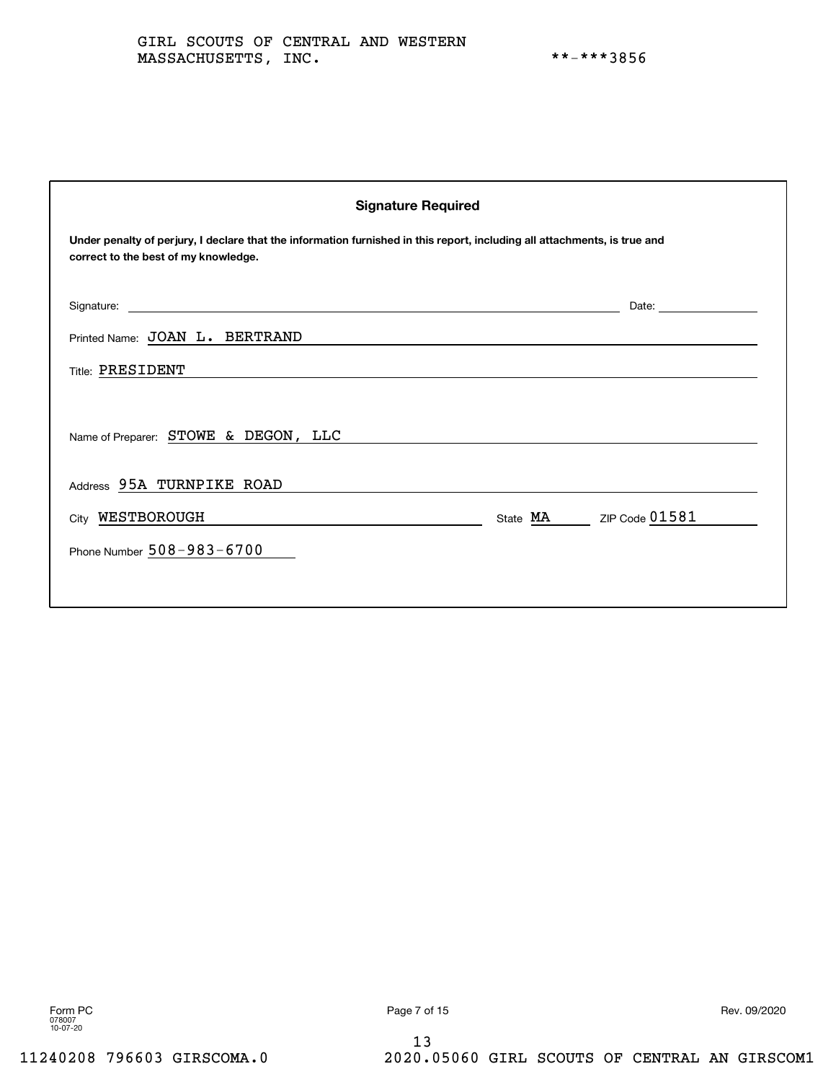| <b>Signature Required</b>                                                                                                                                         |                                                                                                                                                                                                                                |  |  |  |
|-------------------------------------------------------------------------------------------------------------------------------------------------------------------|--------------------------------------------------------------------------------------------------------------------------------------------------------------------------------------------------------------------------------|--|--|--|
| Under penalty of perjury, I declare that the information furnished in this report, including all attachments, is true and<br>correct to the best of my knowledge. |                                                                                                                                                                                                                                |  |  |  |
|                                                                                                                                                                   | Date: the contract of the contract of the contract of the contract of the contract of the contract of the contract of the contract of the contract of the contract of the contract of the contract of the contract of the cont |  |  |  |
| Printed Name: JOAN L. BERTRAND                                                                                                                                    |                                                                                                                                                                                                                                |  |  |  |
| Title: PRESIDENT                                                                                                                                                  |                                                                                                                                                                                                                                |  |  |  |
| Name of Preparer: STOWE & DEGON, LLC                                                                                                                              |                                                                                                                                                                                                                                |  |  |  |
| Address 95A TURNPIKE ROAD                                                                                                                                         |                                                                                                                                                                                                                                |  |  |  |
| City WESTBOROUGH                                                                                                                                                  | State MA ZIP Code 01581                                                                                                                                                                                                        |  |  |  |
| Phone Number $508 - 983 - 6700$                                                                                                                                   |                                                                                                                                                                                                                                |  |  |  |
|                                                                                                                                                                   |                                                                                                                                                                                                                                |  |  |  |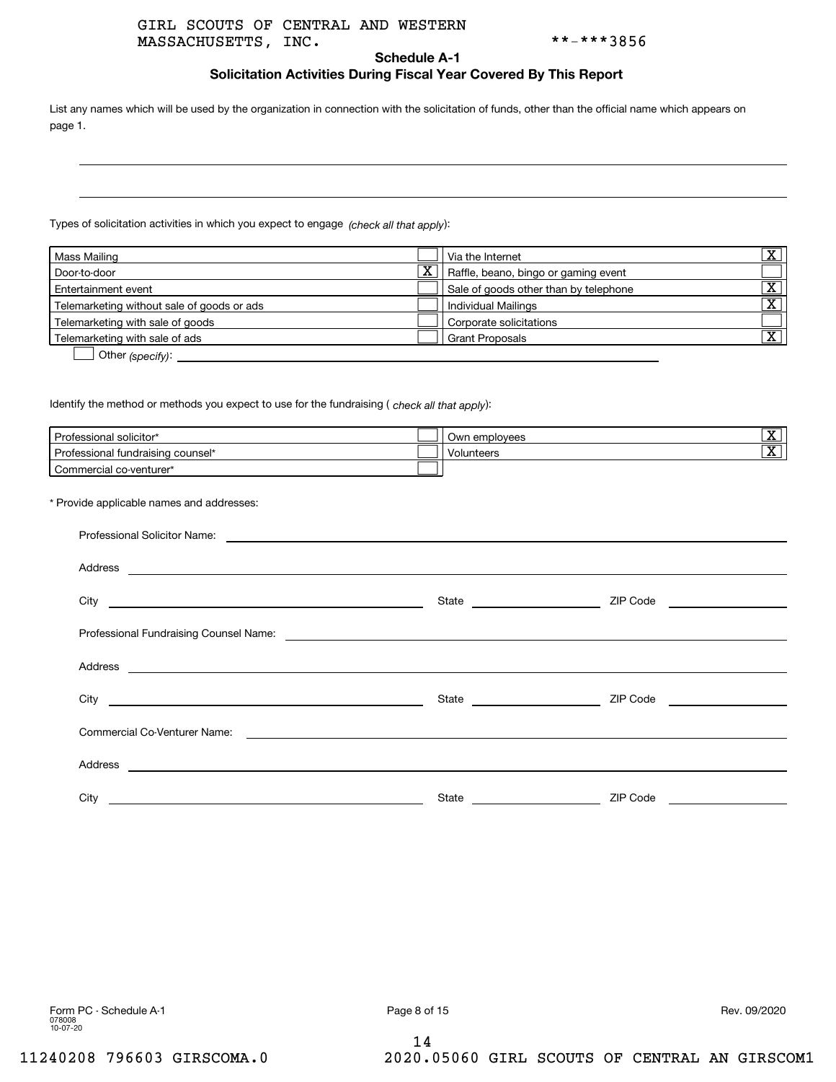# MASSACHUSETTS, INC. \*\*-\*\*\*3856 GIRL SCOUTS OF CENTRAL AND WESTERN

#### **Schedule A-1**

# **Solicitation Activities During Fiscal Year Covered By This Report**

List any names which will be used by the organization in connection with the solicitation of funds, other than the official name which appears on page 1.

Types of solicitation activities in which you expect to engage *(check all that apply*):

|                       | l Via the Internet                    | ᢦ<br>▵                                                      |
|-----------------------|---------------------------------------|-------------------------------------------------------------|
| $\overline{\text{x}}$ |                                       |                                                             |
|                       | Sale of goods other than by telephone | ᢦ                                                           |
|                       |                                       | $\overline{\mathbf{v}}$<br>▵                                |
|                       | Corporate solicitations               |                                                             |
|                       | l Grant Proposals                     | $\overline{\mathbf{v}}$<br>A                                |
|                       |                                       | Raffle, beano, bingo or gaming event<br>Individual Mailings |

**D** Other (specify):

ldentify the method or methods you expect to use for the fundraising ( *check all that apply*):

| Professional solicitor*           | Own employees | $\overline{\mathbf{v}}$<br>▵ |
|-----------------------------------|---------------|------------------------------|
| Professional fundraising counsel* | Volunteers    | $\overline{\mathbf{v}}$<br>▵ |
| Commercial co-venturer*           |               |                              |

\* Provide applicable names and addresses:

| City | State | ZIP Code |
|------|-------|----------|

14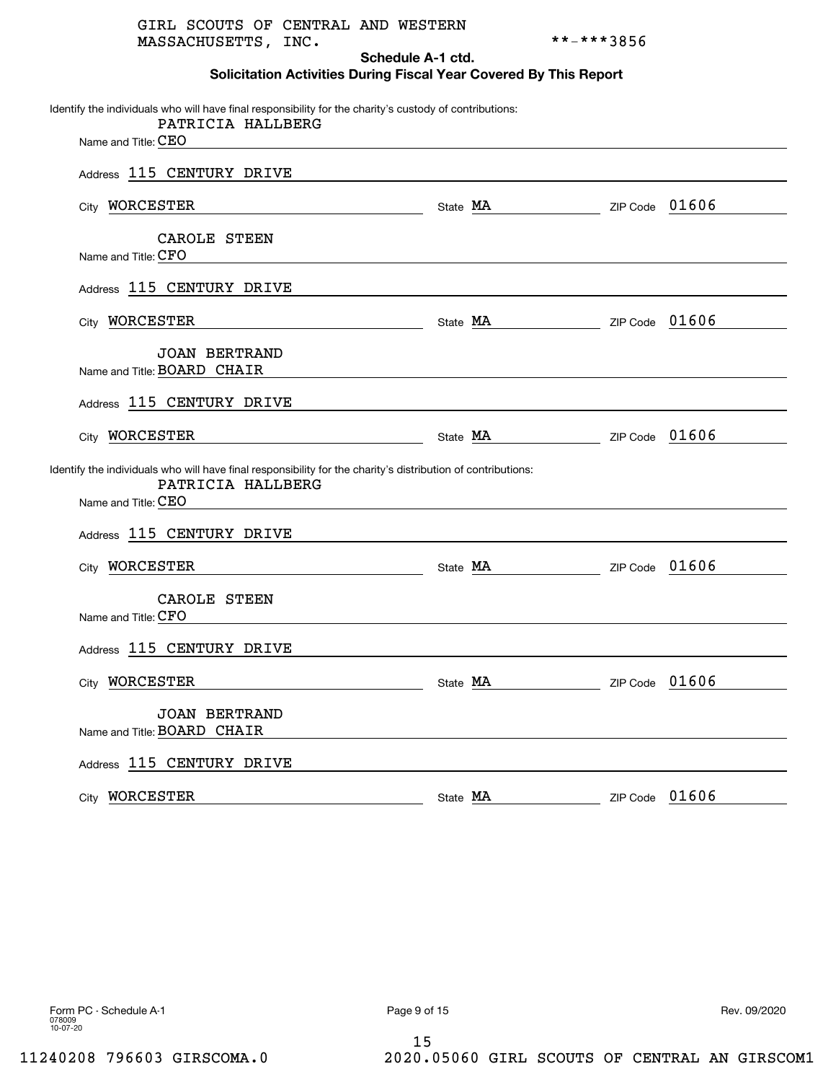|                     | GIRL SCOUTS OF CENTRAL AND WESTERN |  |
|---------------------|------------------------------------|--|
| MASSACHUSETTS, INC. |                                    |  |

\*\*-\*\*\*3856

**Schedule A-1 ctd. Solicitation Activities During Fiscal Year Covered By This Report**

| Identify the individuals who will have final responsibility for the charity's custody of contributions:<br>PATRICIA HALLBERG                             |          |                         |          |       |
|----------------------------------------------------------------------------------------------------------------------------------------------------------|----------|-------------------------|----------|-------|
| Name and Title: CEO                                                                                                                                      |          |                         |          |       |
| Address 115 CENTURY DRIVE                                                                                                                                |          |                         |          |       |
| City WORCESTER                                                                                                                                           |          | State MA ZIP Code 01606 |          |       |
| CAROLE STEEN<br>Name and Title: CFO                                                                                                                      |          |                         |          |       |
| Address 115 CENTURY DRIVE                                                                                                                                |          |                         |          |       |
| City WORCESTER                                                                                                                                           |          | State MA ZIP Code 01606 |          |       |
| <b>JOAN BERTRAND</b><br>Name and Title: BOARD CHAIR                                                                                                      |          |                         |          |       |
| Address 115 CENTURY DRIVE                                                                                                                                |          |                         |          |       |
| WORCESTER<br><u> 1980 - Johann Barbara, martxa alemaniar a</u><br>City                                                                                   |          | State MA ZIP Code 01606 |          |       |
| Identify the individuals who will have final responsibility for the charity's distribution of contributions:<br>PATRICIA HALLBERG<br>Name and Title: CEO |          |                         |          |       |
| Address 115 CENTURY DRIVE                                                                                                                                |          |                         |          |       |
| City WORCESTER                                                                                                                                           |          | State MA ZIP Code 01606 |          |       |
| CAROLE STEEN<br>Name and Title: CFO                                                                                                                      |          |                         |          |       |
| Address 115 CENTURY DRIVE                                                                                                                                |          |                         |          |       |
| City <b>WORCESTER</b>                                                                                                                                    |          | State MA ZIP Code 01606 |          |       |
| <b>JOAN BERTRAND</b><br>Name and Title: BOARD CHAIR                                                                                                      |          |                         |          |       |
| Address 115 CENTURY DRIVE                                                                                                                                |          |                         |          |       |
| City WORCESTER                                                                                                                                           | State MA |                         | ZIP Code | 01606 |

15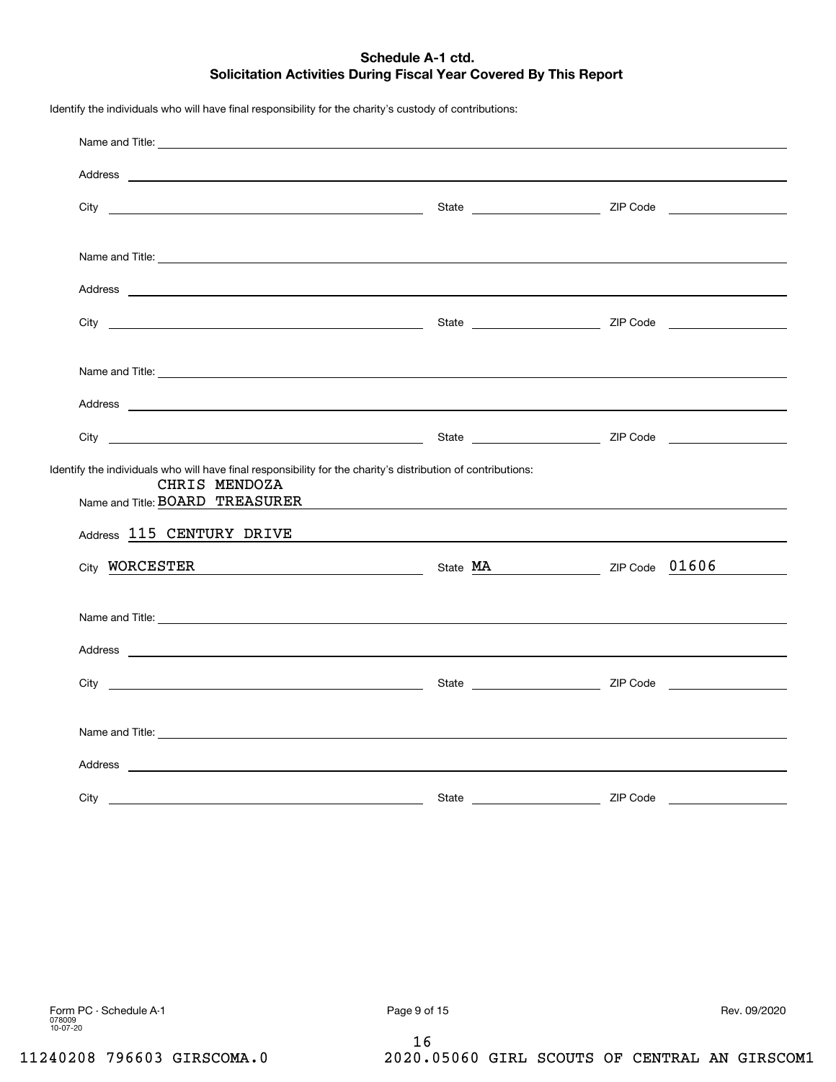# **Schedule A-1 ctd. Solicitation Activities During Fiscal Year Covered By This Report**

| Name and Title: <u>experimental and the series of the series of the series of the series of the series of the series of the series of the series of the series of the series of the series of the series of the series of the se</u> |       |  |
|--------------------------------------------------------------------------------------------------------------------------------------------------------------------------------------------------------------------------------------|-------|--|
|                                                                                                                                                                                                                                      |       |  |
|                                                                                                                                                                                                                                      |       |  |
| Name and Title: <u>example and Title</u> and Title and Title and Title and Title and Title and Title and Title and Title and Title and Title and Title and Title and Title and Title and Title and Title and Title and Title and Ti  |       |  |
|                                                                                                                                                                                                                                      |       |  |
|                                                                                                                                                                                                                                      |       |  |
| Name and Title: <u>example and the series of the series of the series of the series of the series of the series of the series of the series of the series of the series of the series of the series of the series of the series </u> |       |  |
| Address <b>contract and contract and contract and contract and contract and contract and contract and contract of the contract of the contract of the contract of the contract of the contract of the contract of the contract o</b> |       |  |
|                                                                                                                                                                                                                                      |       |  |
| Identify the individuals who will have final responsibility for the charity's distribution of contributions:<br>CHRIS MENDOZA                                                                                                        |       |  |
| Name and Title: BOARD TREASURER <b>Example 2018</b>                                                                                                                                                                                  |       |  |
| Address 115 CENTURY DRIVE                                                                                                                                                                                                            |       |  |
| City <b>WORCESTER</b> 21P Code 01606                                                                                                                                                                                                 |       |  |
|                                                                                                                                                                                                                                      |       |  |
|                                                                                                                                                                                                                                      |       |  |
|                                                                                                                                                                                                                                      |       |  |
|                                                                                                                                                                                                                                      |       |  |
| Name and Title: <u>experimental and the second second second second second second second second second second second second second second second second second second second second second second second second second second se</u> |       |  |
|                                                                                                                                                                                                                                      |       |  |
| City<br><u> 1989 - Johann Harry Harry Harry Harry Harry Harry Harry Harry Harry Harry Harry Harry Harry Harry Harry Harry</u>                                                                                                        | State |  |

Identify the individuals who will have final responsibility for the charity's custody of contributions:

16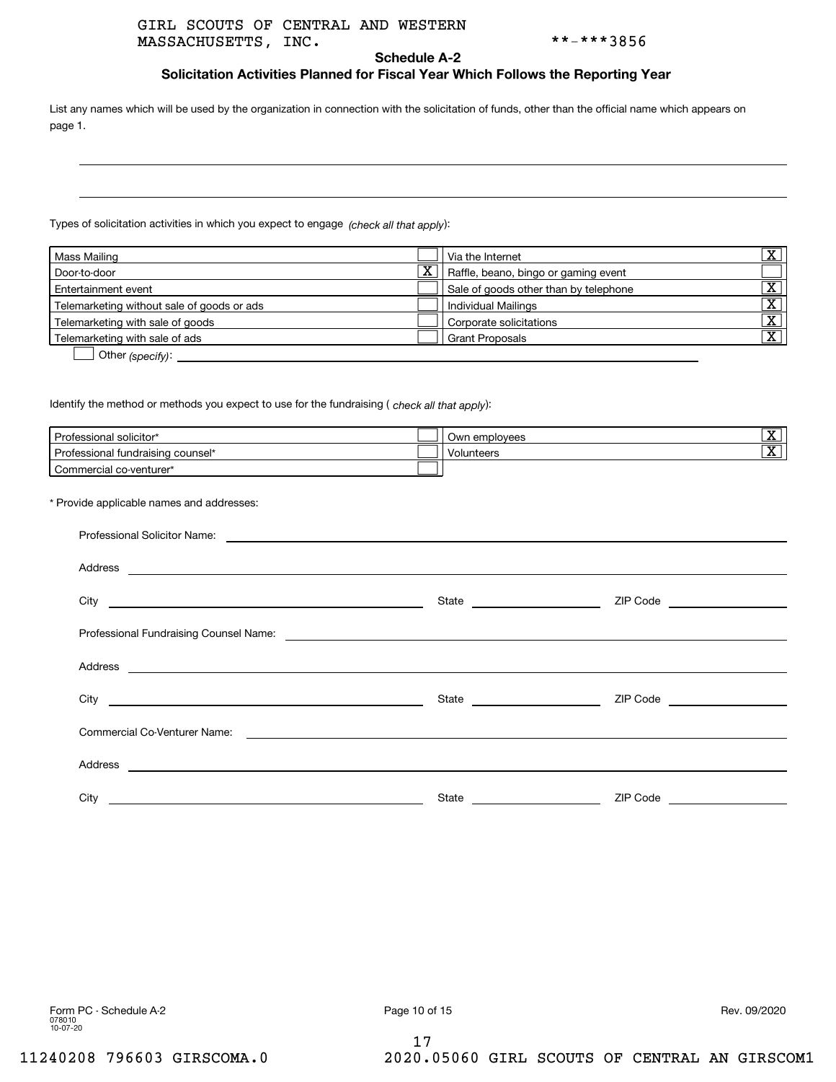# MASSACHUSETTS, INC. \*\*-\*\*\*3856 GIRL SCOUTS OF CENTRAL AND WESTERN

**Schedule A-2**

# **Solicitation Activities Planned for Fiscal Year Which Follows the Reporting Year**

List any names which will be used by the organization in connection with the solicitation of funds, other than the official name which appears on page 1.

Types of solicitation activities in which you expect to engage *(check all that apply*):

| Mass Mailing                                                                                                                                |                       | Via the Internet                      | $\overline{\mathbf{v}}$<br>▵         |
|---------------------------------------------------------------------------------------------------------------------------------------------|-----------------------|---------------------------------------|--------------------------------------|
| Door-to-door                                                                                                                                | $\overline{\text{x}}$ | Raffle, beano, bingo or gaming event  |                                      |
| Entertainment event                                                                                                                         |                       | Sale of goods other than by telephone | ᢦ                                    |
| Telemarketing without sale of goods or ads                                                                                                  |                       | Individual Mailings                   | $\overline{\mathbf{v}}$<br>▵         |
| Telemarketing with sale of goods                                                                                                            |                       | Corporate solicitations               | $\overline{\textnormal{\textbf{x}}}$ |
| Telemarketing with sale of ads                                                                                                              |                       | <b>Grant Proposals</b>                | $\overline{\textnormal{x}}$          |
| $\bigcap_{i=1}^{n}$ and $\bigcup_{i=1}^{n}$ and $\bigcap_{i=1}^{n}$ and $\bigcap_{i=1}^{n}$ and $\bigcap_{i=1}^{n}$ and $\bigcap_{i=1}^{n}$ |                       |                                       |                                      |

**b** Other (specify):

ldentify the method or methods you expect to use for the fundraising ( *check all that apply*):

| Professional solicitor*           | Own employees | रु<br>▵ |
|-----------------------------------|---------------|---------|
| Professional fundraising counsel* | Volunteers    | रु<br>▵ |
| Commercial co-venturer*           |               |         |

\* Provide applicable names and addresses:

|      |                               | ZIP Code ____________________ |
|------|-------------------------------|-------------------------------|
|      |                               |                               |
|      |                               |                               |
|      | State _______________________ | ZIP Code ____________________ |
|      |                               |                               |
|      |                               |                               |
| City | State                         | ZIP Code                      |

17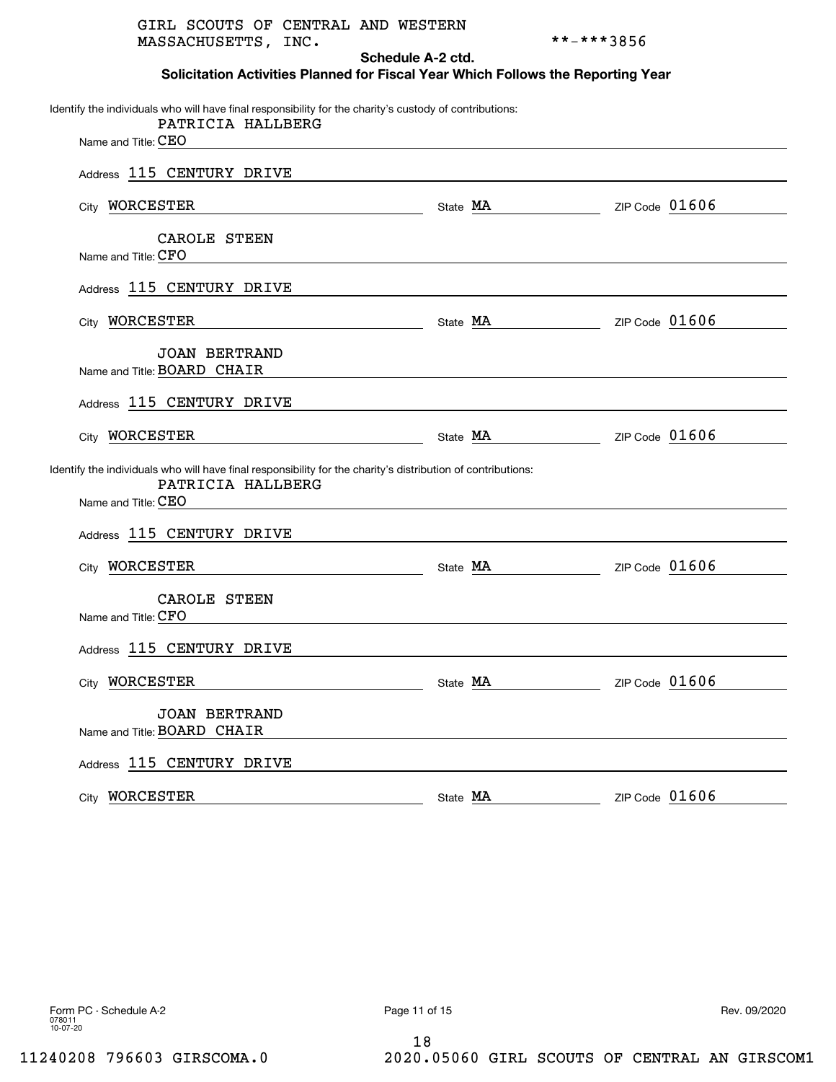| GIRL SCOUTS OF CENTRAL AND WESTERN<br>MASSACHUSETTS, INC.                                                                    |          | **-***3856              |
|------------------------------------------------------------------------------------------------------------------------------|----------|-------------------------|
| Schedule A-2 ctd.<br>Solicitation Activities Planned for Fiscal Year Which Follows the Reporting Year                        |          |                         |
|                                                                                                                              |          |                         |
| Identify the individuals who will have final responsibility for the charity's custody of contributions:<br>PATRICIA HALLBERG |          |                         |
| Name and Title: CEO<br><u> 1980 - Jan Sterling, amerikansk politiker (d. 1980)</u>                                           |          |                         |
| Address 115 CENTURY DRIVE                                                                                                    |          |                         |
| City WORCESTER<br>Natate MA Natural Code 01606                                                                               |          |                         |
| CAROLE STEEN<br>Name and Title: CFO                                                                                          |          |                         |
|                                                                                                                              |          |                         |
| Address 115 CENTURY DRIVE                                                                                                    |          |                         |
| City WORCESTER                                                                                                               |          | State MA ZIP Code 01606 |
| <b>JOAN BERTRAND</b><br>Name and Title: BOARD CHAIR                                                                          |          |                         |
|                                                                                                                              |          |                         |
| Address 115 CENTURY DRIVE                                                                                                    |          |                         |
| City WORCESTER<br><u> 1989 - Johann Barbara, martxa alemaniar a</u>                                                          | State MA | ZIP Code $01606$        |
| Identify the individuals who will have final responsibility for the charity's distribution of contributions:                 |          |                         |
| PATRICIA HALLBERG<br>Name and Title: CEO                                                                                     |          |                         |
|                                                                                                                              |          |                         |
| Address 115 CENTURY DRIVE                                                                                                    |          |                         |
| WORCESTER<br>City<br><u> 1989 - Johann Barn, mars eta bainar eta idazlea (</u>                                               | State MA | ZIP Code $01606$        |
| CAROLE STEEN                                                                                                                 |          |                         |
| Name and Title: CFO                                                                                                          |          |                         |
| Address 115 CENTURY DRIVE                                                                                                    |          |                         |
| City WORCESTER                                                                                                               | State MA | ZIP Code 01606          |
| <b>JOAN BERTRAND</b>                                                                                                         |          |                         |
| Name and Title: BOARD CHAIR                                                                                                  |          |                         |
| Address 115 CENTURY DRIVE                                                                                                    |          |                         |
| City WORCESTER                                                                                                               | State MA | ZIP Code $01606$        |
|                                                                                                                              |          |                         |

18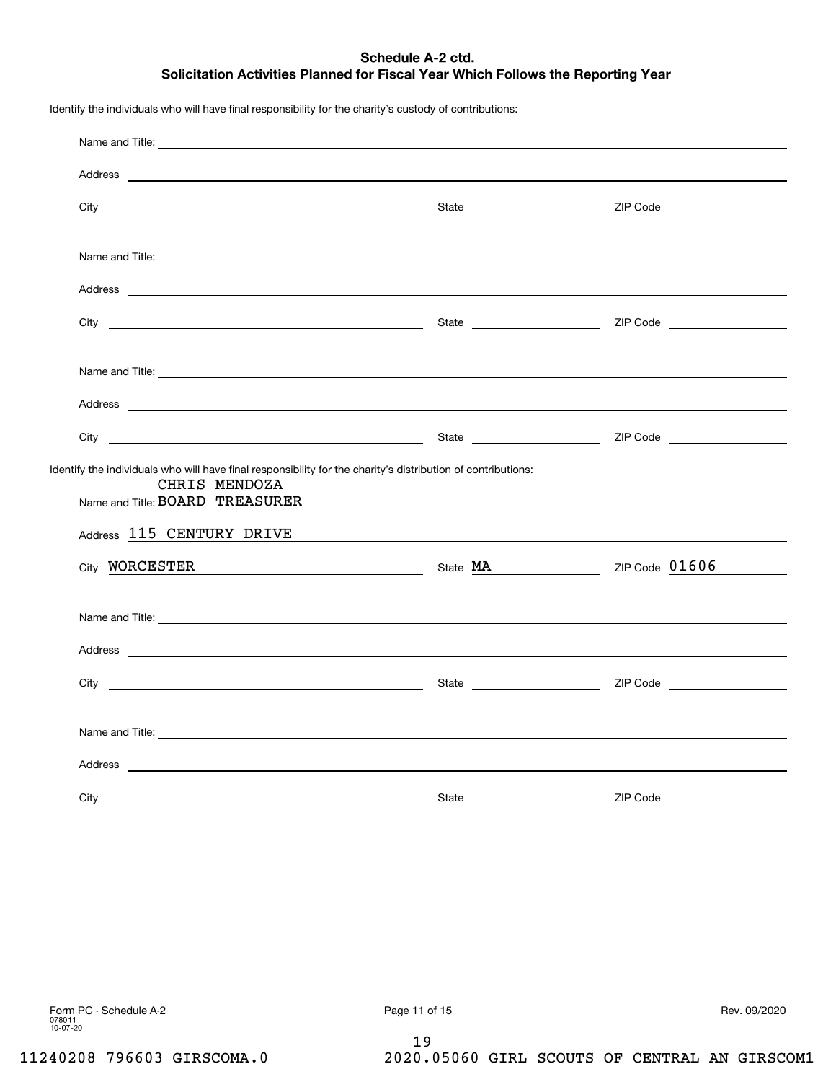# **Schedule A-2 ctd. Solicitation Activities Planned for Fiscal Year Which Follows the Reporting Year**

Name and Title: Address City State ZIP Code Name and Title: Address City State ZIP Code Name and Title: AddressCity State ZIP Code Identify the individuals who will have final responsibility for the charity's distribution of contributions: Name and Title: BOARD TREASURER <sub>Address</sub> 115 CENTURY DRIVE  $_{\rm City}$  WORCESTER  $_{\rm Side}$  MA  $_{\rm 2IP\,Code}$  01606 Name and Title: Address City State ZIP Code Name and Title: AddressCity State ZIP Code CHRIS MENDOZA

Identify the individuals who will have final responsibility for the charity's custody of contributions:

19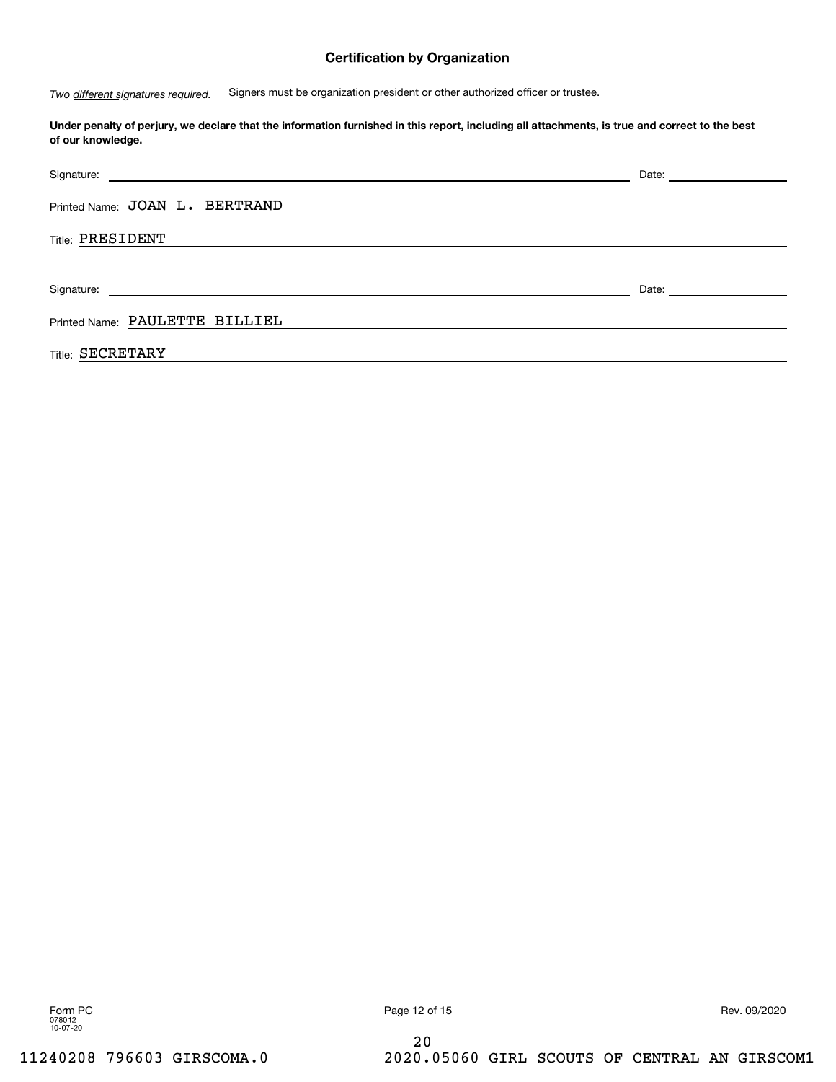# **Certification by Organization**

 Signers must be organization president or other authorized officer or trustee. *Two different signatures required.*

**Under penalty of perjury, we declare that the information furnished in this report, including all attachments, is true and correct to the best of our knowledge.**

|                                | Date: <u>__________________</u>                                                                                                                                                                                                |
|--------------------------------|--------------------------------------------------------------------------------------------------------------------------------------------------------------------------------------------------------------------------------|
| Printed Name: JOAN L. BERTRAND |                                                                                                                                                                                                                                |
| <b>Title: PRESIDENT</b>        |                                                                                                                                                                                                                                |
|                                |                                                                                                                                                                                                                                |
|                                | Date: the contract of the contract of the contract of the contract of the contract of the contract of the contract of the contract of the contract of the contract of the contract of the contract of the contract of the cont |
| Printed Name: PAULETTE BILLIEL |                                                                                                                                                                                                                                |
| <b>Title: SECRETARY</b>        |                                                                                                                                                                                                                                |

078012 10-07-20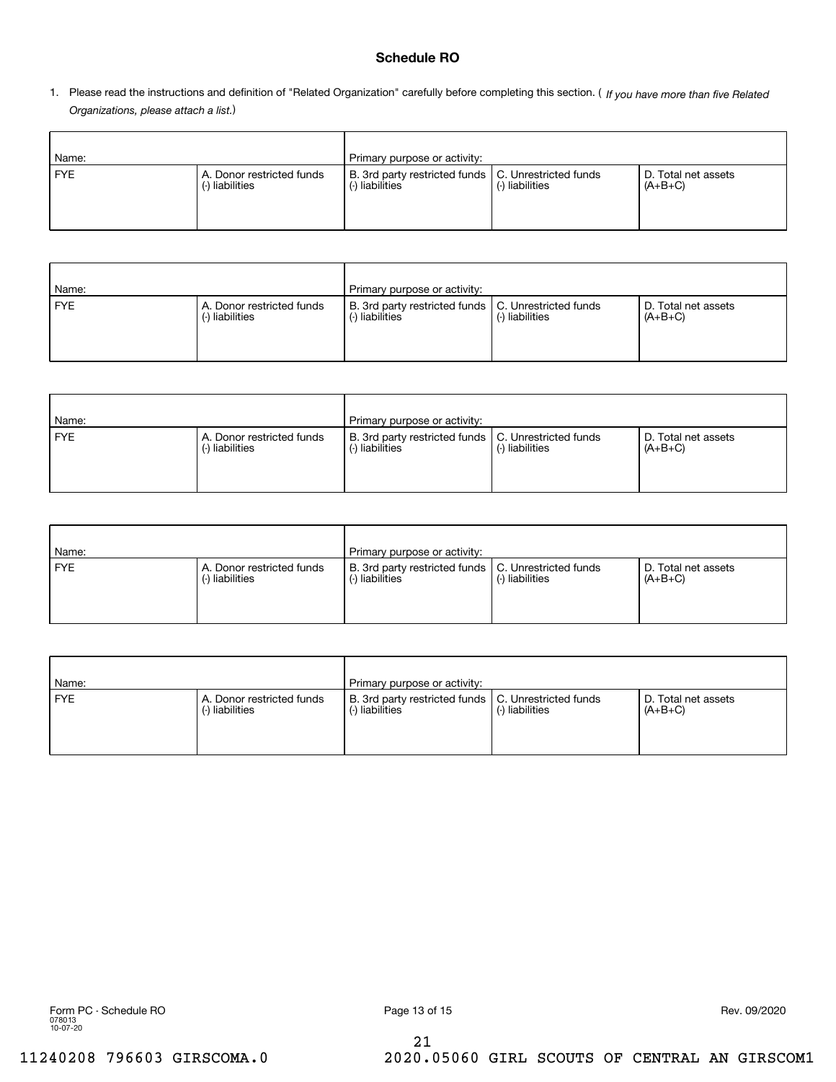## **Schedule RO**

1. Please read the instructions and definition of "Related Organization" carefully before completing this section. (*If you have more than five Related Organizations, please attach a list.* )

| Name:      |                                              | Primary purpose or activity:                                             |                 |                                  |
|------------|----------------------------------------------|--------------------------------------------------------------------------|-----------------|----------------------------------|
| <b>FYE</b> | A. Donor restricted funds<br>(-) liabilities | B. 3rd party restricted funds   C. Unrestricted funds<br>(-) liabilities | (-) liabilities | D. Total net assets<br>$(A+B+C)$ |

| Name:      |                                              | Primary purpose or activity:                                             |                 |                                  |
|------------|----------------------------------------------|--------------------------------------------------------------------------|-----------------|----------------------------------|
| <b>FYE</b> | A. Donor restricted funds<br>(-) liabilities | B. 3rd party restricted funds   C. Unrestricted funds<br>(-) liabilities | (-) liabilities | D. Total net assets<br>$(A+B+C)$ |

| Name:      |                                              | Primary purpose or activity:                                         |                 |                                  |
|------------|----------------------------------------------|----------------------------------------------------------------------|-----------------|----------------------------------|
| <b>FYE</b> | A. Donor restricted funds<br>(-) liabilities | B. 3rd party restricted funds   C. Unrestricted funds<br>Iiabilities | (-) liabilities | D. Total net assets<br>$(A+B+C)$ |

| Name:      |                                              | Primary purpose or activity:                                             |                 |                                  |
|------------|----------------------------------------------|--------------------------------------------------------------------------|-----------------|----------------------------------|
| <b>FYE</b> | A. Donor restricted funds<br>(-) liabilities | B. 3rd party restricted funds   C. Unrestricted funds<br>(-) liabilities | (-) liabilities | D. Total net assets<br>$(A+B+C)$ |

| Name:      |                                              | Primary purpose or activity:                                         |                 |                                  |
|------------|----------------------------------------------|----------------------------------------------------------------------|-----------------|----------------------------------|
| <b>FYE</b> | A. Donor restricted funds<br>(-) liabilities | B. 3rd party restricted funds   C. Unrestricted funds<br>Iiabilities | (-) liabilities | D. Total net assets<br>$(A+B+C)$ |

21

11240208 796603 GIRSCOMA.0 2020.05060 GIRL SCOUTS OF CENTRAL AN GIRSCOM1